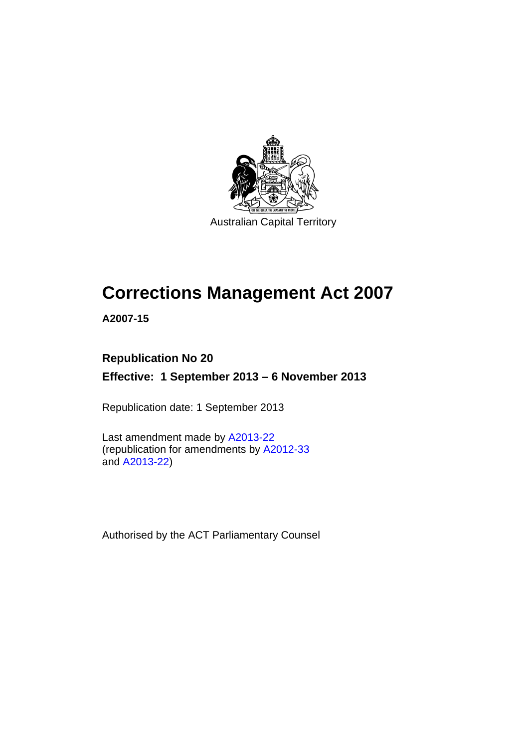

Australian Capital Territory

# **Corrections Management Act 2007**

**A2007-15** 

### **Republication No 20**

**Effective: 1 September 2013 – 6 November 2013** 

Republication date: 1 September 2013

Last amendment made by [A2013-22](http://www.legislation.act.gov.au/a/2013-22) (republication for amendments by [A2012-33](http://www.legislation.act.gov.au/a/2012-33) and [A2013-22](http://www.legislation.act.gov.au/a/2013-22))

Authorised by the ACT Parliamentary Counsel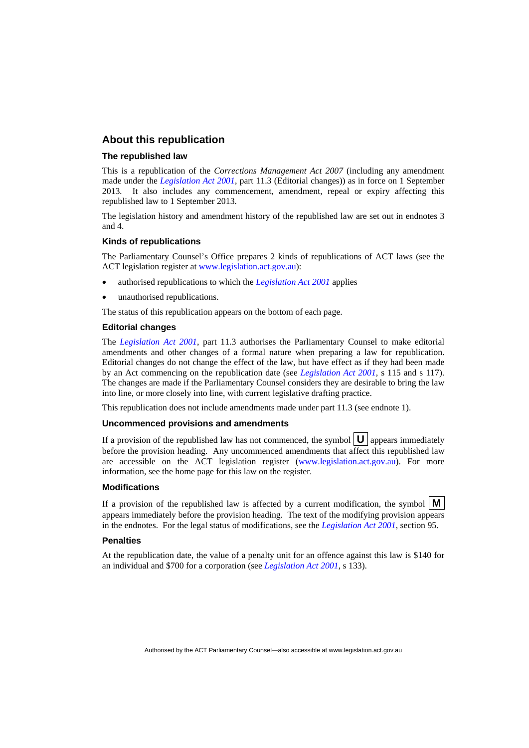### **About this republication**

#### **The republished law**

This is a republication of the *Corrections Management Act 2007* (including any amendment made under the *[Legislation Act 2001](http://www.legislation.act.gov.au/a/2001-14)*, part 11.3 (Editorial changes)) as in force on 1 September 2013*.* It also includes any commencement, amendment, repeal or expiry affecting this republished law to 1 September 2013.

The legislation history and amendment history of the republished law are set out in endnotes 3 and 4.

#### **Kinds of republications**

The Parliamentary Counsel's Office prepares 2 kinds of republications of ACT laws (see the ACT legislation register at [www.legislation.act.gov.au](http://www.legislation.act.gov.au/)):

- authorised republications to which the *[Legislation Act 2001](http://www.legislation.act.gov.au/a/2001-14)* applies
- unauthorised republications.

The status of this republication appears on the bottom of each page.

#### **Editorial changes**

The *[Legislation Act 2001](http://www.legislation.act.gov.au/a/2001-14)*, part 11.3 authorises the Parliamentary Counsel to make editorial amendments and other changes of a formal nature when preparing a law for republication. Editorial changes do not change the effect of the law, but have effect as if they had been made by an Act commencing on the republication date (see *[Legislation Act 2001](http://www.legislation.act.gov.au/a/2001-14)*, s 115 and s 117). The changes are made if the Parliamentary Counsel considers they are desirable to bring the law into line, or more closely into line, with current legislative drafting practice.

This republication does not include amendments made under part 11.3 (see endnote 1).

#### **Uncommenced provisions and amendments**

If a provision of the republished law has not commenced, the symbol  $\mathbf{U}$  appears immediately before the provision heading. Any uncommenced amendments that affect this republished law are accessible on the ACT legislation register [\(www.legislation.act.gov.au\)](http://www.legislation.act.gov.au/). For more information, see the home page for this law on the register.

#### **Modifications**

If a provision of the republished law is affected by a current modification, the symbol  $\mathbf{M}$ appears immediately before the provision heading. The text of the modifying provision appears in the endnotes. For the legal status of modifications, see the *[Legislation Act 2001](http://www.legislation.act.gov.au/a/2001-14)*, section 95.

#### **Penalties**

At the republication date, the value of a penalty unit for an offence against this law is \$140 for an individual and \$700 for a corporation (see *[Legislation Act 2001](http://www.legislation.act.gov.au/a/2001-14)*, s 133).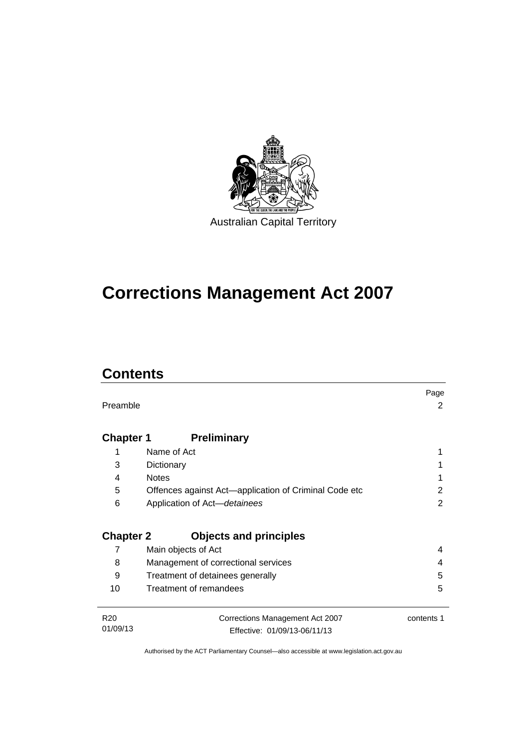

# **Corrections Management Act 2007**

## **Contents**

|                  |                                                       | Page       |
|------------------|-------------------------------------------------------|------------|
| Preamble         |                                                       | 2          |
|                  |                                                       |            |
| <b>Chapter 1</b> | <b>Preliminary</b>                                    |            |
| 1                | Name of Act                                           |            |
| 3                | Dictionary                                            |            |
| 4                | <b>Notes</b>                                          |            |
| 5                | Offences against Act-application of Criminal Code etc | 2          |
| 6                | Application of Act-detainees                          | 2          |
|                  |                                                       |            |
| <b>Chapter 2</b> | <b>Objects and principles</b>                         |            |
| 7                | Main objects of Act                                   | 4          |
| 8                | Management of correctional services                   | 4          |
| 9                | Treatment of detainees generally                      | 5          |
| 10               | Treatment of remandees                                | 5          |
|                  |                                                       |            |
| R <sub>20</sub>  | Corrections Management Act 2007                       | contents 1 |
| 01/09/13         | Effective: 01/09/13-06/11/13                          |            |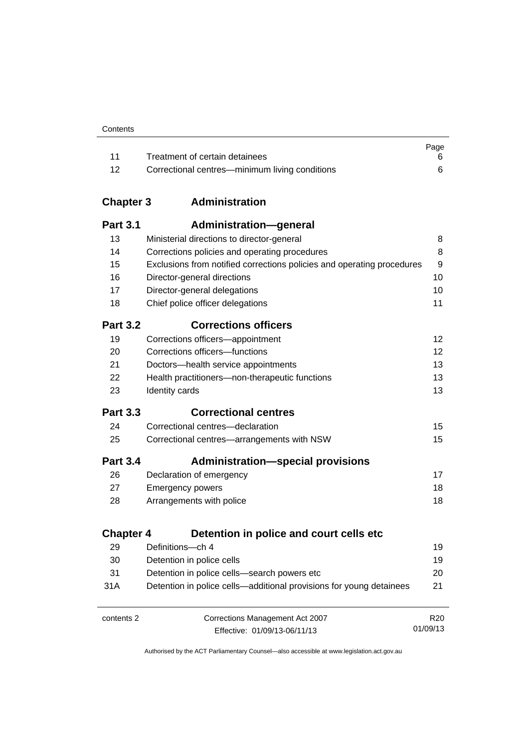| Contents |
|----------|
|----------|

|       |                                                | Page |
|-------|------------------------------------------------|------|
| $-11$ | Treatment of certain detainees                 |      |
| $-12$ | Correctional centres—minimum living conditions |      |

### **Chapter 3 [Administration](#page-23-0)**

| <b>Part 3.1</b>  | Administration-general                                                 |                 |
|------------------|------------------------------------------------------------------------|-----------------|
| 13               | Ministerial directions to director-general                             | 8               |
| 14               | Corrections policies and operating procedures                          | 8               |
| 15               | Exclusions from notified corrections policies and operating procedures | 9               |
| 16               | Director-general directions                                            | 10              |
| 17               | Director-general delegations                                           | 10              |
| 18               | Chief police officer delegations                                       | 11              |
| <b>Part 3.2</b>  | <b>Corrections officers</b>                                            |                 |
| 19               | Corrections officers-appointment                                       | 12              |
| 20               | Corrections officers-functions                                         | 12              |
| 21               | Doctors-health service appointments                                    | 13              |
| 22               | Health practitioners-non-therapeutic functions                         | 13              |
| 23               | Identity cards                                                         | 13              |
| <b>Part 3.3</b>  | <b>Correctional centres</b>                                            |                 |
| 24               | Correctional centres-declaration                                       | 15              |
| 25               | Correctional centres-arrangements with NSW                             | 15              |
| <b>Part 3.4</b>  | <b>Administration-special provisions</b>                               |                 |
| 26               | Declaration of emergency                                               | 17              |
| 27               | <b>Emergency powers</b>                                                | 18              |
| 28               | Arrangements with police                                               | 18              |
| <b>Chapter 4</b> | Detention in police and court cells etc                                |                 |
| 29               | Definitions-ch 4                                                       | 19              |
| 30               | Detention in police cells                                              | 19              |
| 31               | Detention in police cells-search powers etc                            | 20              |
| 31A              | Detention in police cells—additional provisions for young detainees    | 21              |
| contents 2       | Corrections Management Act 2007                                        | R <sub>20</sub> |

Effective: 01/09/13-06/11/13

01/09/13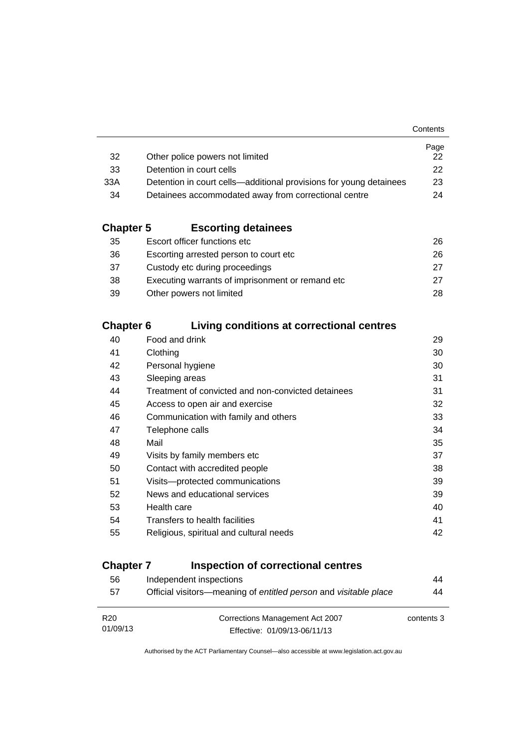|                                                                    | Page         |
|--------------------------------------------------------------------|--------------|
| Other police powers not limited                                    | 22.          |
| Detention in court cells                                           | $22^{\circ}$ |
| Detention in court cells—additional provisions for young detainees | 23           |
| Detainees accommodated away from correctional centre               | 24           |
|                                                                    |              |

### **Chapter 5 [Escorting detainees](#page-41-0)**

| 35 | Escort officer functions etc                      | 26. |
|----|---------------------------------------------------|-----|
| 36 | Escorting arrested person to court etc.           | 26. |
| 37 | Custody etc during proceedings                    | 27  |
| 38 | Executing warrants of imprisonment or remand etc. | 27  |
| 39 | Other powers not limited                          | 28. |

### **Chapter 6 [Living conditions at correctional centres](#page-44-0)**

| 40 | Food and drink                                     | 29 |
|----|----------------------------------------------------|----|
| 41 | Clothing                                           | 30 |
| 42 | Personal hygiene                                   | 30 |
| 43 | Sleeping areas                                     | 31 |
| 44 | Treatment of convicted and non-convicted detainees | 31 |
| 45 | Access to open air and exercise                    | 32 |
| 46 | Communication with family and others               | 33 |
| 47 | Telephone calls                                    | 34 |
| 48 | Mail                                               | 35 |
| 49 | Visits by family members etc                       | 37 |
| 50 | Contact with accredited people                     | 38 |
| 51 | Visits---protected communications                  | 39 |
| 52 | News and educational services                      | 39 |
| 53 | Health care                                        | 40 |
| 54 | Transfers to health facilities                     | 41 |
| 55 | Religious, spiritual and cultural needs            | 42 |
|    |                                                    |    |

### **Chapter 7 [Inspection of correctional centres](#page-59-0)**

| 56              | Independent inspections                                          | 44         |
|-----------------|------------------------------------------------------------------|------------|
| 57              | Official visitors—meaning of entitled person and visitable place | 44         |
|                 |                                                                  |            |
| R <sub>20</sub> | Corrections Management Act 2007                                  | contents 3 |
| 01/09/13        | Effective: 01/09/13-06/11/13                                     |            |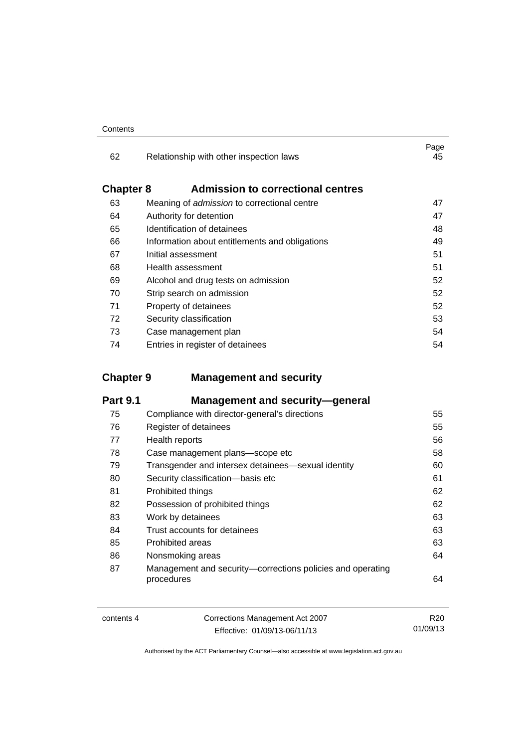| 62               | Relationship with other inspection laws            | Page<br>45 |
|------------------|----------------------------------------------------|------------|
| <b>Chapter 8</b> | <b>Admission to correctional centres</b>           |            |
| 63               | Meaning of <i>admission</i> to correctional centre | 47         |
| 64               | Authority for detention                            | 47         |
| 65               | Identification of detainees                        | 48         |
| 66               | Information about entitlements and obligations     | 49         |
| 67               | Initial assessment                                 | 51         |
| 68               | Health assessment                                  | 51         |
| 69               | Alcohol and drug tests on admission                | 52         |
| 70               | Strip search on admission                          | 52         |
| 71               | Property of detainees                              | 52         |
| 72               | Security classification                            | 53         |
| 73               | Case management plan                               | 54         |
| 74               | Entries in register of detainees                   | 54         |

### **Chapter 9 [Management and security](#page-70-0)**

| <b>Part 9.1</b> | <b>Management and security-general</b>                                   |    |
|-----------------|--------------------------------------------------------------------------|----|
| 75              | Compliance with director-general's directions                            | 55 |
| 76              | Register of detainees                                                    | 55 |
| 77              | Health reports                                                           | 56 |
| 78              | Case management plans-scope etc                                          | 58 |
| 79              | Transgender and intersex detainees—sexual identity                       | 60 |
| 80              | Security classification-basis etc                                        | 61 |
| 81              | Prohibited things                                                        | 62 |
| 82              | Possession of prohibited things                                          | 62 |
| 83              | Work by detainees                                                        | 63 |
| 84              | Trust accounts for detainees                                             | 63 |
| 85              | Prohibited areas                                                         | 63 |
| 86              | Nonsmoking areas                                                         | 64 |
| 87              | Management and security-corrections policies and operating<br>procedures | 64 |

| contents 4 | Corrections Management Act 2007 | R <sub>20</sub> |
|------------|---------------------------------|-----------------|
|            | Effective: 01/09/13-06/11/13    | 01/09/13        |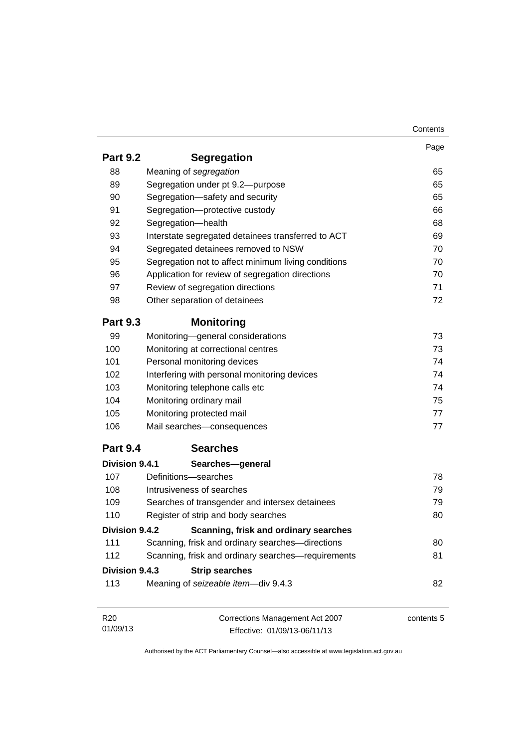|                 |                                                     | Contents   |
|-----------------|-----------------------------------------------------|------------|
|                 |                                                     | Page       |
| <b>Part 9.2</b> | <b>Segregation</b>                                  |            |
| 88              | Meaning of segregation                              | 65         |
| 89              | Segregation under pt 9.2-purpose                    | 65         |
| 90              | Segregation-safety and security                     | 65         |
| 91              | Segregation-protective custody                      | 66         |
| 92              | Segregation-health                                  | 68         |
| 93              | Interstate segregated detainees transferred to ACT  | 69         |
| 94              | Segregated detainees removed to NSW                 | 70         |
| 95              | Segregation not to affect minimum living conditions | 70         |
| 96              | Application for review of segregation directions    | 70         |
| 97              | Review of segregation directions                    | 71         |
| 98              | Other separation of detainees                       | 72         |
| <b>Part 9.3</b> | <b>Monitoring</b>                                   |            |
| 99              | Monitoring-general considerations                   | 73         |
| 100             | Monitoring at correctional centres                  | 73         |
| 101             | Personal monitoring devices                         | 74         |
| 102             | Interfering with personal monitoring devices        | 74         |
| 103             | Monitoring telephone calls etc                      | 74         |
| 104             | Monitoring ordinary mail                            | 75         |
| 105             | Monitoring protected mail                           | 77         |
| 106             | Mail searches-consequences                          | 77         |
| <b>Part 9.4</b> | <b>Searches</b>                                     |            |
| Division 9.4.1  | Searches-general                                    |            |
| 107             | Definitions-searches                                | 78         |
| 108             | Intrusiveness of searches                           | 79         |
| 109             | Searches of transgender and intersex detainees      | 79         |
| 110             | Register of strip and body searches                 | 80         |
| Division 9.4.2  | Scanning, frisk and ordinary searches               |            |
| 111             | Scanning, frisk and ordinary searches-directions    | 80         |
| 112             | Scanning, frisk and ordinary searches-requirements  | 81         |
| Division 9.4.3  | <b>Strip searches</b>                               |            |
| 113             | Meaning of seizeable item-div 9.4.3                 | 82         |
|                 |                                                     | contents 5 |
| R <sub>20</sub> | Corrections Management Act 2007                     |            |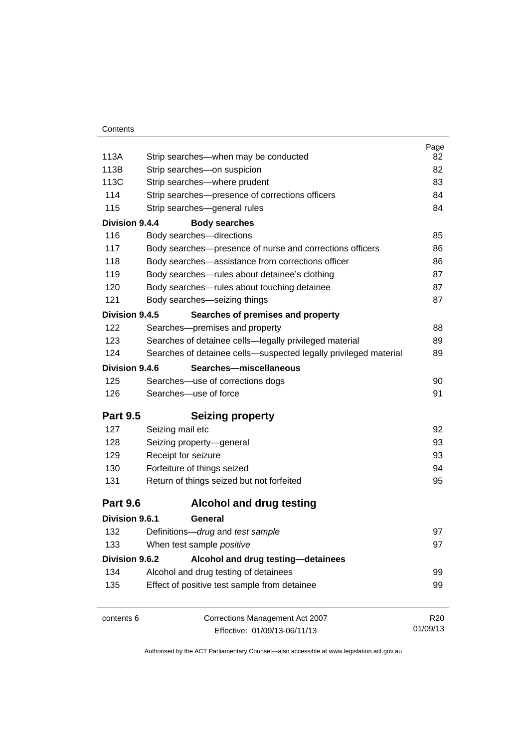|                                                                  | Page<br>82                                                                                                                                                                                                                                                                                                                                                                                                                                                                                                                                                                                                            |  |  |
|------------------------------------------------------------------|-----------------------------------------------------------------------------------------------------------------------------------------------------------------------------------------------------------------------------------------------------------------------------------------------------------------------------------------------------------------------------------------------------------------------------------------------------------------------------------------------------------------------------------------------------------------------------------------------------------------------|--|--|
|                                                                  |                                                                                                                                                                                                                                                                                                                                                                                                                                                                                                                                                                                                                       |  |  |
|                                                                  | 82                                                                                                                                                                                                                                                                                                                                                                                                                                                                                                                                                                                                                    |  |  |
|                                                                  | 83                                                                                                                                                                                                                                                                                                                                                                                                                                                                                                                                                                                                                    |  |  |
|                                                                  | 84                                                                                                                                                                                                                                                                                                                                                                                                                                                                                                                                                                                                                    |  |  |
|                                                                  | 84                                                                                                                                                                                                                                                                                                                                                                                                                                                                                                                                                                                                                    |  |  |
|                                                                  |                                                                                                                                                                                                                                                                                                                                                                                                                                                                                                                                                                                                                       |  |  |
|                                                                  | 85                                                                                                                                                                                                                                                                                                                                                                                                                                                                                                                                                                                                                    |  |  |
| Body searches-presence of nurse and corrections officers         | 86                                                                                                                                                                                                                                                                                                                                                                                                                                                                                                                                                                                                                    |  |  |
| Body searches-assistance from corrections officer                | 86                                                                                                                                                                                                                                                                                                                                                                                                                                                                                                                                                                                                                    |  |  |
| Body searches-rules about detainee's clothing                    | 87                                                                                                                                                                                                                                                                                                                                                                                                                                                                                                                                                                                                                    |  |  |
| Body searches-rules about touching detainee                      | 87                                                                                                                                                                                                                                                                                                                                                                                                                                                                                                                                                                                                                    |  |  |
| Body searches-seizing things                                     | 87                                                                                                                                                                                                                                                                                                                                                                                                                                                                                                                                                                                                                    |  |  |
| Searches of premises and property                                |                                                                                                                                                                                                                                                                                                                                                                                                                                                                                                                                                                                                                       |  |  |
| Searches-premises and property                                   | 88                                                                                                                                                                                                                                                                                                                                                                                                                                                                                                                                                                                                                    |  |  |
| Searches of detainee cells-legally privileged material           | 89                                                                                                                                                                                                                                                                                                                                                                                                                                                                                                                                                                                                                    |  |  |
| Searches of detainee cells-suspected legally privileged material | 89                                                                                                                                                                                                                                                                                                                                                                                                                                                                                                                                                                                                                    |  |  |
| Searches-miscellaneous                                           |                                                                                                                                                                                                                                                                                                                                                                                                                                                                                                                                                                                                                       |  |  |
| Searches-use of corrections dogs                                 | 90                                                                                                                                                                                                                                                                                                                                                                                                                                                                                                                                                                                                                    |  |  |
| Searches-use of force                                            | 91                                                                                                                                                                                                                                                                                                                                                                                                                                                                                                                                                                                                                    |  |  |
|                                                                  |                                                                                                                                                                                                                                                                                                                                                                                                                                                                                                                                                                                                                       |  |  |
|                                                                  | 92                                                                                                                                                                                                                                                                                                                                                                                                                                                                                                                                                                                                                    |  |  |
|                                                                  | 93                                                                                                                                                                                                                                                                                                                                                                                                                                                                                                                                                                                                                    |  |  |
|                                                                  | 93                                                                                                                                                                                                                                                                                                                                                                                                                                                                                                                                                                                                                    |  |  |
|                                                                  | 94                                                                                                                                                                                                                                                                                                                                                                                                                                                                                                                                                                                                                    |  |  |
| Return of things seized but not forfeited                        | 95                                                                                                                                                                                                                                                                                                                                                                                                                                                                                                                                                                                                                    |  |  |
| <b>Alcohol and drug testing</b>                                  |                                                                                                                                                                                                                                                                                                                                                                                                                                                                                                                                                                                                                       |  |  |
| General                                                          |                                                                                                                                                                                                                                                                                                                                                                                                                                                                                                                                                                                                                       |  |  |
|                                                                  | 97                                                                                                                                                                                                                                                                                                                                                                                                                                                                                                                                                                                                                    |  |  |
|                                                                  | 97                                                                                                                                                                                                                                                                                                                                                                                                                                                                                                                                                                                                                    |  |  |
|                                                                  |                                                                                                                                                                                                                                                                                                                                                                                                                                                                                                                                                                                                                       |  |  |
|                                                                  | 99                                                                                                                                                                                                                                                                                                                                                                                                                                                                                                                                                                                                                    |  |  |
| Effect of positive test sample from detainee                     | 99                                                                                                                                                                                                                                                                                                                                                                                                                                                                                                                                                                                                                    |  |  |
|                                                                  |                                                                                                                                                                                                                                                                                                                                                                                                                                                                                                                                                                                                                       |  |  |
| Corrections Management Act 2007                                  | R <sub>20</sub>                                                                                                                                                                                                                                                                                                                                                                                                                                                                                                                                                                                                       |  |  |
| <b>Part 9.5</b><br><b>Part 9.6</b>                               | Strip searches—when may be conducted<br>Strip searches-on suspicion<br>Strip searches-where prudent<br>Strip searches-presence of corrections officers<br>Strip searches-general rules<br>Division 9.4.4<br><b>Body searches</b><br>Body searches-directions<br>Division 9.4.5<br>Division 9.4.6<br><b>Seizing property</b><br>Seizing mail etc<br>Seizing property-general<br>Receipt for seizure<br>Forfeiture of things seized<br>Division 9.6.1<br>Definitions-drug and test sample<br>When test sample positive<br>Division 9.6.2<br>Alcohol and drug testing-detainees<br>Alcohol and drug testing of detainees |  |  |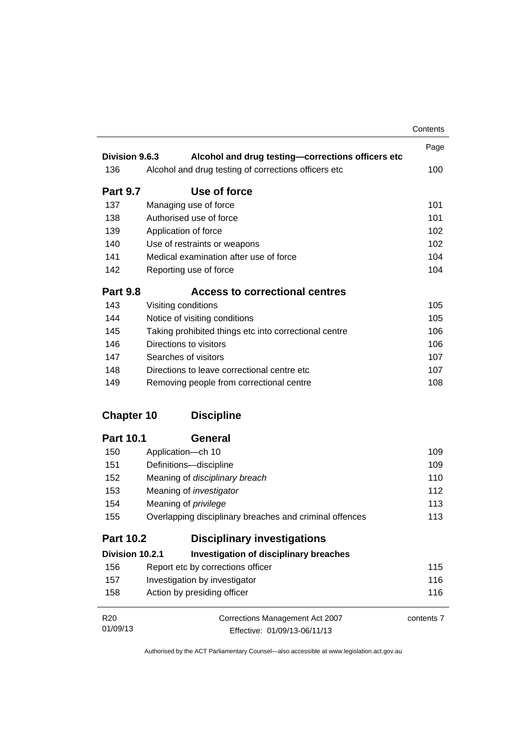|                   |                                                         | Contents   |
|-------------------|---------------------------------------------------------|------------|
|                   |                                                         | Page       |
| Division 9.6.3    | Alcohol and drug testing-corrections officers etc       |            |
| 136               | Alcohol and drug testing of corrections officers etc    | 100        |
| <b>Part 9.7</b>   | Use of force                                            |            |
| 137               | Managing use of force                                   | 101        |
| 138               | Authorised use of force                                 | 101        |
| 139               | Application of force                                    | 102        |
| 140               | Use of restraints or weapons                            | 102        |
| 141               | Medical examination after use of force                  | 104        |
| 142               | Reporting use of force                                  | 104        |
| <b>Part 9.8</b>   | <b>Access to correctional centres</b>                   |            |
| 143               | Visiting conditions                                     | 105        |
| 144               | Notice of visiting conditions                           | 105        |
| 145               | Taking prohibited things etc into correctional centre   | 106        |
| 146               | Directions to visitors                                  | 106        |
| 147               | Searches of visitors                                    | 107        |
| 148               | Directions to leave correctional centre etc.            | 107        |
| 149               | Removing people from correctional centre                | 108        |
| <b>Chapter 10</b> | <b>Discipline</b>                                       |            |
| <b>Part 10.1</b>  | <b>General</b>                                          |            |
| 150               | Application-ch 10                                       | 109        |
| 151               | Definitions-discipline                                  | 109        |
| 152               | Meaning of disciplinary breach                          | 110        |
| 153               | Meaning of <i>investigator</i>                          | 112        |
| 154               | Meaning of <i>privilege</i>                             | 113        |
| 155               | Overlapping disciplinary breaches and criminal offences | 113        |
| <b>Part 10.2</b>  | <b>Disciplinary investigations</b>                      |            |
| Division 10.2.1   | <b>Investigation of disciplinary breaches</b>           |            |
| 156               | Report etc by corrections officer                       | 115        |
| 157               | Investigation by investigator                           | 116        |
| 158               | Action by presiding officer                             | 116        |
| R <sub>20</sub>   | Corrections Management Act 2007                         | contents 7 |
| 01/09/13          | Effective: 01/09/13-06/11/13                            |            |

Effective: 01/09/13-06/11/13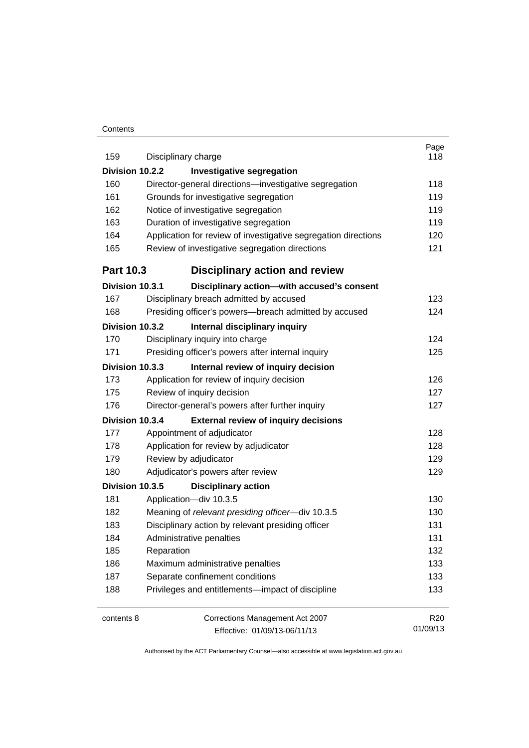#### **Contents**

| 159              | Disciplinary charge                                            | Page<br>118     |
|------------------|----------------------------------------------------------------|-----------------|
| Division 10.2.2  | <b>Investigative segregation</b>                               |                 |
| 160              | Director-general directions-investigative segregation          | 118             |
| 161              | Grounds for investigative segregation                          | 119             |
| 162              | Notice of investigative segregation                            | 119             |
| 163              | Duration of investigative segregation                          | 119             |
| 164              | Application for review of investigative segregation directions | 120             |
| 165              | Review of investigative segregation directions                 | 121             |
| <b>Part 10.3</b> | <b>Disciplinary action and review</b>                          |                 |
| Division 10.3.1  | Disciplinary action-with accused's consent                     |                 |
| 167              | Disciplinary breach admitted by accused                        | 123             |
| 168              | Presiding officer's powers--breach admitted by accused         | 124             |
| Division 10.3.2  | Internal disciplinary inquiry                                  |                 |
| 170              | Disciplinary inquiry into charge                               | 124             |
| 171              | Presiding officer's powers after internal inquiry              | 125             |
| Division 10.3.3  | Internal review of inquiry decision                            |                 |
| 173              | Application for review of inquiry decision                     | 126             |
| 175              | Review of inquiry decision                                     | 127             |
| 176              | Director-general's powers after further inquiry                | 127             |
| Division 10.3.4  | <b>External review of inquiry decisions</b>                    |                 |
| 177              | Appointment of adjudicator                                     | 128             |
| 178              | Application for review by adjudicator                          | 128             |
| 179              | Review by adjudicator                                          | 129             |
| 180              | Adjudicator's powers after review                              | 129             |
| Division 10.3.5  | <b>Disciplinary action</b>                                     |                 |
| 181              | Application-div 10.3.5                                         | 130             |
| 182              | Meaning of relevant presiding officer-div 10.3.5               | 130             |
| 183              | Disciplinary action by relevant presiding officer              | 131             |
| 184              | Administrative penalties                                       | 131             |
| 185              | Reparation                                                     | 132             |
| 186              | Maximum administrative penalties                               | 133             |
| 187              | Separate confinement conditions                                | 133             |
| 188              | Privileges and entitlements-impact of discipline               | 133             |
| contents 8       | Corrections Management Act 2007                                | R <sub>20</sub> |
|                  | Effective: 01/09/13-06/11/13                                   | 01/09/13        |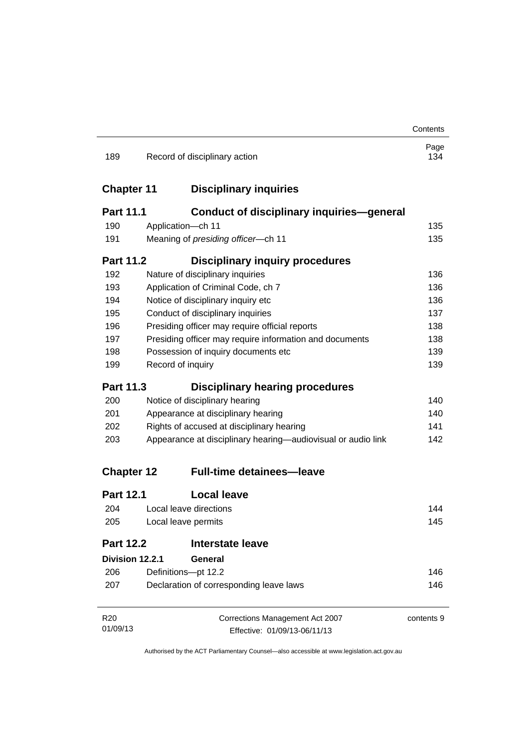|                   |                                                              |                                                         | Contents    |
|-------------------|--------------------------------------------------------------|---------------------------------------------------------|-------------|
| 189               |                                                              | Record of disciplinary action                           | Page<br>134 |
| <b>Chapter 11</b> |                                                              | <b>Disciplinary inquiries</b>                           |             |
| <b>Part 11.1</b>  |                                                              | <b>Conduct of disciplinary inquiries-general</b>        |             |
| 190               |                                                              | Application-ch 11                                       | 135         |
| 191               | Meaning of presiding officer-ch 11                           |                                                         |             |
| <b>Part 11.2</b>  |                                                              | <b>Disciplinary inquiry procedures</b>                  |             |
| 192               |                                                              | Nature of disciplinary inquiries                        | 136         |
| 193               |                                                              | Application of Criminal Code, ch 7                      | 136         |
| 194               |                                                              | Notice of disciplinary inquiry etc                      | 136         |
| 195               |                                                              | Conduct of disciplinary inquiries                       | 137         |
| 196               |                                                              | Presiding officer may require official reports          | 138         |
| 197               |                                                              | Presiding officer may require information and documents | 138         |
| 198               | Possession of inquiry documents etc                          |                                                         |             |
| 199               |                                                              | Record of inquiry                                       | 139         |
| Part 11.3         |                                                              | <b>Disciplinary hearing procedures</b>                  |             |
| 200               | Notice of disciplinary hearing                               |                                                         | 140         |
| 201               | Appearance at disciplinary hearing                           |                                                         |             |
| 202               | Rights of accused at disciplinary hearing                    |                                                         | 141         |
| 203               | Appearance at disciplinary hearing—audiovisual or audio link |                                                         | 142         |
| <b>Chapter 12</b> |                                                              | <b>Full-time detainees-leave</b>                        |             |
| <b>Part 12.1</b>  |                                                              | <b>Local leave</b>                                      |             |
| 204               | Local leave directions                                       |                                                         | 144         |
| 205               | Local leave permits                                          |                                                         | 145         |
| <b>Part 12.2</b>  |                                                              | <b>Interstate leave</b>                                 |             |
| Division 12.2.1   |                                                              | <b>General</b>                                          |             |
| 206               |                                                              | Definitions-pt 12.2                                     | 146         |
| 207               | Declaration of corresponding leave laws                      |                                                         | 146         |
| R <sub>20</sub>   |                                                              | Corrections Management Act 2007                         | contents 9  |
| 01/09/13          | Effective: 01/09/13-06/11/13                                 |                                                         |             |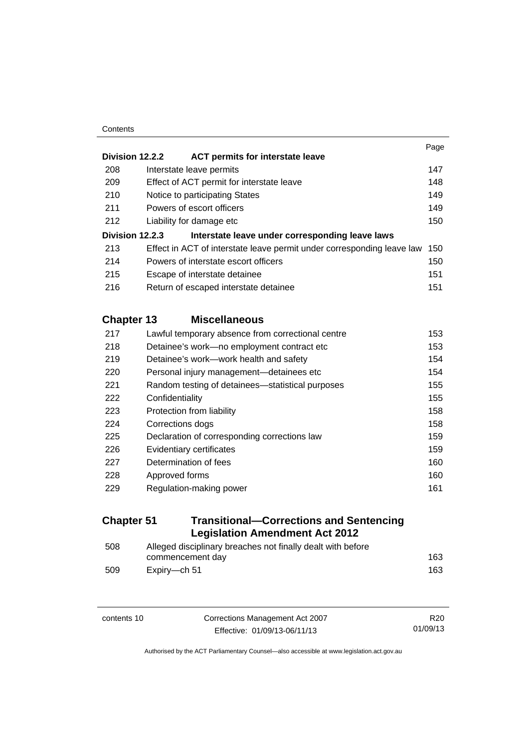#### **Contents**

|                   |                           |                                                                        | Page |
|-------------------|---------------------------|------------------------------------------------------------------------|------|
| Division 12.2.2   |                           | <b>ACT permits for interstate leave</b>                                |      |
| 208               | Interstate leave permits  |                                                                        | 147  |
| 209               |                           | Effect of ACT permit for interstate leave                              | 148  |
| 210               |                           | Notice to participating States                                         | 149  |
| 211               | Powers of escort officers |                                                                        | 149  |
| 212               | Liability for damage etc  |                                                                        | 150  |
| Division 12.2.3   |                           | Interstate leave under corresponding leave laws                        |      |
| 213               |                           | Effect in ACT of interstate leave permit under corresponding leave law | 150  |
| 214               |                           | Powers of interstate escort officers                                   | 150  |
| 215               |                           | Escape of interstate detainee                                          | 151  |
| 216               |                           | Return of escaped interstate detainee                                  | 151  |
| <b>Chapter 13</b> |                           | <b>Miscellaneous</b>                                                   |      |
| 217               |                           | Lawful temporary absence from correctional centre                      | 153  |
| 218               |                           | Detainee's work-no employment contract etc                             | 153  |
| 219               |                           | Detainee's work-work health and safety                                 | 154  |
| 220               |                           | Personal injury management-detainees etc                               | 154  |
| 221               |                           | Random testing of detainees—statistical purposes                       | 155  |
| 222               | Confidentiality           |                                                                        | 155  |

| Protection from liability                    | 158 |
|----------------------------------------------|-----|
| Corrections dogs                             | 158 |
| Declaration of corresponding corrections law | 159 |
| Evidentiary certificates                     | 159 |
| Determination of fees                        | 160 |
| Approved forms                               | 160 |
| Regulation-making power                      | 161 |
|                                              |     |

### **Chapter 51 [Transitional—Corrections and Sentencing](#page-178-0)  [Legislation Amendment Act 2012](#page-178-0)**

| 508 | Alleged disciplinary breaches not finally dealt with before |     |  |
|-----|-------------------------------------------------------------|-----|--|
|     | commencement day                                            | 163 |  |
| 509 | Expirv—ch 51                                                | 163 |  |

**Corrections Management Act 2007** Effective: 01/09/13-06/11/13

R20 01/09/13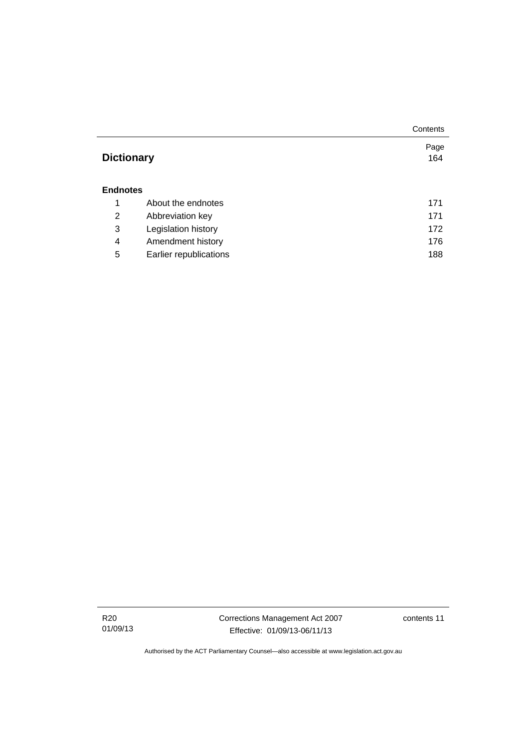|                   |                        | Contents |  |
|-------------------|------------------------|----------|--|
|                   |                        | Page     |  |
| <b>Dictionary</b> |                        | 164      |  |
|                   |                        |          |  |
| <b>Endnotes</b>   |                        |          |  |
| 1                 | About the endnotes     | 171      |  |
| 2                 | Abbreviation key       | 171      |  |
| 3                 | Legislation history    | 172      |  |
| 4                 | Amendment history      | 176      |  |
| 5                 | Earlier republications | 188      |  |

R20 01/09/13 Corrections Management Act 2007 Effective: 01/09/13-06/11/13

contents 11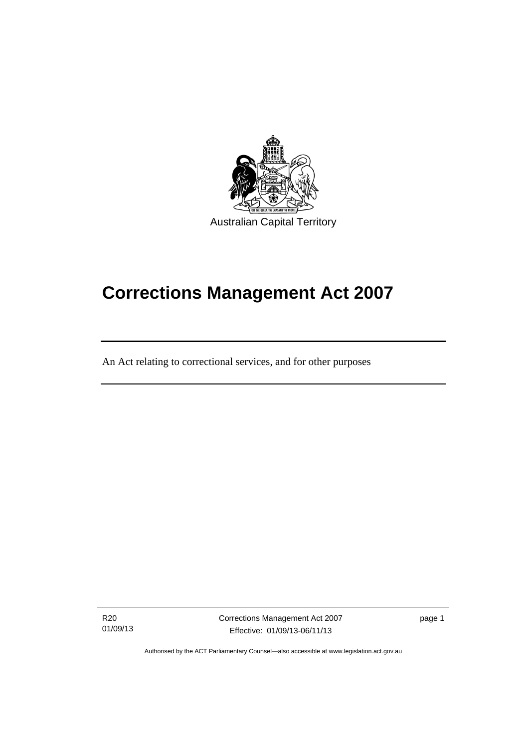

# **Corrections Management Act 2007**

An Act relating to correctional services, and for other purposes

R20 01/09/13

֖֚֚֚֬

Corrections Management Act 2007 Effective: 01/09/13-06/11/13

page 1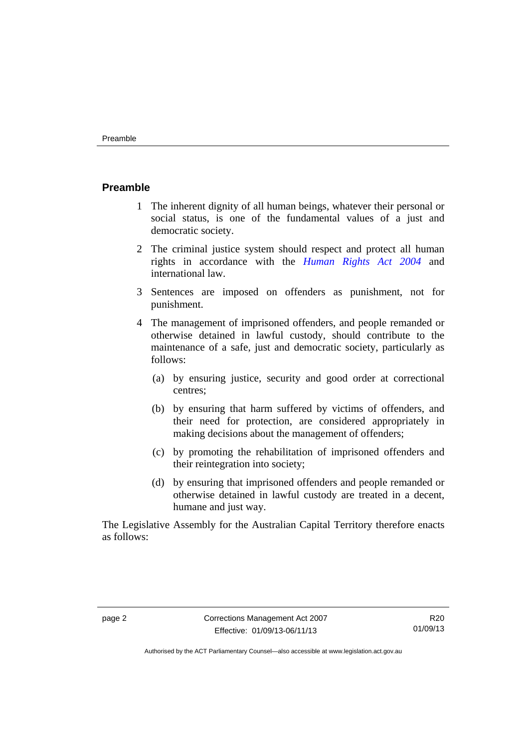### <span id="page-15-0"></span>**Preamble**

- 1 The inherent dignity of all human beings, whatever their personal or social status, is one of the fundamental values of a just and democratic society.
- 2 The criminal justice system should respect and protect all human rights in accordance with the *[Human Rights Act 2004](http://www.legislation.act.gov.au/a/2004-5)* and international law.
- 3 Sentences are imposed on offenders as punishment, not for punishment.
- 4 The management of imprisoned offenders, and people remanded or otherwise detained in lawful custody, should contribute to the maintenance of a safe, just and democratic society, particularly as follows:
	- (a) by ensuring justice, security and good order at correctional centres;
	- (b) by ensuring that harm suffered by victims of offenders, and their need for protection, are considered appropriately in making decisions about the management of offenders;
	- (c) by promoting the rehabilitation of imprisoned offenders and their reintegration into society;
	- (d) by ensuring that imprisoned offenders and people remanded or otherwise detained in lawful custody are treated in a decent, humane and just way.

The Legislative Assembly for the Australian Capital Territory therefore enacts as follows:

R20 01/09/13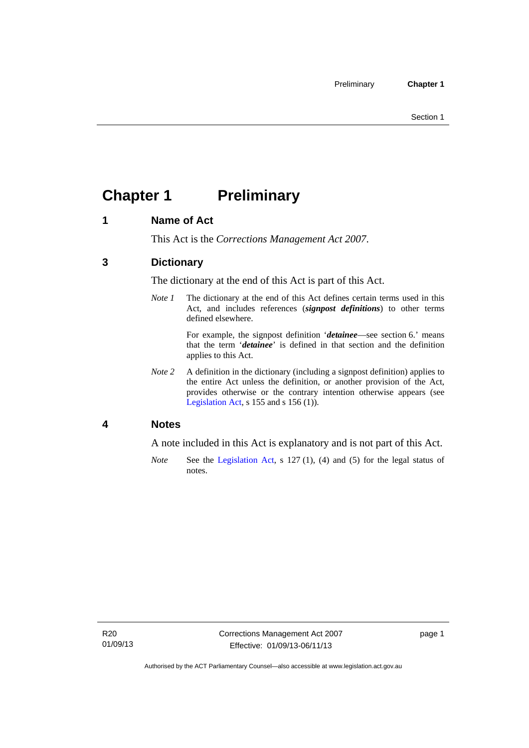## <span id="page-16-0"></span>**Chapter 1 Preliminary**

### <span id="page-16-1"></span>**1 Name of Act**

This Act is the *Corrections Management Act 2007*.

### <span id="page-16-2"></span>**3 Dictionary**

The dictionary at the end of this Act is part of this Act.

*Note 1* The dictionary at the end of this Act defines certain terms used in this Act, and includes references (*signpost definitions*) to other terms defined elsewhere.

> For example, the signpost definition '*detainee*—see section 6.' means that the term '*detainee*' is defined in that section and the definition applies to this Act.

*Note 2* A definition in the dictionary (including a signpost definition) applies to the entire Act unless the definition, or another provision of the Act, provides otherwise or the contrary intention otherwise appears (see [Legislation Act,](http://www.legislation.act.gov.au/a/2001-14) s 155 and s 156 (1)).

### <span id="page-16-3"></span>**4 Notes**

A note included in this Act is explanatory and is not part of this Act.

*Note* See the [Legislation Act,](http://www.legislation.act.gov.au/a/2001-14) s 127 (1), (4) and (5) for the legal status of notes.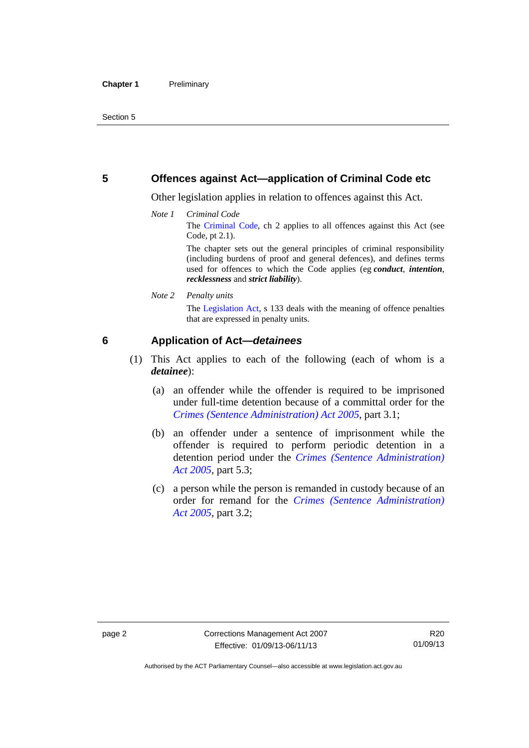### <span id="page-17-0"></span>**5 Offences against Act—application of Criminal Code etc**

Other legislation applies in relation to offences against this Act.

*Note 1 Criminal Code* The [Criminal Code](http://www.legislation.act.gov.au/a/2002-51), ch 2 applies to all offences against this Act (see Code, pt 2.1).

> The chapter sets out the general principles of criminal responsibility (including burdens of proof and general defences), and defines terms used for offences to which the Code applies (eg *conduct*, *intention*, *recklessness* and *strict liability*).

*Note 2 Penalty units* 

The [Legislation Act,](http://www.legislation.act.gov.au/a/2001-14) s 133 deals with the meaning of offence penalties that are expressed in penalty units.

### <span id="page-17-1"></span>**6 Application of Act—***detainees*

- (1) This Act applies to each of the following (each of whom is a *detainee*):
	- (a) an offender while the offender is required to be imprisoned under full-time detention because of a committal order for the *[Crimes \(Sentence Administration\) Act 2005](http://www.legislation.act.gov.au/a/2005-59)*, part 3.1;
	- (b) an offender under a sentence of imprisonment while the offender is required to perform periodic detention in a detention period under the *[Crimes \(Sentence Administration\)](http://www.legislation.act.gov.au/a/2005-59)  [Act 2005](http://www.legislation.act.gov.au/a/2005-59),* part 5.3;
	- (c) a person while the person is remanded in custody because of an order for remand for the *[Crimes \(Sentence Administration\)](http://www.legislation.act.gov.au/a/2005-59)  [Act 2005](http://www.legislation.act.gov.au/a/2005-59)*, part 3.2;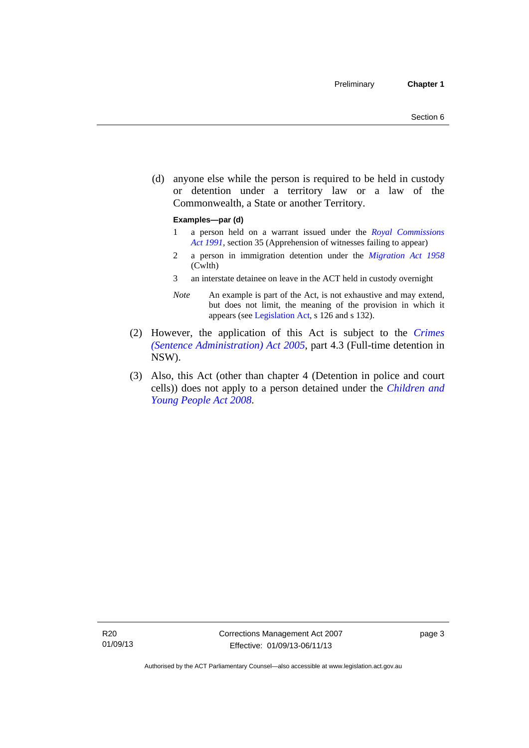(d) anyone else while the person is required to be held in custody or detention under a territory law or a law of the Commonwealth, a State or another Territory.

#### **Examples—par (d)**

- 1 a person held on a warrant issued under the *[Royal Commissions](http://www.legislation.act.gov.au/a/1991-1)  [Act 1991](http://www.legislation.act.gov.au/a/1991-1)*, section 35 (Apprehension of witnesses failing to appear)
- 2 a person in immigration detention under the *[Migration Act 1958](http://www.comlaw.gov.au/Series/C2004A07412)* (Cwlth)
- 3 an interstate detainee on leave in the ACT held in custody overnight
- *Note* An example is part of the Act, is not exhaustive and may extend, but does not limit, the meaning of the provision in which it appears (see [Legislation Act,](http://www.legislation.act.gov.au/a/2001-14) s 126 and s 132).
- (2) However, the application of this Act is subject to the *[Crimes](http://www.legislation.act.gov.au/a/2005-59)  [\(Sentence Administration\) Act 2005](http://www.legislation.act.gov.au/a/2005-59)*, part 4.3 (Full-time detention in NSW).
- (3) Also, this Act (other than chapter 4 (Detention in police and court cells)) does not apply to a person detained under the *[Children and](http://www.legislation.act.gov.au/a/2008-19)  [Young People Act 2008](http://www.legislation.act.gov.au/a/2008-19)*.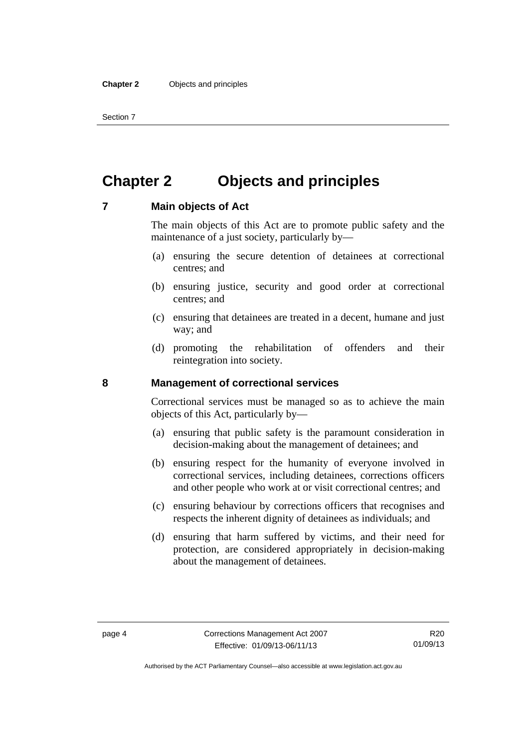Section 7

### <span id="page-19-0"></span>**Chapter 2 Objects and principles**

### <span id="page-19-1"></span>**7 Main objects of Act**

The main objects of this Act are to promote public safety and the maintenance of a just society, particularly by—

- (a) ensuring the secure detention of detainees at correctional centres; and
- (b) ensuring justice, security and good order at correctional centres; and
- (c) ensuring that detainees are treated in a decent, humane and just way; and
- (d) promoting the rehabilitation of offenders and their reintegration into society.

### <span id="page-19-2"></span>**8 Management of correctional services**

Correctional services must be managed so as to achieve the main objects of this Act, particularly by—

- (a) ensuring that public safety is the paramount consideration in decision-making about the management of detainees; and
- (b) ensuring respect for the humanity of everyone involved in correctional services, including detainees, corrections officers and other people who work at or visit correctional centres; and
- (c) ensuring behaviour by corrections officers that recognises and respects the inherent dignity of detainees as individuals; and
- (d) ensuring that harm suffered by victims, and their need for protection, are considered appropriately in decision-making about the management of detainees.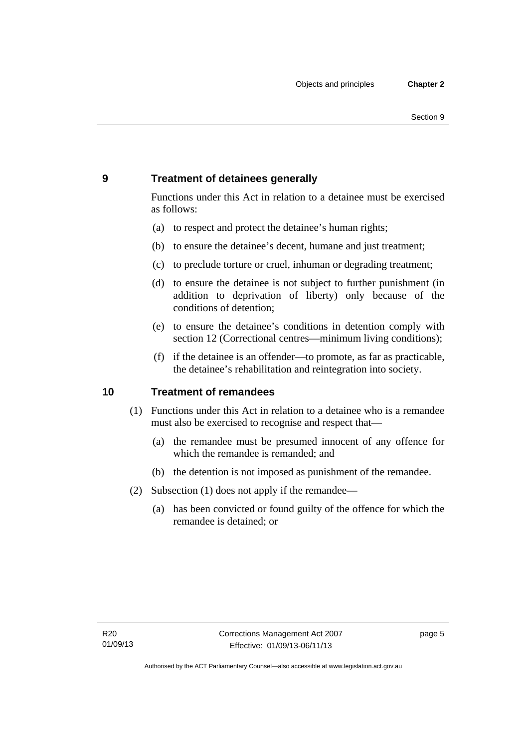### <span id="page-20-0"></span>**9 Treatment of detainees generally**

Functions under this Act in relation to a detainee must be exercised as follows:

- (a) to respect and protect the detainee's human rights;
- (b) to ensure the detainee's decent, humane and just treatment;
- (c) to preclude torture or cruel, inhuman or degrading treatment;
- (d) to ensure the detainee is not subject to further punishment (in addition to deprivation of liberty) only because of the conditions of detention;
- (e) to ensure the detainee's conditions in detention comply with section 12 (Correctional centres—minimum living conditions);
- (f) if the detainee is an offender—to promote, as far as practicable, the detainee's rehabilitation and reintegration into society.

### <span id="page-20-1"></span>**10 Treatment of remandees**

- (1) Functions under this Act in relation to a detainee who is a remandee must also be exercised to recognise and respect that—
	- (a) the remandee must be presumed innocent of any offence for which the remandee is remanded; and
	- (b) the detention is not imposed as punishment of the remandee.
- (2) Subsection (1) does not apply if the remandee—
	- (a) has been convicted or found guilty of the offence for which the remandee is detained; or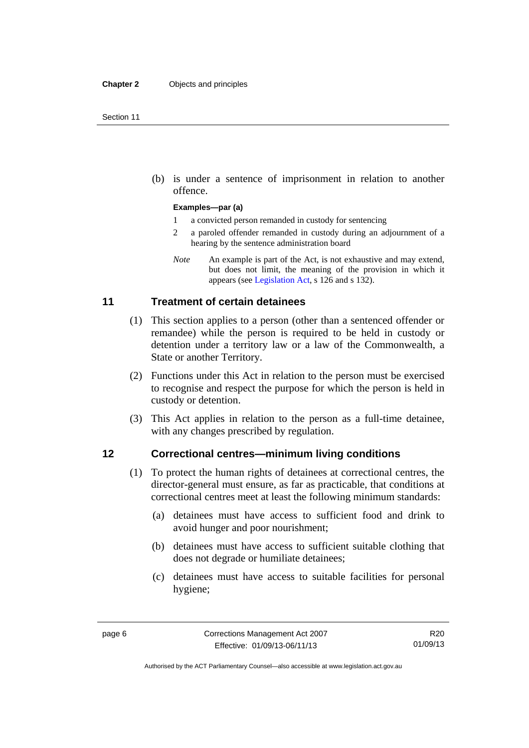(b) is under a sentence of imprisonment in relation to another offence.

#### **Examples—par (a)**

- 1 a convicted person remanded in custody for sentencing
- 2 a paroled offender remanded in custody during an adjournment of a hearing by the sentence administration board
- *Note* An example is part of the Act, is not exhaustive and may extend, but does not limit, the meaning of the provision in which it appears (see [Legislation Act,](http://www.legislation.act.gov.au/a/2001-14) s 126 and s 132).

### <span id="page-21-0"></span>**11 Treatment of certain detainees**

- (1) This section applies to a person (other than a sentenced offender or remandee) while the person is required to be held in custody or detention under a territory law or a law of the Commonwealth, a State or another Territory.
- (2) Functions under this Act in relation to the person must be exercised to recognise and respect the purpose for which the person is held in custody or detention.
- (3) This Act applies in relation to the person as a full-time detainee, with any changes prescribed by regulation.

### <span id="page-21-1"></span>**12 Correctional centres—minimum living conditions**

- (1) To protect the human rights of detainees at correctional centres, the director-general must ensure, as far as practicable, that conditions at correctional centres meet at least the following minimum standards:
	- (a) detainees must have access to sufficient food and drink to avoid hunger and poor nourishment;
	- (b) detainees must have access to sufficient suitable clothing that does not degrade or humiliate detainees;
	- (c) detainees must have access to suitable facilities for personal hygiene;

Authorised by the ACT Parliamentary Counsel—also accessible at www.legislation.act.gov.au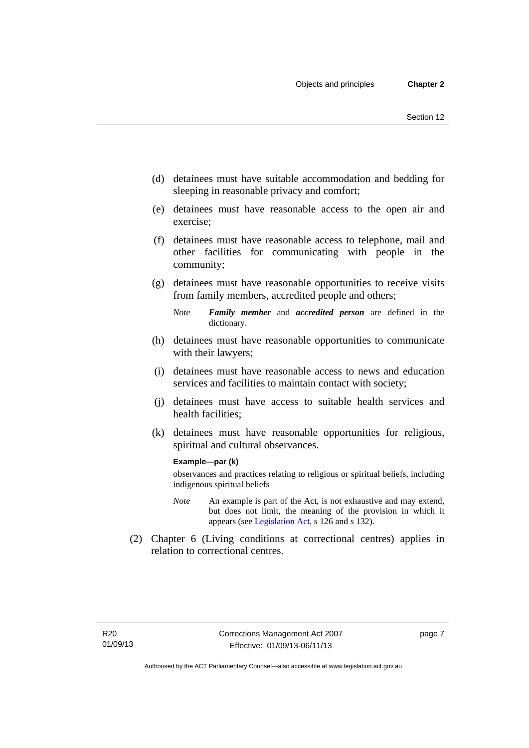- (d) detainees must have suitable accommodation and bedding for sleeping in reasonable privacy and comfort;
- (e) detainees must have reasonable access to the open air and exercise;
- (f) detainees must have reasonable access to telephone, mail and other facilities for communicating with people in the community;
- (g) detainees must have reasonable opportunities to receive visits from family members, accredited people and others;
	- *Note Family member* and *accredited person* are defined in the dictionary.
- (h) detainees must have reasonable opportunities to communicate with their lawyers;
- (i) detainees must have reasonable access to news and education services and facilities to maintain contact with society;
- (j) detainees must have access to suitable health services and health facilities;
- (k) detainees must have reasonable opportunities for religious, spiritual and cultural observances.

#### **Example—par (k)**

observances and practices relating to religious or spiritual beliefs, including indigenous spiritual beliefs

- *Note* An example is part of the Act, is not exhaustive and may extend, but does not limit, the meaning of the provision in which it appears (see [Legislation Act,](http://www.legislation.act.gov.au/a/2001-14) s 126 and s 132).
- (2) Chapter 6 (Living conditions at correctional centres) applies in relation to correctional centres.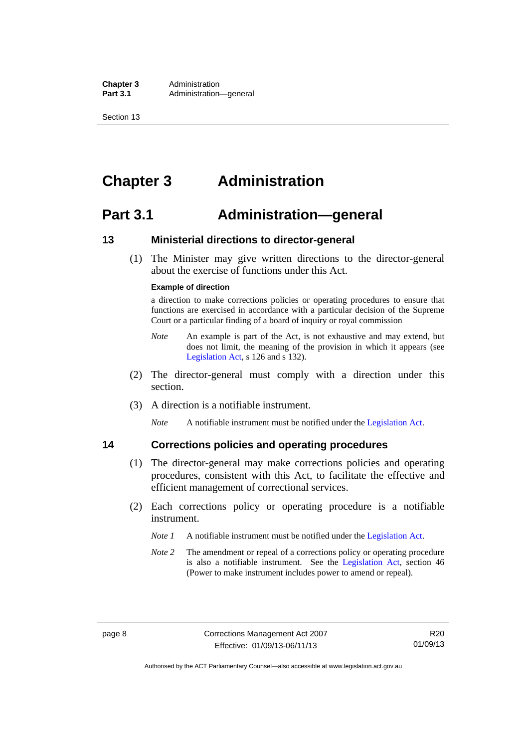**Chapter 3** Administration<br> **Part 3.1** Administration Administration—general

Section 13

### <span id="page-23-0"></span>**Chapter 3 Administration**

### <span id="page-23-1"></span>**Part 3.1 Administration—general**

### <span id="page-23-2"></span>**13 Ministerial directions to director-general**

 (1) The Minister may give written directions to the director-general about the exercise of functions under this Act.

#### **Example of direction**

a direction to make corrections policies or operating procedures to ensure that functions are exercised in accordance with a particular decision of the Supreme Court or a particular finding of a board of inquiry or royal commission

- *Note* An example is part of the Act, is not exhaustive and may extend, but does not limit, the meaning of the provision in which it appears (see [Legislation Act,](http://www.legislation.act.gov.au/a/2001-14) s 126 and s 132).
- (2) The director-general must comply with a direction under this section.
- (3) A direction is a notifiable instrument.

*Note* A notifiable instrument must be notified under the [Legislation Act](http://www.legislation.act.gov.au/a/2001-14).

### <span id="page-23-3"></span>**14 Corrections policies and operating procedures**

- (1) The director-general may make corrections policies and operating procedures, consistent with this Act, to facilitate the effective and efficient management of correctional services.
- (2) Each corrections policy or operating procedure is a notifiable instrument.
	- *Note 1* A notifiable instrument must be notified under the [Legislation Act](http://www.legislation.act.gov.au/a/2001-14).
	- *Note 2* The amendment or repeal of a corrections policy or operating procedure is also a notifiable instrument. See the [Legislation Act,](http://www.legislation.act.gov.au/a/2001-14) section 46 (Power to make instrument includes power to amend or repeal).

Authorised by the ACT Parliamentary Counsel—also accessible at www.legislation.act.gov.au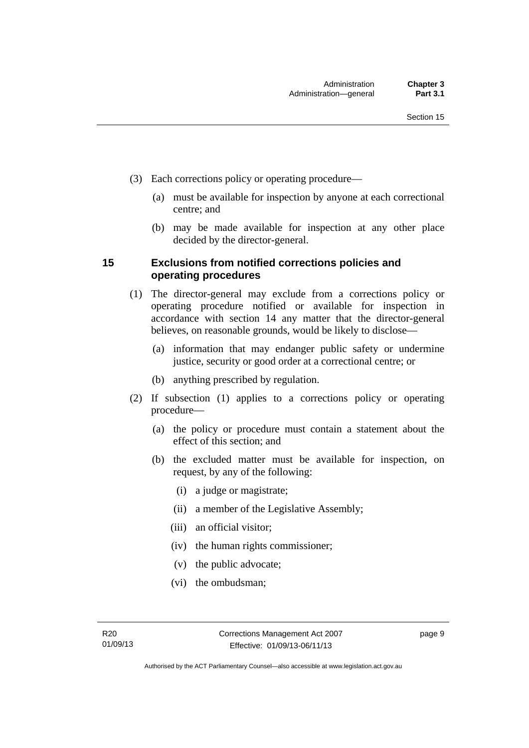- (3) Each corrections policy or operating procedure—
	- (a) must be available for inspection by anyone at each correctional centre; and
	- (b) may be made available for inspection at any other place decided by the director-general.

### <span id="page-24-0"></span>**15 Exclusions from notified corrections policies and operating procedures**

- (1) The director-general may exclude from a corrections policy or operating procedure notified or available for inspection in accordance with section 14 any matter that the director-general believes, on reasonable grounds, would be likely to disclose—
	- (a) information that may endanger public safety or undermine justice, security or good order at a correctional centre; or
	- (b) anything prescribed by regulation.
- (2) If subsection (1) applies to a corrections policy or operating procedure—
	- (a) the policy or procedure must contain a statement about the effect of this section; and
	- (b) the excluded matter must be available for inspection, on request, by any of the following:
		- (i) a judge or magistrate;
		- (ii) a member of the Legislative Assembly;
		- (iii) an official visitor;
		- (iv) the human rights commissioner;
		- (v) the public advocate;
		- (vi) the ombudsman;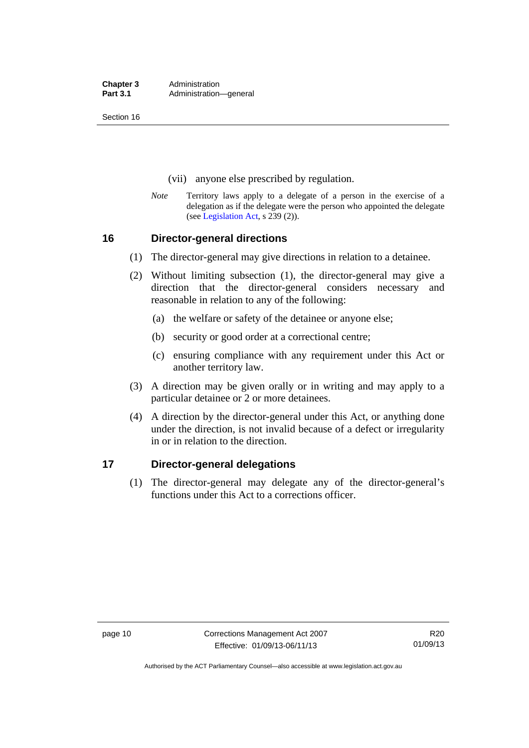**Chapter 3** Administration<br> **Part 3.1** Administration Administration—general

Section 16

- (vii) anyone else prescribed by regulation.
- *Note* Territory laws apply to a delegate of a person in the exercise of a delegation as if the delegate were the person who appointed the delegate (see [Legislation Act,](http://www.legislation.act.gov.au/a/2001-14) s 239 (2)).

### <span id="page-25-0"></span>**16 Director-general directions**

- (1) The director-general may give directions in relation to a detainee.
- (2) Without limiting subsection (1), the director-general may give a direction that the director-general considers necessary and reasonable in relation to any of the following:
	- (a) the welfare or safety of the detainee or anyone else;
	- (b) security or good order at a correctional centre;
	- (c) ensuring compliance with any requirement under this Act or another territory law.
- (3) A direction may be given orally or in writing and may apply to a particular detainee or 2 or more detainees.
- (4) A direction by the director-general under this Act, or anything done under the direction, is not invalid because of a defect or irregularity in or in relation to the direction.

### <span id="page-25-1"></span>**17 Director-general delegations**

 (1) The director-general may delegate any of the director-general's functions under this Act to a corrections officer.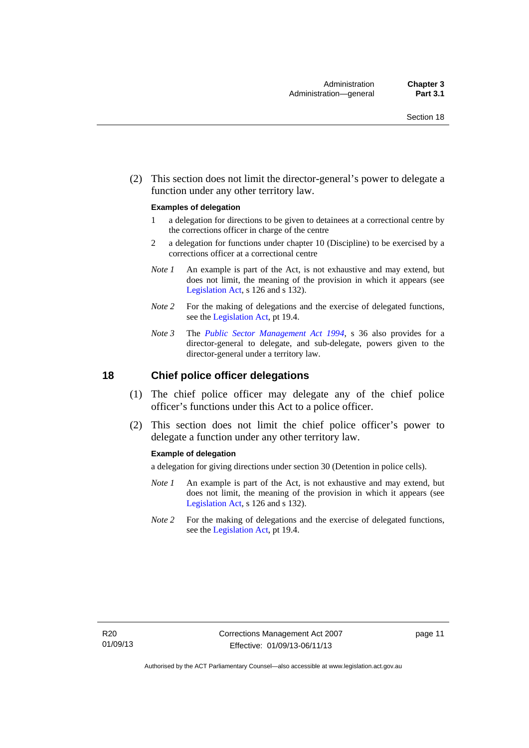(2) This section does not limit the director-general's power to delegate a function under any other territory law.

#### **Examples of delegation**

- 1 a delegation for directions to be given to detainees at a correctional centre by the corrections officer in charge of the centre
- 2 a delegation for functions under chapter 10 (Discipline) to be exercised by a corrections officer at a correctional centre
- *Note 1* An example is part of the Act, is not exhaustive and may extend, but does not limit, the meaning of the provision in which it appears (see [Legislation Act,](http://www.legislation.act.gov.au/a/2001-14) s 126 and s 132).
- *Note* 2 For the making of delegations and the exercise of delegated functions, see the [Legislation Act,](http://www.legislation.act.gov.au/a/2001-14) pt 19.4.
- *Note 3* The *[Public Sector Management Act 1994](http://www.legislation.act.gov.au/a/1994-37)*, s 36 also provides for a director-general to delegate, and sub-delegate, powers given to the director-general under a territory law.

### <span id="page-26-0"></span>**18 Chief police officer delegations**

- (1) The chief police officer may delegate any of the chief police officer's functions under this Act to a police officer.
- (2) This section does not limit the chief police officer's power to delegate a function under any other territory law.

#### **Example of delegation**

a delegation for giving directions under section 30 (Detention in police cells).

- *Note 1* An example is part of the Act, is not exhaustive and may extend, but does not limit, the meaning of the provision in which it appears (see [Legislation Act,](http://www.legislation.act.gov.au/a/2001-14) s 126 and s 132).
- *Note 2* For the making of delegations and the exercise of delegated functions, see the [Legislation Act,](http://www.legislation.act.gov.au/a/2001-14) pt 19.4.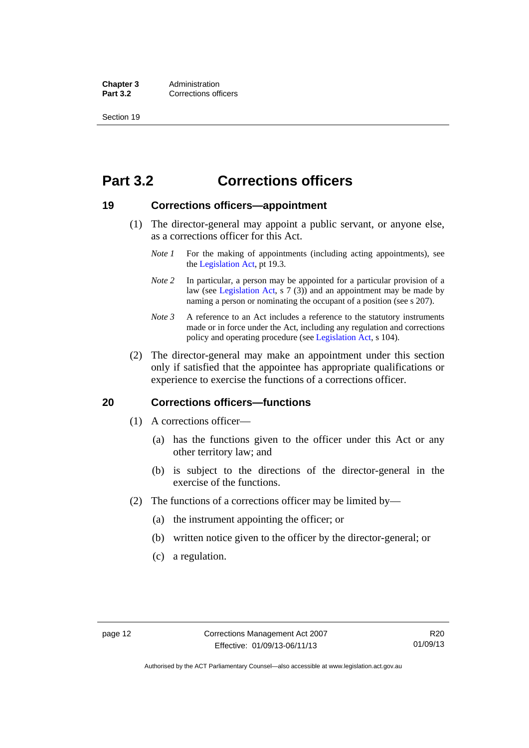**Chapter 3** Administration<br>**Part 3.2** Corrections of **Corrections officers** 

Section 19

### <span id="page-27-0"></span>**Part 3.2 Corrections officers**

### <span id="page-27-1"></span>**19 Corrections officers—appointment**

- (1) The director-general may appoint a public servant, or anyone else, as a corrections officer for this Act.
	- *Note 1* For the making of appointments (including acting appointments), see the [Legislation Act,](http://www.legislation.act.gov.au/a/2001-14) pt 19.3.
	- *Note* 2 In particular, a person may be appointed for a particular provision of a law (see [Legislation Act,](http://www.legislation.act.gov.au/a/2001-14) s 7 (3)) and an appointment may be made by naming a person or nominating the occupant of a position (see s 207).
	- *Note 3* A reference to an Act includes a reference to the statutory instruments made or in force under the Act, including any regulation and corrections policy and operating procedure (see [Legislation Act,](http://www.legislation.act.gov.au/a/2001-14) s 104).
- (2) The director-general may make an appointment under this section only if satisfied that the appointee has appropriate qualifications or experience to exercise the functions of a corrections officer.

### <span id="page-27-2"></span>**20 Corrections officers—functions**

- (1) A corrections officer—
	- (a) has the functions given to the officer under this Act or any other territory law; and
	- (b) is subject to the directions of the director-general in the exercise of the functions.
- (2) The functions of a corrections officer may be limited by—
	- (a) the instrument appointing the officer; or
	- (b) written notice given to the officer by the director-general; or
	- (c) a regulation.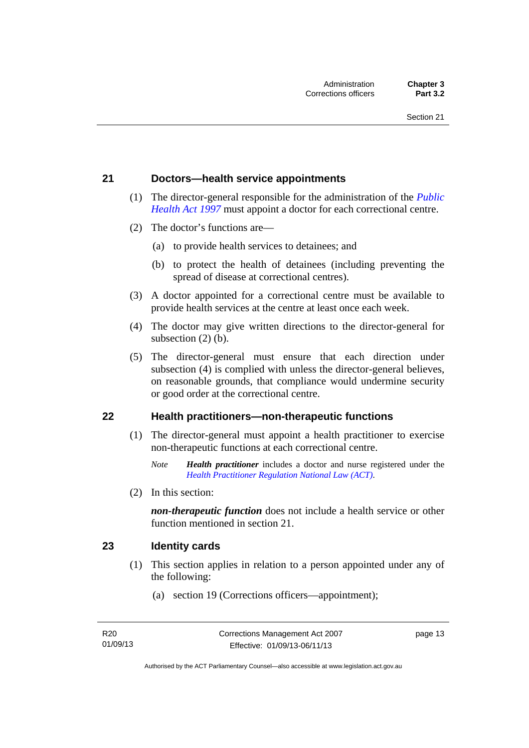### <span id="page-28-0"></span>**21 Doctors—health service appointments**

- (1) The director-general responsible for the administration of the *[Public](http://www.legislation.act.gov.au/a/1997-69)  [Health Act 1997](http://www.legislation.act.gov.au/a/1997-69)* must appoint a doctor for each correctional centre.
- (2) The doctor's functions are—
	- (a) to provide health services to detainees; and
	- (b) to protect the health of detainees (including preventing the spread of disease at correctional centres).
- (3) A doctor appointed for a correctional centre must be available to provide health services at the centre at least once each week.
- (4) The doctor may give written directions to the director-general for subsection (2) (b).
- (5) The director-general must ensure that each direction under subsection (4) is complied with unless the director-general believes, on reasonable grounds, that compliance would undermine security or good order at the correctional centre.

### <span id="page-28-1"></span>**22 Health practitioners—non-therapeutic functions**

- (1) The director-general must appoint a health practitioner to exercise non-therapeutic functions at each correctional centre.
	- *Note Health practitioner* includes a doctor and nurse registered under the *[Health Practitioner Regulation National Law \(ACT\)](http://www.legislation.act.gov.au/a/db_39269/default.asp)*.
- (2) In this section:

*non-therapeutic function* does not include a health service or other function mentioned in section 21.

### <span id="page-28-2"></span>**23 Identity cards**

- (1) This section applies in relation to a person appointed under any of the following:
	- (a) section 19 (Corrections officers—appointment);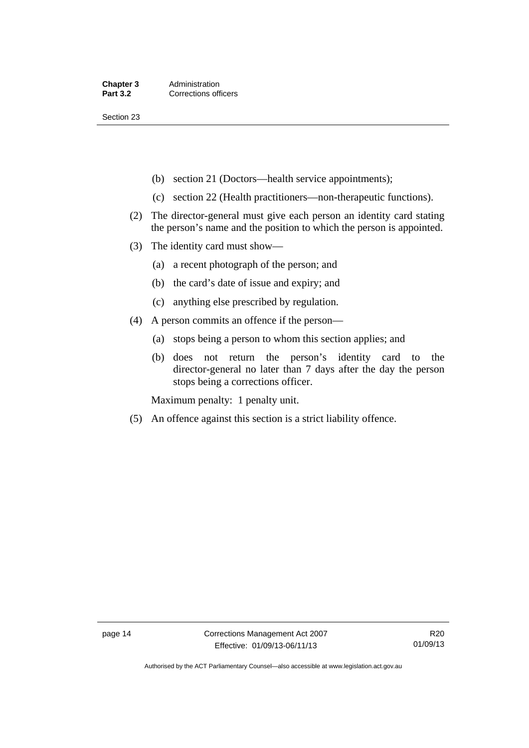Section 23

- (b) section 21 (Doctors—health service appointments);
- (c) section 22 (Health practitioners—non-therapeutic functions).
- (2) The director-general must give each person an identity card stating the person's name and the position to which the person is appointed.
- (3) The identity card must show—
	- (a) a recent photograph of the person; and
	- (b) the card's date of issue and expiry; and
	- (c) anything else prescribed by regulation.
- (4) A person commits an offence if the person—
	- (a) stops being a person to whom this section applies; and
	- (b) does not return the person's identity card to the director-general no later than 7 days after the day the person stops being a corrections officer.

Maximum penalty: 1 penalty unit.

(5) An offence against this section is a strict liability offence.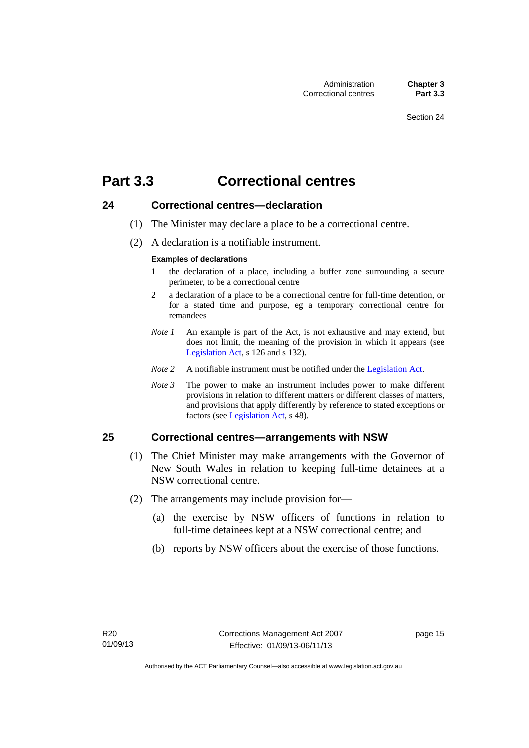### <span id="page-30-0"></span>**Part 3.3 Correctional centres**

### <span id="page-30-1"></span>**24 Correctional centres—declaration**

- (1) The Minister may declare a place to be a correctional centre.
- (2) A declaration is a notifiable instrument.

### **Examples of declarations**

- 1 the declaration of a place, including a buffer zone surrounding a secure perimeter, to be a correctional centre
- 2 a declaration of a place to be a correctional centre for full-time detention, or for a stated time and purpose, eg a temporary correctional centre for remandees
- *Note 1* An example is part of the Act, is not exhaustive and may extend, but does not limit, the meaning of the provision in which it appears (see [Legislation Act,](http://www.legislation.act.gov.au/a/2001-14) s 126 and s 132).
- *Note 2* A notifiable instrument must be notified under the [Legislation Act](http://www.legislation.act.gov.au/a/2001-14).
- *Note 3* The power to make an instrument includes power to make different provisions in relation to different matters or different classes of matters, and provisions that apply differently by reference to stated exceptions or factors (see [Legislation Act](http://www.legislation.act.gov.au/a/2001-14), s 48).

### <span id="page-30-2"></span>**25 Correctional centres—arrangements with NSW**

- (1) The Chief Minister may make arrangements with the Governor of New South Wales in relation to keeping full-time detainees at a NSW correctional centre.
- (2) The arrangements may include provision for—
	- (a) the exercise by NSW officers of functions in relation to full-time detainees kept at a NSW correctional centre; and
	- (b) reports by NSW officers about the exercise of those functions.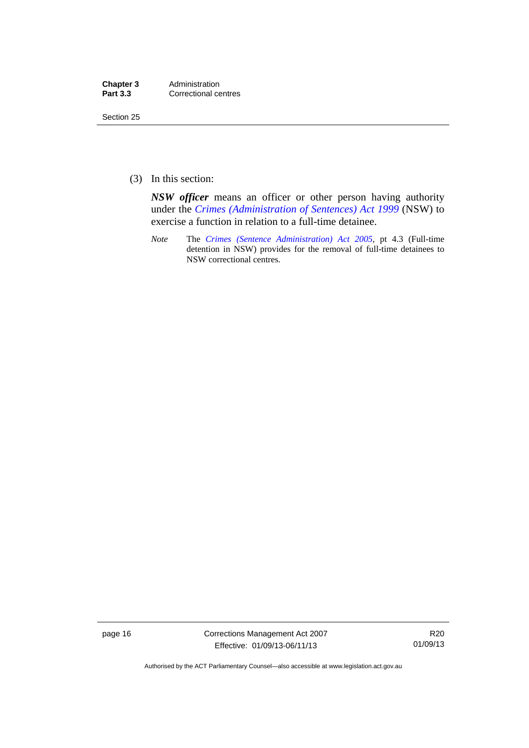| Chapter 3       | Administration       |
|-----------------|----------------------|
| <b>Part 3.3</b> | Correctional centres |

Section 25

(3) In this section:

*NSW officer* means an officer or other person having authority under the *[Crimes \(Administration of Sentences\) Act 1999](http://www.legislation.nsw.gov.au/maintop/view/inforce/act+93+1999+cd+0+N)* (NSW) to exercise a function in relation to a full-time detainee.

*Note* The *[Crimes \(Sentence Administration\) Act 2005](http://www.legislation.act.gov.au/a/2005-59)*, pt 4.3 (Full-time detention in NSW) provides for the removal of full-time detainees to NSW correctional centres.

page 16 Corrections Management Act 2007 Effective: 01/09/13-06/11/13

R20 01/09/13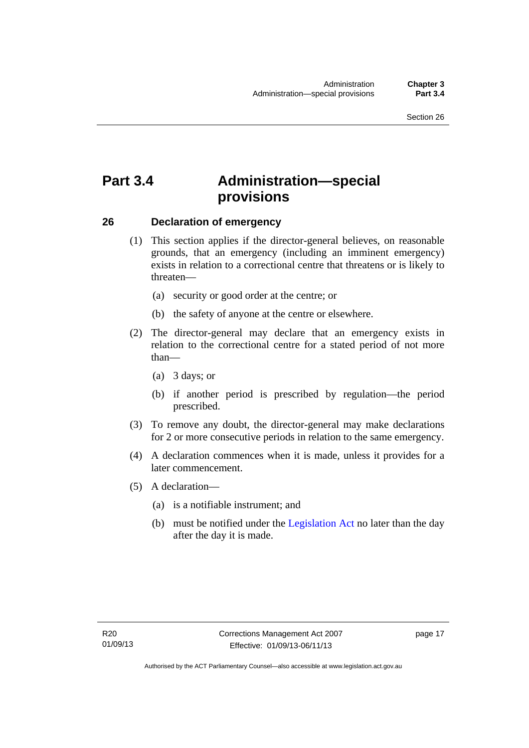### <span id="page-32-0"></span>**Part 3.4 Administration—special provisions**

### <span id="page-32-1"></span>**26 Declaration of emergency**

- (1) This section applies if the director-general believes, on reasonable grounds, that an emergency (including an imminent emergency) exists in relation to a correctional centre that threatens or is likely to threaten—
	- (a) security or good order at the centre; or
	- (b) the safety of anyone at the centre or elsewhere.
- (2) The director-general may declare that an emergency exists in relation to the correctional centre for a stated period of not more than—
	- (a) 3 days; or
	- (b) if another period is prescribed by regulation—the period prescribed.
- (3) To remove any doubt, the director-general may make declarations for 2 or more consecutive periods in relation to the same emergency.
- (4) A declaration commences when it is made, unless it provides for a later commencement.
- (5) A declaration—
	- (a) is a notifiable instrument; and
	- (b) must be notified under the [Legislation Act](http://www.legislation.act.gov.au/a/2001-14) no later than the day after the day it is made.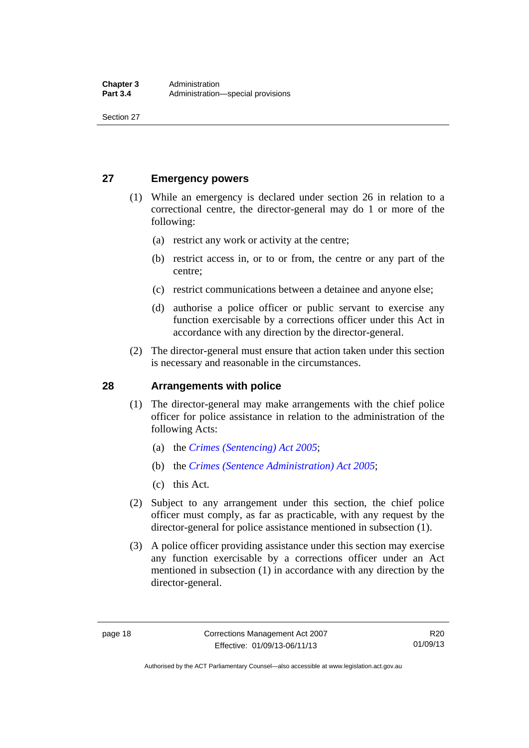Section 27

### <span id="page-33-0"></span>**27 Emergency powers**

- (1) While an emergency is declared under section 26 in relation to a correctional centre, the director-general may do 1 or more of the following:
	- (a) restrict any work or activity at the centre;
	- (b) restrict access in, or to or from, the centre or any part of the centre;
	- (c) restrict communications between a detainee and anyone else;
	- (d) authorise a police officer or public servant to exercise any function exercisable by a corrections officer under this Act in accordance with any direction by the director-general.
- (2) The director-general must ensure that action taken under this section is necessary and reasonable in the circumstances.

### <span id="page-33-1"></span>**28 Arrangements with police**

- (1) The director-general may make arrangements with the chief police officer for police assistance in relation to the administration of the following Acts:
	- (a) the *[Crimes \(Sentencing\) Act 2005](http://www.legislation.act.gov.au/a/2005-58)*;
	- (b) the *[Crimes \(Sentence Administration\) Act 2005](http://www.legislation.act.gov.au/a/2005-59)*;
	- (c) this Act.
- (2) Subject to any arrangement under this section, the chief police officer must comply, as far as practicable, with any request by the director-general for police assistance mentioned in subsection (1).
- (3) A police officer providing assistance under this section may exercise any function exercisable by a corrections officer under an Act mentioned in subsection (1) in accordance with any direction by the director-general.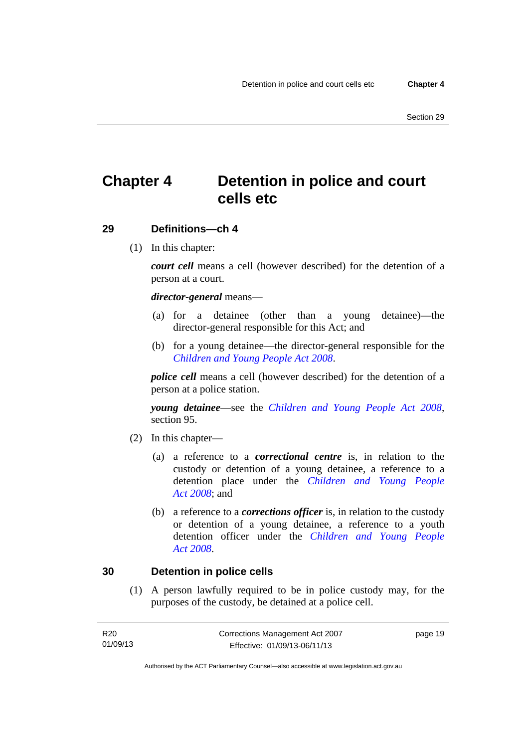### <span id="page-34-0"></span>**Chapter 4 Detention in police and court cells etc**

### <span id="page-34-1"></span>**29 Definitions—ch 4**

(1) In this chapter:

*court cell* means a cell (however described) for the detention of a person at a court.

### *director-general* means—

- (a) for a detainee (other than a young detainee)—the director-general responsible for this Act; and
- (b) for a young detainee—the director-general responsible for the *[Children and Young People Act 2008](http://www.legislation.act.gov.au/a/2008-19)*.

*police cell* means a cell (however described) for the detention of a person at a police station.

*young detainee*—see the *[Children and Young People Act 2008](http://www.legislation.act.gov.au/a/2008-19)*, section 95.

- (2) In this chapter—
	- (a) a reference to a *correctional centre* is, in relation to the custody or detention of a young detainee, a reference to a detention place under the *[Children and Young People](http://www.legislation.act.gov.au/a/2008-19)  [Act 2008](http://www.legislation.act.gov.au/a/2008-19)*; and
	- (b) a reference to a *corrections officer* is, in relation to the custody or detention of a young detainee, a reference to a youth detention officer under the *[Children and Young People](http://www.legislation.act.gov.au/a/2008-19)  [Act 2008](http://www.legislation.act.gov.au/a/2008-19)*.

### <span id="page-34-2"></span>**30 Detention in police cells**

 (1) A person lawfully required to be in police custody may, for the purposes of the custody, be detained at a police cell.

| R20      | Corrections Management Act 2007 | page 19 |
|----------|---------------------------------|---------|
| 01/09/13 | Effective: 01/09/13-06/11/13    |         |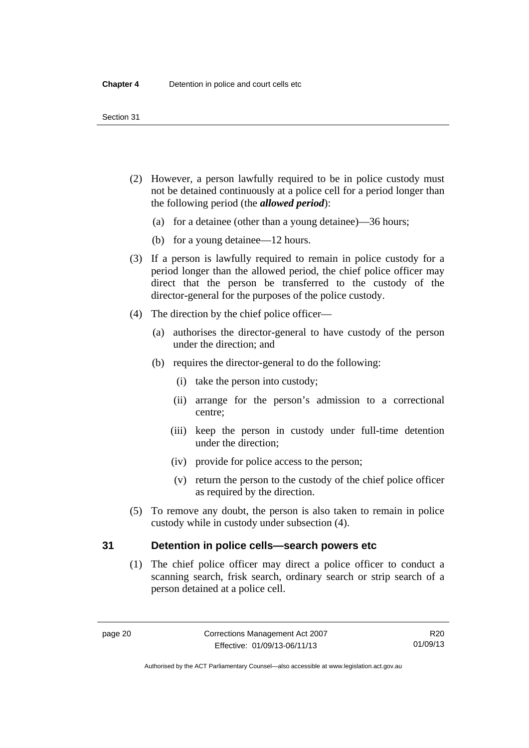- (2) However, a person lawfully required to be in police custody must not be detained continuously at a police cell for a period longer than the following period (the *allowed period*):
	- (a) for a detainee (other than a young detainee)—36 hours;
	- (b) for a young detainee—12 hours.
- (3) If a person is lawfully required to remain in police custody for a period longer than the allowed period, the chief police officer may direct that the person be transferred to the custody of the director-general for the purposes of the police custody.
- (4) The direction by the chief police officer—
	- (a) authorises the director-general to have custody of the person under the direction; and
	- (b) requires the director-general to do the following:
		- (i) take the person into custody;
		- (ii) arrange for the person's admission to a correctional centre;
		- (iii) keep the person in custody under full-time detention under the direction;
		- (iv) provide for police access to the person;
		- (v) return the person to the custody of the chief police officer as required by the direction.
- (5) To remove any doubt, the person is also taken to remain in police custody while in custody under subsection (4).

### <span id="page-35-0"></span>**31 Detention in police cells—search powers etc**

 (1) The chief police officer may direct a police officer to conduct a scanning search, frisk search, ordinary search or strip search of a person detained at a police cell.

R20 01/09/13

Authorised by the ACT Parliamentary Counsel—also accessible at www.legislation.act.gov.au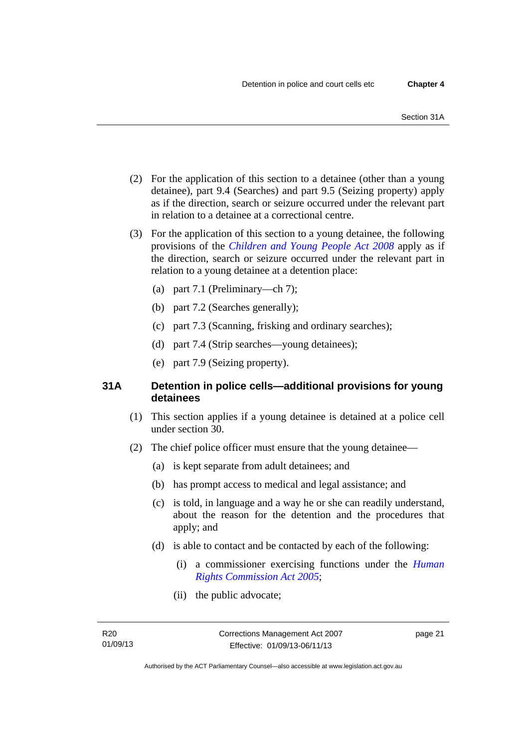- (2) For the application of this section to a detainee (other than a young detainee), part 9.4 (Searches) and part 9.5 (Seizing property) apply as if the direction, search or seizure occurred under the relevant part in relation to a detainee at a correctional centre.
- (3) For the application of this section to a young detainee, the following provisions of the *[Children and Young People Act 2008](http://www.legislation.act.gov.au/a/2008-19)* apply as if the direction, search or seizure occurred under the relevant part in relation to a young detainee at a detention place:
	- (a) part 7.1 (Preliminary—ch 7);
	- (b) part 7.2 (Searches generally);
	- (c) part 7.3 (Scanning, frisking and ordinary searches);
	- (d) part 7.4 (Strip searches—young detainees);
	- (e) part 7.9 (Seizing property).

## **31A Detention in police cells—additional provisions for young detainees**

- (1) This section applies if a young detainee is detained at a police cell under section 30.
- (2) The chief police officer must ensure that the young detainee—
	- (a) is kept separate from adult detainees; and
	- (b) has prompt access to medical and legal assistance; and
	- (c) is told, in language and a way he or she can readily understand, about the reason for the detention and the procedures that apply; and
	- (d) is able to contact and be contacted by each of the following:
		- (i) a commissioner exercising functions under the *[Human](http://www.legislation.act.gov.au/a/2005-40)  [Rights Commission Act 2005](http://www.legislation.act.gov.au/a/2005-40)*;
		- (ii) the public advocate;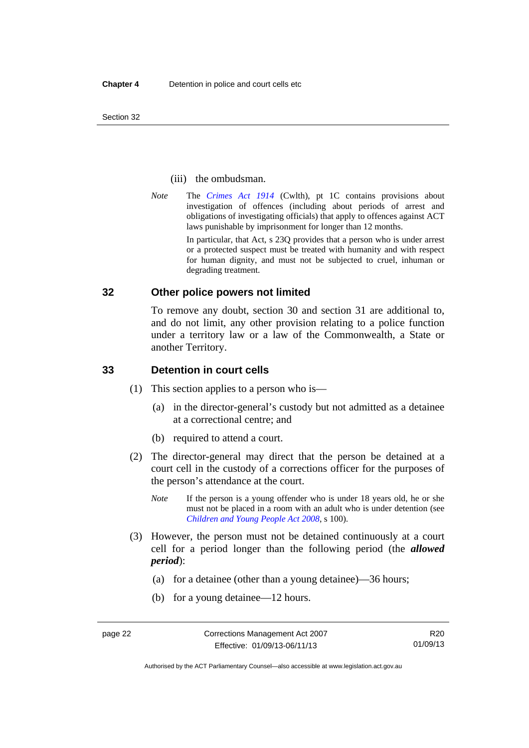Section 32

#### (iii) the ombudsman.

*Note* The *[Crimes Act 1914](http://www.comlaw.gov.au/Series/C2004A07391)* (Cwlth), pt 1C contains provisions about investigation of offences (including about periods of arrest and obligations of investigating officials) that apply to offences against ACT laws punishable by imprisonment for longer than 12 months.

In particular, that Act, s 23Q provides that a person who is under arrest or a protected suspect must be treated with humanity and with respect for human dignity, and must not be subjected to cruel, inhuman or degrading treatment.

### **32 Other police powers not limited**

To remove any doubt, section 30 and section 31 are additional to, and do not limit, any other provision relating to a police function under a territory law or a law of the Commonwealth, a State or another Territory.

### **33 Detention in court cells**

- (1) This section applies to a person who is—
	- (a) in the director-general's custody but not admitted as a detainee at a correctional centre; and
	- (b) required to attend a court.
- (2) The director-general may direct that the person be detained at a court cell in the custody of a corrections officer for the purposes of the person's attendance at the court.
	- *Note* If the person is a young offender who is under 18 years old, he or she must not be placed in a room with an adult who is under detention (see *[Children and Young People Act 2008](http://www.legislation.act.gov.au/a/2008-19)*, s 100).
- (3) However, the person must not be detained continuously at a court cell for a period longer than the following period (the *allowed period*):
	- (a) for a detainee (other than a young detainee)—36 hours;
	- (b) for a young detainee—12 hours.

R20 01/09/13

Authorised by the ACT Parliamentary Counsel—also accessible at www.legislation.act.gov.au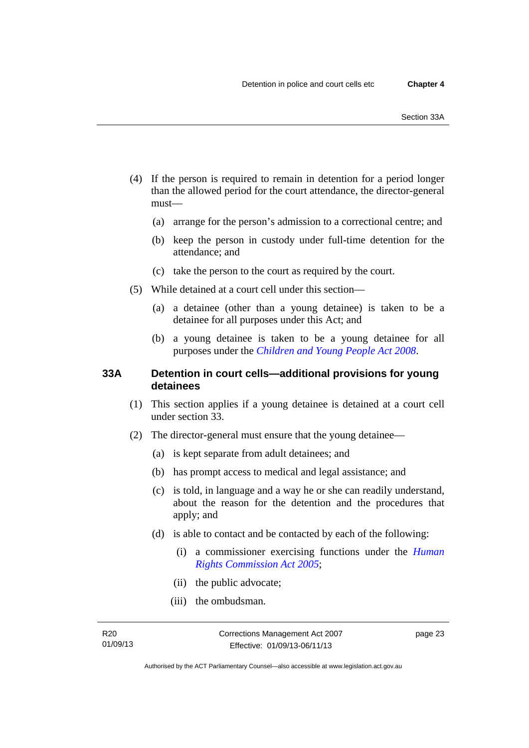- (4) If the person is required to remain in detention for a period longer than the allowed period for the court attendance, the director-general must—
	- (a) arrange for the person's admission to a correctional centre; and
	- (b) keep the person in custody under full-time detention for the attendance; and
	- (c) take the person to the court as required by the court.
- (5) While detained at a court cell under this section—
	- (a) a detainee (other than a young detainee) is taken to be a detainee for all purposes under this Act; and
	- (b) a young detainee is taken to be a young detainee for all purposes under the *[Children and Young People Act 2008](http://www.legislation.act.gov.au/a/2008-19)*.

## **33A Detention in court cells—additional provisions for young detainees**

- (1) This section applies if a young detainee is detained at a court cell under section 33.
- (2) The director-general must ensure that the young detainee—
	- (a) is kept separate from adult detainees; and
	- (b) has prompt access to medical and legal assistance; and
	- (c) is told, in language and a way he or she can readily understand, about the reason for the detention and the procedures that apply; and
	- (d) is able to contact and be contacted by each of the following:
		- (i) a commissioner exercising functions under the *[Human](http://www.legislation.act.gov.au/a/2005-40)  [Rights Commission Act 2005](http://www.legislation.act.gov.au/a/2005-40)*;
		- (ii) the public advocate;
		- (iii) the ombudsman.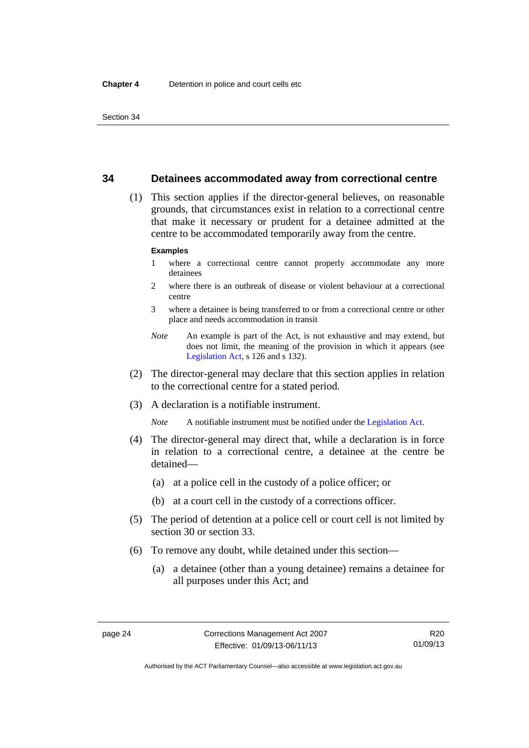### **34 Detainees accommodated away from correctional centre**

 (1) This section applies if the director-general believes, on reasonable grounds, that circumstances exist in relation to a correctional centre that make it necessary or prudent for a detainee admitted at the centre to be accommodated temporarily away from the centre.

#### **Examples**

- 1 where a correctional centre cannot properly accommodate any more detainees
- 2 where there is an outbreak of disease or violent behaviour at a correctional centre
- 3 where a detainee is being transferred to or from a correctional centre or other place and needs accommodation in transit
- *Note* An example is part of the Act, is not exhaustive and may extend, but does not limit, the meaning of the provision in which it appears (see [Legislation Act,](http://www.legislation.act.gov.au/a/2001-14) s 126 and s 132).
- (2) The director-general may declare that this section applies in relation to the correctional centre for a stated period.
- (3) A declaration is a notifiable instrument.

*Note* A notifiable instrument must be notified under the [Legislation Act](http://www.legislation.act.gov.au/a/2001-14).

- (4) The director-general may direct that, while a declaration is in force in relation to a correctional centre, a detainee at the centre be detained—
	- (a) at a police cell in the custody of a police officer; or
	- (b) at a court cell in the custody of a corrections officer.
- (5) The period of detention at a police cell or court cell is not limited by section 30 or section 33.
- (6) To remove any doubt, while detained under this section—
	- (a) a detainee (other than a young detainee) remains a detainee for all purposes under this Act; and

Authorised by the ACT Parliamentary Counsel—also accessible at www.legislation.act.gov.au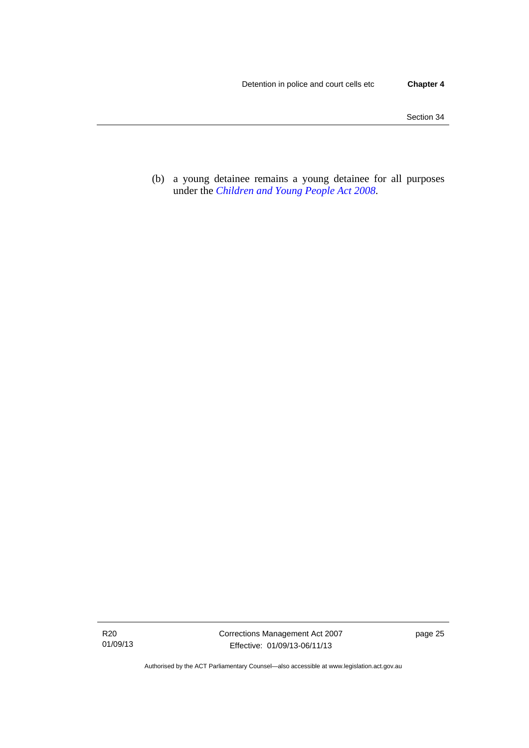(b) a young detainee remains a young detainee for all purposes under the *[Children and Young People Act 2008](http://www.legislation.act.gov.au/a/2008-19)*.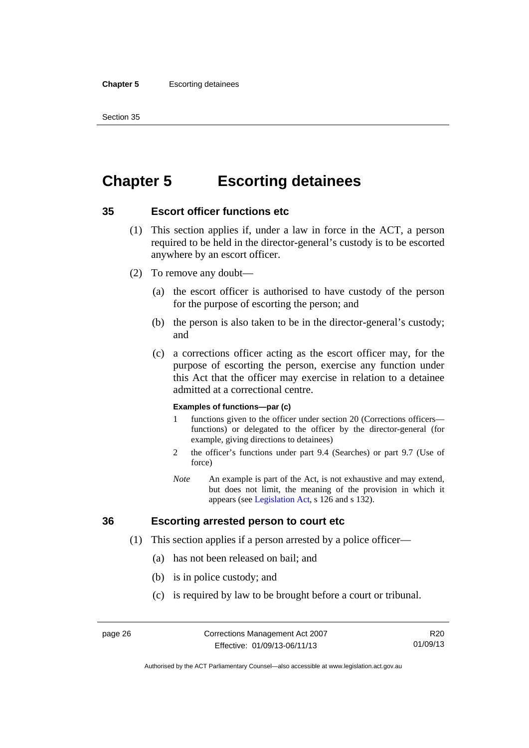#### **Chapter 5** Escorting detainees

Section 35

# **Chapter 5 Escorting detainees**

## **35 Escort officer functions etc**

- (1) This section applies if, under a law in force in the ACT, a person required to be held in the director-general's custody is to be escorted anywhere by an escort officer.
- (2) To remove any doubt—
	- (a) the escort officer is authorised to have custody of the person for the purpose of escorting the person; and
	- (b) the person is also taken to be in the director-general's custody; and
	- (c) a corrections officer acting as the escort officer may, for the purpose of escorting the person, exercise any function under this Act that the officer may exercise in relation to a detainee admitted at a correctional centre.

#### **Examples of functions—par (c)**

- 1 functions given to the officer under section 20 (Corrections officers functions) or delegated to the officer by the director-general (for example, giving directions to detainees)
- 2 the officer's functions under part 9.4 (Searches) or part 9.7 (Use of force)
- *Note* An example is part of the Act, is not exhaustive and may extend, but does not limit, the meaning of the provision in which it appears (see [Legislation Act,](http://www.legislation.act.gov.au/a/2001-14) s 126 and s 132).

## **36 Escorting arrested person to court etc**

- (1) This section applies if a person arrested by a police officer—
	- (a) has not been released on bail; and
	- (b) is in police custody; and
	- (c) is required by law to be brought before a court or tribunal.

R20 01/09/13

Authorised by the ACT Parliamentary Counsel—also accessible at www.legislation.act.gov.au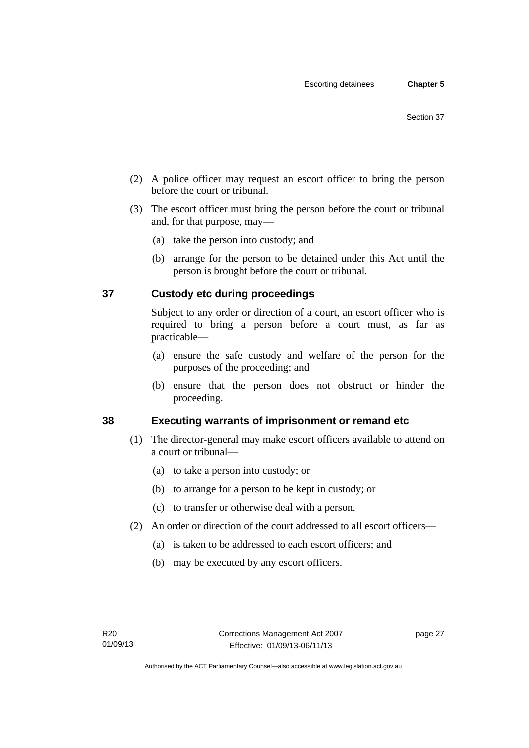- (2) A police officer may request an escort officer to bring the person before the court or tribunal.
- (3) The escort officer must bring the person before the court or tribunal and, for that purpose, may—
	- (a) take the person into custody; and
	- (b) arrange for the person to be detained under this Act until the person is brought before the court or tribunal.

## **37 Custody etc during proceedings**

Subject to any order or direction of a court, an escort officer who is required to bring a person before a court must, as far as practicable—

- (a) ensure the safe custody and welfare of the person for the purposes of the proceeding; and
- (b) ensure that the person does not obstruct or hinder the proceeding.

## **38 Executing warrants of imprisonment or remand etc**

- (1) The director-general may make escort officers available to attend on a court or tribunal—
	- (a) to take a person into custody; or
	- (b) to arrange for a person to be kept in custody; or
	- (c) to transfer or otherwise deal with a person.
- (2) An order or direction of the court addressed to all escort officers—
	- (a) is taken to be addressed to each escort officers; and
	- (b) may be executed by any escort officers.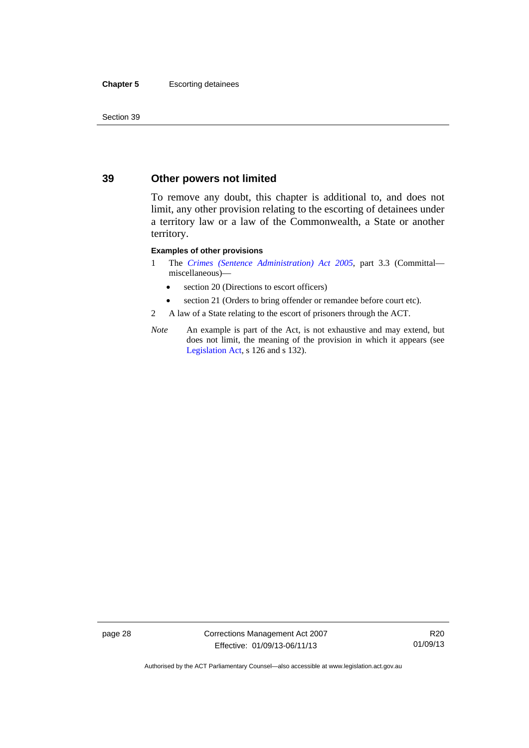#### **Chapter 5** Escorting detainees

Section 39

## **39 Other powers not limited**

To remove any doubt, this chapter is additional to, and does not limit, any other provision relating to the escorting of detainees under a territory law or a law of the Commonwealth, a State or another territory.

#### **Examples of other provisions**

- 1 The *[Crimes \(Sentence Administration\) Act 2005](http://www.legislation.act.gov.au/a/2005-59)*, part 3.3 (Committal miscellaneous)—
	- section 20 (Directions to escort officers)
	- section 21 (Orders to bring offender or remandee before court etc).
- 2 A law of a State relating to the escort of prisoners through the ACT.
- *Note* An example is part of the Act, is not exhaustive and may extend, but does not limit, the meaning of the provision in which it appears (see [Legislation Act,](http://www.legislation.act.gov.au/a/2001-14) s 126 and s 132).

page 28 Corrections Management Act 2007 Effective: 01/09/13-06/11/13

R20 01/09/13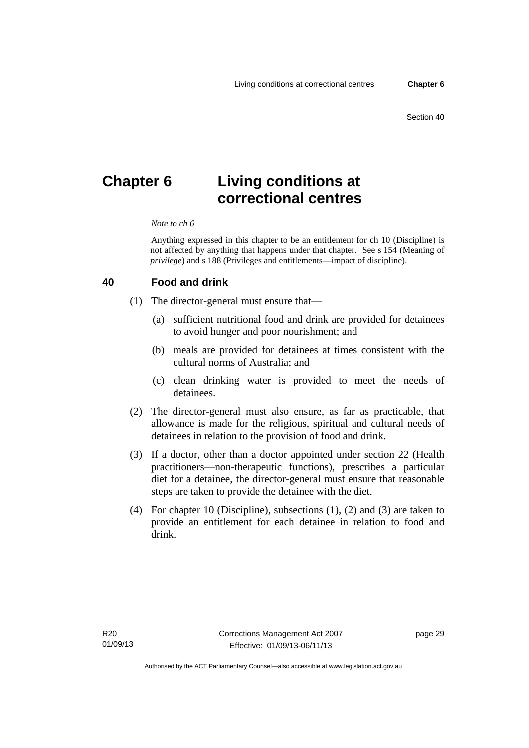# **Chapter 6 Living conditions at correctional centres**

#### *Note to ch 6*

Anything expressed in this chapter to be an entitlement for ch 10 (Discipline) is not affected by anything that happens under that chapter. See s 154 (Meaning of *privilege*) and s 188 (Privileges and entitlements—impact of discipline).

#### **40 Food and drink**

- (1) The director-general must ensure that—
	- (a) sufficient nutritional food and drink are provided for detainees to avoid hunger and poor nourishment; and
	- (b) meals are provided for detainees at times consistent with the cultural norms of Australia; and
	- (c) clean drinking water is provided to meet the needs of detainees.
- (2) The director-general must also ensure, as far as practicable, that allowance is made for the religious, spiritual and cultural needs of detainees in relation to the provision of food and drink.
- (3) If a doctor, other than a doctor appointed under section 22 (Health practitioners—non-therapeutic functions), prescribes a particular diet for a detainee, the director-general must ensure that reasonable steps are taken to provide the detainee with the diet.
- (4) For chapter 10 (Discipline), subsections (1), (2) and (3) are taken to provide an entitlement for each detainee in relation to food and drink.

page 29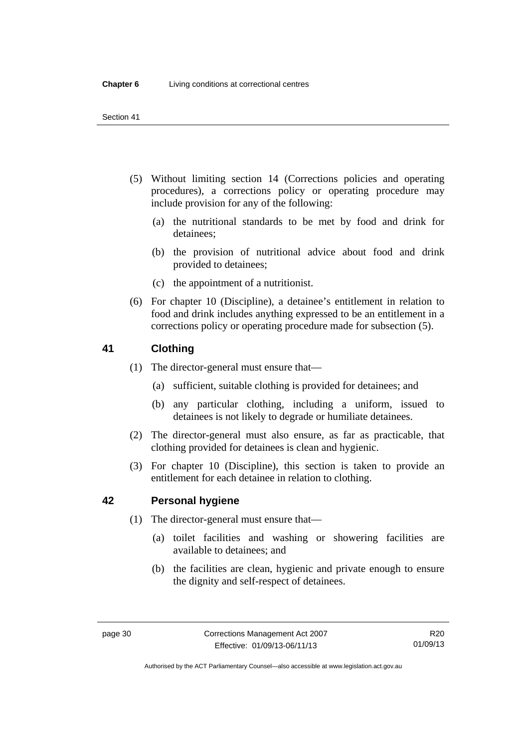- (5) Without limiting section 14 (Corrections policies and operating procedures), a corrections policy or operating procedure may include provision for any of the following:
	- (a) the nutritional standards to be met by food and drink for detainees;
	- (b) the provision of nutritional advice about food and drink provided to detainees;
	- (c) the appointment of a nutritionist.
- (6) For chapter 10 (Discipline), a detainee's entitlement in relation to food and drink includes anything expressed to be an entitlement in a corrections policy or operating procedure made for subsection (5).

## **41 Clothing**

- (1) The director-general must ensure that—
	- (a) sufficient, suitable clothing is provided for detainees; and
	- (b) any particular clothing, including a uniform, issued to detainees is not likely to degrade or humiliate detainees.
- (2) The director-general must also ensure, as far as practicable, that clothing provided for detainees is clean and hygienic.
- (3) For chapter 10 (Discipline), this section is taken to provide an entitlement for each detainee in relation to clothing.

## **42 Personal hygiene**

- (1) The director-general must ensure that—
	- (a) toilet facilities and washing or showering facilities are available to detainees; and
	- (b) the facilities are clean, hygienic and private enough to ensure the dignity and self-respect of detainees.

Authorised by the ACT Parliamentary Counsel—also accessible at www.legislation.act.gov.au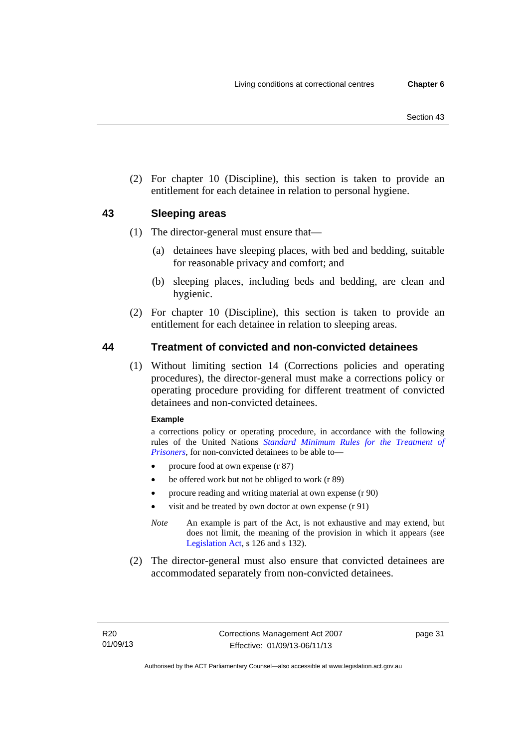(2) For chapter 10 (Discipline), this section is taken to provide an entitlement for each detainee in relation to personal hygiene.

## <span id="page-46-0"></span>**43 Sleeping areas**

- (1) The director-general must ensure that—
	- (a) detainees have sleeping places, with bed and bedding, suitable for reasonable privacy and comfort; and
	- (b) sleeping places, including beds and bedding, are clean and hygienic.
- (2) For chapter 10 (Discipline), this section is taken to provide an entitlement for each detainee in relation to sleeping areas.

## **44 Treatment of convicted and non-convicted detainees**

 (1) Without limiting section 14 (Corrections policies and operating procedures), the director-general must make a corrections policy or operating procedure providing for different treatment of convicted detainees and non-convicted detainees.

#### **Example**

a corrections policy or operating procedure, in accordance with the following rules of the United Nations *[Standard Minimum Rules for the Treatment of](http://www2.ohchr.org/english/law/treatmentprisoners.htm)  [Prisoners](http://www2.ohchr.org/english/law/treatmentprisoners.htm)*, for non-convicted detainees to be able to—

- procure food at own expense (r 87)
- be offered work but not be obliged to work (r 89)
- procure reading and writing material at own expense (r 90)
- visit and be treated by own doctor at own expense (r 91)
- *Note* An example is part of the Act, is not exhaustive and may extend, but does not limit, the meaning of the provision in which it appears (see [Legislation Act,](http://www.legislation.act.gov.au/a/2001-14) s 126 and s 132).
- (2) The director-general must also ensure that convicted detainees are accommodated separately from non-convicted detainees.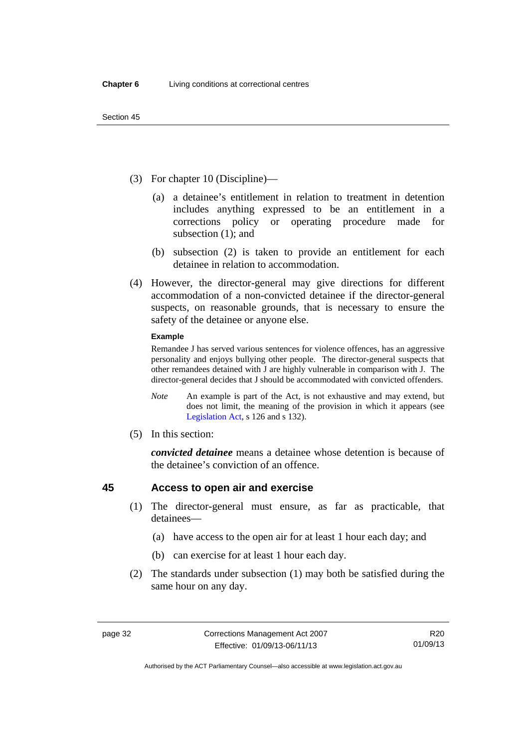- (3) For chapter 10 (Discipline)—
	- (a) a detainee's entitlement in relation to treatment in detention includes anything expressed to be an entitlement in a corrections policy or operating procedure made for subsection (1); and
	- (b) subsection (2) is taken to provide an entitlement for each detainee in relation to accommodation.
- (4) However, the director-general may give directions for different accommodation of a non-convicted detainee if the director-general suspects, on reasonable grounds, that is necessary to ensure the safety of the detainee or anyone else.

#### **Example**

Remandee J has served various sentences for violence offences, has an aggressive personality and enjoys bullying other people. The director-general suspects that other remandees detained with J are highly vulnerable in comparison with J. The director-general decides that J should be accommodated with convicted offenders.

- *Note* An example is part of the Act, is not exhaustive and may extend, but does not limit, the meaning of the provision in which it appears (see [Legislation Act,](http://www.legislation.act.gov.au/a/2001-14) s 126 and s 132).
- (5) In this section:

*convicted detainee* means a detainee whose detention is because of the detainee's conviction of an offence.

## <span id="page-47-0"></span>**45 Access to open air and exercise**

- (1) The director-general must ensure, as far as practicable, that detainees—
	- (a) have access to the open air for at least 1 hour each day; and
	- (b) can exercise for at least 1 hour each day.
- (2) The standards under subsection (1) may both be satisfied during the same hour on any day.

Authorised by the ACT Parliamentary Counsel—also accessible at www.legislation.act.gov.au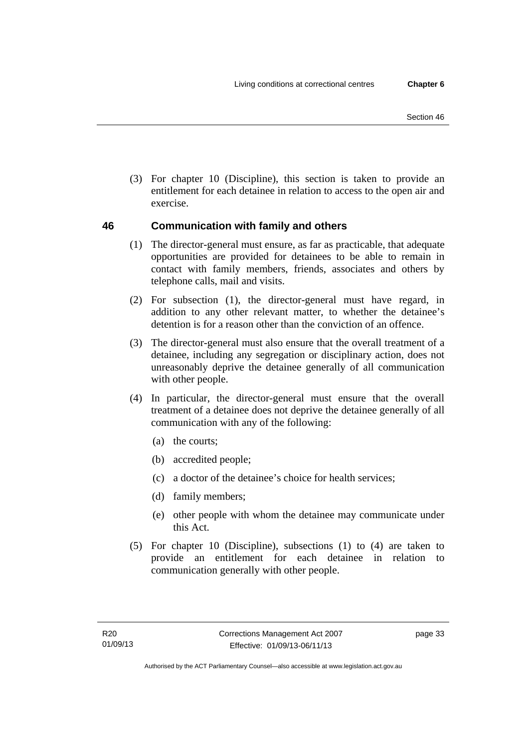(3) For chapter 10 (Discipline), this section is taken to provide an entitlement for each detainee in relation to access to the open air and exercise.

## **46 Communication with family and others**

- (1) The director-general must ensure, as far as practicable, that adequate opportunities are provided for detainees to be able to remain in contact with family members, friends, associates and others by telephone calls, mail and visits.
- (2) For subsection (1), the director-general must have regard, in addition to any other relevant matter, to whether the detainee's detention is for a reason other than the conviction of an offence.
- (3) The director-general must also ensure that the overall treatment of a detainee, including any segregation or disciplinary action, does not unreasonably deprive the detainee generally of all communication with other people.
- (4) In particular, the director-general must ensure that the overall treatment of a detainee does not deprive the detainee generally of all communication with any of the following:
	- (a) the courts;
	- (b) accredited people;
	- (c) a doctor of the detainee's choice for health services;
	- (d) family members;
	- (e) other people with whom the detainee may communicate under this Act.
- (5) For chapter 10 (Discipline), subsections (1) to (4) are taken to provide an entitlement for each detainee in relation to communication generally with other people.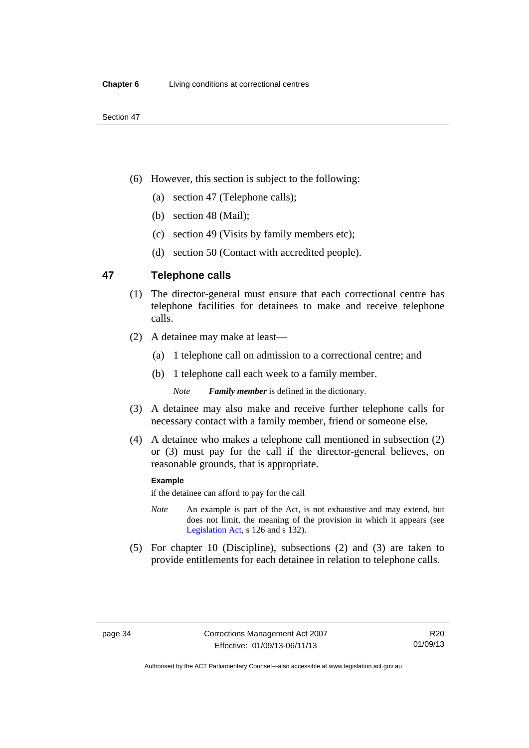- (6) However, this section is subject to the following:
	- (a) section 47 (Telephone calls);
	- (b) section 48 (Mail);
	- (c) section 49 (Visits by family members etc);
	- (d) section 50 (Contact with accredited people).

## **47 Telephone calls**

- (1) The director-general must ensure that each correctional centre has telephone facilities for detainees to make and receive telephone calls.
- (2) A detainee may make at least—
	- (a) 1 telephone call on admission to a correctional centre; and
	- (b) 1 telephone call each week to a family member.

*Note Family member* is defined in the dictionary.

- (3) A detainee may also make and receive further telephone calls for necessary contact with a family member, friend or someone else.
- (4) A detainee who makes a telephone call mentioned in subsection (2) or (3) must pay for the call if the director-general believes, on reasonable grounds, that is appropriate.

#### **Example**

if the detainee can afford to pay for the call

- *Note* An example is part of the Act, is not exhaustive and may extend, but does not limit, the meaning of the provision in which it appears (see [Legislation Act,](http://www.legislation.act.gov.au/a/2001-14) s 126 and s 132).
- (5) For chapter 10 (Discipline), subsections (2) and (3) are taken to provide entitlements for each detainee in relation to telephone calls.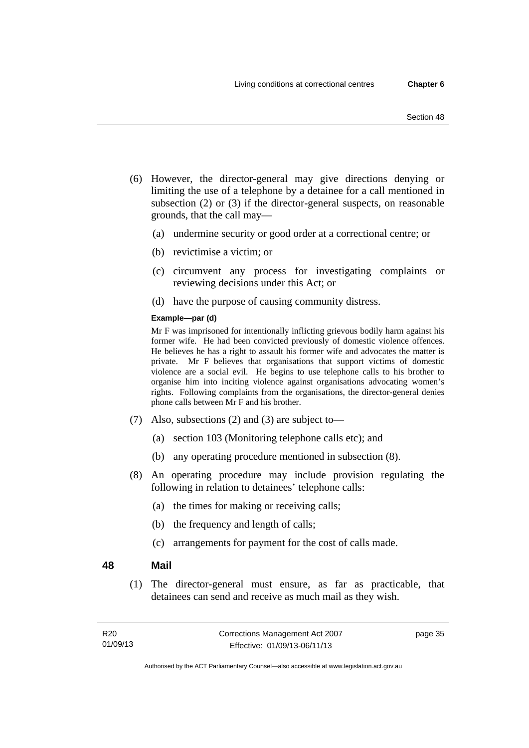- (6) However, the director-general may give directions denying or limiting the use of a telephone by a detainee for a call mentioned in subsection (2) or (3) if the director-general suspects, on reasonable grounds, that the call may—
	- (a) undermine security or good order at a correctional centre; or
	- (b) revictimise a victim; or
	- (c) circumvent any process for investigating complaints or reviewing decisions under this Act; or
	- (d) have the purpose of causing community distress.

#### **Example—par (d)**

Mr F was imprisoned for intentionally inflicting grievous bodily harm against his former wife. He had been convicted previously of domestic violence offences. He believes he has a right to assault his former wife and advocates the matter is private. Mr F believes that organisations that support victims of domestic violence are a social evil. He begins to use telephone calls to his brother to organise him into inciting violence against organisations advocating women's rights. Following complaints from the organisations, the director-general denies phone calls between Mr F and his brother.

- (7) Also, subsections (2) and (3) are subject to—
	- (a) section 103 (Monitoring telephone calls etc); and
	- (b) any operating procedure mentioned in subsection (8).
- (8) An operating procedure may include provision regulating the following in relation to detainees' telephone calls:
	- (a) the times for making or receiving calls;
	- (b) the frequency and length of calls;
	- (c) arrangements for payment for the cost of calls made.

#### **48 Mail**

 (1) The director-general must ensure, as far as practicable, that detainees can send and receive as much mail as they wish.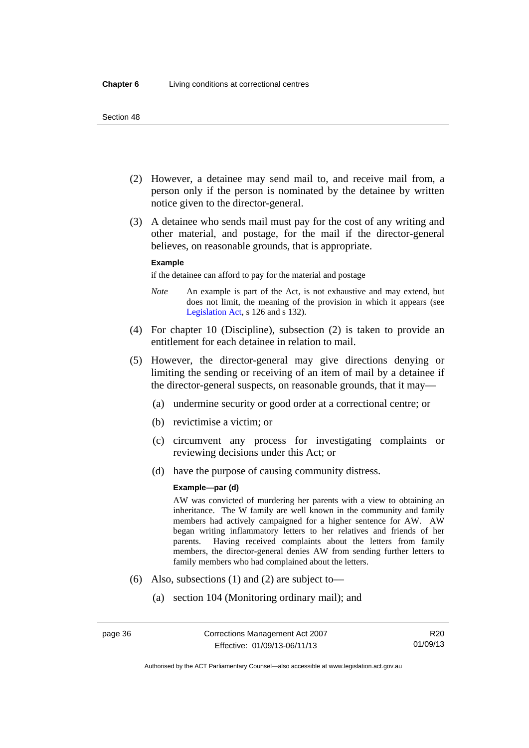- (2) However, a detainee may send mail to, and receive mail from, a person only if the person is nominated by the detainee by written notice given to the director-general.
- (3) A detainee who sends mail must pay for the cost of any writing and other material, and postage, for the mail if the director-general believes, on reasonable grounds, that is appropriate.

#### **Example**

if the detainee can afford to pay for the material and postage

- *Note* An example is part of the Act, is not exhaustive and may extend, but does not limit, the meaning of the provision in which it appears (see [Legislation Act,](http://www.legislation.act.gov.au/a/2001-14) s 126 and s 132).
- (4) For chapter 10 (Discipline), subsection (2) is taken to provide an entitlement for each detainee in relation to mail.
- (5) However, the director-general may give directions denying or limiting the sending or receiving of an item of mail by a detainee if the director-general suspects, on reasonable grounds, that it may—
	- (a) undermine security or good order at a correctional centre; or
	- (b) revictimise a victim; or
	- (c) circumvent any process for investigating complaints or reviewing decisions under this Act; or
	- (d) have the purpose of causing community distress.

#### **Example—par (d)**

AW was convicted of murdering her parents with a view to obtaining an inheritance. The W family are well known in the community and family members had actively campaigned for a higher sentence for AW. AW began writing inflammatory letters to her relatives and friends of her parents. Having received complaints about the letters from family members, the director-general denies AW from sending further letters to family members who had complained about the letters.

- (6) Also, subsections (1) and (2) are subject to—
	- (a) section 104 (Monitoring ordinary mail); and

Authorised by the ACT Parliamentary Counsel—also accessible at www.legislation.act.gov.au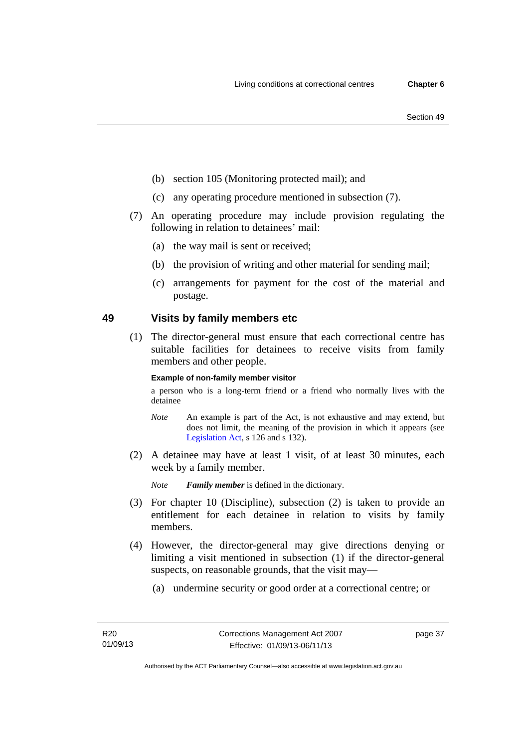- (b) section 105 (Monitoring protected mail); and
- (c) any operating procedure mentioned in subsection (7).
- (7) An operating procedure may include provision regulating the following in relation to detainees' mail:
	- (a) the way mail is sent or received;
	- (b) the provision of writing and other material for sending mail;
	- (c) arrangements for payment for the cost of the material and postage.

### **49 Visits by family members etc**

 (1) The director-general must ensure that each correctional centre has suitable facilities for detainees to receive visits from family members and other people.

#### **Example of non-family member visitor**

a person who is a long-term friend or a friend who normally lives with the detainee

- *Note* An example is part of the Act, is not exhaustive and may extend, but does not limit, the meaning of the provision in which it appears (see [Legislation Act,](http://www.legislation.act.gov.au/a/2001-14) s 126 and s 132).
- (2) A detainee may have at least 1 visit, of at least 30 minutes, each week by a family member.

*Note Family member* is defined in the dictionary.

- (3) For chapter 10 (Discipline), subsection (2) is taken to provide an entitlement for each detainee in relation to visits by family members.
- (4) However, the director-general may give directions denying or limiting a visit mentioned in subsection (1) if the director-general suspects, on reasonable grounds, that the visit may—
	- (a) undermine security or good order at a correctional centre; or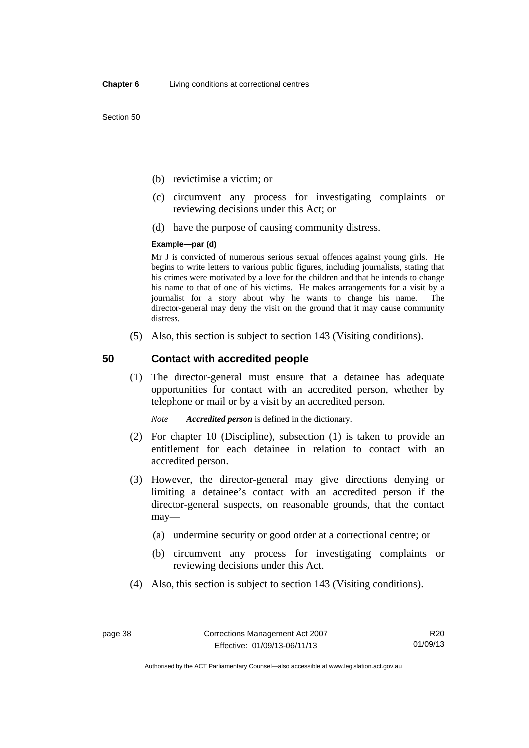Section 50

- (b) revictimise a victim; or
- (c) circumvent any process for investigating complaints or reviewing decisions under this Act; or
- (d) have the purpose of causing community distress.

#### **Example—par (d)**

Mr J is convicted of numerous serious sexual offences against young girls. He begins to write letters to various public figures, including journalists, stating that his crimes were motivated by a love for the children and that he intends to change his name to that of one of his victims. He makes arrangements for a visit by a journalist for a story about why he wants to change his name. The director-general may deny the visit on the ground that it may cause community distress.

(5) Also, this section is subject to section 143 (Visiting conditions).

### **50 Contact with accredited people**

 (1) The director-general must ensure that a detainee has adequate opportunities for contact with an accredited person, whether by telephone or mail or by a visit by an accredited person.

*Note Accredited person* is defined in the dictionary.

- (2) For chapter 10 (Discipline), subsection (1) is taken to provide an entitlement for each detainee in relation to contact with an accredited person.
- (3) However, the director-general may give directions denying or limiting a detainee's contact with an accredited person if the director-general suspects, on reasonable grounds, that the contact may—
	- (a) undermine security or good order at a correctional centre; or
	- (b) circumvent any process for investigating complaints or reviewing decisions under this Act.
- (4) Also, this section is subject to section 143 (Visiting conditions).

R20 01/09/13

Authorised by the ACT Parliamentary Counsel—also accessible at www.legislation.act.gov.au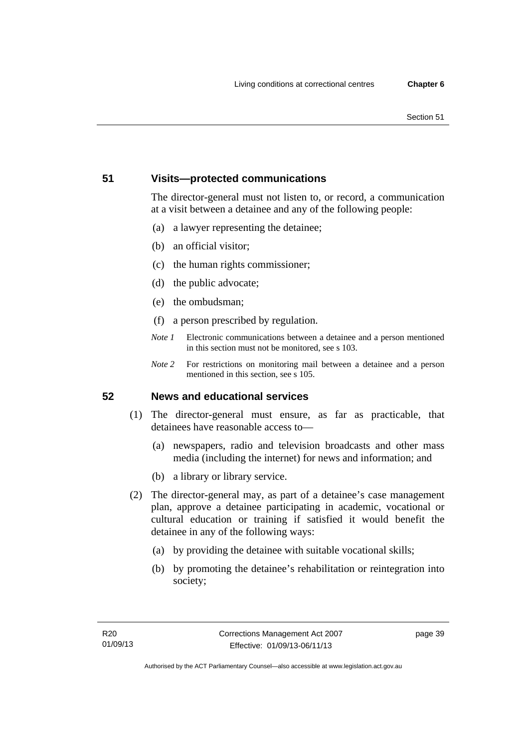#### Section 51

## **51 Visits—protected communications**

The director-general must not listen to, or record, a communication at a visit between a detainee and any of the following people:

- (a) a lawyer representing the detainee;
- (b) an official visitor;
- (c) the human rights commissioner;
- (d) the public advocate;
- (e) the ombudsman;
- (f) a person prescribed by regulation.
- *Note 1* Electronic communications between a detainee and a person mentioned in this section must not be monitored, see s 103.
- *Note 2* For restrictions on monitoring mail between a detainee and a person mentioned in this section, see s 105.

## **52 News and educational services**

- (1) The director-general must ensure, as far as practicable, that detainees have reasonable access to—
	- (a) newspapers, radio and television broadcasts and other mass media (including the internet) for news and information; and
	- (b) a library or library service.
- (2) The director-general may, as part of a detainee's case management plan, approve a detainee participating in academic, vocational or cultural education or training if satisfied it would benefit the detainee in any of the following ways:
	- (a) by providing the detainee with suitable vocational skills;
	- (b) by promoting the detainee's rehabilitation or reintegration into society;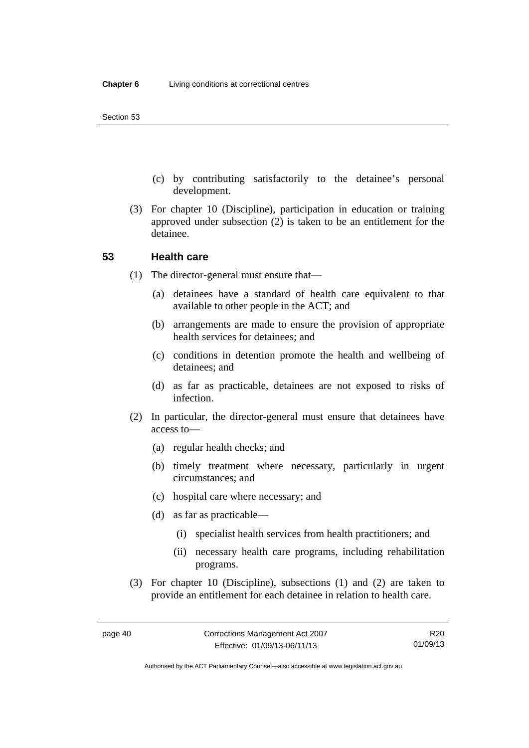- (c) by contributing satisfactorily to the detainee's personal development.
- (3) For chapter 10 (Discipline), participation in education or training approved under subsection (2) is taken to be an entitlement for the detainee.

#### **53 Health care**

- (1) The director-general must ensure that—
	- (a) detainees have a standard of health care equivalent to that available to other people in the ACT; and
	- (b) arrangements are made to ensure the provision of appropriate health services for detainees; and
	- (c) conditions in detention promote the health and wellbeing of detainees; and
	- (d) as far as practicable, detainees are not exposed to risks of infection.
- (2) In particular, the director-general must ensure that detainees have access to—
	- (a) regular health checks; and
	- (b) timely treatment where necessary, particularly in urgent circumstances; and
	- (c) hospital care where necessary; and
	- (d) as far as practicable—
		- (i) specialist health services from health practitioners; and
		- (ii) necessary health care programs, including rehabilitation programs.
- (3) For chapter 10 (Discipline), subsections (1) and (2) are taken to provide an entitlement for each detainee in relation to health care.

R20 01/09/13

Authorised by the ACT Parliamentary Counsel—also accessible at www.legislation.act.gov.au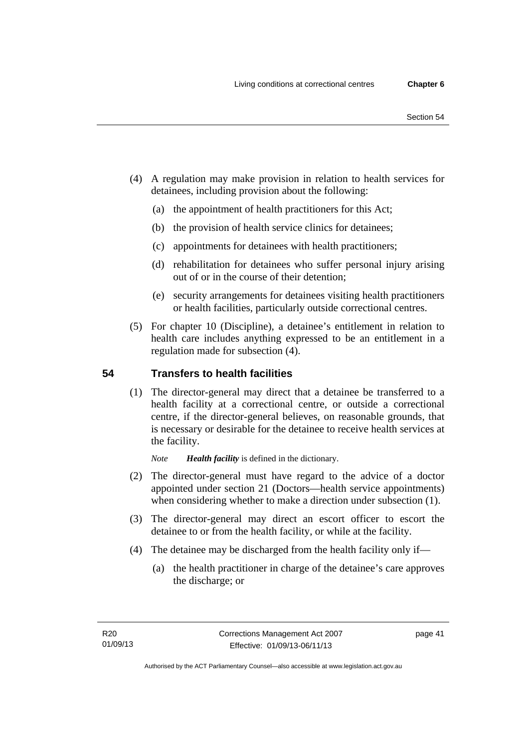- (4) A regulation may make provision in relation to health services for detainees, including provision about the following:
	- (a) the appointment of health practitioners for this Act;
	- (b) the provision of health service clinics for detainees;
	- (c) appointments for detainees with health practitioners;
	- (d) rehabilitation for detainees who suffer personal injury arising out of or in the course of their detention;
	- (e) security arrangements for detainees visiting health practitioners or health facilities, particularly outside correctional centres.
- (5) For chapter 10 (Discipline), a detainee's entitlement in relation to health care includes anything expressed to be an entitlement in a regulation made for subsection (4).

## **54 Transfers to health facilities**

 (1) The director-general may direct that a detainee be transferred to a health facility at a correctional centre, or outside a correctional centre, if the director-general believes, on reasonable grounds, that is necessary or desirable for the detainee to receive health services at the facility.

*Note Health facility* is defined in the dictionary.

- (2) The director-general must have regard to the advice of a doctor appointed under section 21 (Doctors—health service appointments) when considering whether to make a direction under subsection  $(1)$ .
- (3) The director-general may direct an escort officer to escort the detainee to or from the health facility, or while at the facility.
- (4) The detainee may be discharged from the health facility only if—
	- (a) the health practitioner in charge of the detainee's care approves the discharge; or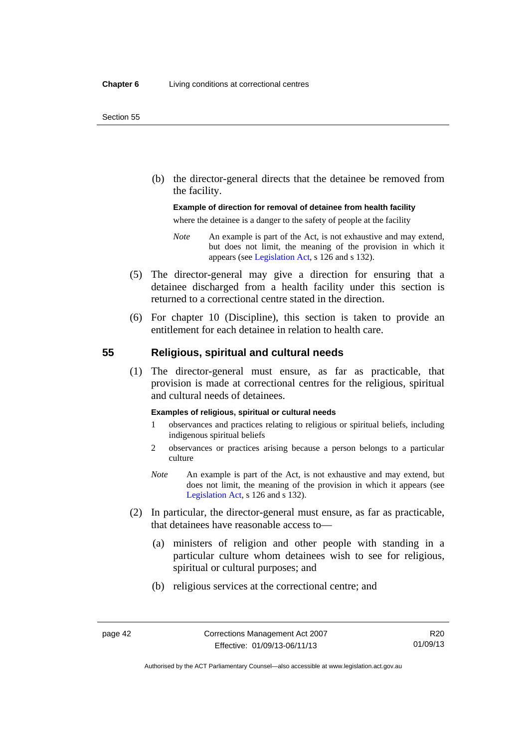(b) the director-general directs that the detainee be removed from the facility.

#### **Example of direction for removal of detainee from health facility**

where the detainee is a danger to the safety of people at the facility

- *Note* An example is part of the Act, is not exhaustive and may extend, but does not limit, the meaning of the provision in which it appears (see [Legislation Act,](http://www.legislation.act.gov.au/a/2001-14) s 126 and s 132).
- (5) The director-general may give a direction for ensuring that a detainee discharged from a health facility under this section is returned to a correctional centre stated in the direction.
- (6) For chapter 10 (Discipline), this section is taken to provide an entitlement for each detainee in relation to health care.

### **55 Religious, spiritual and cultural needs**

 (1) The director-general must ensure, as far as practicable, that provision is made at correctional centres for the religious, spiritual and cultural needs of detainees.

#### **Examples of religious, spiritual or cultural needs**

- 1 observances and practices relating to religious or spiritual beliefs, including indigenous spiritual beliefs
- 2 observances or practices arising because a person belongs to a particular culture
- *Note* An example is part of the Act, is not exhaustive and may extend, but does not limit, the meaning of the provision in which it appears (see [Legislation Act,](http://www.legislation.act.gov.au/a/2001-14) s 126 and s 132).
- (2) In particular, the director-general must ensure, as far as practicable, that detainees have reasonable access to—
	- (a) ministers of religion and other people with standing in a particular culture whom detainees wish to see for religious, spiritual or cultural purposes; and
	- (b) religious services at the correctional centre; and

Authorised by the ACT Parliamentary Counsel—also accessible at www.legislation.act.gov.au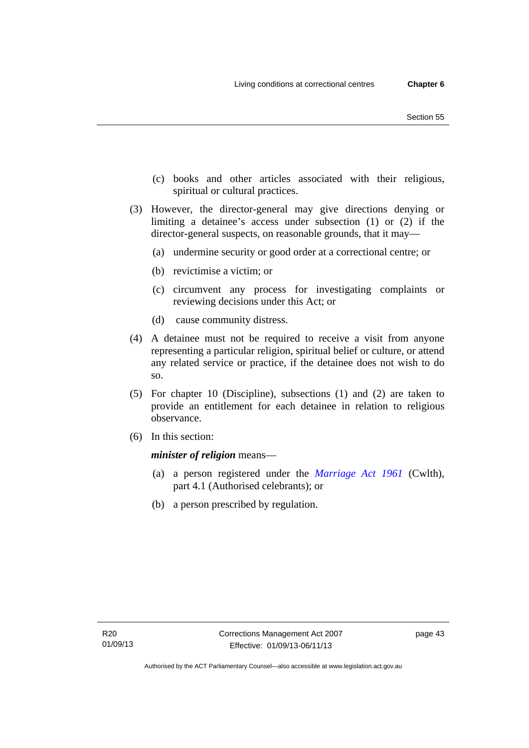- (c) books and other articles associated with their religious, spiritual or cultural practices.
- (3) However, the director-general may give directions denying or limiting a detainee's access under subsection (1) or (2) if the director-general suspects, on reasonable grounds, that it may—
	- (a) undermine security or good order at a correctional centre; or
	- (b) revictimise a victim; or
	- (c) circumvent any process for investigating complaints or reviewing decisions under this Act; or
	- (d) cause community distress.
- (4) A detainee must not be required to receive a visit from anyone representing a particular religion, spiritual belief or culture, or attend any related service or practice, if the detainee does not wish to do so.
- (5) For chapter 10 (Discipline), subsections (1) and (2) are taken to provide an entitlement for each detainee in relation to religious observance.
- (6) In this section:

*minister of religion* means—

- (a) a person registered under the *[Marriage Act 1961](http://www.comlaw.gov.au/Series/C2004A07402)* (Cwlth), part 4.1 (Authorised celebrants); or
- (b) a person prescribed by regulation.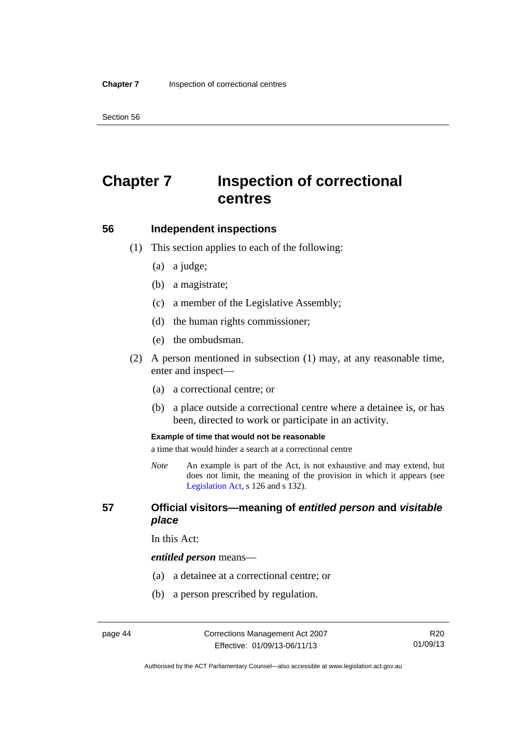Section 56

# **Chapter 7 Inspection of correctional centres**

#### **56 Independent inspections**

- (1) This section applies to each of the following:
	- (a) a judge;
	- (b) a magistrate;
	- (c) a member of the Legislative Assembly;
	- (d) the human rights commissioner;
	- (e) the ombudsman.
- (2) A person mentioned in subsection (1) may, at any reasonable time, enter and inspect—
	- (a) a correctional centre; or
	- (b) a place outside a correctional centre where a detainee is, or has been, directed to work or participate in an activity.

#### **Example of time that would not be reasonable**

a time that would hinder a search at a correctional centre

*Note* An example is part of the Act, is not exhaustive and may extend, but does not limit, the meaning of the provision in which it appears (see [Legislation Act,](http://www.legislation.act.gov.au/a/2001-14) s 126 and s 132).

### **57 Official visitors—meaning of** *entitled person* **and** *visitable place*

In this Act:

#### *entitled person* means—

- (a) a detainee at a correctional centre; or
- (b) a person prescribed by regulation.

Authorised by the ACT Parliamentary Counsel—also accessible at www.legislation.act.gov.au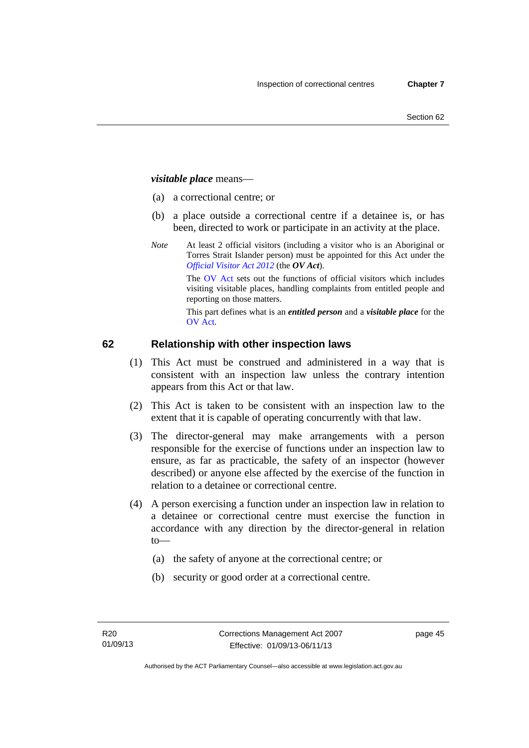## *visitable place* means—

- (a) a correctional centre; or
- (b) a place outside a correctional centre if a detainee is, or has been, directed to work or participate in an activity at the place.
- *Note* At least 2 official visitors (including a visitor who is an Aboriginal or Torres Strait Islander person) must be appointed for this Act under the *[Official Visitor Act 2012](http://www.legislation.act.gov.au/a/2012-33/default.asp)* (the *OV Act*).

The [OV Act sets out the f](#page-46-0)unctions of official visitors which includes visiting visitable places, handling complaints from entitled people and reporting on those matters.

This part defines what is an *entitled person* and a *visitable place* for the OV Act.

## **[62 Relationship with other](#page-47-0) inspection laws**

- (1) This Act must be construed and administered in a way that is consistent with an inspection law unless the contrary intention appears from this Act or that law.
- (2) This Act is taken to be consistent with an inspection law to the extent that it is capable of operating concurrently with that law.
- (3) The director-general may make arrangements with a person responsible for the exercise of functions under an inspection law to ensure, as far as practicable, the safety of an inspector (however described) or anyone else affected by the exercise of the function in relation to a detainee or correctional centre.
- (4) A person exercising a function under an inspection law in relation to a detainee or correctional centre must exercise the function in accordance with any direction by the director-general in relation to—
	- (a) the safety of anyone at the correctional centre; or
	- (b) security or good order at a correctional centre.

page 45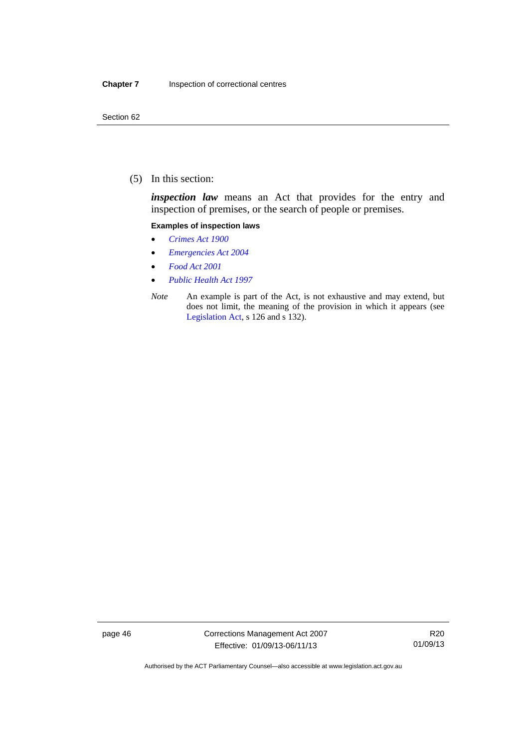(5) In this section:

*inspection law* means an Act that provides for the entry and inspection of premises, or the search of people or premises.

#### **Examples of inspection laws**

- *[Crimes Act 1900](http://www.legislation.act.gov.au/a/1900-40)*
- *[Emergencies Act 2004](http://www.legislation.act.gov.au/a/2004-28)*
- *[Food Act 2001](http://www.legislation.act.gov.au/a/2001-66)*
- *[Public Health Act 1997](http://www.legislation.act.gov.au/a/1997-69)*
- *Note* An example is part of the Act, is not exhaustive and may extend, but does not limit, the meaning of the provision in which it appears (see [Legislation Act,](http://www.legislation.act.gov.au/a/2001-14) s 126 and s 132).

page 46 Corrections Management Act 2007 Effective: 01/09/13-06/11/13

R20 01/09/13

Authorised by the ACT Parliamentary Counsel—also accessible at www.legislation.act.gov.au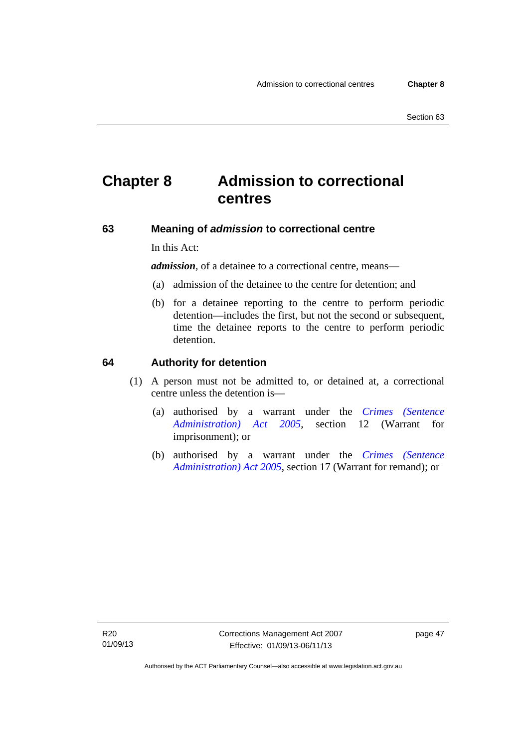# **Chapter 8 Admission to correctional centres**

### **63 Meaning of** *admission* **to correctional centre**

In this Act:

*admission,* of a detainee to a correctional centre, means—

- (a) admission of the detainee to the centre for detention; and
- (b) for a detainee reporting to the centre to perform periodic detention—includes the first, but not the second or subsequent, time the detainee reports to the centre to perform periodic detention.

#### **64 Authority for detention**

- (1) A person must not be admitted to, or detained at, a correctional centre unless the detention is—
	- (a) authorised by a warrant under the *[Crimes \(Sentence](http://www.legislation.act.gov.au/a/2005-59)  [Administration\) Act 2005](http://www.legislation.act.gov.au/a/2005-59)*, section 12 (Warrant for imprisonment); or
	- (b) authorised by a warrant under the *[Crimes \(Sentence](http://www.legislation.act.gov.au/a/2005-59)  [Administration\) Act 2005](http://www.legislation.act.gov.au/a/2005-59)*, section 17 (Warrant for remand); or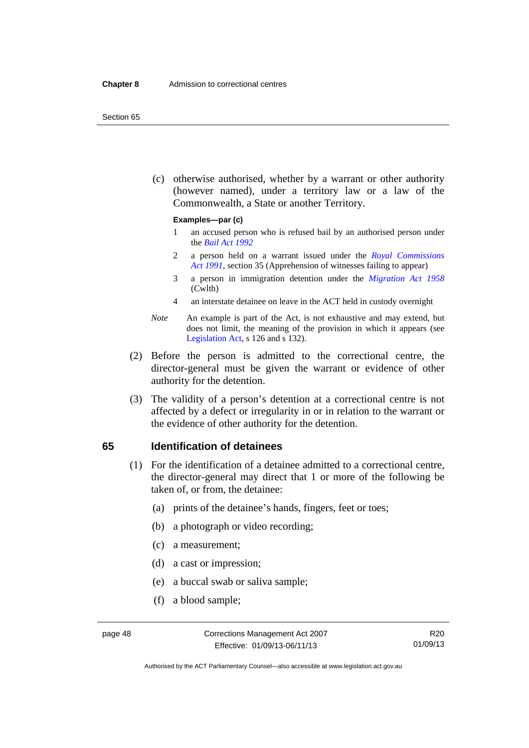#### Section 65

 (c) otherwise authorised, whether by a warrant or other authority (however named), under a territory law or a law of the Commonwealth, a State or another Territory.

#### **Examples—par (c)**

- 1 an accused person who is refused bail by an authorised person under the *[Bail Act 1992](http://www.legislation.act.gov.au/a/1992-8)*
- 2 a person held on a warrant issued under the *[Royal Commissions](http://www.legislation.act.gov.au/a/1991-1)  [Act 1991](http://www.legislation.act.gov.au/a/1991-1)*, section 35 (Apprehension of witnesses failing to appear)
- 3 a person in immigration detention under the *[Migration Act 1958](http://www.comlaw.gov.au/Series/C2004A07412)* (Cwlth)
- 4 an interstate detainee on leave in the ACT held in custody overnight
- *Note* An example is part of the Act, is not exhaustive and may extend, but does not limit, the meaning of the provision in which it appears (see [Legislation Act,](http://www.legislation.act.gov.au/a/2001-14) s 126 and s 132).
- (2) Before the person is admitted to the correctional centre, the director-general must be given the warrant or evidence of other authority for the detention.
- (3) The validity of a person's detention at a correctional centre is not affected by a defect or irregularity in or in relation to the warrant or the evidence of other authority for the detention.

#### **65 Identification of detainees**

- (1) For the identification of a detainee admitted to a correctional centre, the director-general may direct that 1 or more of the following be taken of, or from, the detainee:
	- (a) prints of the detainee's hands, fingers, feet or toes;
	- (b) a photograph or video recording;
	- (c) a measurement;
	- (d) a cast or impression;
	- (e) a buccal swab or saliva sample;
	- (f) a blood sample;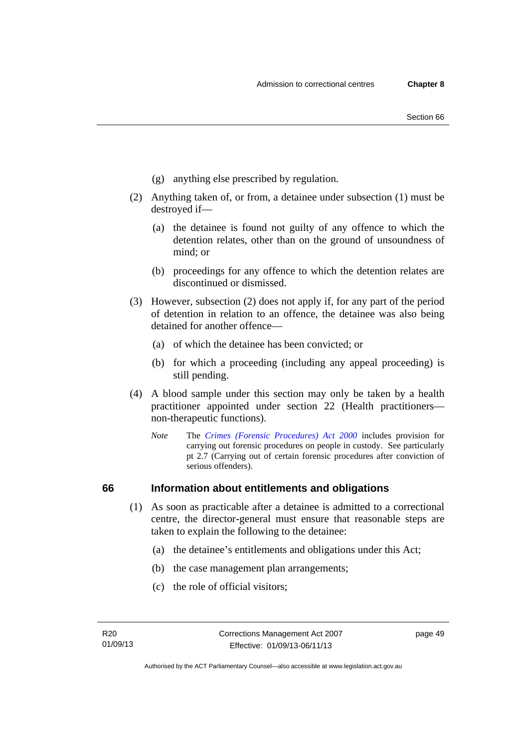- (g) anything else prescribed by regulation.
- (2) Anything taken of, or from, a detainee under subsection (1) must be destroyed if—
	- (a) the detainee is found not guilty of any offence to which the detention relates, other than on the ground of unsoundness of mind; or
	- (b) proceedings for any offence to which the detention relates are discontinued or dismissed.
- (3) However, subsection (2) does not apply if, for any part of the period of detention in relation to an offence, the detainee was also being detained for another offence—
	- (a) of which the detainee has been convicted; or
	- (b) for which a proceeding (including any appeal proceeding) is still pending.
- (4) A blood sample under this section may only be taken by a health practitioner appointed under section 22 (Health practitioners non-therapeutic functions).
	- *Note* The *[Crimes \(Forensic Procedures\) Act 2000](http://www.legislation.act.gov.au/a/2000-61)* includes provision for carrying out forensic procedures on people in custody. See particularly pt 2.7 (Carrying out of certain forensic procedures after conviction of serious offenders).

## **66 Information about entitlements and obligations**

- (1) As soon as practicable after a detainee is admitted to a correctional centre, the director-general must ensure that reasonable steps are taken to explain the following to the detainee:
	- (a) the detainee's entitlements and obligations under this Act;
	- (b) the case management plan arrangements;
	- (c) the role of official visitors;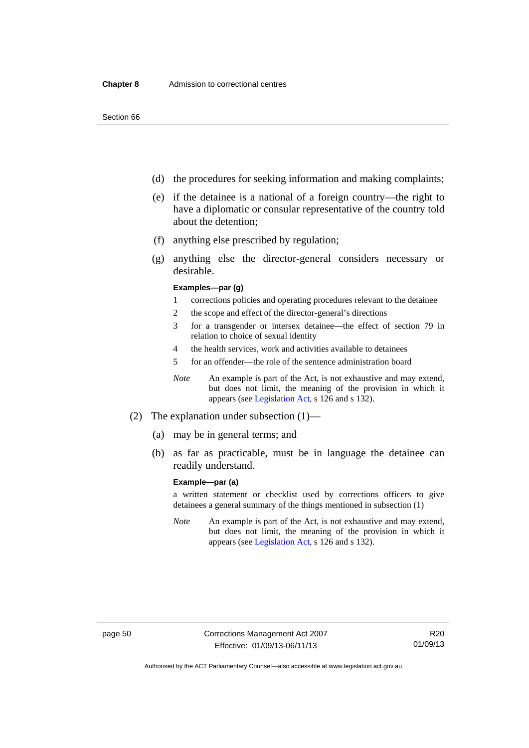- (d) the procedures for seeking information and making complaints;
- (e) if the detainee is a national of a foreign country—the right to have a diplomatic or consular representative of the country told about the detention;
- (f) anything else prescribed by regulation;
- (g) anything else the director-general considers necessary or desirable.

#### **Examples—par (g)**

- 1 corrections policies and operating procedures relevant to the detainee
- 2 the scope and effect of the director-general's directions
- 3 for a transgender or intersex detainee—the effect of section 79 in relation to choice of sexual identity
- 4 the health services, work and activities available to detainees
- 5 for an offender—the role of the sentence administration board
- *Note* An example is part of the Act, is not exhaustive and may extend, but does not limit, the meaning of the provision in which it appears (see [Legislation Act,](http://www.legislation.act.gov.au/a/2001-14) s 126 and s 132).
- (2) The explanation under subsection (1)—
	- (a) may be in general terms; and
	- (b) as far as practicable, must be in language the detainee can readily understand.

#### **Example—par (a)**

a written statement or checklist used by corrections officers to give detainees a general summary of the things mentioned in subsection (1)

*Note* An example is part of the Act, is not exhaustive and may extend, but does not limit, the meaning of the provision in which it appears (see [Legislation Act,](http://www.legislation.act.gov.au/a/2001-14) s 126 and s 132).

Authorised by the ACT Parliamentary Counsel—also accessible at www.legislation.act.gov.au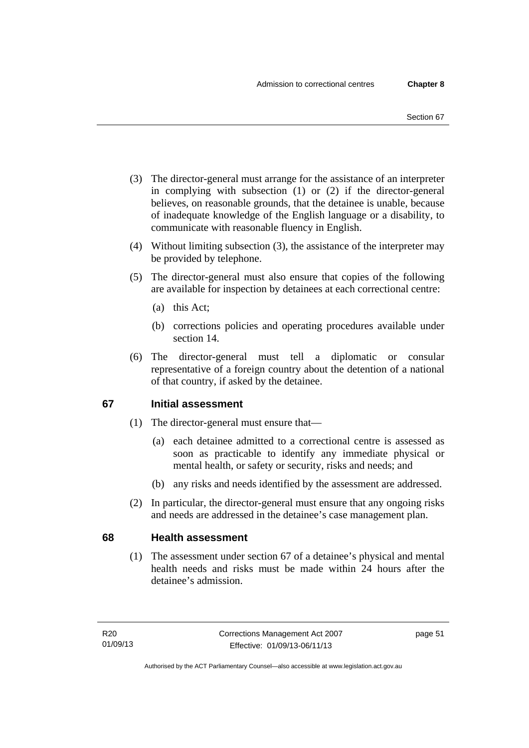- (3) The director-general must arrange for the assistance of an interpreter in complying with subsection (1) or (2) if the director-general believes, on reasonable grounds, that the detainee is unable, because of inadequate knowledge of the English language or a disability, to communicate with reasonable fluency in English.
- (4) Without limiting subsection (3), the assistance of the interpreter may be provided by telephone.
- (5) The director-general must also ensure that copies of the following are available for inspection by detainees at each correctional centre:
	- (a) this Act;
	- (b) corrections policies and operating procedures available under section 14.
- (6) The director-general must tell a diplomatic or consular representative of a foreign country about the detention of a national of that country, if asked by the detainee.

## **67 Initial assessment**

- (1) The director-general must ensure that—
	- (a) each detainee admitted to a correctional centre is assessed as soon as practicable to identify any immediate physical or mental health, or safety or security, risks and needs; and
	- (b) any risks and needs identified by the assessment are addressed.
- (2) In particular, the director-general must ensure that any ongoing risks and needs are addressed in the detainee's case management plan.

## **68 Health assessment**

 (1) The assessment under section 67 of a detainee's physical and mental health needs and risks must be made within 24 hours after the detainee's admission.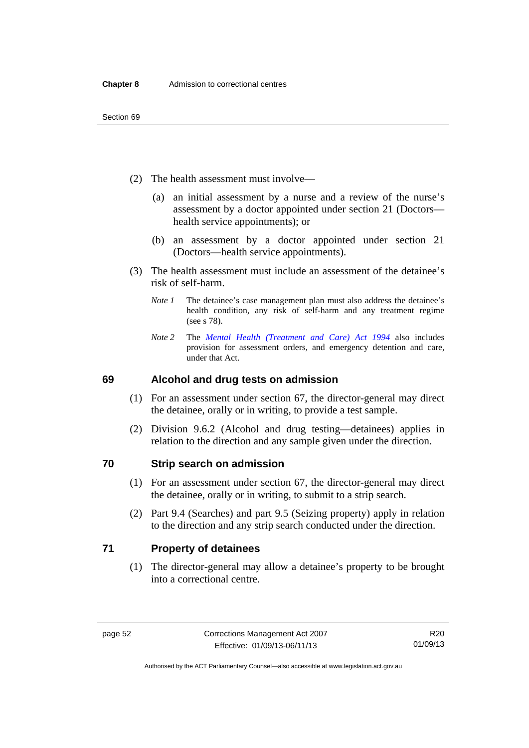- (2) The health assessment must involve—
	- (a) an initial assessment by a nurse and a review of the nurse's assessment by a doctor appointed under section 21 (Doctors health service appointments); or
	- (b) an assessment by a doctor appointed under section 21 (Doctors—health service appointments).
- (3) The health assessment must include an assessment of the detainee's risk of self-harm.
	- *Note 1* The detainee's case management plan must also address the detainee's health condition, any risk of self-harm and any treatment regime (see s 78).
	- *Note 2* The *[Mental Health \(Treatment and Care\) Act 1994](http://www.legislation.act.gov.au/a/1994-44)* also includes provision for assessment orders, and emergency detention and care, under that Act.

## **69 Alcohol and drug tests on admission**

- (1) For an assessment under section 67, the director-general may direct the detainee, orally or in writing, to provide a test sample.
- (2) Division 9.6.2 (Alcohol and drug testing—detainees) applies in relation to the direction and any sample given under the direction.

## **70 Strip search on admission**

- (1) For an assessment under section 67, the director-general may direct the detainee, orally or in writing, to submit to a strip search.
- (2) Part 9.4 (Searches) and part 9.5 (Seizing property) apply in relation to the direction and any strip search conducted under the direction.

## **71 Property of detainees**

 (1) The director-general may allow a detainee's property to be brought into a correctional centre.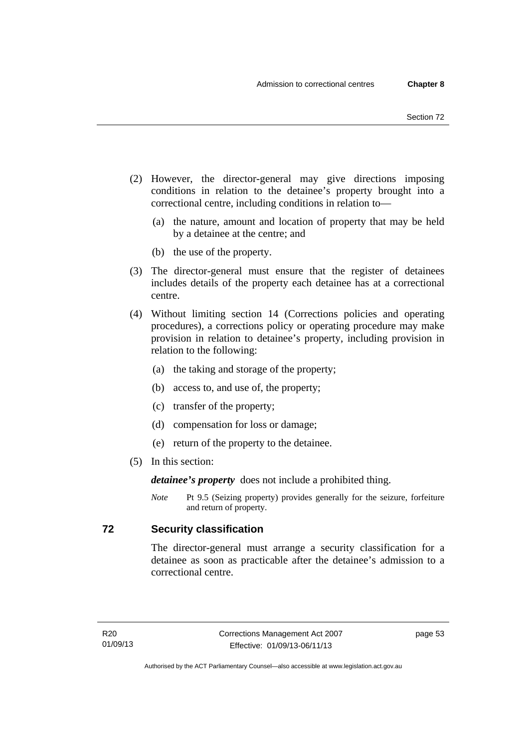- (2) However, the director-general may give directions imposing conditions in relation to the detainee's property brought into a correctional centre, including conditions in relation to—
	- (a) the nature, amount and location of property that may be held by a detainee at the centre; and
	- (b) the use of the property.
- (3) The director-general must ensure that the register of detainees includes details of the property each detainee has at a correctional centre.
- (4) Without limiting section 14 (Corrections policies and operating procedures), a corrections policy or operating procedure may make provision in relation to detainee's property, including provision in relation to the following:
	- (a) the taking and storage of the property;
	- (b) access to, and use of, the property;
	- (c) transfer of the property;
	- (d) compensation for loss or damage;
	- (e) return of the property to the detainee.
- (5) In this section:

*detainee's property* does not include a prohibited thing.

*Note* Pt 9.5 (Seizing property) provides generally for the seizure, forfeiture and return of property.

## **72 Security classification**

The director-general must arrange a security classification for a detainee as soon as practicable after the detainee's admission to a correctional centre.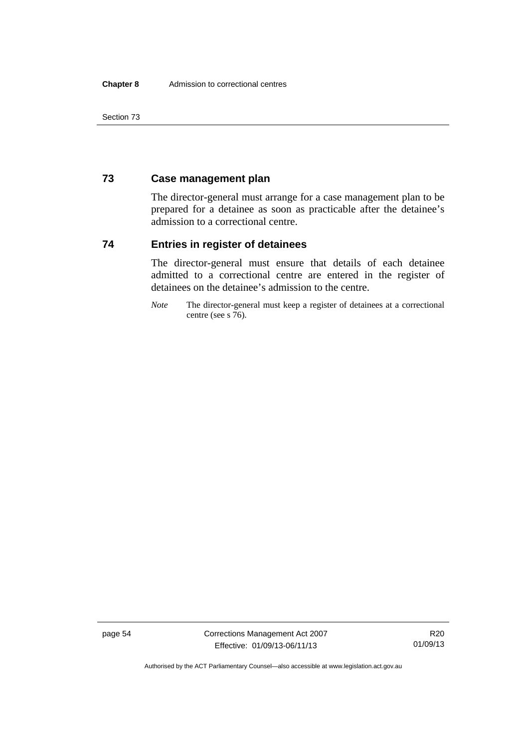Section 73

## **73 Case management plan**

The director-general must arrange for a case management plan to be prepared for a detainee as soon as practicable after the detainee's admission to a correctional centre.

## **74 Entries in register of detainees**

The director-general must ensure that details of each detainee admitted to a correctional centre are entered in the register of detainees on the detainee's admission to the centre.

*Note* The director-general must keep a register of detainees at a correctional centre (see s 76).

page 54 Corrections Management Act 2007 Effective: 01/09/13-06/11/13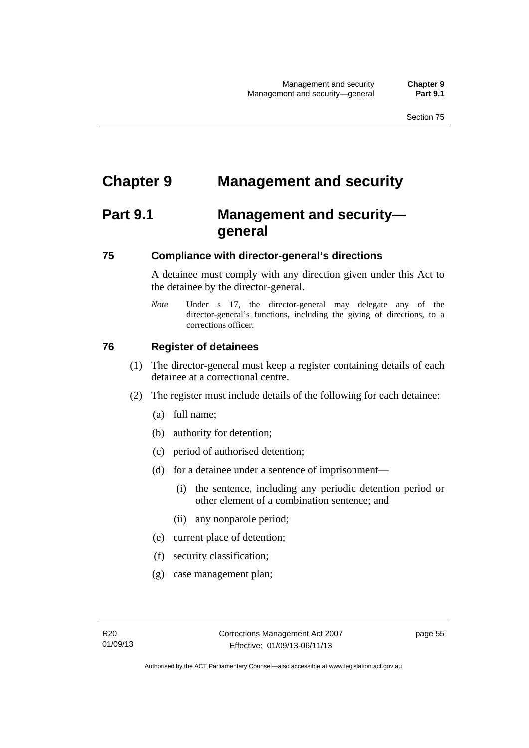# **Chapter 9 Management and security**

# **Part 9.1 Management and security general**

## **75 Compliance with director-general's directions**

A detainee must comply with any direction given under this Act to the detainee by the director-general.

*Note* Under s 17, the director-general may delegate any of the director-general's functions, including the giving of directions, to a corrections officer.

## **76 Register of detainees**

- (1) The director-general must keep a register containing details of each detainee at a correctional centre.
- (2) The register must include details of the following for each detainee:
	- (a) full name;
	- (b) authority for detention;
	- (c) period of authorised detention;
	- (d) for a detainee under a sentence of imprisonment—
		- (i) the sentence, including any periodic detention period or other element of a combination sentence; and
		- (ii) any nonparole period;
	- (e) current place of detention;
	- (f) security classification;
	- (g) case management plan;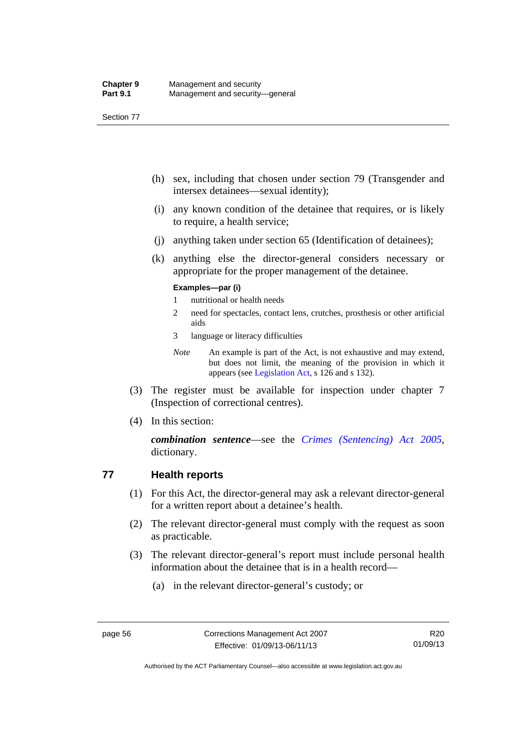Section 77

- (h) sex, including that chosen under section 79 (Transgender and intersex detainees—sexual identity);
- (i) any known condition of the detainee that requires, or is likely to require, a health service;
- (j) anything taken under section 65 (Identification of detainees);
- (k) anything else the director-general considers necessary or appropriate for the proper management of the detainee.

#### **Examples—par (i)**

- 1 nutritional or health needs
- 2 need for spectacles, contact lens, crutches, prosthesis or other artificial aids
- 3 language or literacy difficulties
- *Note* An example is part of the Act, is not exhaustive and may extend, but does not limit, the meaning of the provision in which it appears (see [Legislation Act,](http://www.legislation.act.gov.au/a/2001-14) s 126 and s 132).
- (3) The register must be available for inspection under chapter 7 (Inspection of correctional centres).
- (4) In this section:

*combination sentence*—see the *[Crimes \(Sentencing\) Act 2005](http://www.legislation.act.gov.au/a/2005-58)*, dictionary.

## **77 Health reports**

- (1) For this Act, the director-general may ask a relevant director-general for a written report about a detainee's health.
- (2) The relevant director-general must comply with the request as soon as practicable.
- (3) The relevant director-general's report must include personal health information about the detainee that is in a health record—
	- (a) in the relevant director-general's custody; or

Authorised by the ACT Parliamentary Counsel—also accessible at www.legislation.act.gov.au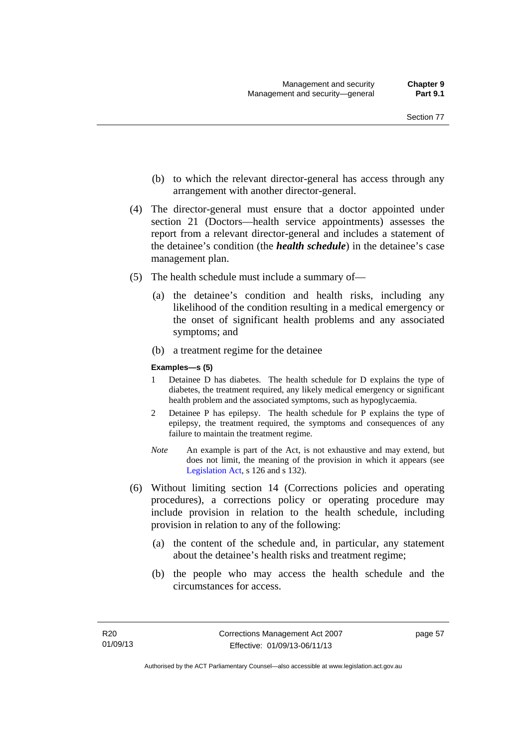- (b) to which the relevant director-general has access through any arrangement with another director-general.
- (4) The director-general must ensure that a doctor appointed under section 21 (Doctors—health service appointments) assesses the report from a relevant director-general and includes a statement of the detainee's condition (the *health schedule*) in the detainee's case management plan.
- (5) The health schedule must include a summary of—
	- (a) the detainee's condition and health risks, including any likelihood of the condition resulting in a medical emergency or the onset of significant health problems and any associated symptoms; and
	- (b) a treatment regime for the detainee

#### **Examples—s (5)**

- 1 Detainee D has diabetes. The health schedule for D explains the type of diabetes, the treatment required, any likely medical emergency or significant health problem and the associated symptoms, such as hypoglycaemia.
- 2 Detainee P has epilepsy. The health schedule for P explains the type of epilepsy, the treatment required, the symptoms and consequences of any failure to maintain the treatment regime.
- *Note* An example is part of the Act, is not exhaustive and may extend, but does not limit, the meaning of the provision in which it appears (see [Legislation Act,](http://www.legislation.act.gov.au/a/2001-14) s 126 and s 132).
- (6) Without limiting section 14 (Corrections policies and operating procedures), a corrections policy or operating procedure may include provision in relation to the health schedule, including provision in relation to any of the following:
	- (a) the content of the schedule and, in particular, any statement about the detainee's health risks and treatment regime;
	- (b) the people who may access the health schedule and the circumstances for access.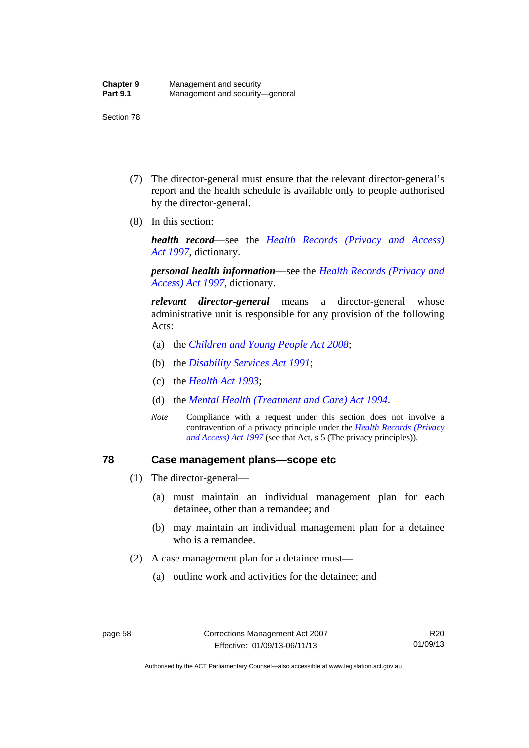- (7) The director-general must ensure that the relevant director-general's report and the health schedule is available only to people authorised by the director-general.
- (8) In this section:

*health record*—see the *[Health Records \(Privacy and Access\)](http://www.legislation.act.gov.au/a/1997-125)  [Act 1997](http://www.legislation.act.gov.au/a/1997-125)*, dictionary.

*personal health information*—see the *[Health Records \(Privacy and](http://www.legislation.act.gov.au/a/1997-125)  [Access\) Act 1997](http://www.legislation.act.gov.au/a/1997-125)*, dictionary.

*relevant director-general* means a director-general whose administrative unit is responsible for any provision of the following Acts:

- (a) the *[Children and Young People Act 2008](http://www.legislation.act.gov.au/a/2008-19)*;
- (b) the *[Disability Services Act 1991](http://www.legislation.act.gov.au/a/1991-98)*;
- (c) the *[Health Act 1993](http://www.legislation.act.gov.au/a/1993-13)*;
- (d) the *[Mental Health \(Treatment and Care\) Act 1994](http://www.legislation.act.gov.au/a/1994-44)*.
- *Note* Compliance with a request under this section does not involve a contravention of a privacy principle under the *[Health Records \(Privacy](http://www.legislation.act.gov.au/a/1997-125)  [and Access\) Act 1997](http://www.legislation.act.gov.au/a/1997-125)* (see that Act, s 5 (The privacy principles))*.*

# **78 Case management plans—scope etc**

- (1) The director-general—
	- (a) must maintain an individual management plan for each detainee, other than a remandee; and
	- (b) may maintain an individual management plan for a detainee who is a remandee.
- (2) A case management plan for a detainee must—
	- (a) outline work and activities for the detainee; and

Authorised by the ACT Parliamentary Counsel—also accessible at www.legislation.act.gov.au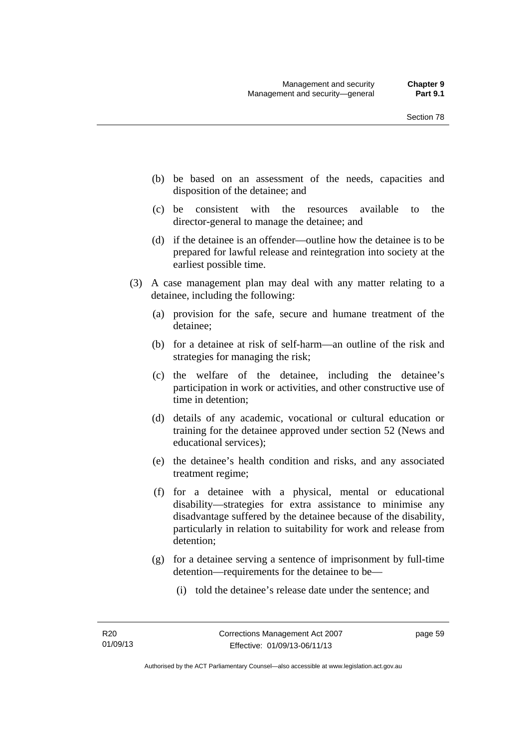- (b) be based on an assessment of the needs, capacities and disposition of the detainee; and
- (c) be consistent with the resources available to the director-general to manage the detainee; and
- (d) if the detainee is an offender—outline how the detainee is to be prepared for lawful release and reintegration into society at the earliest possible time.
- (3) A case management plan may deal with any matter relating to a detainee, including the following:
	- (a) provision for the safe, secure and humane treatment of the detainee;
	- (b) for a detainee at risk of self-harm—an outline of the risk and strategies for managing the risk;
	- (c) the welfare of the detainee, including the detainee's participation in work or activities, and other constructive use of time in detention;
	- (d) details of any academic, vocational or cultural education or training for the detainee approved under section 52 (News and educational services);
	- (e) the detainee's health condition and risks, and any associated treatment regime;
	- (f) for a detainee with a physical, mental or educational disability—strategies for extra assistance to minimise any disadvantage suffered by the detainee because of the disability, particularly in relation to suitability for work and release from detention;
	- (g) for a detainee serving a sentence of imprisonment by full-time detention—requirements for the detainee to be—
		- (i) told the detainee's release date under the sentence; and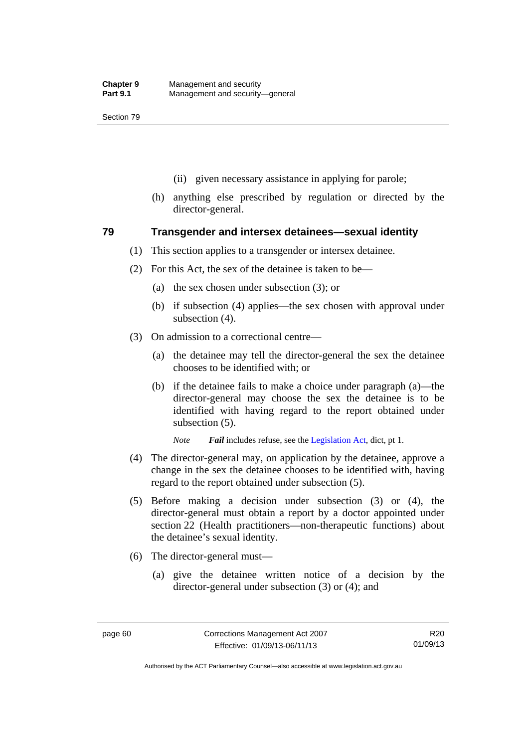- (ii) given necessary assistance in applying for parole;
- (h) anything else prescribed by regulation or directed by the director-general.

# **79 Transgender and intersex detainees—sexual identity**

- (1) This section applies to a transgender or intersex detainee.
- (2) For this Act, the sex of the detainee is taken to be—
	- (a) the sex chosen under subsection (3); or
	- (b) if subsection (4) applies—the sex chosen with approval under subsection (4).
- (3) On admission to a correctional centre—
	- (a) the detainee may tell the director-general the sex the detainee chooses to be identified with; or
	- (b) if the detainee fails to make a choice under paragraph (a)—the director-general may choose the sex the detainee is to be identified with having regard to the report obtained under subsection (5).

*Note Fail* includes refuse, see the [Legislation Act,](http://www.legislation.act.gov.au/a/2001-14) dict, pt 1.

- (4) The director-general may, on application by the detainee, approve a change in the sex the detainee chooses to be identified with, having regard to the report obtained under subsection (5).
- (5) Before making a decision under subsection (3) or (4), the director-general must obtain a report by a doctor appointed under section 22 (Health practitioners—non-therapeutic functions) about the detainee's sexual identity.
- (6) The director-general must—
	- (a) give the detainee written notice of a decision by the director-general under subsection (3) or (4); and

R20 01/09/13

Authorised by the ACT Parliamentary Counsel—also accessible at www.legislation.act.gov.au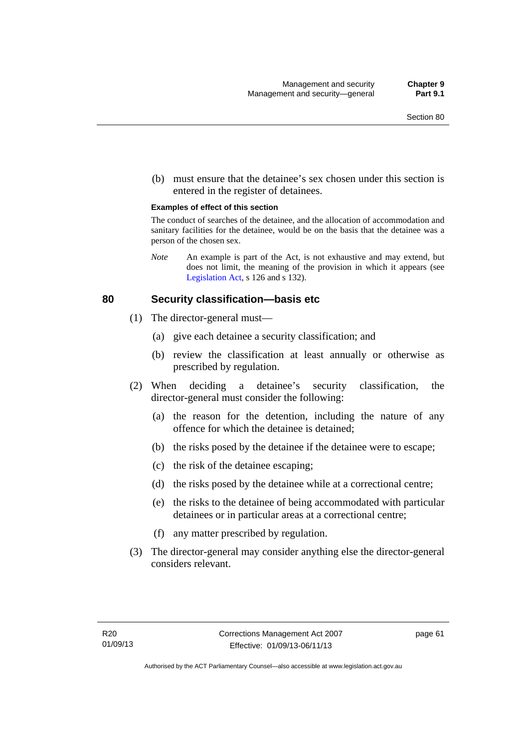(b) must ensure that the detainee's sex chosen under this section is entered in the register of detainees.

#### **Examples of effect of this section**

The conduct of searches of the detainee, and the allocation of accommodation and sanitary facilities for the detainee, would be on the basis that the detainee was a person of the chosen sex.

*Note* An example is part of the Act, is not exhaustive and may extend, but does not limit, the meaning of the provision in which it appears (see [Legislation Act,](http://www.legislation.act.gov.au/a/2001-14) s 126 and s 132).

## **80 Security classification—basis etc**

- (1) The director-general must—
	- (a) give each detainee a security classification; and
	- (b) review the classification at least annually or otherwise as prescribed by regulation.
- (2) When deciding a detainee's security classification, the director-general must consider the following:
	- (a) the reason for the detention, including the nature of any offence for which the detainee is detained;
	- (b) the risks posed by the detainee if the detainee were to escape;
	- (c) the risk of the detainee escaping;
	- (d) the risks posed by the detainee while at a correctional centre;
	- (e) the risks to the detainee of being accommodated with particular detainees or in particular areas at a correctional centre;
	- (f) any matter prescribed by regulation.
- (3) The director-general may consider anything else the director-general considers relevant.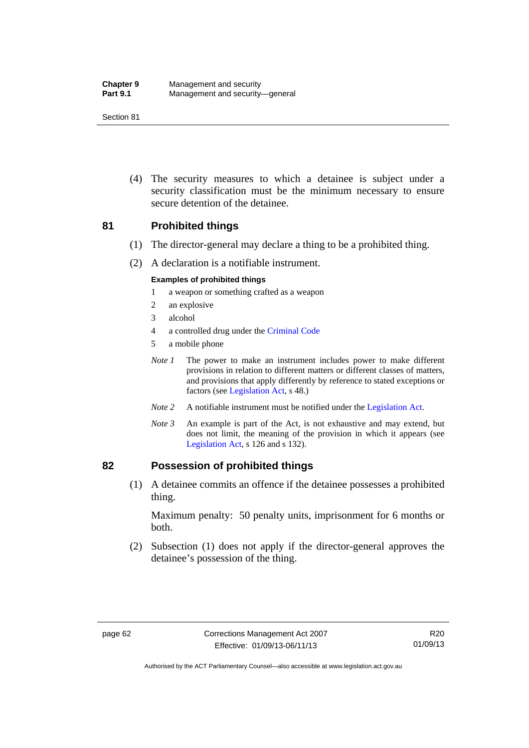| <b>Chapter 9</b> | Management and security         |
|------------------|---------------------------------|
| <b>Part 9.1</b>  | Management and security-general |

 (4) The security measures to which a detainee is subject under a security classification must be the minimum necessary to ensure secure detention of the detainee.

# **81 Prohibited things**

- (1) The director-general may declare a thing to be a prohibited thing.
- (2) A declaration is a notifiable instrument.

#### **Examples of prohibited things**

- 1 a weapon or something crafted as a weapon
- 2 an explosive
- 3 alcohol
- 4 a controlled drug under the [Criminal Code](http://www.legislation.act.gov.au/a/2002-51)
- 5 a mobile phone
- *Note 1* The power to make an instrument includes power to make different provisions in relation to different matters or different classes of matters, and provisions that apply differently by reference to stated exceptions or factors (see [Legislation Act](http://www.legislation.act.gov.au/a/2001-14), s 48.)
- *Note 2* A notifiable instrument must be notified under the [Legislation Act](http://www.legislation.act.gov.au/a/2001-14).
- *Note 3* An example is part of the Act, is not exhaustive and may extend, but does not limit, the meaning of the provision in which it appears (see [Legislation Act,](http://www.legislation.act.gov.au/a/2001-14) s 126 and s 132).

### **82 Possession of prohibited things**

 (1) A detainee commits an offence if the detainee possesses a prohibited thing.

Maximum penalty: 50 penalty units, imprisonment for 6 months or both.

 (2) Subsection (1) does not apply if the director-general approves the detainee's possession of the thing.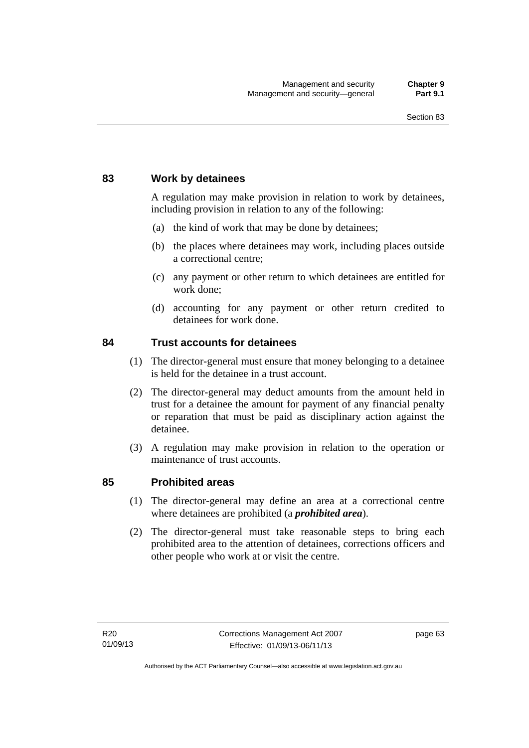# **83 Work by detainees**

A regulation may make provision in relation to work by detainees, including provision in relation to any of the following:

- (a) the kind of work that may be done by detainees;
- (b) the places where detainees may work, including places outside a correctional centre;
- (c) any payment or other return to which detainees are entitled for work done;
- (d) accounting for any payment or other return credited to detainees for work done.

# **84 Trust accounts for detainees**

- (1) The director-general must ensure that money belonging to a detainee is held for the detainee in a trust account.
- (2) The director-general may deduct amounts from the amount held in trust for a detainee the amount for payment of any financial penalty or reparation that must be paid as disciplinary action against the detainee.
- (3) A regulation may make provision in relation to the operation or maintenance of trust accounts.

# **85 Prohibited areas**

- (1) The director-general may define an area at a correctional centre where detainees are prohibited (a *prohibited area*).
- (2) The director-general must take reasonable steps to bring each prohibited area to the attention of detainees, corrections officers and other people who work at or visit the centre.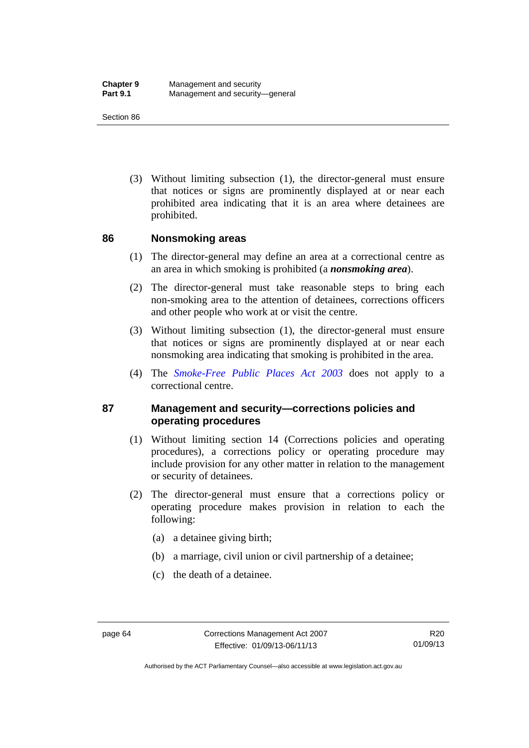(3) Without limiting subsection (1), the director-general must ensure that notices or signs are prominently displayed at or near each prohibited area indicating that it is an area where detainees are prohibited.

## **86 Nonsmoking areas**

- (1) The director-general may define an area at a correctional centre as an area in which smoking is prohibited (a *nonsmoking area*).
- (2) The director-general must take reasonable steps to bring each non-smoking area to the attention of detainees, corrections officers and other people who work at or visit the centre.
- (3) Without limiting subsection (1), the director-general must ensure that notices or signs are prominently displayed at or near each nonsmoking area indicating that smoking is prohibited in the area.
- (4) The *[Smoke-Free Public Places Act 2003](http://www.legislation.act.gov.au/a/2003-51)* does not apply to a correctional centre.

# **87 Management and security—corrections policies and operating procedures**

- (1) Without limiting section 14 (Corrections policies and operating procedures), a corrections policy or operating procedure may include provision for any other matter in relation to the management or security of detainees.
- (2) The director-general must ensure that a corrections policy or operating procedure makes provision in relation to each the following:
	- (a) a detainee giving birth;
	- (b) a marriage, civil union or civil partnership of a detainee;
	- (c) the death of a detainee.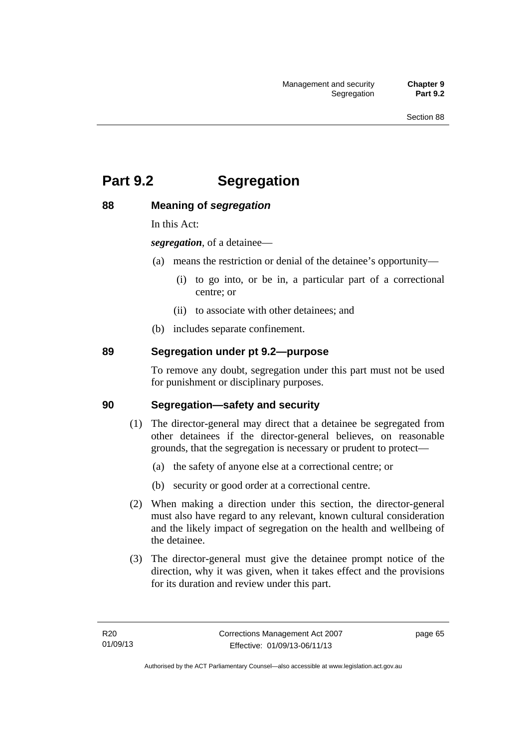# **Part 9.2 Segregation**

# **88 Meaning of** *segregation*

In this Act:

*segregation*, of a detainee—

- (a) means the restriction or denial of the detainee's opportunity—
	- (i) to go into, or be in, a particular part of a correctional centre; or
	- (ii) to associate with other detainees; and
- (b) includes separate confinement.

# **89 Segregation under pt 9.2—purpose**

To remove any doubt, segregation under this part must not be used for punishment or disciplinary purposes.

# **90 Segregation—safety and security**

- (1) The director-general may direct that a detainee be segregated from other detainees if the director-general believes, on reasonable grounds, that the segregation is necessary or prudent to protect—
	- (a) the safety of anyone else at a correctional centre; or
	- (b) security or good order at a correctional centre.
- (2) When making a direction under this section, the director-general must also have regard to any relevant, known cultural consideration and the likely impact of segregation on the health and wellbeing of the detainee.
- (3) The director-general must give the detainee prompt notice of the direction, why it was given, when it takes effect and the provisions for its duration and review under this part.

page 65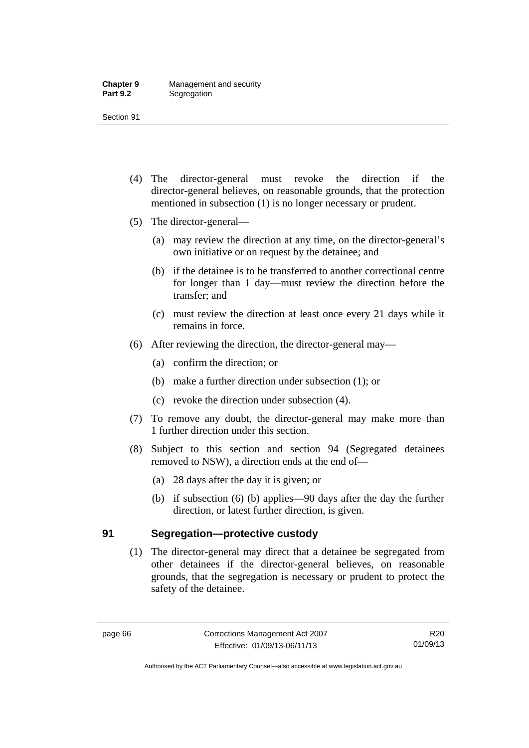- (4) The director-general must revoke the direction if the director-general believes, on reasonable grounds, that the protection mentioned in subsection (1) is no longer necessary or prudent.
- (5) The director-general—
	- (a) may review the direction at any time, on the director-general's own initiative or on request by the detainee; and
	- (b) if the detainee is to be transferred to another correctional centre for longer than 1 day—must review the direction before the transfer; and
	- (c) must review the direction at least once every 21 days while it remains in force.
- (6) After reviewing the direction, the director-general may—
	- (a) confirm the direction; or
	- (b) make a further direction under subsection (1); or
	- (c) revoke the direction under subsection (4).
- (7) To remove any doubt, the director-general may make more than 1 further direction under this section.
- (8) Subject to this section and section 94 (Segregated detainees removed to NSW), a direction ends at the end of—
	- (a) 28 days after the day it is given; or
	- (b) if subsection (6) (b) applies—90 days after the day the further direction, or latest further direction, is given.

# **91 Segregation—protective custody**

 (1) The director-general may direct that a detainee be segregated from other detainees if the director-general believes, on reasonable grounds, that the segregation is necessary or prudent to protect the safety of the detainee.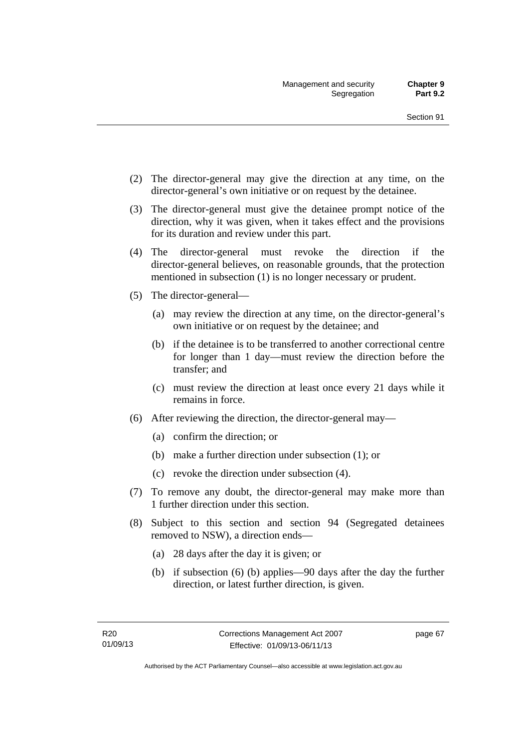- (2) The director-general may give the direction at any time, on the director-general's own initiative or on request by the detainee.
- (3) The director-general must give the detainee prompt notice of the direction, why it was given, when it takes effect and the provisions for its duration and review under this part.
- (4) The director-general must revoke the direction if the director-general believes, on reasonable grounds, that the protection mentioned in subsection (1) is no longer necessary or prudent.
- (5) The director-general—
	- (a) may review the direction at any time, on the director-general's own initiative or on request by the detainee; and
	- (b) if the detainee is to be transferred to another correctional centre for longer than 1 day—must review the direction before the transfer; and
	- (c) must review the direction at least once every 21 days while it remains in force.
- (6) After reviewing the direction, the director-general may—
	- (a) confirm the direction; or
	- (b) make a further direction under subsection (1); or
	- (c) revoke the direction under subsection (4).
- (7) To remove any doubt, the director-general may make more than 1 further direction under this section.
- (8) Subject to this section and section 94 (Segregated detainees removed to NSW), a direction ends—
	- (a) 28 days after the day it is given; or
	- (b) if subsection (6) (b) applies—90 days after the day the further direction, or latest further direction, is given.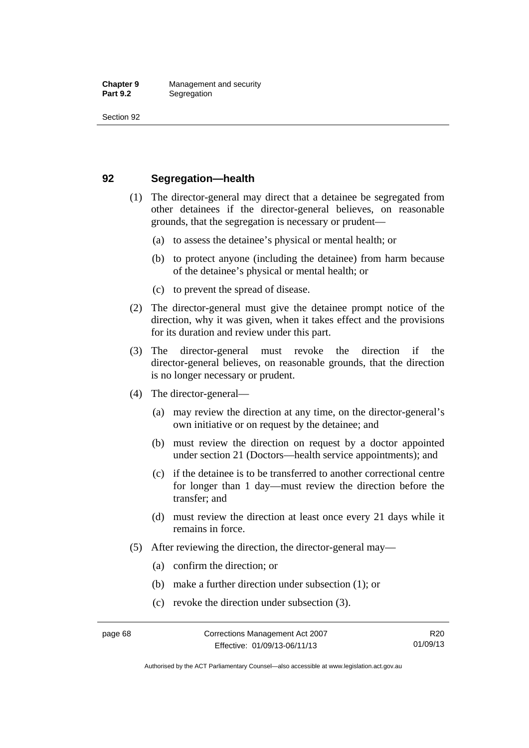# **92 Segregation—health**

- (1) The director-general may direct that a detainee be segregated from other detainees if the director-general believes, on reasonable grounds, that the segregation is necessary or prudent—
	- (a) to assess the detainee's physical or mental health; or
	- (b) to protect anyone (including the detainee) from harm because of the detainee's physical or mental health; or
	- (c) to prevent the spread of disease.
- (2) The director-general must give the detainee prompt notice of the direction, why it was given, when it takes effect and the provisions for its duration and review under this part.
- (3) The director-general must revoke the direction if the director-general believes, on reasonable grounds, that the direction is no longer necessary or prudent.
- (4) The director-general—
	- (a) may review the direction at any time, on the director-general's own initiative or on request by the detainee; and
	- (b) must review the direction on request by a doctor appointed under section 21 (Doctors—health service appointments); and
	- (c) if the detainee is to be transferred to another correctional centre for longer than 1 day—must review the direction before the transfer; and
	- (d) must review the direction at least once every 21 days while it remains in force.
- (5) After reviewing the direction, the director-general may—
	- (a) confirm the direction; or
	- (b) make a further direction under subsection (1); or
	- (c) revoke the direction under subsection (3).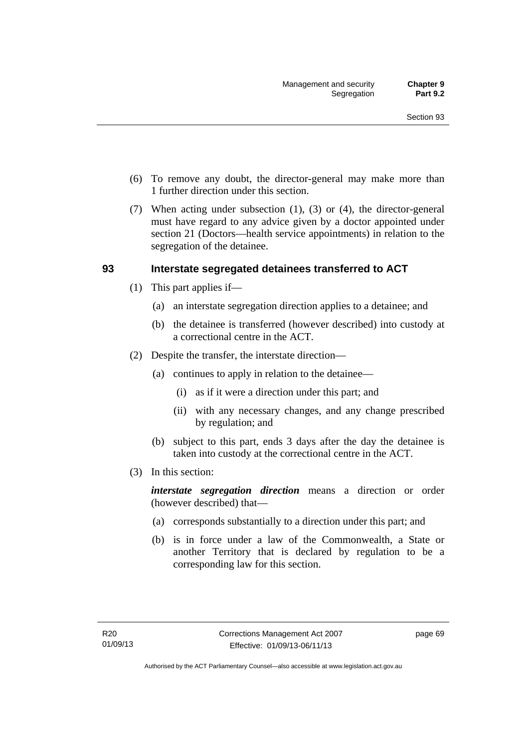- (6) To remove any doubt, the director-general may make more than 1 further direction under this section.
- (7) When acting under subsection (1), (3) or (4), the director-general must have regard to any advice given by a doctor appointed under section 21 (Doctors—health service appointments) in relation to the segregation of the detainee.

# **93 Interstate segregated detainees transferred to ACT**

- (1) This part applies if—
	- (a) an interstate segregation direction applies to a detainee; and
	- (b) the detainee is transferred (however described) into custody at a correctional centre in the ACT.
- (2) Despite the transfer, the interstate direction—
	- (a) continues to apply in relation to the detainee—
		- (i) as if it were a direction under this part; and
		- (ii) with any necessary changes, and any change prescribed by regulation; and
	- (b) subject to this part, ends 3 days after the day the detainee is taken into custody at the correctional centre in the ACT.
- (3) In this section:

*interstate segregation direction* means a direction or order (however described) that—

- (a) corresponds substantially to a direction under this part; and
- (b) is in force under a law of the Commonwealth, a State or another Territory that is declared by regulation to be a corresponding law for this section.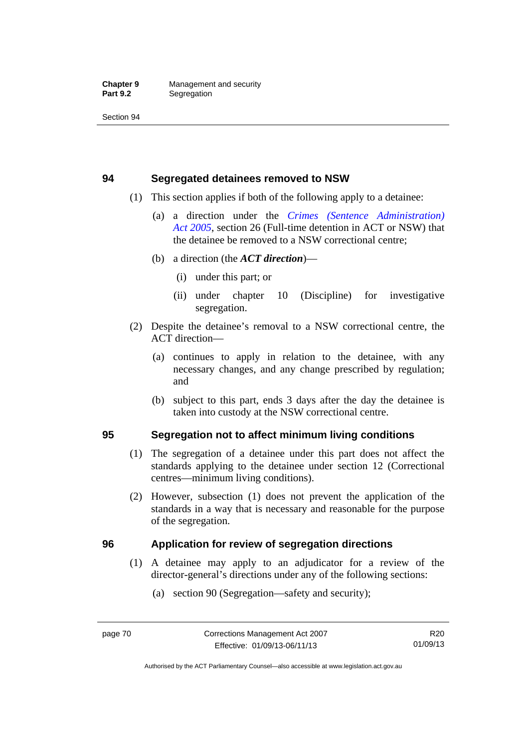# **94 Segregated detainees removed to NSW**

- (1) This section applies if both of the following apply to a detainee:
	- (a) a direction under the *[Crimes \(Sentence Administration\)](http://www.legislation.act.gov.au/a/2005-59)  [Act 2005](http://www.legislation.act.gov.au/a/2005-59)*, section 26 (Full-time detention in ACT or NSW) that the detainee be removed to a NSW correctional centre;
	- (b) a direction (the *ACT direction*)—
		- (i) under this part; or
		- (ii) under chapter 10 (Discipline) for investigative segregation.
- (2) Despite the detainee's removal to a NSW correctional centre, the ACT direction—
	- (a) continues to apply in relation to the detainee, with any necessary changes, and any change prescribed by regulation; and
	- (b) subject to this part, ends 3 days after the day the detainee is taken into custody at the NSW correctional centre.

# **95 Segregation not to affect minimum living conditions**

- (1) The segregation of a detainee under this part does not affect the standards applying to the detainee under section 12 (Correctional centres—minimum living conditions).
- (2) However, subsection (1) does not prevent the application of the standards in a way that is necessary and reasonable for the purpose of the segregation.

# **96 Application for review of segregation directions**

- (1) A detainee may apply to an adjudicator for a review of the director-general's directions under any of the following sections:
	- (a) section 90 (Segregation—safety and security);

Authorised by the ACT Parliamentary Counsel—also accessible at www.legislation.act.gov.au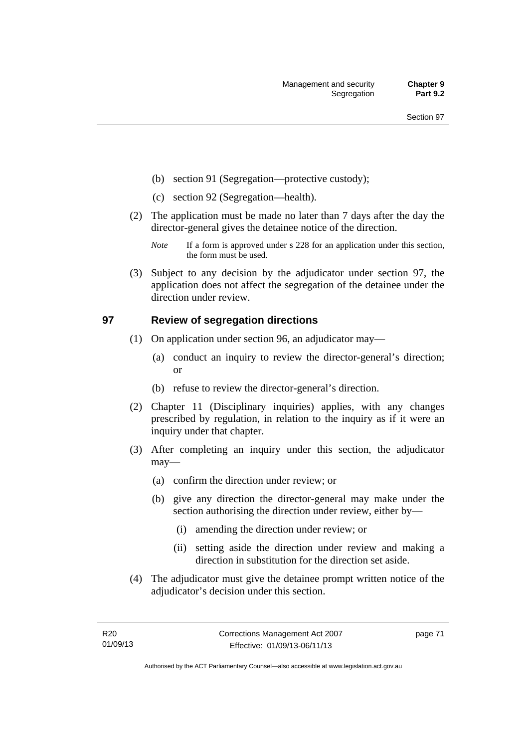- (b) section 91 (Segregation—protective custody);
- (c) section 92 (Segregation—health).
- (2) The application must be made no later than 7 days after the day the director-general gives the detainee notice of the direction.
	- *Note* If a form is approved under s 228 for an application under this section, the form must be used.
- (3) Subject to any decision by the adjudicator under section 97, the application does not affect the segregation of the detainee under the direction under review.

# **97 Review of segregation directions**

- (1) On application under section 96, an adjudicator may—
	- (a) conduct an inquiry to review the director-general's direction; or
	- (b) refuse to review the director-general's direction.
- (2) Chapter 11 (Disciplinary inquiries) applies, with any changes prescribed by regulation, in relation to the inquiry as if it were an inquiry under that chapter.
- (3) After completing an inquiry under this section, the adjudicator may—
	- (a) confirm the direction under review; or
	- (b) give any direction the director-general may make under the section authorising the direction under review, either by—
		- (i) amending the direction under review; or
		- (ii) setting aside the direction under review and making a direction in substitution for the direction set aside.
- (4) The adjudicator must give the detainee prompt written notice of the adjudicator's decision under this section.

page 71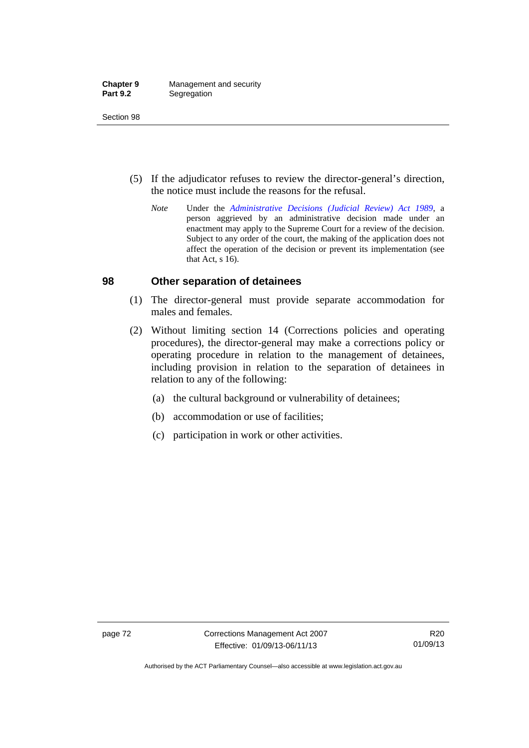| <b>Chapter 9</b> | Management and security |
|------------------|-------------------------|
| <b>Part 9.2</b>  | Segregation             |

- (5) If the adjudicator refuses to review the director-general's direction, the notice must include the reasons for the refusal.
	- *Note* Under the *[Administrative Decisions \(Judicial Review\) Act 1989](http://www.legislation.act.gov.au/a/alt_a1989-33co)*, a person aggrieved by an administrative decision made under an enactment may apply to the Supreme Court for a review of the decision. Subject to any order of the court, the making of the application does not affect the operation of the decision or prevent its implementation (see that Act, s 16).

## **98 Other separation of detainees**

- (1) The director-general must provide separate accommodation for males and females.
- (2) Without limiting section 14 (Corrections policies and operating procedures), the director-general may make a corrections policy or operating procedure in relation to the management of detainees, including provision in relation to the separation of detainees in relation to any of the following:
	- (a) the cultural background or vulnerability of detainees;
	- (b) accommodation or use of facilities;
	- (c) participation in work or other activities.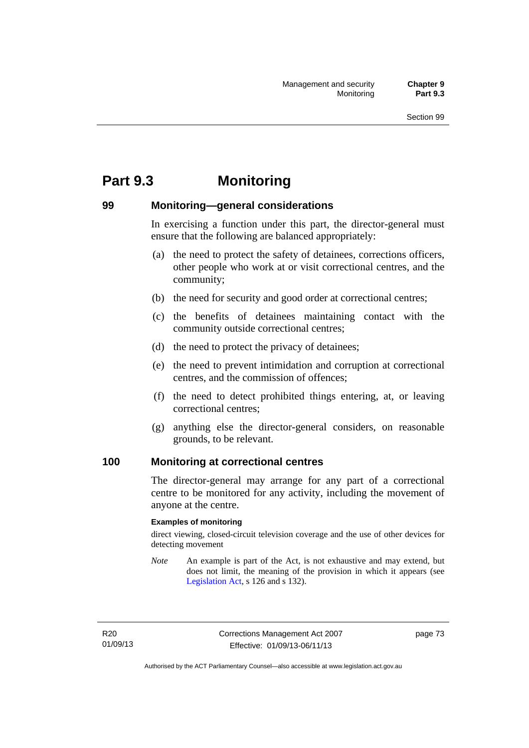# **Part 9.3 Monitoring**

# **99 Monitoring—general considerations**

In exercising a function under this part, the director-general must ensure that the following are balanced appropriately:

- (a) the need to protect the safety of detainees, corrections officers, other people who work at or visit correctional centres, and the community;
- (b) the need for security and good order at correctional centres;
- (c) the benefits of detainees maintaining contact with the community outside correctional centres;
- (d) the need to protect the privacy of detainees;
- (e) the need to prevent intimidation and corruption at correctional centres, and the commission of offences;
- (f) the need to detect prohibited things entering, at, or leaving correctional centres;
- (g) anything else the director-general considers, on reasonable grounds, to be relevant.

# **100 Monitoring at correctional centres**

The director-general may arrange for any part of a correctional centre to be monitored for any activity, including the movement of anyone at the centre.

#### **Examples of monitoring**

direct viewing, closed-circuit television coverage and the use of other devices for detecting movement

*Note* An example is part of the Act, is not exhaustive and may extend, but does not limit, the meaning of the provision in which it appears (see [Legislation Act,](http://www.legislation.act.gov.au/a/2001-14) s 126 and s 132).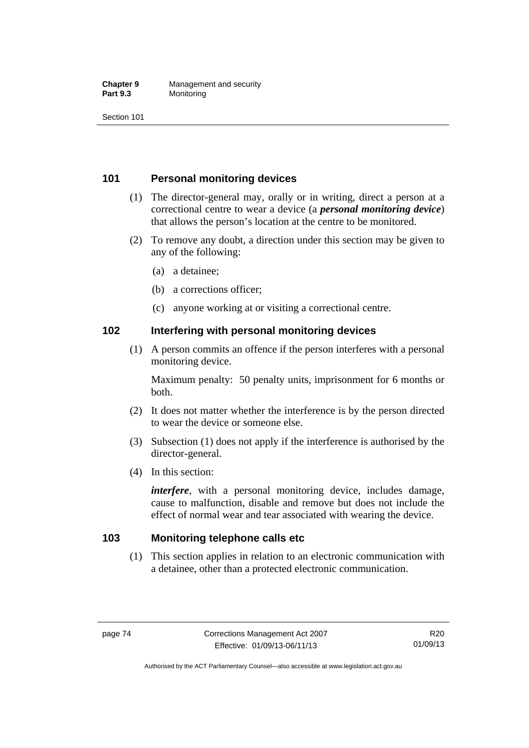#### **Chapter 9** Management and security<br>**Part 9.3** Monitoring **Monitoring**

Section 101

# **101 Personal monitoring devices**

- (1) The director-general may, orally or in writing, direct a person at a correctional centre to wear a device (a *personal monitoring device*) that allows the person's location at the centre to be monitored.
- (2) To remove any doubt, a direction under this section may be given to any of the following:
	- (a) a detainee;
	- (b) a corrections officer;
	- (c) anyone working at or visiting a correctional centre.

# **102 Interfering with personal monitoring devices**

 (1) A person commits an offence if the person interferes with a personal monitoring device.

Maximum penalty: 50 penalty units, imprisonment for 6 months or both.

- (2) It does not matter whether the interference is by the person directed to wear the device or someone else.
- (3) Subsection (1) does not apply if the interference is authorised by the director-general.
- (4) In this section:

*interfere*, with a personal monitoring device, includes damage, cause to malfunction, disable and remove but does not include the effect of normal wear and tear associated with wearing the device.

# **103 Monitoring telephone calls etc**

 (1) This section applies in relation to an electronic communication with a detainee, other than a protected electronic communication.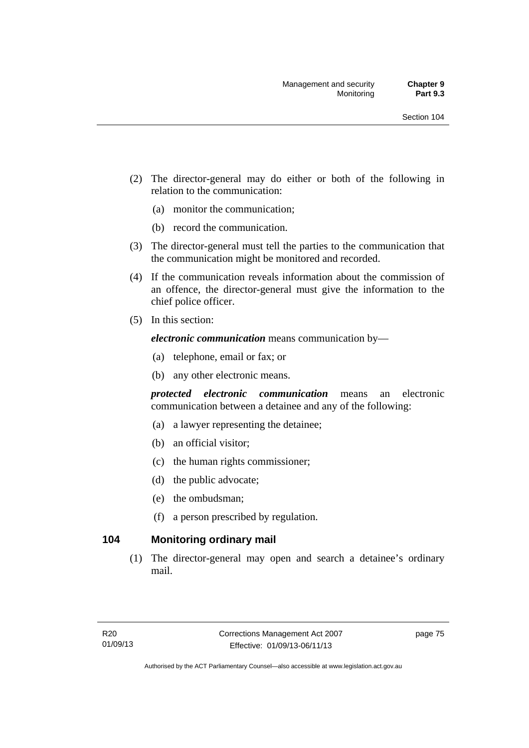- (2) The director-general may do either or both of the following in relation to the communication:
	- (a) monitor the communication;
	- (b) record the communication.
- (3) The director-general must tell the parties to the communication that the communication might be monitored and recorded.
- (4) If the communication reveals information about the commission of an offence, the director-general must give the information to the chief police officer.
- (5) In this section:

*electronic communication* means communication by—

- (a) telephone, email or fax; or
- (b) any other electronic means.

*protected electronic communication* means an electronic communication between a detainee and any of the following:

- (a) a lawyer representing the detainee;
- (b) an official visitor;
- (c) the human rights commissioner;
- (d) the public advocate;
- (e) the ombudsman;
- (f) a person prescribed by regulation.

# **104 Monitoring ordinary mail**

 (1) The director-general may open and search a detainee's ordinary mail.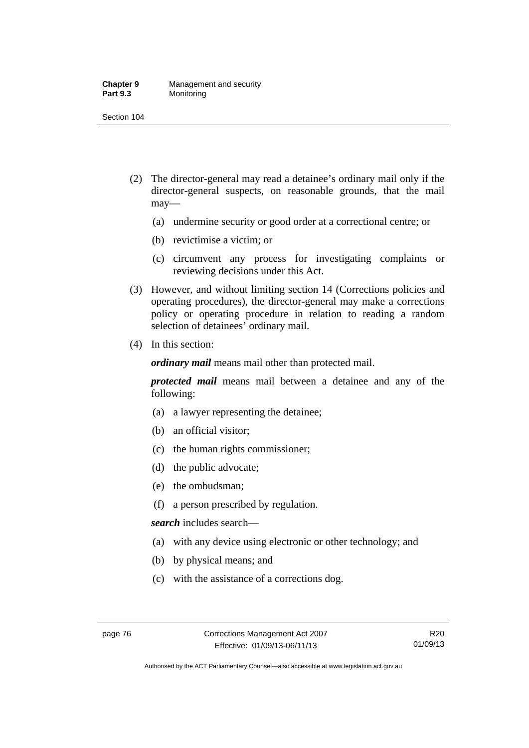#### **Chapter 9** Management and security<br>**Part 9.3** Monitoring **Monitoring**

Section 104

- (2) The director-general may read a detainee's ordinary mail only if the director-general suspects, on reasonable grounds, that the mail may—
	- (a) undermine security or good order at a correctional centre; or
	- (b) revictimise a victim; or
	- (c) circumvent any process for investigating complaints or reviewing decisions under this Act.
- (3) However, and without limiting section 14 (Corrections policies and operating procedures), the director-general may make a corrections policy or operating procedure in relation to reading a random selection of detainees' ordinary mail.
- (4) In this section:

*ordinary mail* means mail other than protected mail.

*protected mail* means mail between a detainee and any of the following:

- (a) a lawyer representing the detainee;
- (b) an official visitor;
- (c) the human rights commissioner;
- (d) the public advocate;
- (e) the ombudsman;
- (f) a person prescribed by regulation.

*search* includes search—

- (a) with any device using electronic or other technology; and
- (b) by physical means; and
- (c) with the assistance of a corrections dog.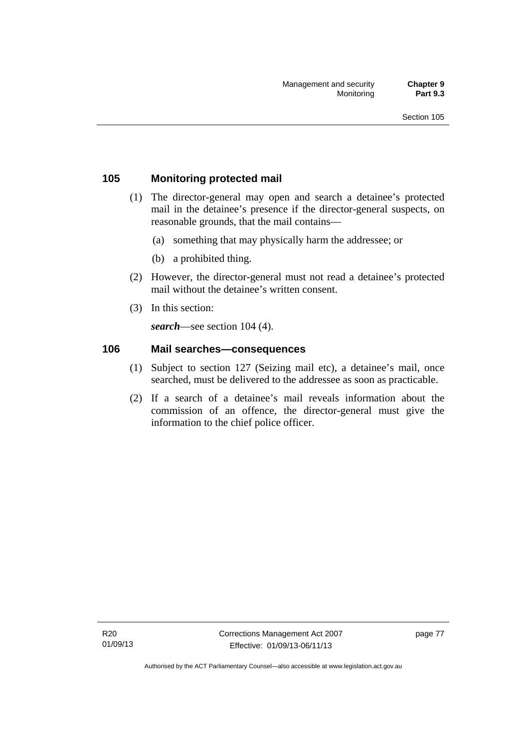# **105 Monitoring protected mail**

- (1) The director-general may open and search a detainee's protected mail in the detainee's presence if the director-general suspects, on reasonable grounds, that the mail contains—
	- (a) something that may physically harm the addressee; or
	- (b) a prohibited thing.
- (2) However, the director-general must not read a detainee's protected mail without the detainee's written consent.
- (3) In this section:

*search*—see section 104 (4).

# **106 Mail searches—consequences**

- (1) Subject to section 127 (Seizing mail etc), a detainee's mail, once searched, must be delivered to the addressee as soon as practicable.
- (2) If a search of a detainee's mail reveals information about the commission of an offence, the director-general must give the information to the chief police officer.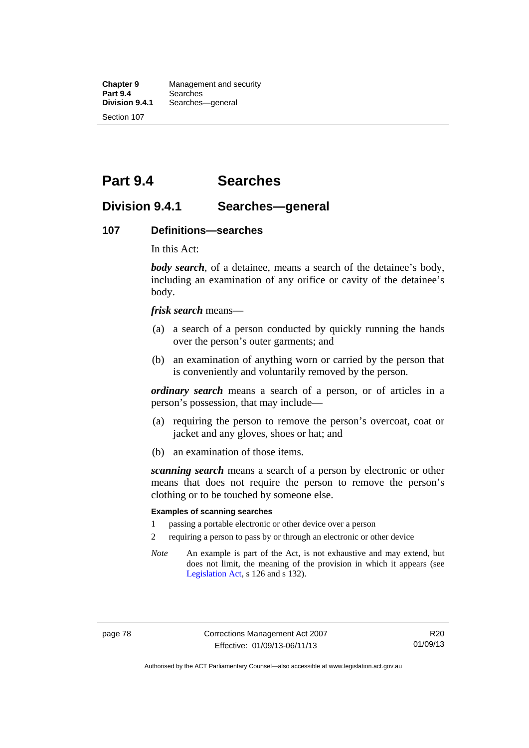**Chapter 9** Management and security<br>**Part 9.4** Searches **Part 9.4 Searches**<br>**Division 9.4.1** Searches Searches—general Section 107

# **Part 9.4 Searches**

# **Division 9.4.1 Searches—general**

### **107 Definitions—searches**

In this Act:

*body search*, of a detainee, means a search of the detainee's body, including an examination of any orifice or cavity of the detainee's body.

*frisk search* means—

- (a) a search of a person conducted by quickly running the hands over the person's outer garments; and
- (b) an examination of anything worn or carried by the person that is conveniently and voluntarily removed by the person.

*ordinary search* means a search of a person, or of articles in a person's possession, that may include—

- (a) requiring the person to remove the person's overcoat, coat or jacket and any gloves, shoes or hat; and
- (b) an examination of those items.

*scanning search* means a search of a person by electronic or other means that does not require the person to remove the person's clothing or to be touched by someone else.

#### **Examples of scanning searches**

- 1 passing a portable electronic or other device over a person
- 2 requiring a person to pass by or through an electronic or other device
- *Note* An example is part of the Act, is not exhaustive and may extend, but does not limit, the meaning of the provision in which it appears (see [Legislation Act,](http://www.legislation.act.gov.au/a/2001-14) s 126 and s 132).

Authorised by the ACT Parliamentary Counsel—also accessible at www.legislation.act.gov.au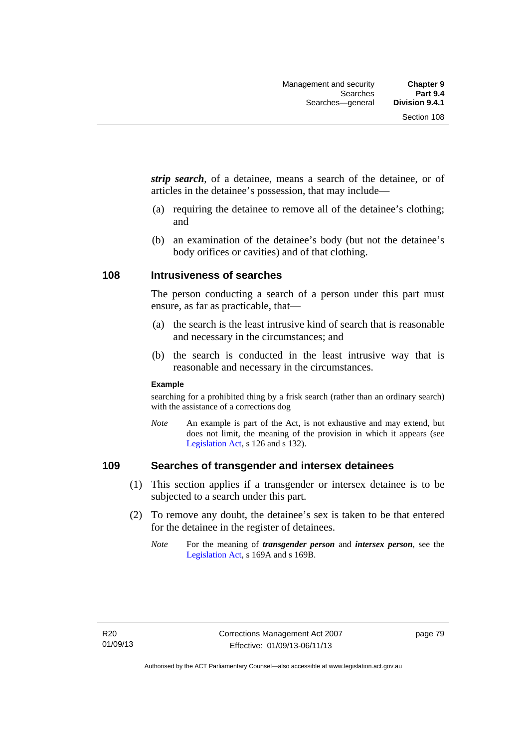*strip search*, of a detainee, means a search of the detainee, or of articles in the detainee's possession, that may include—

- (a) requiring the detainee to remove all of the detainee's clothing; and
- (b) an examination of the detainee's body (but not the detainee's body orifices or cavities) and of that clothing.

# **108 Intrusiveness of searches**

The person conducting a search of a person under this part must ensure, as far as practicable, that—

- (a) the search is the least intrusive kind of search that is reasonable and necessary in the circumstances; and
- (b) the search is conducted in the least intrusive way that is reasonable and necessary in the circumstances.

#### **Example**

searching for a prohibited thing by a frisk search (rather than an ordinary search) with the assistance of a corrections dog

*Note* An example is part of the Act, is not exhaustive and may extend, but does not limit, the meaning of the provision in which it appears (see [Legislation Act,](http://www.legislation.act.gov.au/a/2001-14) s 126 and s 132).

# **109 Searches of transgender and intersex detainees**

- (1) This section applies if a transgender or intersex detainee is to be subjected to a search under this part.
- (2) To remove any doubt, the detainee's sex is taken to be that entered for the detainee in the register of detainees.
	- *Note* For the meaning of *transgender person* and *intersex person*, see the [Legislation Act,](http://www.legislation.act.gov.au/a/2001-14) s 169A and s 169B.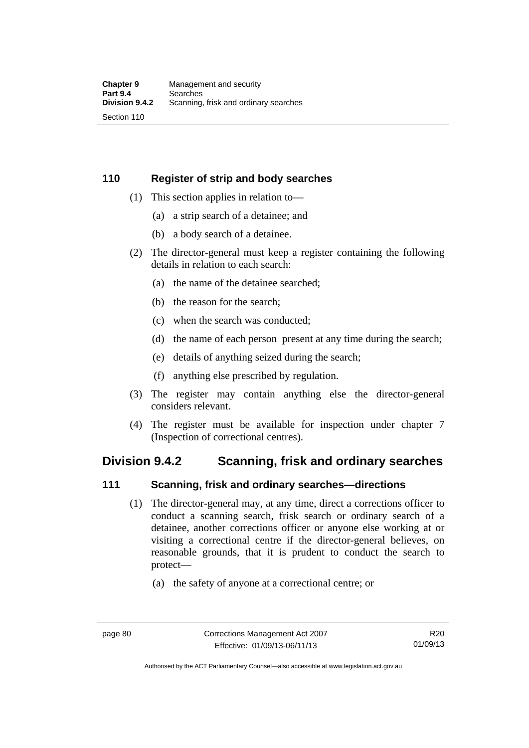# **110 Register of strip and body searches**

- (1) This section applies in relation to—
	- (a) a strip search of a detainee; and
	- (b) a body search of a detainee.
- (2) The director-general must keep a register containing the following details in relation to each search:
	- (a) the name of the detainee searched;
	- (b) the reason for the search;
	- (c) when the search was conducted;
	- (d) the name of each person present at any time during the search;
	- (e) details of anything seized during the search;
	- (f) anything else prescribed by regulation.
- (3) The register may contain anything else the director-general considers relevant.
- (4) The register must be available for inspection under chapter 7 (Inspection of correctional centres).

# **Division 9.4.2 Scanning, frisk and ordinary searches**

# **111 Scanning, frisk and ordinary searches—directions**

- (1) The director-general may, at any time, direct a corrections officer to conduct a scanning search, frisk search or ordinary search of a detainee, another corrections officer or anyone else working at or visiting a correctional centre if the director-general believes, on reasonable grounds, that it is prudent to conduct the search to protect—
	- (a) the safety of anyone at a correctional centre; or

Authorised by the ACT Parliamentary Counsel—also accessible at www.legislation.act.gov.au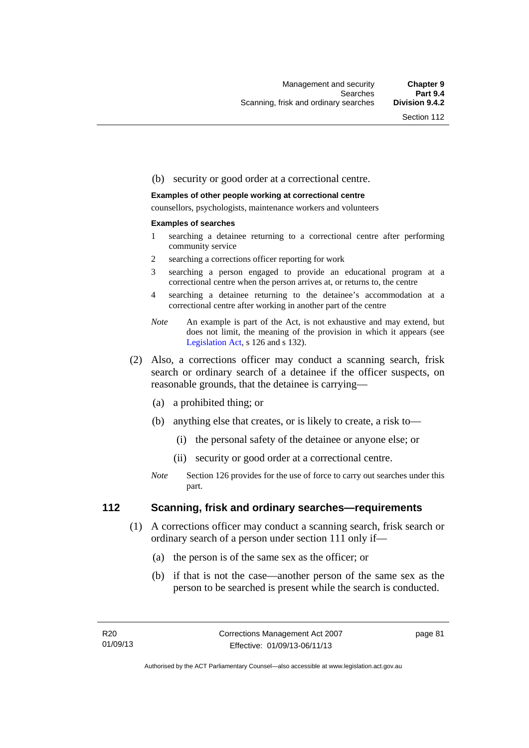#### (b) security or good order at a correctional centre.

#### **Examples of other people working at correctional centre**

counsellors, psychologists, maintenance workers and volunteers

#### **Examples of searches**

- 1 searching a detainee returning to a correctional centre after performing community service
- 2 searching a corrections officer reporting for work
- 3 searching a person engaged to provide an educational program at a correctional centre when the person arrives at, or returns to, the centre
- 4 searching a detainee returning to the detainee's accommodation at a correctional centre after working in another part of the centre
- *Note* An example is part of the Act, is not exhaustive and may extend, but does not limit, the meaning of the provision in which it appears (see [Legislation Act,](http://www.legislation.act.gov.au/a/2001-14) s 126 and s 132).
- (2) Also, a corrections officer may conduct a scanning search, frisk search or ordinary search of a detainee if the officer suspects, on reasonable grounds, that the detainee is carrying—
	- (a) a prohibited thing; or
	- (b) anything else that creates, or is likely to create, a risk to—
		- (i) the personal safety of the detainee or anyone else; or
		- (ii) security or good order at a correctional centre.
	- *Note* Section 126 provides for the use of force to carry out searches under this part.

## **112 Scanning, frisk and ordinary searches—requirements**

- (1) A corrections officer may conduct a scanning search, frisk search or ordinary search of a person under section 111 only if—
	- (a) the person is of the same sex as the officer; or
	- (b) if that is not the case—another person of the same sex as the person to be searched is present while the search is conducted.

page 81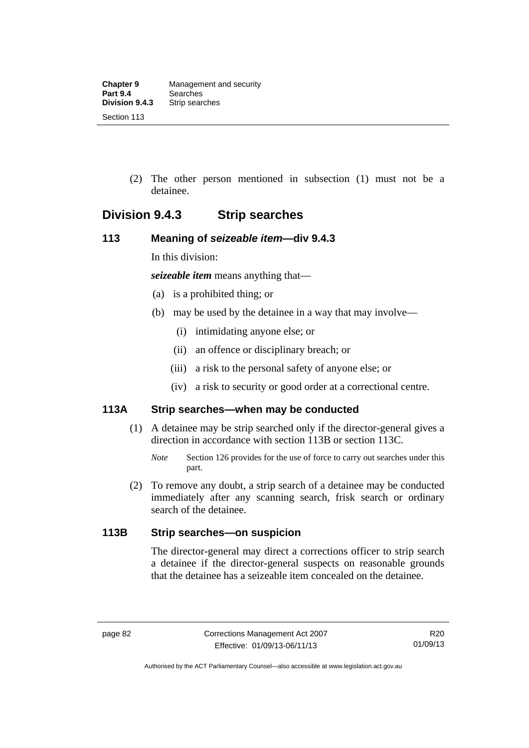(2) The other person mentioned in subsection (1) must not be a detainee.

# **Division 9.4.3 Strip searches**

# **113 Meaning of** *seizeable item***—div 9.4.3**

In this division:

*seizeable item* means anything that—

- (a) is a prohibited thing; or
- (b) may be used by the detainee in a way that may involve—
	- (i) intimidating anyone else; or
	- (ii) an offence or disciplinary breach; or
	- (iii) a risk to the personal safety of anyone else; or
	- (iv) a risk to security or good order at a correctional centre.

# **113A Strip searches—when may be conducted**

- (1) A detainee may be strip searched only if the director-general gives a direction in accordance with section 113B or section 113C.
	- *Note* Section 126 provides for the use of force to carry out searches under this part.
- (2) To remove any doubt, a strip search of a detainee may be conducted immediately after any scanning search, frisk search or ordinary search of the detainee.

# **113B Strip searches—on suspicion**

The director-general may direct a corrections officer to strip search a detainee if the director-general suspects on reasonable grounds that the detainee has a seizeable item concealed on the detainee.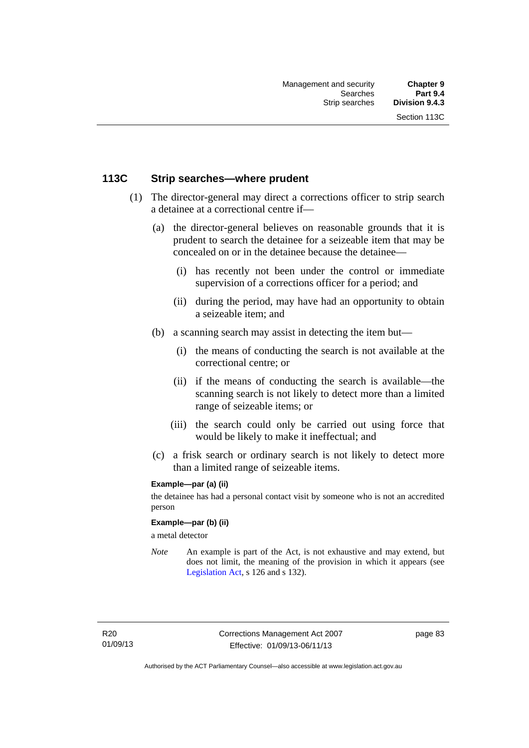# **113C Strip searches—where prudent**

- (1) The director-general may direct a corrections officer to strip search a detainee at a correctional centre if—
	- (a) the director-general believes on reasonable grounds that it is prudent to search the detainee for a seizeable item that may be concealed on or in the detainee because the detainee—
		- (i) has recently not been under the control or immediate supervision of a corrections officer for a period; and
		- (ii) during the period, may have had an opportunity to obtain a seizeable item; and
	- (b) a scanning search may assist in detecting the item but—
		- (i) the means of conducting the search is not available at the correctional centre; or
		- (ii) if the means of conducting the search is available—the scanning search is not likely to detect more than a limited range of seizeable items; or
		- (iii) the search could only be carried out using force that would be likely to make it ineffectual; and
	- (c) a frisk search or ordinary search is not likely to detect more than a limited range of seizeable items.

#### **Example—par (a) (ii)**

the detainee has had a personal contact visit by someone who is not an accredited person

#### **Example—par (b) (ii)**

a metal detector

*Note* An example is part of the Act, is not exhaustive and may extend, but does not limit, the meaning of the provision in which it appears (see [Legislation Act,](http://www.legislation.act.gov.au/a/2001-14) s 126 and s 132).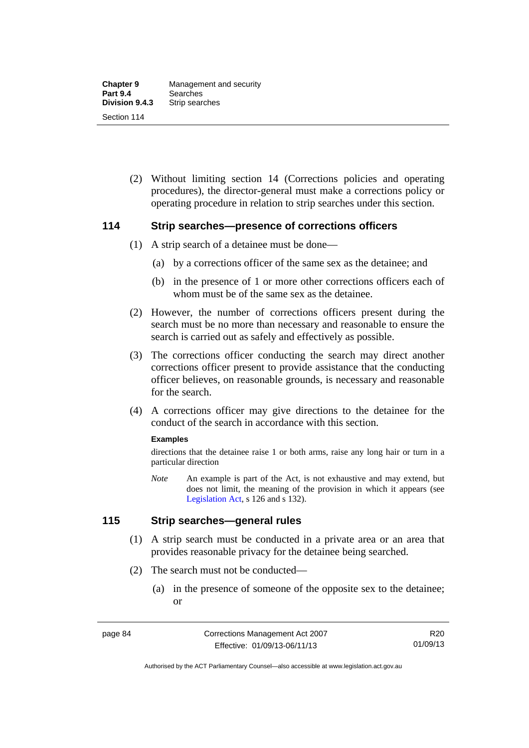(2) Without limiting section 14 (Corrections policies and operating procedures), the director-general must make a corrections policy or operating procedure in relation to strip searches under this section.

## **114 Strip searches—presence of corrections officers**

- (1) A strip search of a detainee must be done—
	- (a) by a corrections officer of the same sex as the detainee; and
	- (b) in the presence of 1 or more other corrections officers each of whom must be of the same sex as the detainee.
- (2) However, the number of corrections officers present during the search must be no more than necessary and reasonable to ensure the search is carried out as safely and effectively as possible.
- (3) The corrections officer conducting the search may direct another corrections officer present to provide assistance that the conducting officer believes, on reasonable grounds, is necessary and reasonable for the search.
- (4) A corrections officer may give directions to the detainee for the conduct of the search in accordance with this section.

#### **Examples**

directions that the detainee raise 1 or both arms, raise any long hair or turn in a particular direction

*Note* An example is part of the Act, is not exhaustive and may extend, but does not limit, the meaning of the provision in which it appears (see [Legislation Act,](http://www.legislation.act.gov.au/a/2001-14) s 126 and s 132).

# **115 Strip searches—general rules**

- (1) A strip search must be conducted in a private area or an area that provides reasonable privacy for the detainee being searched.
- (2) The search must not be conducted—
	- (a) in the presence of someone of the opposite sex to the detainee; or

Authorised by the ACT Parliamentary Counsel—also accessible at www.legislation.act.gov.au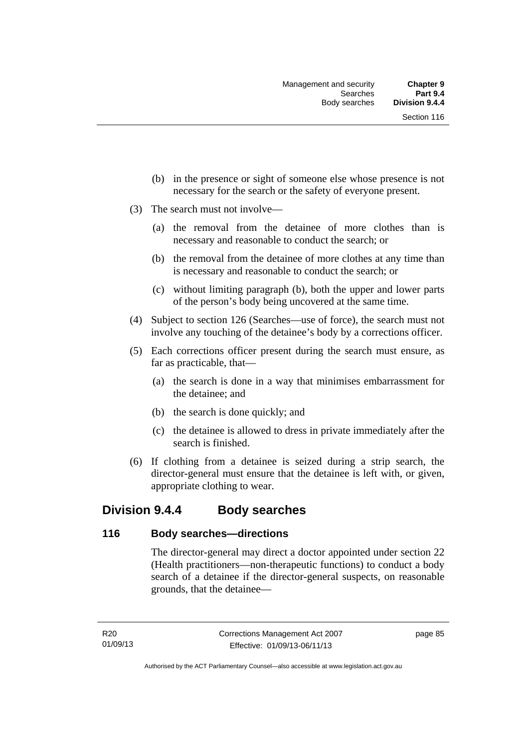- (b) in the presence or sight of someone else whose presence is not necessary for the search or the safety of everyone present.
- (3) The search must not involve—
	- (a) the removal from the detainee of more clothes than is necessary and reasonable to conduct the search; or
	- (b) the removal from the detainee of more clothes at any time than is necessary and reasonable to conduct the search; or
	- (c) without limiting paragraph (b), both the upper and lower parts of the person's body being uncovered at the same time.
- (4) Subject to section 126 (Searches—use of force), the search must not involve any touching of the detainee's body by a corrections officer.
- (5) Each corrections officer present during the search must ensure, as far as practicable, that—
	- (a) the search is done in a way that minimises embarrassment for the detainee; and
	- (b) the search is done quickly; and
	- (c) the detainee is allowed to dress in private immediately after the search is finished.
- (6) If clothing from a detainee is seized during a strip search, the director-general must ensure that the detainee is left with, or given, appropriate clothing to wear.

# **Division 9.4.4 Body searches**

# **116 Body searches—directions**

The director-general may direct a doctor appointed under section 22 (Health practitioners—non-therapeutic functions) to conduct a body search of a detainee if the director-general suspects, on reasonable grounds, that the detainee—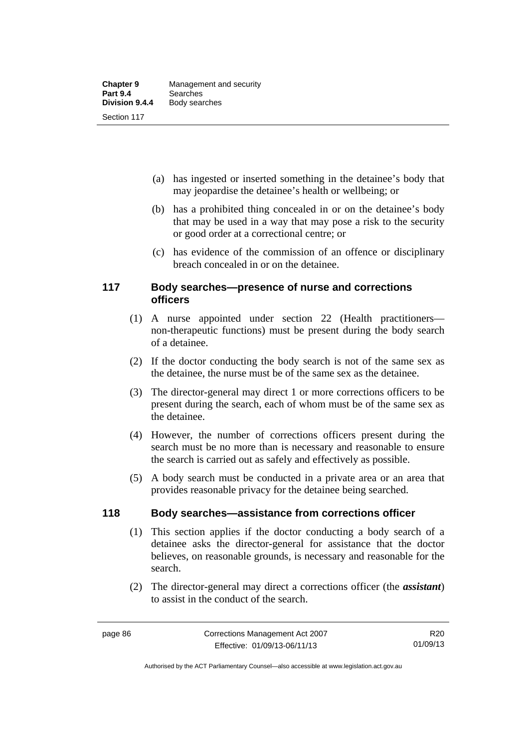- (a) has ingested or inserted something in the detainee's body that may jeopardise the detainee's health or wellbeing; or
- (b) has a prohibited thing concealed in or on the detainee's body that may be used in a way that may pose a risk to the security or good order at a correctional centre; or
- (c) has evidence of the commission of an offence or disciplinary breach concealed in or on the detainee.

# **117 Body searches—presence of nurse and corrections officers**

- (1) A nurse appointed under section 22 (Health practitioners non-therapeutic functions) must be present during the body search of a detainee.
- (2) If the doctor conducting the body search is not of the same sex as the detainee, the nurse must be of the same sex as the detainee.
- (3) The director-general may direct 1 or more corrections officers to be present during the search, each of whom must be of the same sex as the detainee.
- (4) However, the number of corrections officers present during the search must be no more than is necessary and reasonable to ensure the search is carried out as safely and effectively as possible.
- (5) A body search must be conducted in a private area or an area that provides reasonable privacy for the detainee being searched.

# **118 Body searches—assistance from corrections officer**

- (1) This section applies if the doctor conducting a body search of a detainee asks the director-general for assistance that the doctor believes, on reasonable grounds, is necessary and reasonable for the search.
- (2) The director-general may direct a corrections officer (the *assistant*) to assist in the conduct of the search.

R20 01/09/13

Authorised by the ACT Parliamentary Counsel—also accessible at www.legislation.act.gov.au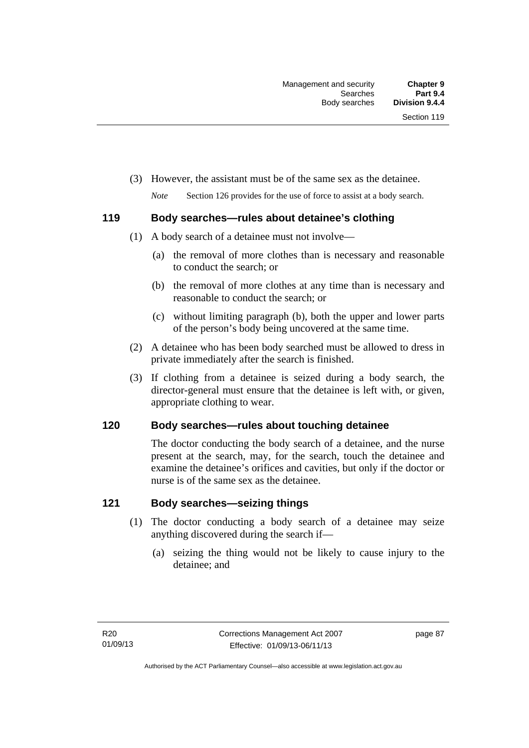(3) However, the assistant must be of the same sex as the detainee.

*Note* Section 126 provides for the use of force to assist at a body search.

# **119 Body searches—rules about detainee's clothing**

- (1) A body search of a detainee must not involve—
	- (a) the removal of more clothes than is necessary and reasonable to conduct the search; or
	- (b) the removal of more clothes at any time than is necessary and reasonable to conduct the search; or
	- (c) without limiting paragraph (b), both the upper and lower parts of the person's body being uncovered at the same time.
- (2) A detainee who has been body searched must be allowed to dress in private immediately after the search is finished.
- (3) If clothing from a detainee is seized during a body search, the director-general must ensure that the detainee is left with, or given, appropriate clothing to wear.

# **120 Body searches—rules about touching detainee**

The doctor conducting the body search of a detainee, and the nurse present at the search, may, for the search, touch the detainee and examine the detainee's orifices and cavities, but only if the doctor or nurse is of the same sex as the detainee.

# **121 Body searches—seizing things**

- (1) The doctor conducting a body search of a detainee may seize anything discovered during the search if—
	- (a) seizing the thing would not be likely to cause injury to the detainee; and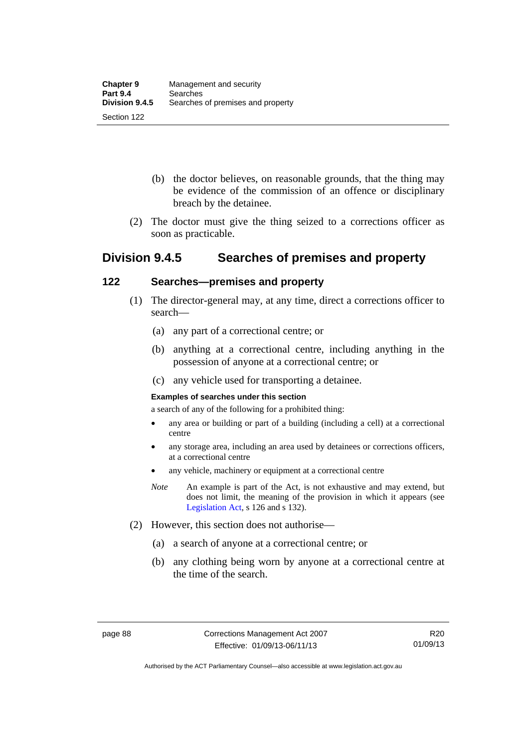- (b) the doctor believes, on reasonable grounds, that the thing may be evidence of the commission of an offence or disciplinary breach by the detainee.
- (2) The doctor must give the thing seized to a corrections officer as soon as practicable.

# **Division 9.4.5 Searches of premises and property**

# **122 Searches—premises and property**

- (1) The director-general may, at any time, direct a corrections officer to search—
	- (a) any part of a correctional centre; or
	- (b) anything at a correctional centre, including anything in the possession of anyone at a correctional centre; or
	- (c) any vehicle used for transporting a detainee.

#### **Examples of searches under this section**

a search of any of the following for a prohibited thing:

- any area or building or part of a building (including a cell) at a correctional centre
- any storage area, including an area used by detainees or corrections officers, at a correctional centre
- any vehicle, machinery or equipment at a correctional centre
- *Note* An example is part of the Act, is not exhaustive and may extend, but does not limit, the meaning of the provision in which it appears (see [Legislation Act,](http://www.legislation.act.gov.au/a/2001-14) s 126 and s 132).
- (2) However, this section does not authorise—
	- (a) a search of anyone at a correctional centre; or
	- (b) any clothing being worn by anyone at a correctional centre at the time of the search.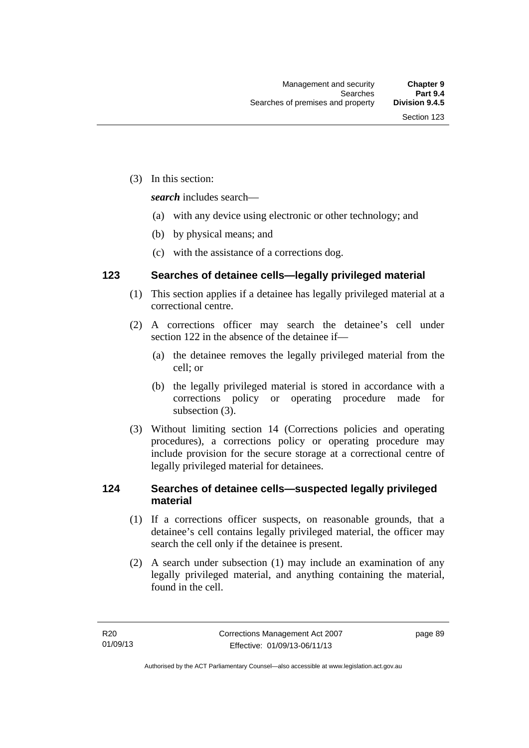(3) In this section:

*search* includes search—

- (a) with any device using electronic or other technology; and
- (b) by physical means; and
- (c) with the assistance of a corrections dog.

# **123 Searches of detainee cells—legally privileged material**

- (1) This section applies if a detainee has legally privileged material at a correctional centre.
- (2) A corrections officer may search the detainee's cell under section 122 in the absence of the detainee if—
	- (a) the detainee removes the legally privileged material from the cell; or
	- (b) the legally privileged material is stored in accordance with a corrections policy or operating procedure made for subsection (3).
- (3) Without limiting section 14 (Corrections policies and operating procedures), a corrections policy or operating procedure may include provision for the secure storage at a correctional centre of legally privileged material for detainees.

# **124 Searches of detainee cells—suspected legally privileged material**

- (1) If a corrections officer suspects, on reasonable grounds, that a detainee's cell contains legally privileged material, the officer may search the cell only if the detainee is present.
- (2) A search under subsection (1) may include an examination of any legally privileged material, and anything containing the material, found in the cell.

page 89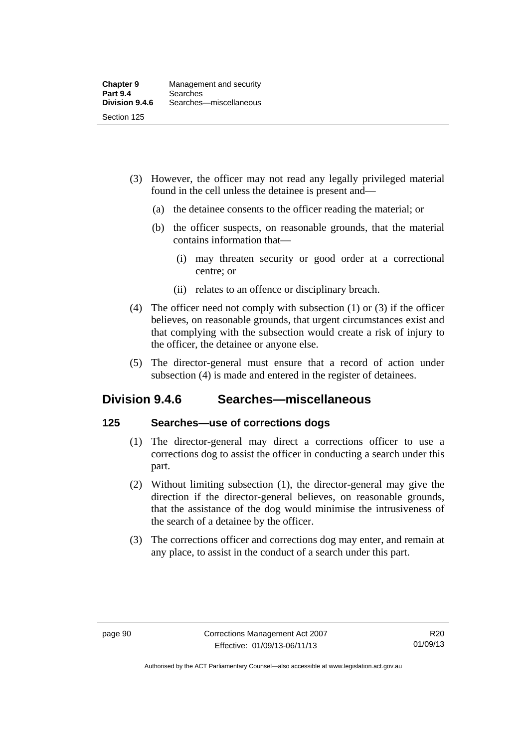- (3) However, the officer may not read any legally privileged material found in the cell unless the detainee is present and—
	- (a) the detainee consents to the officer reading the material; or
	- (b) the officer suspects, on reasonable grounds, that the material contains information that—
		- (i) may threaten security or good order at a correctional centre; or
		- (ii) relates to an offence or disciplinary breach.
- (4) The officer need not comply with subsection (1) or (3) if the officer believes, on reasonable grounds, that urgent circumstances exist and that complying with the subsection would create a risk of injury to the officer, the detainee or anyone else.
- (5) The director-general must ensure that a record of action under subsection (4) is made and entered in the register of detainees.

# **Division 9.4.6 Searches—miscellaneous**

# **125 Searches—use of corrections dogs**

- (1) The director-general may direct a corrections officer to use a corrections dog to assist the officer in conducting a search under this part.
- (2) Without limiting subsection (1), the director-general may give the direction if the director-general believes, on reasonable grounds, that the assistance of the dog would minimise the intrusiveness of the search of a detainee by the officer.
- (3) The corrections officer and corrections dog may enter, and remain at any place, to assist in the conduct of a search under this part.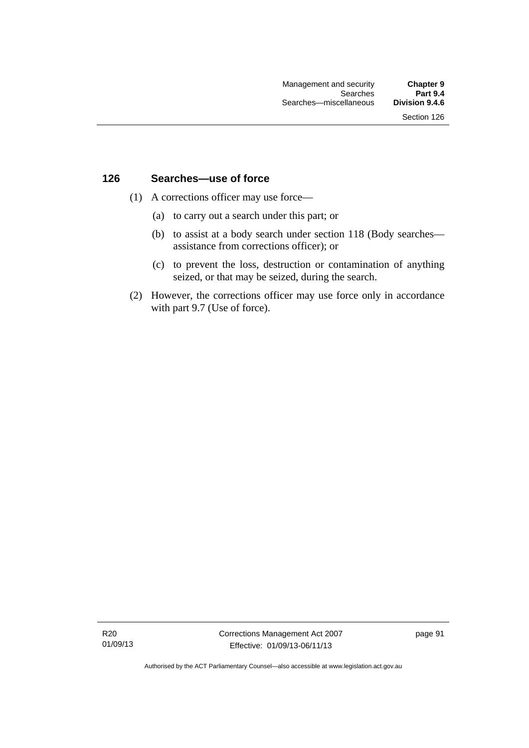# **126 Searches—use of force**

- (1) A corrections officer may use force—
	- (a) to carry out a search under this part; or
	- (b) to assist at a body search under section 118 (Body searches assistance from corrections officer); or
	- (c) to prevent the loss, destruction or contamination of anything seized, or that may be seized, during the search.
- (2) However, the corrections officer may use force only in accordance with part 9.7 (Use of force).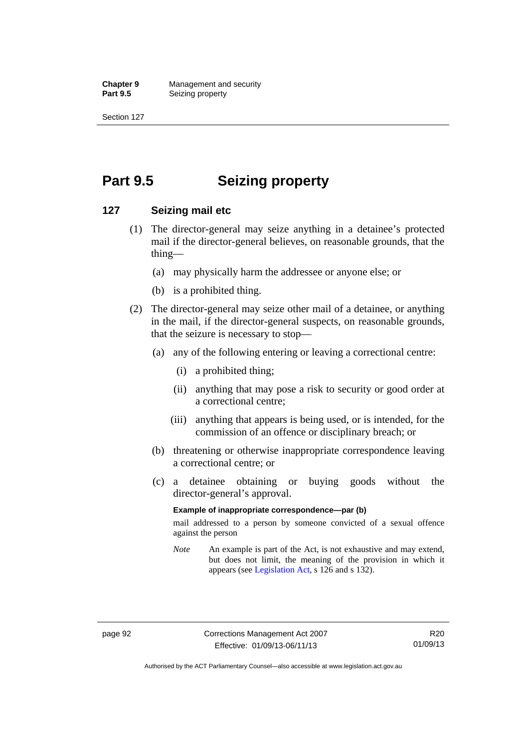**Chapter 9 Management and security**<br>**Part 9.5 Conserved Seizing property Seizing property** 

Section 127

# **Part 9.5 Seizing property**

### **127 Seizing mail etc**

- (1) The director-general may seize anything in a detainee's protected mail if the director-general believes, on reasonable grounds, that the thing—
	- (a) may physically harm the addressee or anyone else; or
	- (b) is a prohibited thing.
- (2) The director-general may seize other mail of a detainee, or anything in the mail, if the director-general suspects, on reasonable grounds, that the seizure is necessary to stop—
	- (a) any of the following entering or leaving a correctional centre:
		- (i) a prohibited thing;
		- (ii) anything that may pose a risk to security or good order at a correctional centre;
		- (iii) anything that appears is being used, or is intended, for the commission of an offence or disciplinary breach; or
	- (b) threatening or otherwise inappropriate correspondence leaving a correctional centre; or
	- (c) a detainee obtaining or buying goods without the director-general's approval.

#### **Example of inappropriate correspondence—par (b)**

mail addressed to a person by someone convicted of a sexual offence against the person

*Note* An example is part of the Act, is not exhaustive and may extend, but does not limit, the meaning of the provision in which it appears (see [Legislation Act,](http://www.legislation.act.gov.au/a/2001-14) s 126 and s 132).

Authorised by the ACT Parliamentary Counsel—also accessible at www.legislation.act.gov.au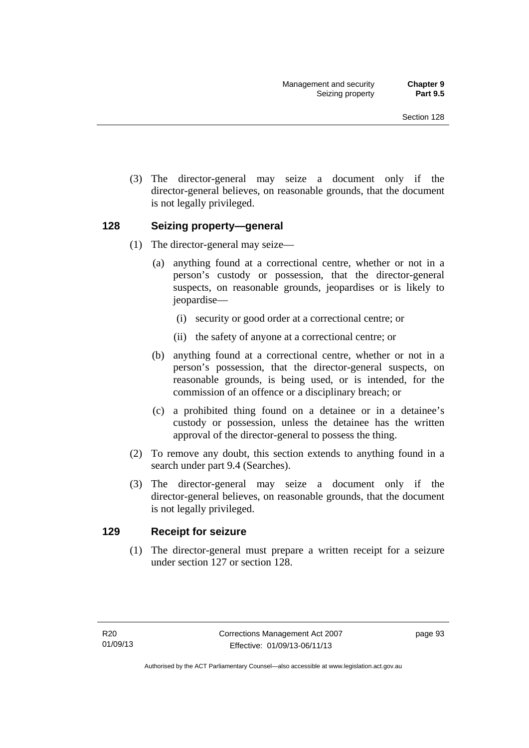(3) The director-general may seize a document only if the director-general believes, on reasonable grounds, that the document is not legally privileged.

## **128 Seizing property—general**

- (1) The director-general may seize—
	- (a) anything found at a correctional centre, whether or not in a person's custody or possession, that the director-general suspects, on reasonable grounds, jeopardises or is likely to jeopardise—
		- (i) security or good order at a correctional centre; or
		- (ii) the safety of anyone at a correctional centre; or
	- (b) anything found at a correctional centre, whether or not in a person's possession, that the director-general suspects, on reasonable grounds, is being used, or is intended, for the commission of an offence or a disciplinary breach; or
	- (c) a prohibited thing found on a detainee or in a detainee's custody or possession, unless the detainee has the written approval of the director-general to possess the thing.
- (2) To remove any doubt, this section extends to anything found in a search under part 9.4 (Searches).
- (3) The director-general may seize a document only if the director-general believes, on reasonable grounds, that the document is not legally privileged.

## **129 Receipt for seizure**

 (1) The director-general must prepare a written receipt for a seizure under section 127 or section 128.

page 93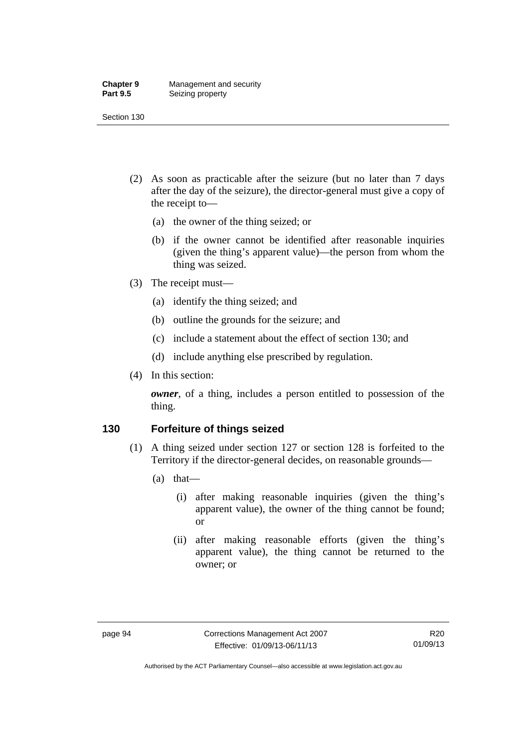#### **Chapter 9** Management and security<br>**Part 9.5** Seizing property **Seizing property**

Section 130

- (2) As soon as practicable after the seizure (but no later than 7 days after the day of the seizure), the director-general must give a copy of the receipt to—
	- (a) the owner of the thing seized; or
	- (b) if the owner cannot be identified after reasonable inquiries (given the thing's apparent value)—the person from whom the thing was seized.
- (3) The receipt must—
	- (a) identify the thing seized; and
	- (b) outline the grounds for the seizure; and
	- (c) include a statement about the effect of section 130; and
	- (d) include anything else prescribed by regulation.
- (4) In this section:

*owner*, of a thing, includes a person entitled to possession of the thing.

## **130 Forfeiture of things seized**

- (1) A thing seized under section 127 or section 128 is forfeited to the Territory if the director-general decides, on reasonable grounds—
	- (a) that—
		- (i) after making reasonable inquiries (given the thing's apparent value), the owner of the thing cannot be found; or
		- (ii) after making reasonable efforts (given the thing's apparent value), the thing cannot be returned to the owner; or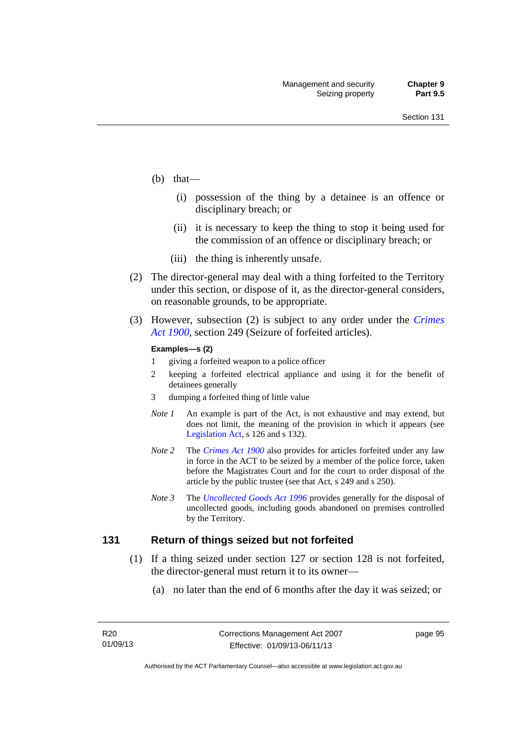- (b) that—
	- (i) possession of the thing by a detainee is an offence or disciplinary breach; or
	- (ii) it is necessary to keep the thing to stop it being used for the commission of an offence or disciplinary breach; or
	- (iii) the thing is inherently unsafe.
- (2) The director-general may deal with a thing forfeited to the Territory under this section, or dispose of it, as the director-general considers, on reasonable grounds, to be appropriate.
- (3) However, subsection (2) is subject to any order under the *[Crimes](http://www.legislation.act.gov.au/a/1900-40)  [Act 1900](http://www.legislation.act.gov.au/a/1900-40),* section 249 (Seizure of forfeited articles).

#### **Examples—s (2)**

- 1 giving a forfeited weapon to a police officer
- 2 keeping a forfeited electrical appliance and using it for the benefit of detainees generally
- 3 dumping a forfeited thing of little value
- *Note 1* An example is part of the Act, is not exhaustive and may extend, but does not limit, the meaning of the provision in which it appears (see [Legislation Act,](http://www.legislation.act.gov.au/a/2001-14) s 126 and s 132).
- *Note 2* The *[Crimes Act 1900](http://www.legislation.act.gov.au/a/1900-40)* also provides for articles forfeited under any law in force in the ACT to be seized by a member of the police force, taken before the Magistrates Court and for the court to order disposal of the article by the public trustee (see that Act, s 249 and s 250).
- *Note 3* The *[Uncollected Goods Act 1996](http://www.legislation.act.gov.au/a/1996-86)* provides generally for the disposal of uncollected goods, including goods abandoned on premises controlled by the Territory.

### **131 Return of things seized but not forfeited**

- (1) If a thing seized under section 127 or section 128 is not forfeited, the director-general must return it to its owner—
	- (a) no later than the end of 6 months after the day it was seized; or

page 95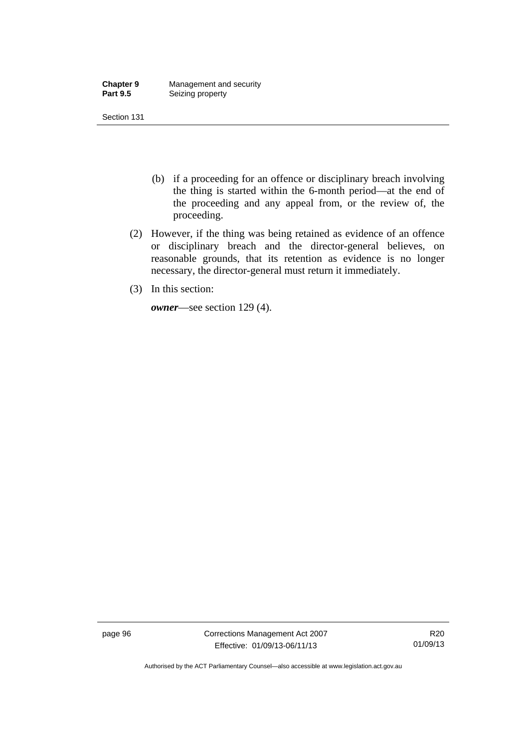| <b>Chapter 9</b> | Management and security |
|------------------|-------------------------|
| <b>Part 9.5</b>  | Seizing property        |

- (b) if a proceeding for an offence or disciplinary breach involving the thing is started within the 6-month period—at the end of the proceeding and any appeal from, or the review of, the proceeding.
- (2) However, if the thing was being retained as evidence of an offence or disciplinary breach and the director-general believes, on reasonable grounds, that its retention as evidence is no longer necessary, the director-general must return it immediately.
- (3) In this section:

*owner*—see section 129 (4).

page 96 Corrections Management Act 2007 Effective: 01/09/13-06/11/13

R20 01/09/13

Authorised by the ACT Parliamentary Counsel—also accessible at www.legislation.act.gov.au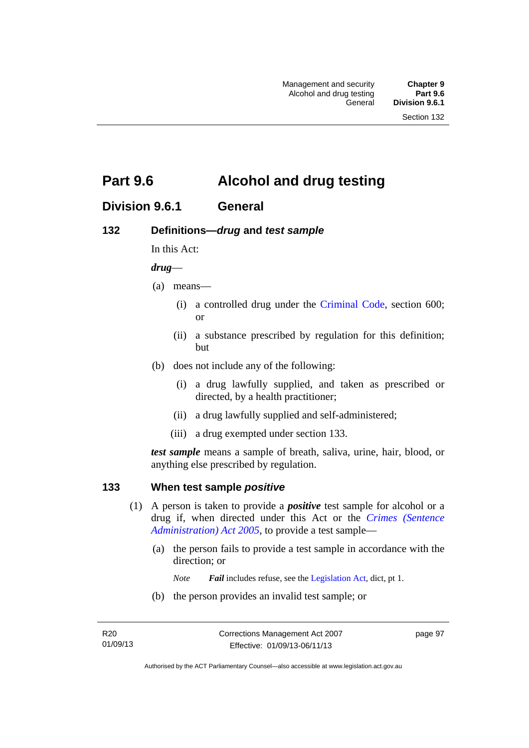# **Part 9.6 Alcohol and drug testing**

# **Division 9.6.1 General**

## **132 Definitions—***drug* **and** *test sample*

In this Act:

### *drug*—

- (a) means—
	- (i) a controlled drug under the [Criminal Code](http://www.legislation.act.gov.au/a/2002-51), section 600; or
	- (ii) a substance prescribed by regulation for this definition; but
- (b) does not include any of the following:
	- (i) a drug lawfully supplied, and taken as prescribed or directed, by a health practitioner;
	- (ii) a drug lawfully supplied and self-administered;
	- (iii) a drug exempted under section 133.

*test sample* means a sample of breath, saliva, urine, hair, blood, or anything else prescribed by regulation.

## **133 When test sample** *positive*

- (1) A person is taken to provide a *positive* test sample for alcohol or a drug if, when directed under this Act or the *[Crimes \(Sentence](http://www.legislation.act.gov.au/a/2005-59)  [Administration\) Act 2005](http://www.legislation.act.gov.au/a/2005-59)*, to provide a test sample—
	- (a) the person fails to provide a test sample in accordance with the direction; or
		- *Note Fail* includes refuse, see the [Legislation Act,](http://www.legislation.act.gov.au/a/2001-14) dict, pt 1.
	- (b) the person provides an invalid test sample; or

page 97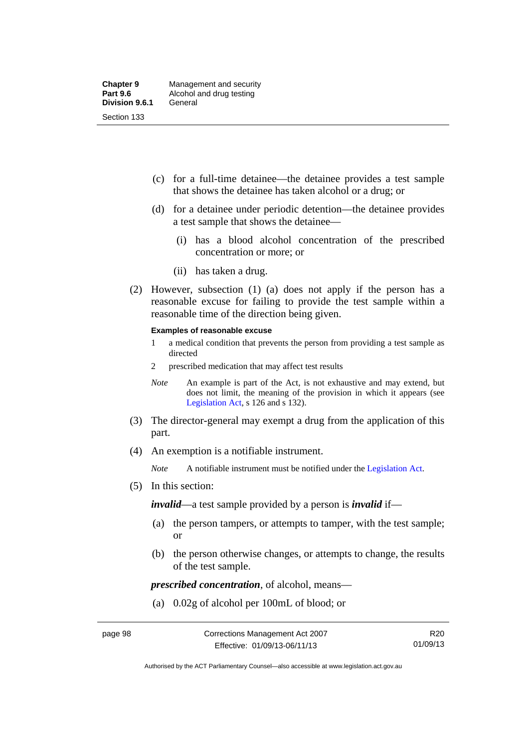- (c) for a full-time detainee—the detainee provides a test sample that shows the detainee has taken alcohol or a drug; or
- (d) for a detainee under periodic detention—the detainee provides a test sample that shows the detainee—
	- (i) has a blood alcohol concentration of the prescribed concentration or more; or
	- (ii) has taken a drug.
- (2) However, subsection (1) (a) does not apply if the person has a reasonable excuse for failing to provide the test sample within a reasonable time of the direction being given.

#### **Examples of reasonable excuse**

- 1 a medical condition that prevents the person from providing a test sample as directed
- 2 prescribed medication that may affect test results
- *Note* An example is part of the Act, is not exhaustive and may extend, but does not limit, the meaning of the provision in which it appears (see [Legislation Act,](http://www.legislation.act.gov.au/a/2001-14) s 126 and s 132).
- (3) The director-general may exempt a drug from the application of this part.
- (4) An exemption is a notifiable instrument.

*Note* A notifiable instrument must be notified under the [Legislation Act](http://www.legislation.act.gov.au/a/2001-14).

(5) In this section:

*invalid*—a test sample provided by a person is *invalid* if—

- (a) the person tampers, or attempts to tamper, with the test sample; or
- (b) the person otherwise changes, or attempts to change, the results of the test sample.

*prescribed concentration*, of alcohol, means—

(a) 0.02g of alcohol per 100mL of blood; or

R20 01/09/13

Authorised by the ACT Parliamentary Counsel—also accessible at www.legislation.act.gov.au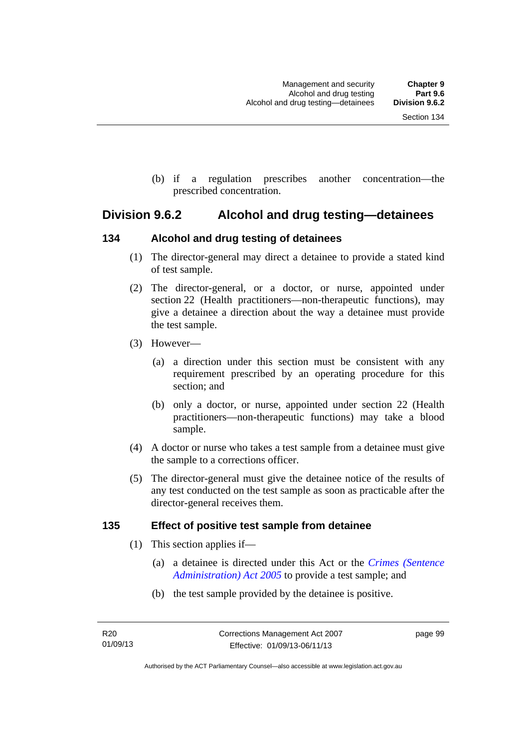(b) if a regulation prescribes another concentration—the prescribed concentration.

## **Division 9.6.2 Alcohol and drug testing—detainees**

## **134 Alcohol and drug testing of detainees**

- (1) The director-general may direct a detainee to provide a stated kind of test sample.
- (2) The director-general, or a doctor, or nurse, appointed under section 22 (Health practitioners—non-therapeutic functions), may give a detainee a direction about the way a detainee must provide the test sample.
- (3) However—
	- (a) a direction under this section must be consistent with any requirement prescribed by an operating procedure for this section; and
	- (b) only a doctor, or nurse, appointed under section 22 (Health practitioners—non-therapeutic functions) may take a blood sample.
- (4) A doctor or nurse who takes a test sample from a detainee must give the sample to a corrections officer.
- (5) The director-general must give the detainee notice of the results of any test conducted on the test sample as soon as practicable after the director-general receives them.

## **135 Effect of positive test sample from detainee**

- (1) This section applies if—
	- (a) a detainee is directed under this Act or the *[Crimes \(Sentence](http://www.legislation.act.gov.au/a/2005-59)  [Administration\) Act 2005](http://www.legislation.act.gov.au/a/2005-59)* to provide a test sample; and
	- (b) the test sample provided by the detainee is positive.

page 99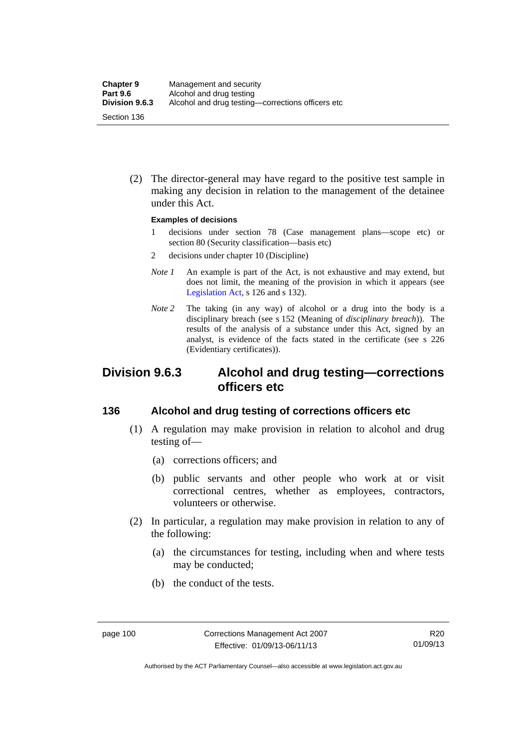(2) The director-general may have regard to the positive test sample in making any decision in relation to the management of the detainee under this Act.

#### **Examples of decisions**

- 1 decisions under section 78 (Case management plans—scope etc) or section 80 (Security classification—basis etc)
- 2 decisions under chapter 10 (Discipline)
- *Note 1* An example is part of the Act, is not exhaustive and may extend, but does not limit, the meaning of the provision in which it appears (see [Legislation Act,](http://www.legislation.act.gov.au/a/2001-14) s 126 and s 132).
- *Note* 2 The taking (in any way) of alcohol or a drug into the body is a disciplinary breach (see s 152 (Meaning of *disciplinary breach*)). The results of the analysis of a substance under this Act, signed by an analyst, is evidence of the facts stated in the certificate (see s 226 (Evidentiary certificates)).

## **Division 9.6.3 Alcohol and drug testing—corrections officers etc**

## **136 Alcohol and drug testing of corrections officers etc**

- (1) A regulation may make provision in relation to alcohol and drug testing of—
	- (a) corrections officers; and
	- (b) public servants and other people who work at or visit correctional centres, whether as employees, contractors, volunteers or otherwise.
- (2) In particular, a regulation may make provision in relation to any of the following:
	- (a) the circumstances for testing, including when and where tests may be conducted;
	- (b) the conduct of the tests.

Authorised by the ACT Parliamentary Counsel—also accessible at www.legislation.act.gov.au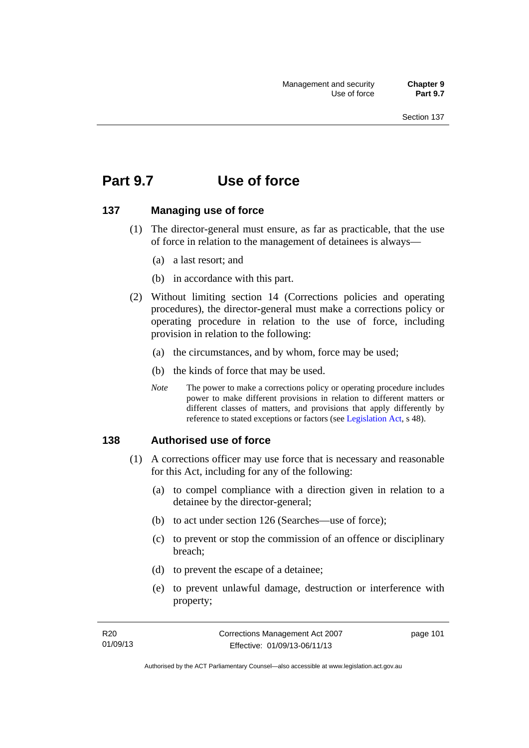# **Part 9.7 Use of force**

## **137 Managing use of force**

- (1) The director-general must ensure, as far as practicable, that the use of force in relation to the management of detainees is always—
	- (a) a last resort; and
	- (b) in accordance with this part.
- (2) Without limiting section 14 (Corrections policies and operating procedures), the director-general must make a corrections policy or operating procedure in relation to the use of force, including provision in relation to the following:
	- (a) the circumstances, and by whom, force may be used;
	- (b) the kinds of force that may be used.
	- *Note* The power to make a corrections policy or operating procedure includes power to make different provisions in relation to different matters or different classes of matters, and provisions that apply differently by reference to stated exceptions or factors (see [Legislation Act](http://www.legislation.act.gov.au/a/2001-14), s 48).

### **138 Authorised use of force**

- (1) A corrections officer may use force that is necessary and reasonable for this Act, including for any of the following:
	- (a) to compel compliance with a direction given in relation to a detainee by the director-general;
	- (b) to act under section 126 (Searches—use of force);
	- (c) to prevent or stop the commission of an offence or disciplinary breach;
	- (d) to prevent the escape of a detainee;
	- (e) to prevent unlawful damage, destruction or interference with property;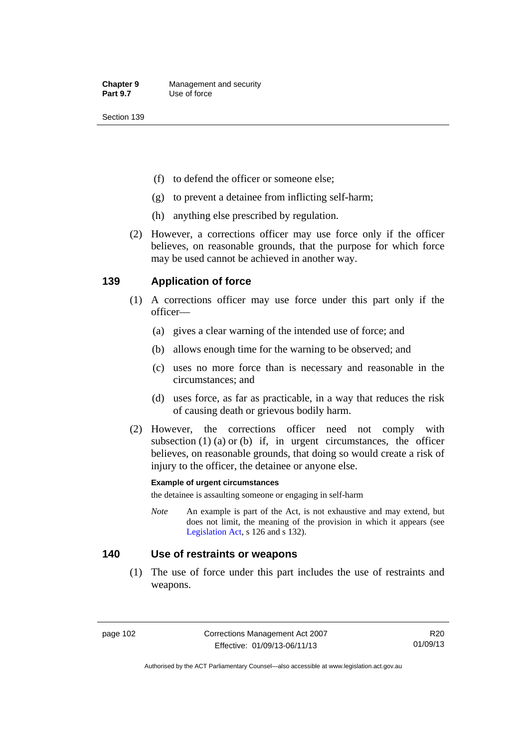- (f) to defend the officer or someone else;
- (g) to prevent a detainee from inflicting self-harm;
- (h) anything else prescribed by regulation.
- (2) However, a corrections officer may use force only if the officer believes, on reasonable grounds, that the purpose for which force may be used cannot be achieved in another way.

## **139 Application of force**

- (1) A corrections officer may use force under this part only if the officer—
	- (a) gives a clear warning of the intended use of force; and
	- (b) allows enough time for the warning to be observed; and
	- (c) uses no more force than is necessary and reasonable in the circumstances; and
	- (d) uses force, as far as practicable, in a way that reduces the risk of causing death or grievous bodily harm.
- (2) However, the corrections officer need not comply with subsection  $(1)$   $(a)$  or  $(b)$  if, in urgent circumstances, the officer believes, on reasonable grounds, that doing so would create a risk of injury to the officer, the detainee or anyone else.

#### **Example of urgent circumstances**

the detainee is assaulting someone or engaging in self-harm

*Note* An example is part of the Act, is not exhaustive and may extend, but does not limit, the meaning of the provision in which it appears (see [Legislation Act,](http://www.legislation.act.gov.au/a/2001-14) s 126 and s 132).

### **140 Use of restraints or weapons**

 (1) The use of force under this part includes the use of restraints and weapons.

page 102 Corrections Management Act 2007 Effective: 01/09/13-06/11/13

R20 01/09/13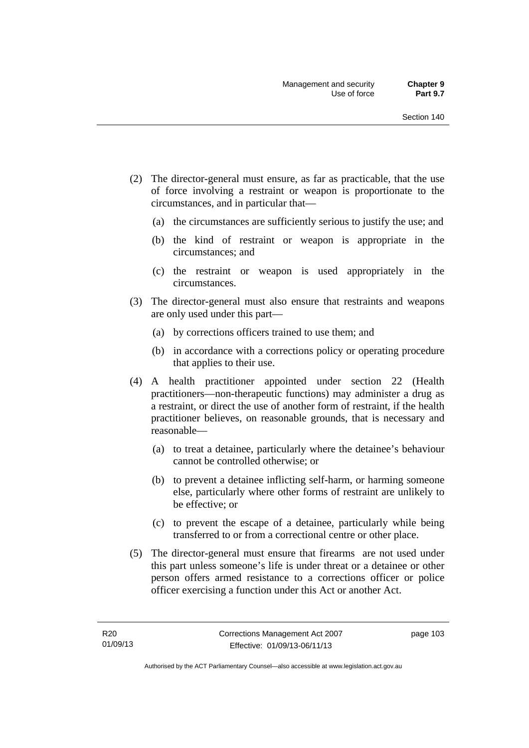- (2) The director-general must ensure, as far as practicable, that the use of force involving a restraint or weapon is proportionate to the circumstances, and in particular that—
	- (a) the circumstances are sufficiently serious to justify the use; and
	- (b) the kind of restraint or weapon is appropriate in the circumstances; and
	- (c) the restraint or weapon is used appropriately in the circumstances.
- (3) The director-general must also ensure that restraints and weapons are only used under this part—
	- (a) by corrections officers trained to use them; and
	- (b) in accordance with a corrections policy or operating procedure that applies to their use.
- (4) A health practitioner appointed under section 22 (Health practitioners—non-therapeutic functions) may administer a drug as a restraint, or direct the use of another form of restraint, if the health practitioner believes, on reasonable grounds, that is necessary and reasonable—
	- (a) to treat a detainee, particularly where the detainee's behaviour cannot be controlled otherwise; or
	- (b) to prevent a detainee inflicting self-harm, or harming someone else, particularly where other forms of restraint are unlikely to be effective; or
	- (c) to prevent the escape of a detainee, particularly while being transferred to or from a correctional centre or other place.
- (5) The director-general must ensure that firearms are not used under this part unless someone's life is under threat or a detainee or other person offers armed resistance to a corrections officer or police officer exercising a function under this Act or another Act.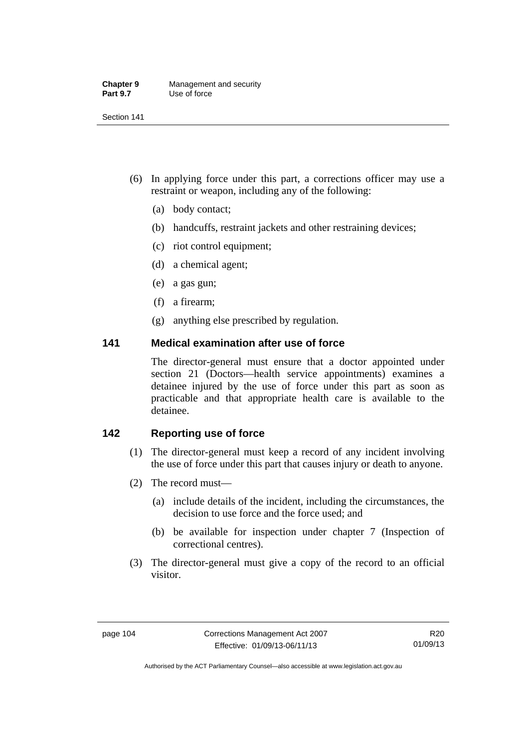| <b>Chapter 9</b> | Management and security |
|------------------|-------------------------|
| <b>Part 9.7</b>  | Use of force            |

- (6) In applying force under this part, a corrections officer may use a restraint or weapon, including any of the following:
	- (a) body contact;
	- (b) handcuffs, restraint jackets and other restraining devices;
	- (c) riot control equipment;
	- (d) a chemical agent;
	- (e) a gas gun;
	- (f) a firearm;
	- (g) anything else prescribed by regulation.

## **141 Medical examination after use of force**

The director-general must ensure that a doctor appointed under section 21 (Doctors—health service appointments) examines a detainee injured by the use of force under this part as soon as practicable and that appropriate health care is available to the detainee.

## **142 Reporting use of force**

- (1) The director-general must keep a record of any incident involving the use of force under this part that causes injury or death to anyone.
- (2) The record must—
	- (a) include details of the incident, including the circumstances, the decision to use force and the force used; and
	- (b) be available for inspection under chapter 7 (Inspection of correctional centres).
- (3) The director-general must give a copy of the record to an official visitor.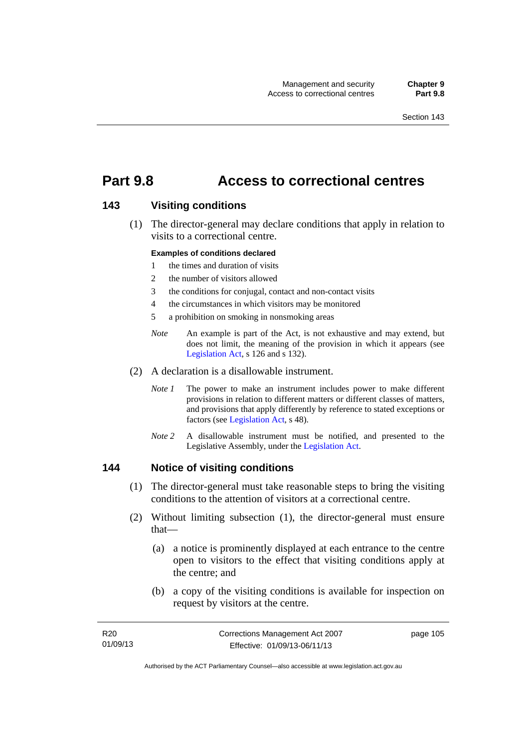# **Part 9.8 Access to correctional centres**

## **143 Visiting conditions**

 (1) The director-general may declare conditions that apply in relation to visits to a correctional centre.

#### **Examples of conditions declared**

- 1 the times and duration of visits
- 2 the number of visitors allowed
- 3 the conditions for conjugal, contact and non-contact visits
- 4 the circumstances in which visitors may be monitored
- 5 a prohibition on smoking in nonsmoking areas
- *Note* An example is part of the Act, is not exhaustive and may extend, but does not limit, the meaning of the provision in which it appears (see [Legislation Act,](http://www.legislation.act.gov.au/a/2001-14) s 126 and s 132).
- (2) A declaration is a disallowable instrument.
	- *Note I* The power to make an instrument includes power to make different provisions in relation to different matters or different classes of matters, and provisions that apply differently by reference to stated exceptions or factors (see [Legislation Act](http://www.legislation.act.gov.au/a/2001-14), s 48).
	- *Note 2* A disallowable instrument must be notified, and presented to the Legislative Assembly, under the [Legislation Act.](http://www.legislation.act.gov.au/a/2001-14)

### **144 Notice of visiting conditions**

- (1) The director-general must take reasonable steps to bring the visiting conditions to the attention of visitors at a correctional centre.
- (2) Without limiting subsection (1), the director-general must ensure that—
	- (a) a notice is prominently displayed at each entrance to the centre open to visitors to the effect that visiting conditions apply at the centre; and
	- (b) a copy of the visiting conditions is available for inspection on request by visitors at the centre.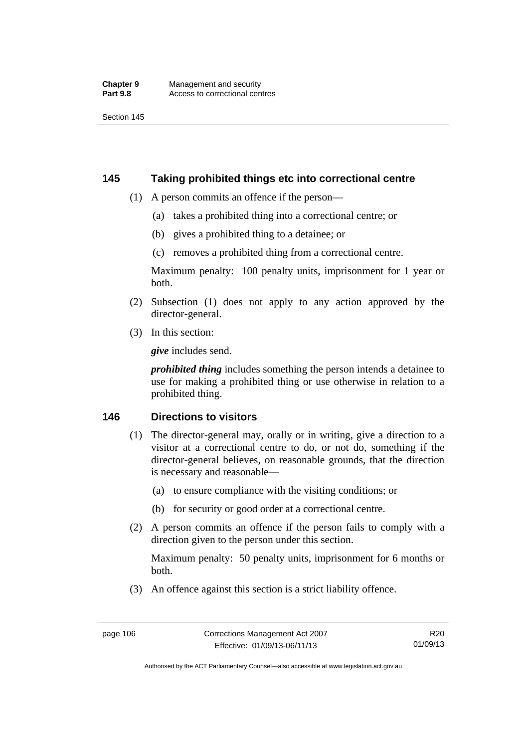## **145 Taking prohibited things etc into correctional centre**

- (1) A person commits an offence if the person—
	- (a) takes a prohibited thing into a correctional centre; or
	- (b) gives a prohibited thing to a detainee; or
	- (c) removes a prohibited thing from a correctional centre.

Maximum penalty: 100 penalty units, imprisonment for 1 year or both.

- (2) Subsection (1) does not apply to any action approved by the director-general.
- (3) In this section:

*give* includes send.

*prohibited thing* includes something the person intends a detainee to use for making a prohibited thing or use otherwise in relation to a prohibited thing.

## **146 Directions to visitors**

- (1) The director-general may, orally or in writing, give a direction to a visitor at a correctional centre to do, or not do, something if the director-general believes, on reasonable grounds, that the direction is necessary and reasonable—
	- (a) to ensure compliance with the visiting conditions; or
	- (b) for security or good order at a correctional centre.
- (2) A person commits an offence if the person fails to comply with a direction given to the person under this section.

Maximum penalty: 50 penalty units, imprisonment for 6 months or both.

(3) An offence against this section is a strict liability offence.

R20 01/09/13

Authorised by the ACT Parliamentary Counsel—also accessible at www.legislation.act.gov.au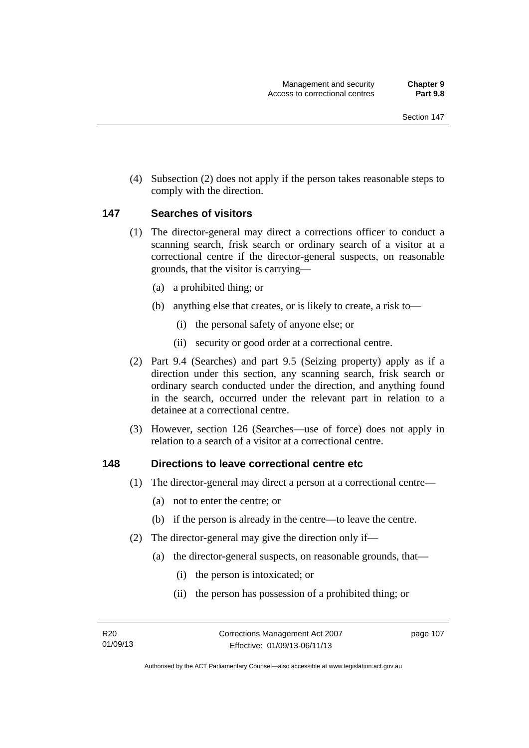(4) Subsection (2) does not apply if the person takes reasonable steps to comply with the direction.

## **147 Searches of visitors**

- (1) The director-general may direct a corrections officer to conduct a scanning search, frisk search or ordinary search of a visitor at a correctional centre if the director-general suspects, on reasonable grounds, that the visitor is carrying—
	- (a) a prohibited thing; or
	- (b) anything else that creates, or is likely to create, a risk to—
		- (i) the personal safety of anyone else; or
		- (ii) security or good order at a correctional centre.
- (2) Part 9.4 (Searches) and part 9.5 (Seizing property) apply as if a direction under this section, any scanning search, frisk search or ordinary search conducted under the direction, and anything found in the search, occurred under the relevant part in relation to a detainee at a correctional centre.
- (3) However, section 126 (Searches—use of force) does not apply in relation to a search of a visitor at a correctional centre.

### **148 Directions to leave correctional centre etc**

- (1) The director-general may direct a person at a correctional centre—
	- (a) not to enter the centre; or
	- (b) if the person is already in the centre—to leave the centre.
- (2) The director-general may give the direction only if—
	- (a) the director-general suspects, on reasonable grounds, that—
		- (i) the person is intoxicated; or
		- (ii) the person has possession of a prohibited thing; or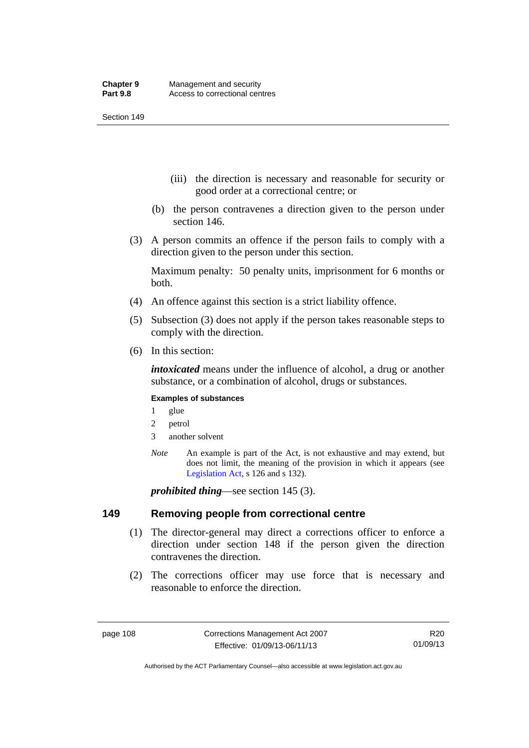- (iii) the direction is necessary and reasonable for security or good order at a correctional centre; or
- (b) the person contravenes a direction given to the person under section 146.
- (3) A person commits an offence if the person fails to comply with a direction given to the person under this section.

Maximum penalty: 50 penalty units, imprisonment for 6 months or both.

- (4) An offence against this section is a strict liability offence.
- (5) Subsection (3) does not apply if the person takes reasonable steps to comply with the direction.
- (6) In this section:

*intoxicated* means under the influence of alcohol, a drug or another substance, or a combination of alcohol, drugs or substances.

#### **Examples of substances**

- 1 glue
- 2 petrol
- 3 another solvent
- *Note* An example is part of the Act, is not exhaustive and may extend, but does not limit, the meaning of the provision in which it appears (see [Legislation Act,](http://www.legislation.act.gov.au/a/2001-14) s 126 and s 132).

*prohibited thing*—see section 145 (3).

### **149 Removing people from correctional centre**

- (1) The director-general may direct a corrections officer to enforce a direction under section 148 if the person given the direction contravenes the direction.
- (2) The corrections officer may use force that is necessary and reasonable to enforce the direction.

R20 01/09/13

Authorised by the ACT Parliamentary Counsel—also accessible at www.legislation.act.gov.au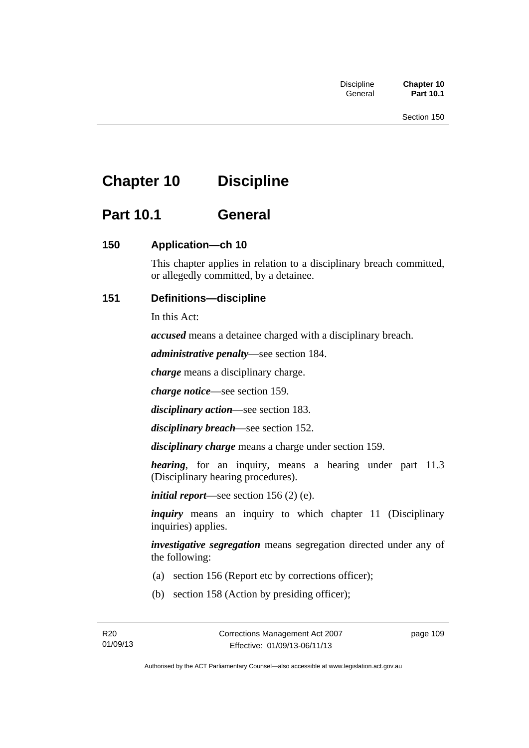# **Chapter 10 Discipline**

# **Part 10.1 General**

## **150 Application—ch 10**

This chapter applies in relation to a disciplinary breach committed, or allegedly committed, by a detainee.

## **151 Definitions—discipline**

In this Act:

*accused* means a detainee charged with a disciplinary breach.

*administrative penalty*—see section 184.

*charge* means a disciplinary charge.

*charge notice*—see section 159.

*disciplinary action*—see section 183.

*disciplinary breach*—see section 152.

*disciplinary charge* means a charge under section 159.

*hearing*, for an inquiry, means a hearing under part 11.3 (Disciplinary hearing procedures).

*initial report*—see section 156 (2) (e).

*inquiry* means an inquiry to which chapter 11 (Disciplinary inquiries) applies.

*investigative segregation* means segregation directed under any of the following:

- (a) section 156 (Report etc by corrections officer);
- (b) section 158 (Action by presiding officer);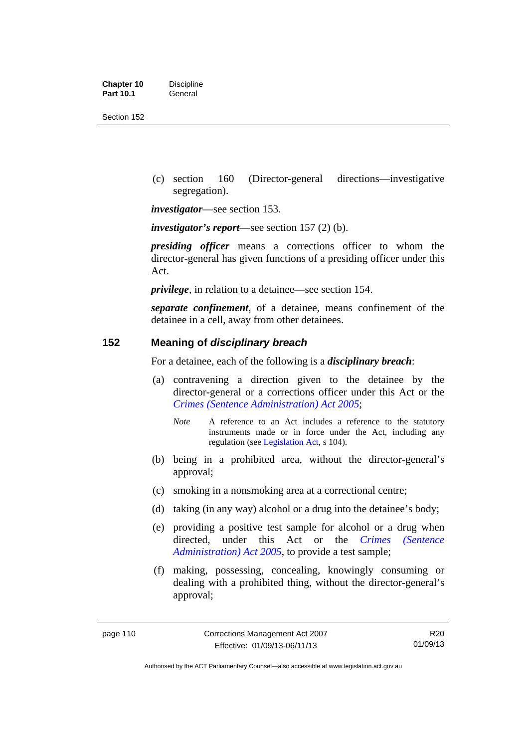| <b>Chapter 10</b> | <b>Discipline</b> |
|-------------------|-------------------|
| <b>Part 10.1</b>  | General           |

 (c) section 160 (Director-general directions—investigative segregation).

*investigator*—see section 153.

*investigator's report*—see section 157 (2) (b).

*presiding officer* means a corrections officer to whom the director-general has given functions of a presiding officer under this Act.

*privilege*, in relation to a detainee—see section 154.

*separate confinement*, of a detainee, means confinement of the detainee in a cell, away from other detainees.

## **152 Meaning of** *disciplinary breach*

For a detainee, each of the following is a *disciplinary breach*:

- (a) contravening a direction given to the detainee by the director-general or a corrections officer under this Act or the *[Crimes \(Sentence Administration\) Act 2005](http://www.legislation.act.gov.au/a/2005-59)*;
	- *Note* A reference to an Act includes a reference to the statutory instruments made or in force under the Act, including any regulation (see [Legislation Act,](http://www.legislation.act.gov.au/a/2001-14) s 104).
- (b) being in a prohibited area, without the director-general's approval;
- (c) smoking in a nonsmoking area at a correctional centre;
- (d) taking (in any way) alcohol or a drug into the detainee's body;
- (e) providing a positive test sample for alcohol or a drug when directed, under this Act or the *[Crimes \(Sentence](http://www.legislation.act.gov.au/a/2005-59)  [Administration\) Act 2005](http://www.legislation.act.gov.au/a/2005-59)*, to provide a test sample;
- (f) making, possessing, concealing, knowingly consuming or dealing with a prohibited thing, without the director-general's approval;

R20 01/09/13

Authorised by the ACT Parliamentary Counsel—also accessible at www.legislation.act.gov.au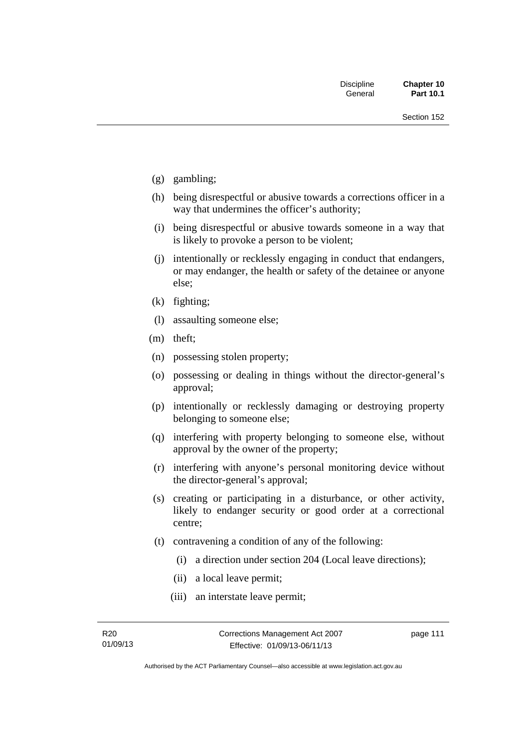- (g) gambling;
- (h) being disrespectful or abusive towards a corrections officer in a way that undermines the officer's authority;
- (i) being disrespectful or abusive towards someone in a way that is likely to provoke a person to be violent;
- (j) intentionally or recklessly engaging in conduct that endangers, or may endanger, the health or safety of the detainee or anyone else;
- (k) fighting;
- (l) assaulting someone else;
- (m) theft;
- (n) possessing stolen property;
- (o) possessing or dealing in things without the director-general's approval;
- (p) intentionally or recklessly damaging or destroying property belonging to someone else;
- (q) interfering with property belonging to someone else, without approval by the owner of the property;
- (r) interfering with anyone's personal monitoring device without the director-general's approval;
- (s) creating or participating in a disturbance, or other activity, likely to endanger security or good order at a correctional centre;
- (t) contravening a condition of any of the following:
	- (i) a direction under section 204 (Local leave directions);
	- (ii) a local leave permit;
	- (iii) an interstate leave permit;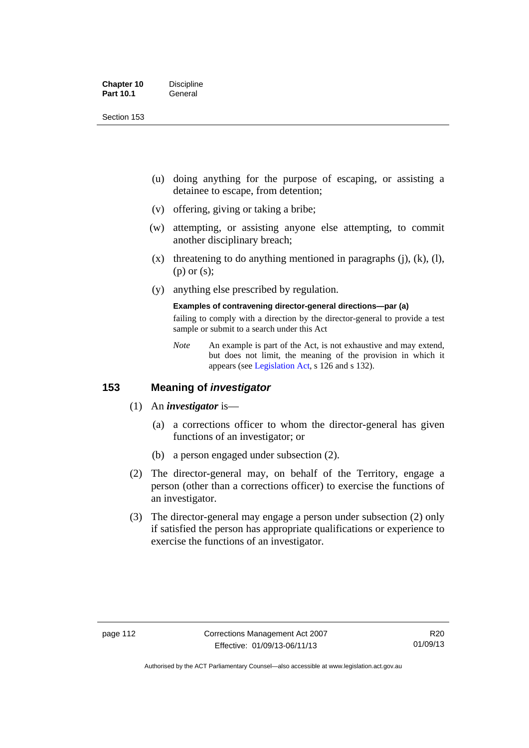| <b>Chapter 10</b> | <b>Discipline</b> |
|-------------------|-------------------|
| <b>Part 10.1</b>  | General           |

- (u) doing anything for the purpose of escaping, or assisting a detainee to escape, from detention;
- (v) offering, giving or taking a bribe;
- (w) attempting, or assisting anyone else attempting, to commit another disciplinary breach;
- $(x)$  threatening to do anything mentioned in paragraphs (j), (k), (l), (p) or (s);
- (y) anything else prescribed by regulation.

## **Examples of contravening director-general directions—par (a)**

failing to comply with a direction by the director-general to provide a test sample or submit to a search under this Act

*Note* An example is part of the Act, is not exhaustive and may extend, but does not limit, the meaning of the provision in which it appears (see [Legislation Act,](http://www.legislation.act.gov.au/a/2001-14) s 126 and s 132).

## **153 Meaning of** *investigator*

- (1) An *investigator* is—
	- (a) a corrections officer to whom the director-general has given functions of an investigator; or
	- (b) a person engaged under subsection (2).
- (2) The director-general may, on behalf of the Territory, engage a person (other than a corrections officer) to exercise the functions of an investigator.
- (3) The director-general may engage a person under subsection (2) only if satisfied the person has appropriate qualifications or experience to exercise the functions of an investigator.

Authorised by the ACT Parliamentary Counsel—also accessible at www.legislation.act.gov.au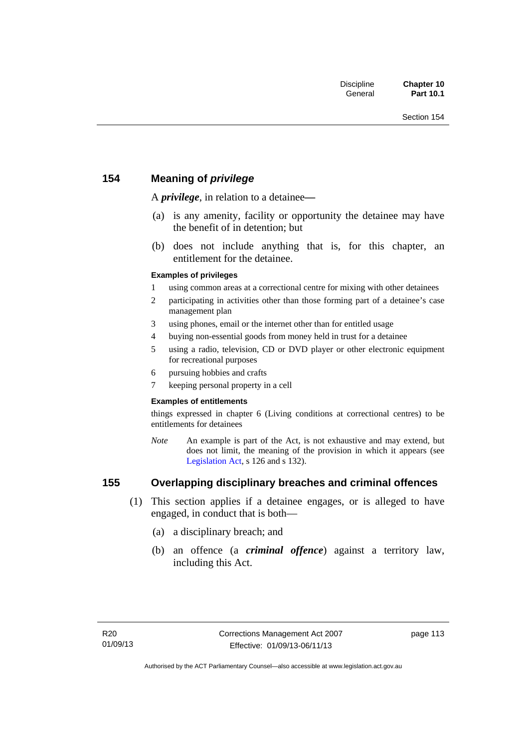## **154 Meaning of** *privilege*

A *privilege*, in relation to a detainee*—*

- (a) is any amenity, facility or opportunity the detainee may have the benefit of in detention; but
- (b) does not include anything that is, for this chapter, an entitlement for the detainee.

#### **Examples of privileges**

- 1 using common areas at a correctional centre for mixing with other detainees
- 2 participating in activities other than those forming part of a detainee's case management plan
- 3 using phones, email or the internet other than for entitled usage
- 4 buying non-essential goods from money held in trust for a detainee
- 5 using a radio, television, CD or DVD player or other electronic equipment for recreational purposes
- 6 pursuing hobbies and crafts
- 7 keeping personal property in a cell

#### **Examples of entitlements**

things expressed in chapter 6 (Living conditions at correctional centres) to be entitlements for detainees

*Note* An example is part of the Act, is not exhaustive and may extend, but does not limit, the meaning of the provision in which it appears (see [Legislation Act,](http://www.legislation.act.gov.au/a/2001-14) s 126 and s 132).

## **155 Overlapping disciplinary breaches and criminal offences**

- (1) This section applies if a detainee engages, or is alleged to have engaged, in conduct that is both—
	- (a) a disciplinary breach; and
	- (b) an offence (a *criminal offence*) against a territory law, including this Act.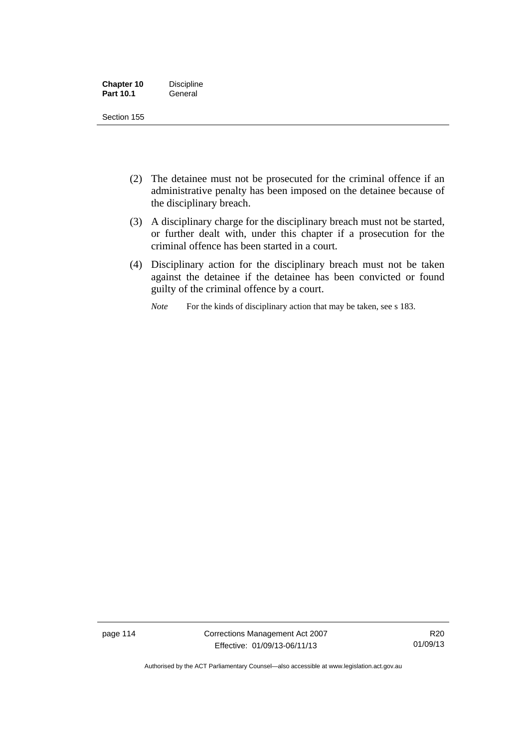| <b>Chapter 10</b> | <b>Discipline</b> |
|-------------------|-------------------|
| <b>Part 10.1</b>  | General           |

- (2) The detainee must not be prosecuted for the criminal offence if an administrative penalty has been imposed on the detainee because of the disciplinary breach.
- (3) A disciplinary charge for the disciplinary breach must not be started, or further dealt with, under this chapter if a prosecution for the criminal offence has been started in a court.
- (4) Disciplinary action for the disciplinary breach must not be taken against the detainee if the detainee has been convicted or found guilty of the criminal offence by a court.

*Note* For the kinds of disciplinary action that may be taken, see s 183.

page 114 Corrections Management Act 2007 Effective: 01/09/13-06/11/13

R20 01/09/13

Authorised by the ACT Parliamentary Counsel—also accessible at www.legislation.act.gov.au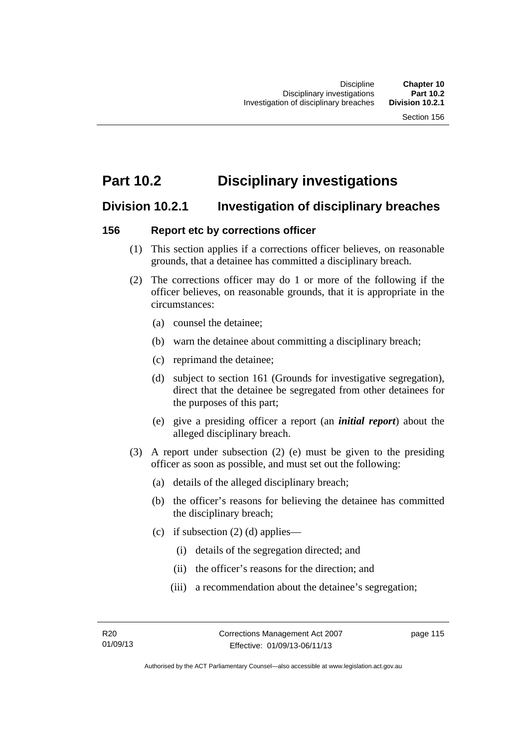# **Part 10.2 Disciplinary investigations**

# **Division 10.2.1 Investigation of disciplinary breaches**

## **156 Report etc by corrections officer**

- (1) This section applies if a corrections officer believes, on reasonable grounds, that a detainee has committed a disciplinary breach.
- (2) The corrections officer may do 1 or more of the following if the officer believes, on reasonable grounds, that it is appropriate in the circumstances:
	- (a) counsel the detainee;
	- (b) warn the detainee about committing a disciplinary breach;
	- (c) reprimand the detainee;
	- (d) subject to section 161 (Grounds for investigative segregation), direct that the detainee be segregated from other detainees for the purposes of this part;
	- (e) give a presiding officer a report (an *initial report*) about the alleged disciplinary breach.
- (3) A report under subsection (2) (e) must be given to the presiding officer as soon as possible, and must set out the following:
	- (a) details of the alleged disciplinary breach;
	- (b) the officer's reasons for believing the detainee has committed the disciplinary breach;
	- (c) if subsection  $(2)$  (d) applies—
		- (i) details of the segregation directed; and
		- (ii) the officer's reasons for the direction; and
		- (iii) a recommendation about the detainee's segregation;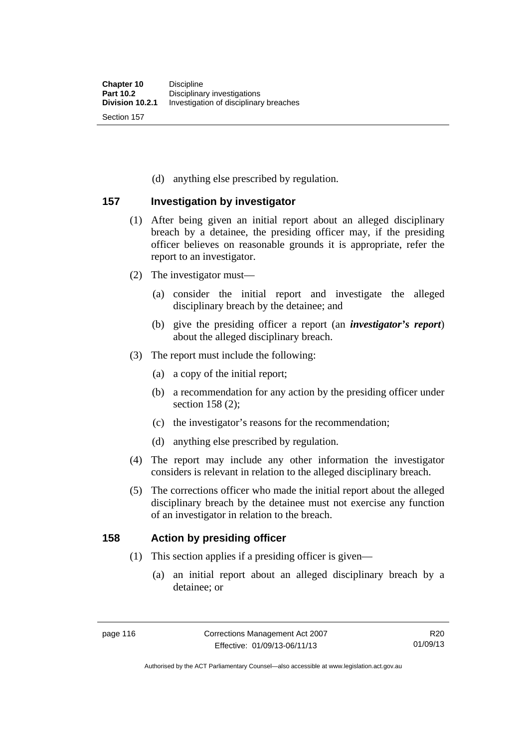(d) anything else prescribed by regulation.

## **157 Investigation by investigator**

- (1) After being given an initial report about an alleged disciplinary breach by a detainee, the presiding officer may, if the presiding officer believes on reasonable grounds it is appropriate, refer the report to an investigator.
- (2) The investigator must—
	- (a) consider the initial report and investigate the alleged disciplinary breach by the detainee; and
	- (b) give the presiding officer a report (an *investigator's report*) about the alleged disciplinary breach.
- (3) The report must include the following:
	- (a) a copy of the initial report;
	- (b) a recommendation for any action by the presiding officer under section 158 (2):
	- (c) the investigator's reasons for the recommendation;
	- (d) anything else prescribed by regulation.
- (4) The report may include any other information the investigator considers is relevant in relation to the alleged disciplinary breach.
- (5) The corrections officer who made the initial report about the alleged disciplinary breach by the detainee must not exercise any function of an investigator in relation to the breach.

## **158 Action by presiding officer**

- (1) This section applies if a presiding officer is given—
	- (a) an initial report about an alleged disciplinary breach by a detainee; or

Authorised by the ACT Parliamentary Counsel—also accessible at www.legislation.act.gov.au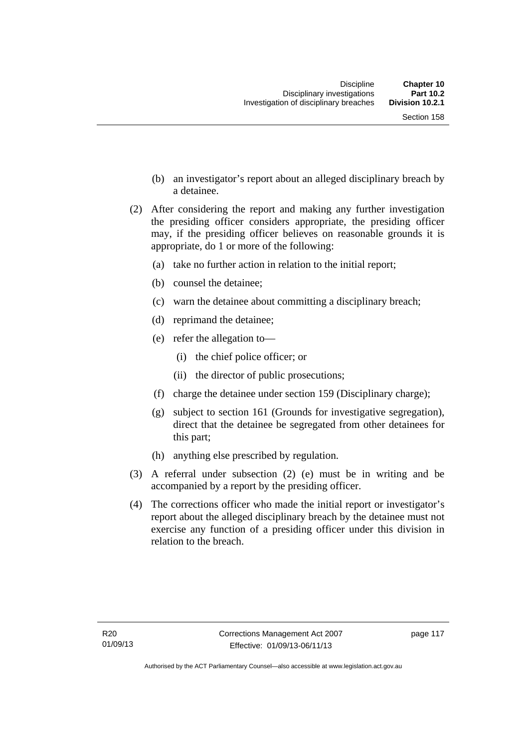- (b) an investigator's report about an alleged disciplinary breach by a detainee.
- (2) After considering the report and making any further investigation the presiding officer considers appropriate, the presiding officer may, if the presiding officer believes on reasonable grounds it is appropriate, do 1 or more of the following:
	- (a) take no further action in relation to the initial report;
	- (b) counsel the detainee;
	- (c) warn the detainee about committing a disciplinary breach;
	- (d) reprimand the detainee;
	- (e) refer the allegation to—
		- (i) the chief police officer; or
		- (ii) the director of public prosecutions;
	- (f) charge the detainee under section 159 (Disciplinary charge);
	- (g) subject to section 161 (Grounds for investigative segregation), direct that the detainee be segregated from other detainees for this part;
	- (h) anything else prescribed by regulation.
- (3) A referral under subsection (2) (e) must be in writing and be accompanied by a report by the presiding officer.
- (4) The corrections officer who made the initial report or investigator's report about the alleged disciplinary breach by the detainee must not exercise any function of a presiding officer under this division in relation to the breach.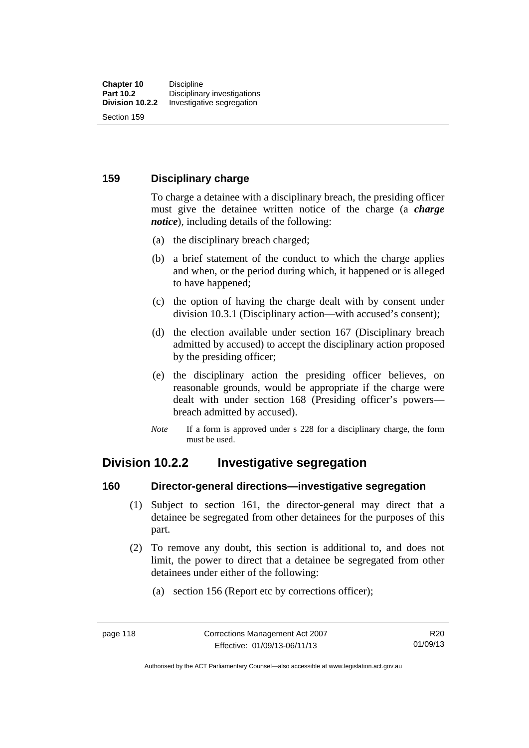## **159 Disciplinary charge**

To charge a detainee with a disciplinary breach, the presiding officer must give the detainee written notice of the charge (a *charge notice*), including details of the following:

- (a) the disciplinary breach charged;
- (b) a brief statement of the conduct to which the charge applies and when, or the period during which, it happened or is alleged to have happened;
- (c) the option of having the charge dealt with by consent under division 10.3.1 (Disciplinary action—with accused's consent);
- (d) the election available under section 167 (Disciplinary breach admitted by accused) to accept the disciplinary action proposed by the presiding officer;
- (e) the disciplinary action the presiding officer believes, on reasonable grounds, would be appropriate if the charge were dealt with under section 168 (Presiding officer's powers breach admitted by accused).
- *Note* If a form is approved under s 228 for a disciplinary charge, the form must be used.

# **Division 10.2.2 Investigative segregation**

### **160 Director-general directions—investigative segregation**

- (1) Subject to section 161, the director-general may direct that a detainee be segregated from other detainees for the purposes of this part.
- (2) To remove any doubt, this section is additional to, and does not limit, the power to direct that a detainee be segregated from other detainees under either of the following:
	- (a) section 156 (Report etc by corrections officer);

Authorised by the ACT Parliamentary Counsel—also accessible at www.legislation.act.gov.au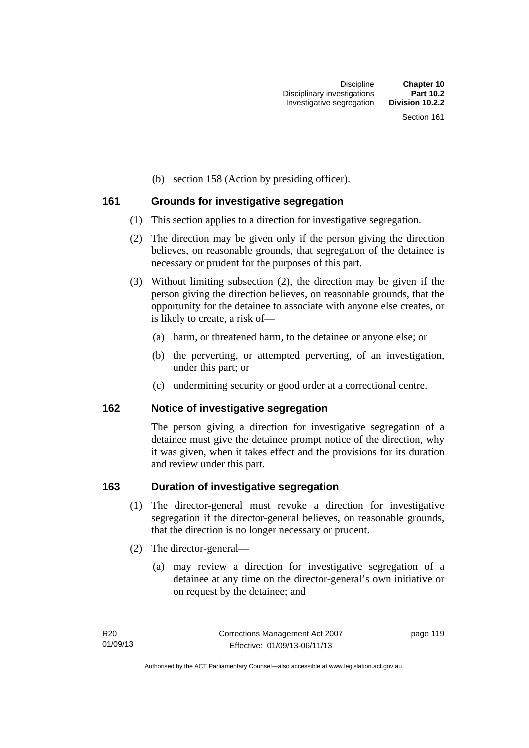(b) section 158 (Action by presiding officer).

## **161 Grounds for investigative segregation**

- (1) This section applies to a direction for investigative segregation.
- (2) The direction may be given only if the person giving the direction believes, on reasonable grounds, that segregation of the detainee is necessary or prudent for the purposes of this part.
- (3) Without limiting subsection (2), the direction may be given if the person giving the direction believes, on reasonable grounds, that the opportunity for the detainee to associate with anyone else creates, or is likely to create, a risk of—
	- (a) harm, or threatened harm, to the detainee or anyone else; or
	- (b) the perverting, or attempted perverting, of an investigation, under this part; or
	- (c) undermining security or good order at a correctional centre.

## **162 Notice of investigative segregation**

The person giving a direction for investigative segregation of a detainee must give the detainee prompt notice of the direction, why it was given, when it takes effect and the provisions for its duration and review under this part.

## **163 Duration of investigative segregation**

- (1) The director-general must revoke a direction for investigative segregation if the director-general believes, on reasonable grounds, that the direction is no longer necessary or prudent.
- (2) The director-general—
	- (a) may review a direction for investigative segregation of a detainee at any time on the director-general's own initiative or on request by the detainee; and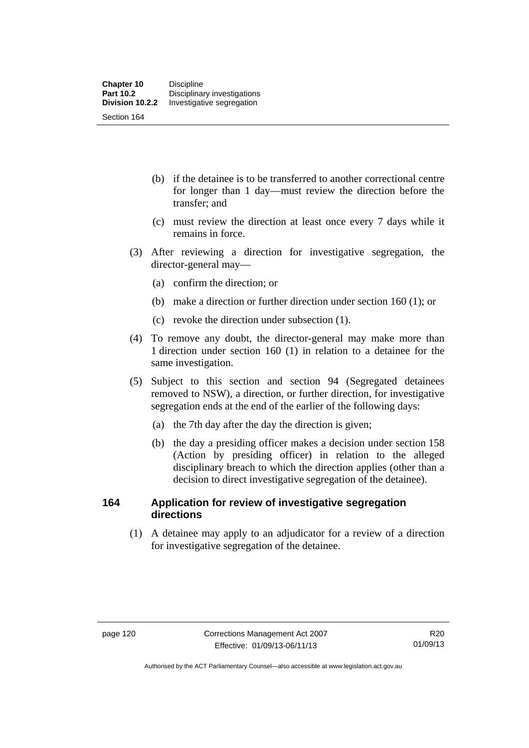- (b) if the detainee is to be transferred to another correctional centre for longer than 1 day—must review the direction before the transfer; and
- (c) must review the direction at least once every 7 days while it remains in force.
- (3) After reviewing a direction for investigative segregation, the director-general may—
	- (a) confirm the direction; or
	- (b) make a direction or further direction under section 160 (1); or
	- (c) revoke the direction under subsection (1).
- (4) To remove any doubt, the director-general may make more than 1 direction under section 160 (1) in relation to a detainee for the same investigation.
- (5) Subject to this section and section 94 (Segregated detainees removed to NSW), a direction, or further direction, for investigative segregation ends at the end of the earlier of the following days:
	- (a) the 7th day after the day the direction is given;
	- (b) the day a presiding officer makes a decision under section 158 (Action by presiding officer) in relation to the alleged disciplinary breach to which the direction applies (other than a decision to direct investigative segregation of the detainee).

## **164 Application for review of investigative segregation directions**

 (1) A detainee may apply to an adjudicator for a review of a direction for investigative segregation of the detainee.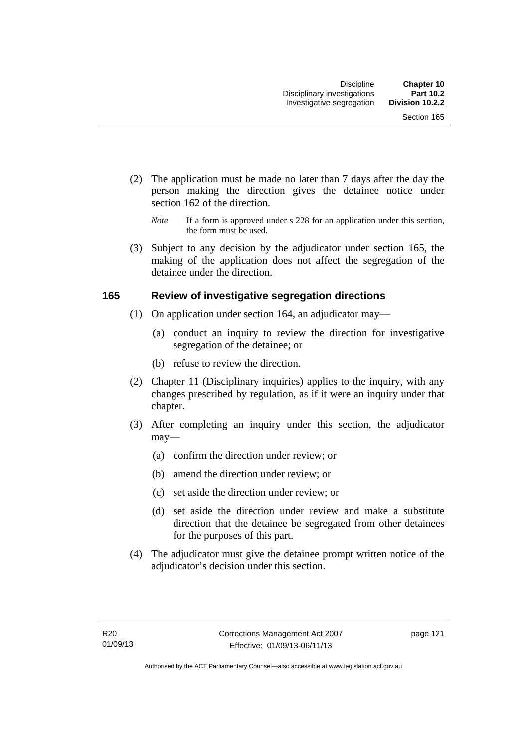- (2) The application must be made no later than 7 days after the day the person making the direction gives the detainee notice under section 162 of the direction.
	- *Note* If a form is approved under s 228 for an application under this section, the form must be used.
- (3) Subject to any decision by the adjudicator under section 165, the making of the application does not affect the segregation of the detainee under the direction.

## **165 Review of investigative segregation directions**

- (1) On application under section 164, an adjudicator may—
	- (a) conduct an inquiry to review the direction for investigative segregation of the detainee; or
	- (b) refuse to review the direction.
- (2) Chapter 11 (Disciplinary inquiries) applies to the inquiry, with any changes prescribed by regulation, as if it were an inquiry under that chapter.
- (3) After completing an inquiry under this section, the adjudicator may—
	- (a) confirm the direction under review; or
	- (b) amend the direction under review; or
	- (c) set aside the direction under review; or
	- (d) set aside the direction under review and make a substitute direction that the detainee be segregated from other detainees for the purposes of this part.
- (4) The adjudicator must give the detainee prompt written notice of the adjudicator's decision under this section.

page 121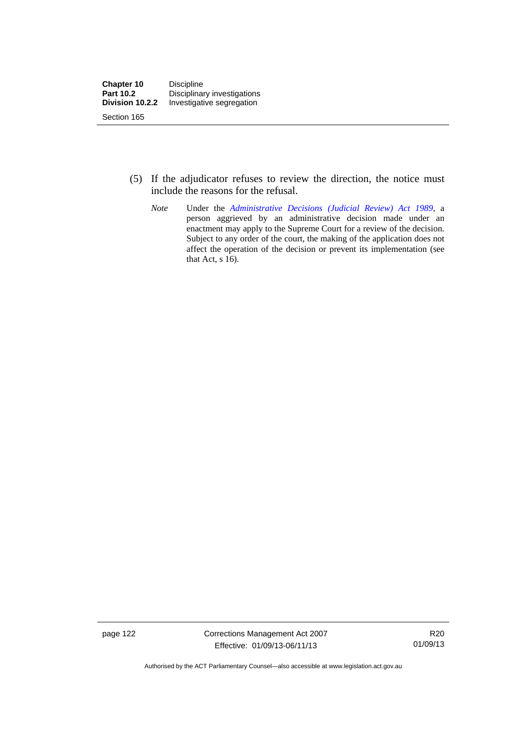- (5) If the adjudicator refuses to review the direction, the notice must include the reasons for the refusal.
	- *Note* Under the *[Administrative Decisions \(Judicial Review\) Act 1989](http://www.legislation.act.gov.au/a/alt_a1989-33co)*, a person aggrieved by an administrative decision made under an enactment may apply to the Supreme Court for a review of the decision. Subject to any order of the court, the making of the application does not affect the operation of the decision or prevent its implementation (see that Act, s 16).

page 122 Corrections Management Act 2007 Effective: 01/09/13-06/11/13

R20 01/09/13

Authorised by the ACT Parliamentary Counsel—also accessible at www.legislation.act.gov.au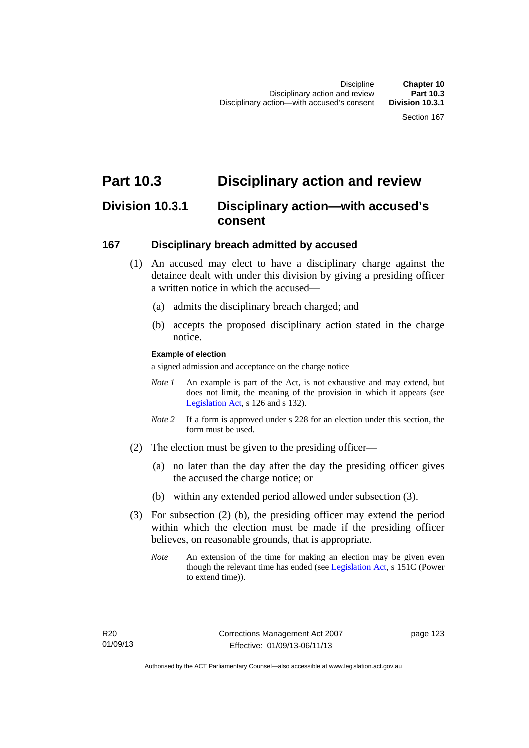# **Part 10.3 Disciplinary action and review**

# **Division 10.3.1 Disciplinary action—with accused's consent**

## **167 Disciplinary breach admitted by accused**

- (1) An accused may elect to have a disciplinary charge against the detainee dealt with under this division by giving a presiding officer a written notice in which the accused-
	- (a) admits the disciplinary breach charged; and
	- (b) accepts the proposed disciplinary action stated in the charge notice.

#### **Example of election**

a signed admission and acceptance on the charge notice

- *Note 1* An example is part of the Act, is not exhaustive and may extend, but does not limit, the meaning of the provision in which it appears (see [Legislation Act,](http://www.legislation.act.gov.au/a/2001-14) s 126 and s 132).
- *Note* 2 If a form is approved under s 228 for an election under this section, the form must be used.
- (2) The election must be given to the presiding officer—
	- (a) no later than the day after the day the presiding officer gives the accused the charge notice; or
	- (b) within any extended period allowed under subsection (3).
- (3) For subsection (2) (b), the presiding officer may extend the period within which the election must be made if the presiding officer believes, on reasonable grounds, that is appropriate.
	- *Note* An extension of the time for making an election may be given even though the relevant time has ended (see [Legislation Act](http://www.legislation.act.gov.au/a/2001-14), s 151C (Power to extend time)).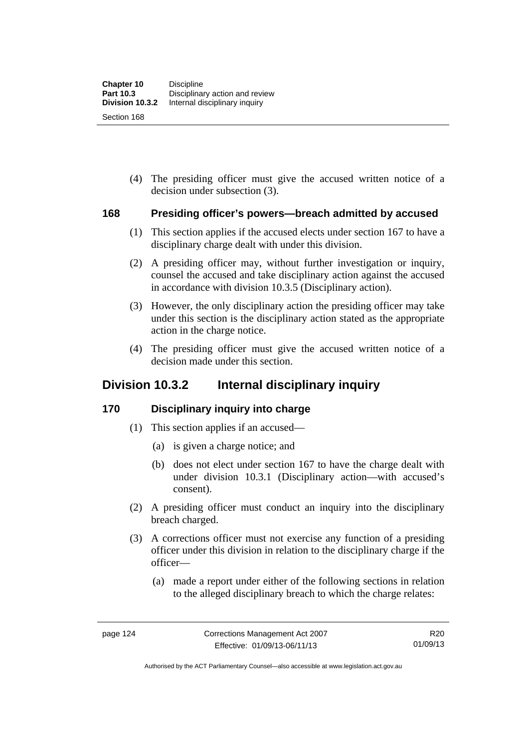(4) The presiding officer must give the accused written notice of a decision under subsection (3).

## **168 Presiding officer's powers—breach admitted by accused**

- (1) This section applies if the accused elects under section 167 to have a disciplinary charge dealt with under this division.
- (2) A presiding officer may, without further investigation or inquiry, counsel the accused and take disciplinary action against the accused in accordance with division 10.3.5 (Disciplinary action).
- (3) However, the only disciplinary action the presiding officer may take under this section is the disciplinary action stated as the appropriate action in the charge notice.
- (4) The presiding officer must give the accused written notice of a decision made under this section.

# **Division 10.3.2 Internal disciplinary inquiry**

## **170 Disciplinary inquiry into charge**

- (1) This section applies if an accused—
	- (a) is given a charge notice; and
	- (b) does not elect under section 167 to have the charge dealt with under division 10.3.1 (Disciplinary action—with accused's consent).
- (2) A presiding officer must conduct an inquiry into the disciplinary breach charged.
- (3) A corrections officer must not exercise any function of a presiding officer under this division in relation to the disciplinary charge if the officer—
	- (a) made a report under either of the following sections in relation to the alleged disciplinary breach to which the charge relates: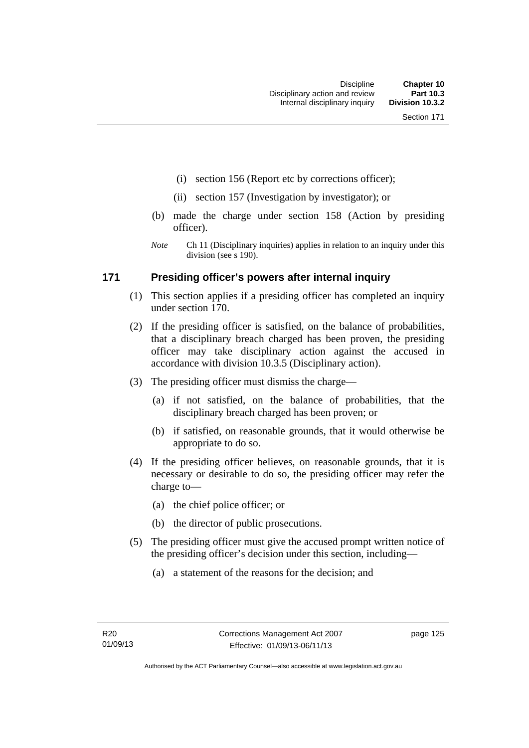- (i) section 156 (Report etc by corrections officer);
- (ii) section 157 (Investigation by investigator); or
- (b) made the charge under section 158 (Action by presiding officer).
- *Note* Ch 11 (Disciplinary inquiries) applies in relation to an inquiry under this division (see s 190).

## **171 Presiding officer's powers after internal inquiry**

- (1) This section applies if a presiding officer has completed an inquiry under section 170.
- (2) If the presiding officer is satisfied, on the balance of probabilities, that a disciplinary breach charged has been proven, the presiding officer may take disciplinary action against the accused in accordance with division 10.3.5 (Disciplinary action).
- (3) The presiding officer must dismiss the charge—
	- (a) if not satisfied, on the balance of probabilities, that the disciplinary breach charged has been proven; or
	- (b) if satisfied, on reasonable grounds, that it would otherwise be appropriate to do so.
- (4) If the presiding officer believes, on reasonable grounds, that it is necessary or desirable to do so, the presiding officer may refer the charge to—
	- (a) the chief police officer; or
	- (b) the director of public prosecutions.
- (5) The presiding officer must give the accused prompt written notice of the presiding officer's decision under this section, including—
	- (a) a statement of the reasons for the decision; and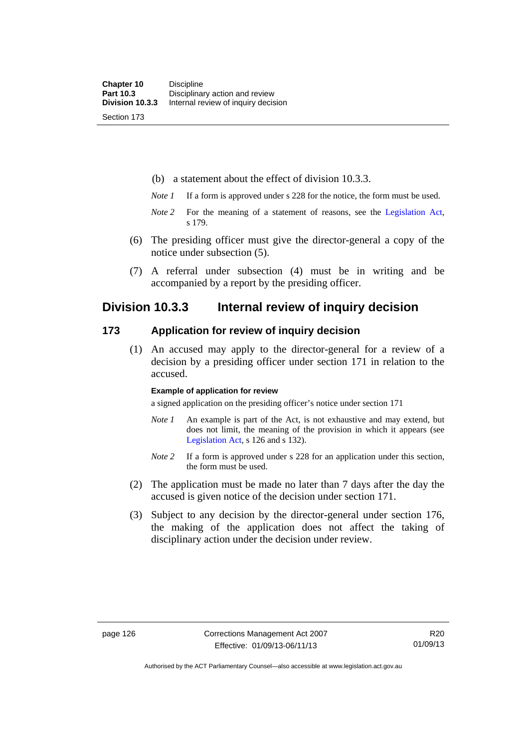(b) a statement about the effect of division 10.3.3.

- *Note 1* If a form is approved under s 228 for the notice, the form must be used.
- *Note 2* For the meaning of a statement of reasons, see the [Legislation Act,](http://www.legislation.act.gov.au/a/2001-14) s 179.
- (6) The presiding officer must give the director-general a copy of the notice under subsection (5).
- (7) A referral under subsection (4) must be in writing and be accompanied by a report by the presiding officer.

## **Division 10.3.3 Internal review of inquiry decision**

## **173 Application for review of inquiry decision**

 (1) An accused may apply to the director-general for a review of a decision by a presiding officer under section 171 in relation to the accused.

#### **Example of application for review**

a signed application on the presiding officer's notice under section 171

- *Note 1* An example is part of the Act, is not exhaustive and may extend, but does not limit, the meaning of the provision in which it appears (see [Legislation Act,](http://www.legislation.act.gov.au/a/2001-14) s 126 and s 132).
- *Note 2* If a form is approved under s 228 for an application under this section, the form must be used.
- (2) The application must be made no later than 7 days after the day the accused is given notice of the decision under section 171.
- (3) Subject to any decision by the director-general under section 176, the making of the application does not affect the taking of disciplinary action under the decision under review.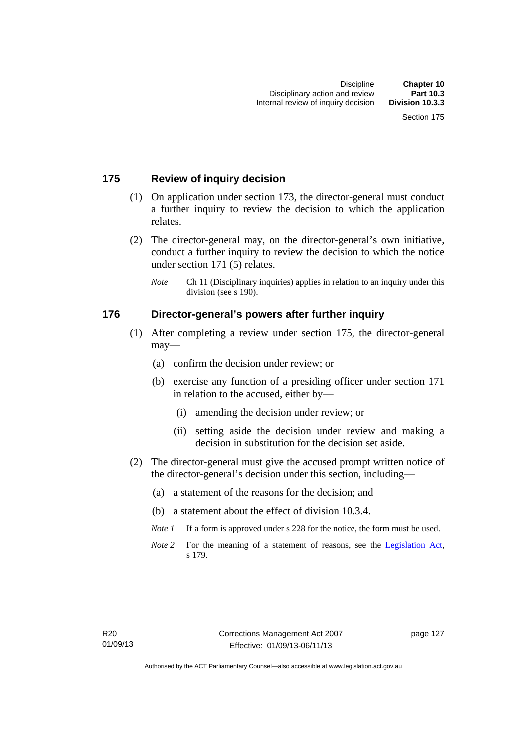## **175 Review of inquiry decision**

- (1) On application under section 173, the director-general must conduct a further inquiry to review the decision to which the application relates.
- (2) The director-general may, on the director-general's own initiative, conduct a further inquiry to review the decision to which the notice under section 171 (5) relates.
	- *Note* Ch 11 (Disciplinary inquiries) applies in relation to an inquiry under this division (see s 190).

## **176 Director-general's powers after further inquiry**

- (1) After completing a review under section 175, the director-general may—
	- (a) confirm the decision under review; or
	- (b) exercise any function of a presiding officer under section 171 in relation to the accused, either by—
		- (i) amending the decision under review; or
		- (ii) setting aside the decision under review and making a decision in substitution for the decision set aside.
- (2) The director-general must give the accused prompt written notice of the director-general's decision under this section, including—
	- (a) a statement of the reasons for the decision; and
	- (b) a statement about the effect of division 10.3.4.
	- *Note 1* If a form is approved under s 228 for the notice, the form must be used.
	- *Note* 2 For the meaning of a statement of reasons, see the [Legislation Act,](http://www.legislation.act.gov.au/a/2001-14) s 179.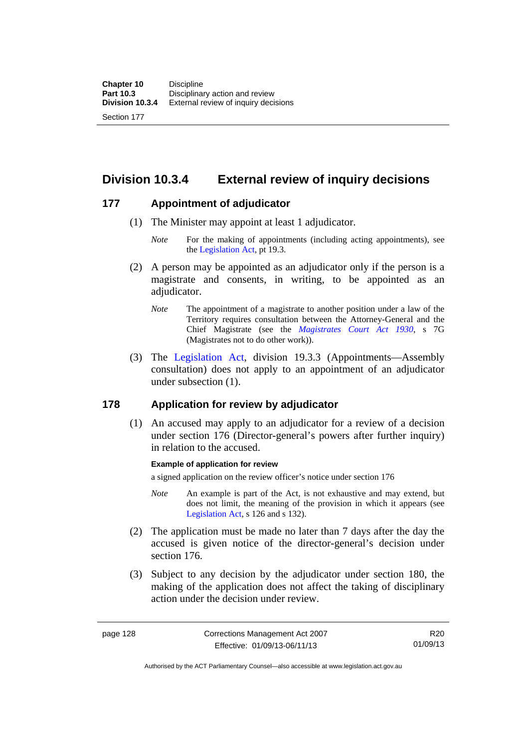**Division 10.3.4 External review of inquiry decisions** 

## **177 Appointment of adjudicator**

- (1) The Minister may appoint at least 1 adjudicator.
	- *Note* For the making of appointments (including acting appointments), see the [Legislation Act,](http://www.legislation.act.gov.au/a/2001-14) pt 19.3.
- (2) A person may be appointed as an adjudicator only if the person is a magistrate and consents, in writing, to be appointed as an adjudicator.
	- *Note* The appointment of a magistrate to another position under a law of the Territory requires consultation between the Attorney-General and the Chief Magistrate (see the *[Magistrates Court Act 1930](http://www.legislation.act.gov.au/a/1930-21)*, s 7G (Magistrates not to do other work)).
- (3) The [Legislation Act,](http://www.legislation.act.gov.au/a/2001-14) division 19.3.3 (Appointments—Assembly consultation) does not apply to an appointment of an adjudicator under subsection (1).

## **178 Application for review by adjudicator**

 (1) An accused may apply to an adjudicator for a review of a decision under section 176 (Director-general's powers after further inquiry) in relation to the accused.

### **Example of application for review**

a signed application on the review officer's notice under section 176

- *Note* An example is part of the Act, is not exhaustive and may extend, but does not limit, the meaning of the provision in which it appears (see [Legislation Act,](http://www.legislation.act.gov.au/a/2001-14) s 126 and s 132).
- (2) The application must be made no later than 7 days after the day the accused is given notice of the director-general's decision under section 176.
- (3) Subject to any decision by the adjudicator under section 180, the making of the application does not affect the taking of disciplinary action under the decision under review.

R20 01/09/13

Authorised by the ACT Parliamentary Counsel—also accessible at www.legislation.act.gov.au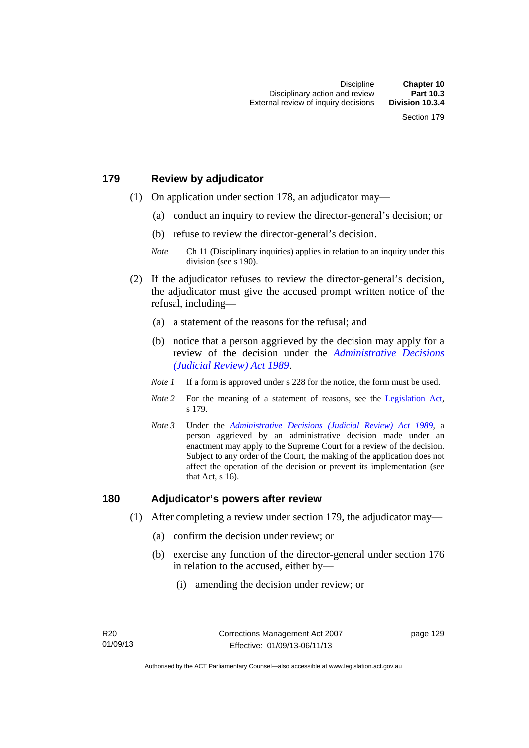#### **179 Review by adjudicator**

- (1) On application under section 178, an adjudicator may—
	- (a) conduct an inquiry to review the director-general's decision; or
	- (b) refuse to review the director-general's decision.

- (2) If the adjudicator refuses to review the director-general's decision, the adjudicator must give the accused prompt written notice of the refusal, including—
	- (a) a statement of the reasons for the refusal; and
	- (b) notice that a person aggrieved by the decision may apply for a review of the decision under the *[Administrative Decisions](http://www.legislation.act.gov.au/a/alt_a1989-33co)  [\(Judicial Review\) Act 1989](http://www.legislation.act.gov.au/a/alt_a1989-33co)*.
	- *Note 1* If a form is approved under s 228 for the notice, the form must be used.
	- *Note 2* For the meaning of a statement of reasons, see the [Legislation Act,](http://www.legislation.act.gov.au/a/2001-14) s 179.
	- *Note 3* Under the *[Administrative Decisions \(Judicial Review\) Act 1989](http://www.legislation.act.gov.au/a/alt_a1989-33co)*, a person aggrieved by an administrative decision made under an enactment may apply to the Supreme Court for a review of the decision. Subject to any order of the Court, the making of the application does not affect the operation of the decision or prevent its implementation (see that Act, s 16).

#### **180 Adjudicator's powers after review**

- (1) After completing a review under section 179, the adjudicator may—
	- (a) confirm the decision under review; or
	- (b) exercise any function of the director-general under section 176 in relation to the accused, either by—
		- (i) amending the decision under review; or

*Note* Ch 11 (Disciplinary inquiries) applies in relation to an inquiry under this division (see s 190).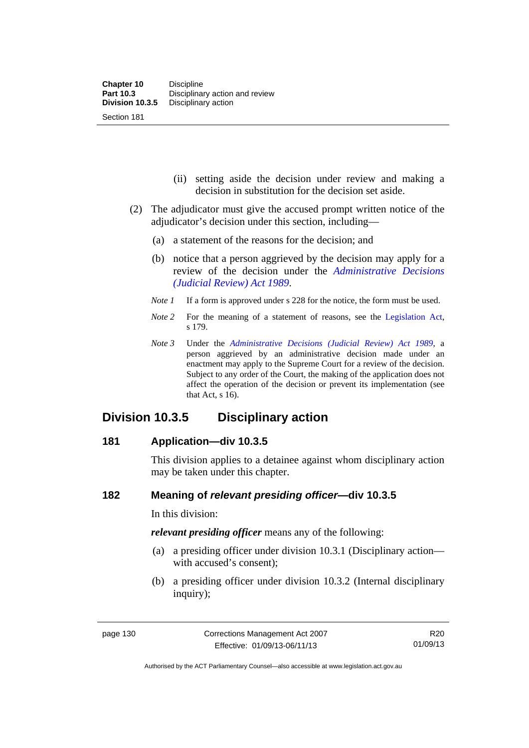- (ii) setting aside the decision under review and making a decision in substitution for the decision set aside.
- (2) The adjudicator must give the accused prompt written notice of the adjudicator's decision under this section, including—
	- (a) a statement of the reasons for the decision; and
	- (b) notice that a person aggrieved by the decision may apply for a review of the decision under the *[Administrative Decisions](http://www.legislation.act.gov.au/a/alt_a1989-33co)  [\(Judicial Review\) Act 1989](http://www.legislation.act.gov.au/a/alt_a1989-33co)*.
	- *Note 1* If a form is approved under s 228 for the notice, the form must be used.
	- *Note* 2 For the meaning of a statement of reasons, see the [Legislation Act,](http://www.legislation.act.gov.au/a/2001-14) s 179.
	- *Note 3* Under the *[Administrative Decisions \(Judicial Review\) Act 1989](http://www.legislation.act.gov.au/a/alt_a1989-33co)*, a person aggrieved by an administrative decision made under an enactment may apply to the Supreme Court for a review of the decision. Subject to any order of the Court, the making of the application does not affect the operation of the decision or prevent its implementation (see that Act, s 16).

## **Division 10.3.5 Disciplinary action**

#### **181 Application—div 10.3.5**

This division applies to a detainee against whom disciplinary action may be taken under this chapter.

#### **182 Meaning of** *relevant presiding officer***—div 10.3.5**

In this division:

*relevant presiding officer* means any of the following:

- (a) a presiding officer under division 10.3.1 (Disciplinary action with accused's consent);
- (b) a presiding officer under division 10.3.2 (Internal disciplinary inquiry);

Authorised by the ACT Parliamentary Counsel—also accessible at www.legislation.act.gov.au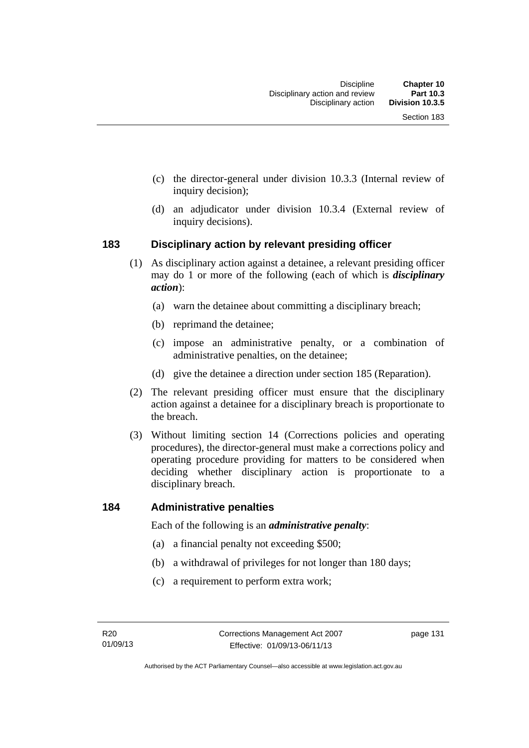- (c) the director-general under division 10.3.3 (Internal review of inquiry decision);
- (d) an adjudicator under division 10.3.4 (External review of inquiry decisions).

#### **183 Disciplinary action by relevant presiding officer**

- (1) As disciplinary action against a detainee, a relevant presiding officer may do 1 or more of the following (each of which is *disciplinary action*):
	- (a) warn the detainee about committing a disciplinary breach;
	- (b) reprimand the detainee;
	- (c) impose an administrative penalty, or a combination of administrative penalties, on the detainee;
	- (d) give the detainee a direction under section 185 (Reparation).
- (2) The relevant presiding officer must ensure that the disciplinary action against a detainee for a disciplinary breach is proportionate to the breach.
- (3) Without limiting section 14 (Corrections policies and operating procedures), the director-general must make a corrections policy and operating procedure providing for matters to be considered when deciding whether disciplinary action is proportionate to a disciplinary breach.

#### **184 Administrative penalties**

Each of the following is an *administrative penalty*:

- (a) a financial penalty not exceeding \$500;
- (b) a withdrawal of privileges for not longer than 180 days;
- (c) a requirement to perform extra work;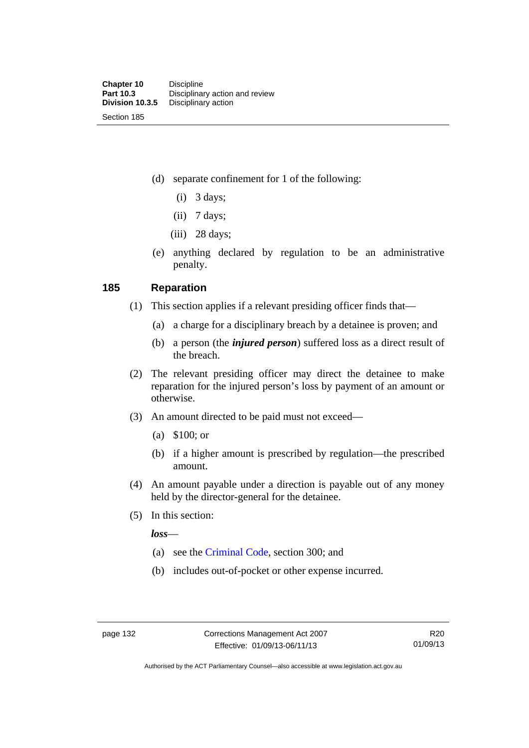(d) separate confinement for 1 of the following:

- $(i)$  3 days;
- $(ii)$  7 days;
- $(iii)$  28 days;
- (e) anything declared by regulation to be an administrative penalty.

#### **185 Reparation**

- (1) This section applies if a relevant presiding officer finds that—
	- (a) a charge for a disciplinary breach by a detainee is proven; and
	- (b) a person (the *injured person*) suffered loss as a direct result of the breach.
- (2) The relevant presiding officer may direct the detainee to make reparation for the injured person's loss by payment of an amount or otherwise.
- (3) An amount directed to be paid must not exceed—
	- (a) \$100; or
	- (b) if a higher amount is prescribed by regulation—the prescribed amount.
- (4) An amount payable under a direction is payable out of any money held by the director-general for the detainee.
- (5) In this section:

*loss*—

- (a) see the [Criminal Code](http://www.legislation.act.gov.au/a/2002-51), section 300; and
- (b) includes out-of-pocket or other expense incurred.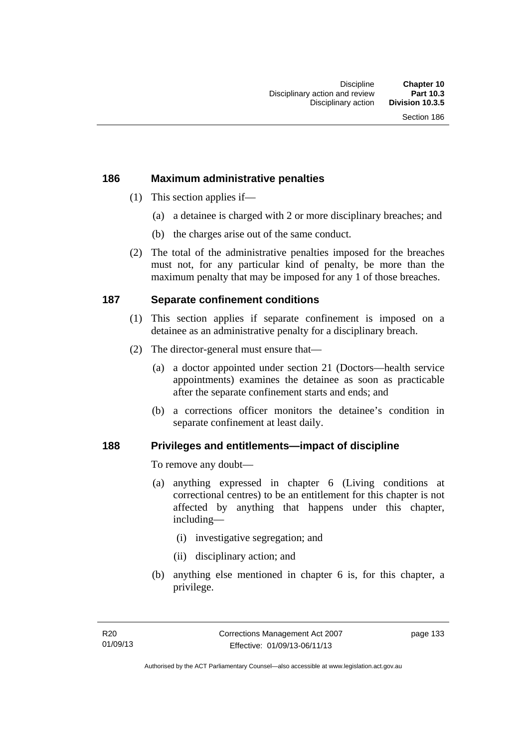### **186 Maximum administrative penalties**

- (1) This section applies if—
	- (a) a detainee is charged with 2 or more disciplinary breaches; and
	- (b) the charges arise out of the same conduct.
- (2) The total of the administrative penalties imposed for the breaches must not, for any particular kind of penalty, be more than the maximum penalty that may be imposed for any 1 of those breaches.

## **187 Separate confinement conditions**

- (1) This section applies if separate confinement is imposed on a detainee as an administrative penalty for a disciplinary breach.
- (2) The director-general must ensure that—
	- (a) a doctor appointed under section 21 (Doctors—health service appointments) examines the detainee as soon as practicable after the separate confinement starts and ends; and
	- (b) a corrections officer monitors the detainee's condition in separate confinement at least daily.

#### **188 Privileges and entitlements—impact of discipline**

To remove any doubt—

- (a) anything expressed in chapter 6 (Living conditions at correctional centres) to be an entitlement for this chapter is not affected by anything that happens under this chapter, including—
	- (i) investigative segregation; and
	- (ii) disciplinary action; and
- (b) anything else mentioned in chapter 6 is, for this chapter, a privilege.

page 133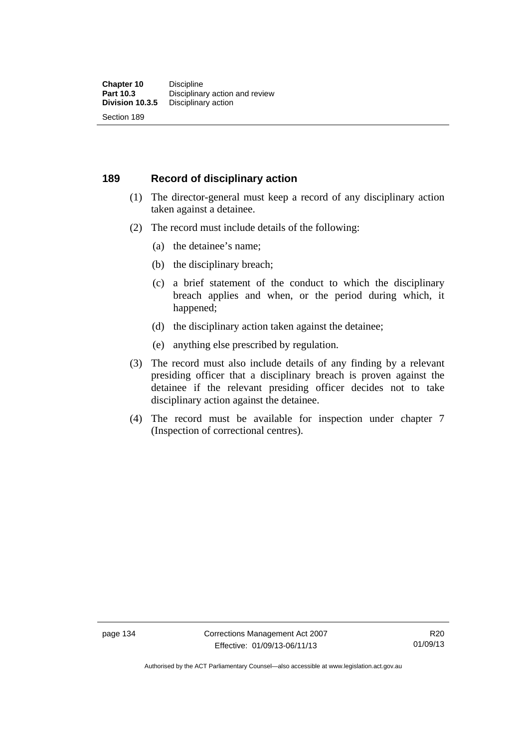#### **189 Record of disciplinary action**

- (1) The director-general must keep a record of any disciplinary action taken against a detainee.
- (2) The record must include details of the following:
	- (a) the detainee's name;
	- (b) the disciplinary breach;
	- (c) a brief statement of the conduct to which the disciplinary breach applies and when, or the period during which, it happened;
	- (d) the disciplinary action taken against the detainee;
	- (e) anything else prescribed by regulation.
- (3) The record must also include details of any finding by a relevant presiding officer that a disciplinary breach is proven against the detainee if the relevant presiding officer decides not to take disciplinary action against the detainee.
- (4) The record must be available for inspection under chapter 7 (Inspection of correctional centres).

Authorised by the ACT Parliamentary Counsel—also accessible at www.legislation.act.gov.au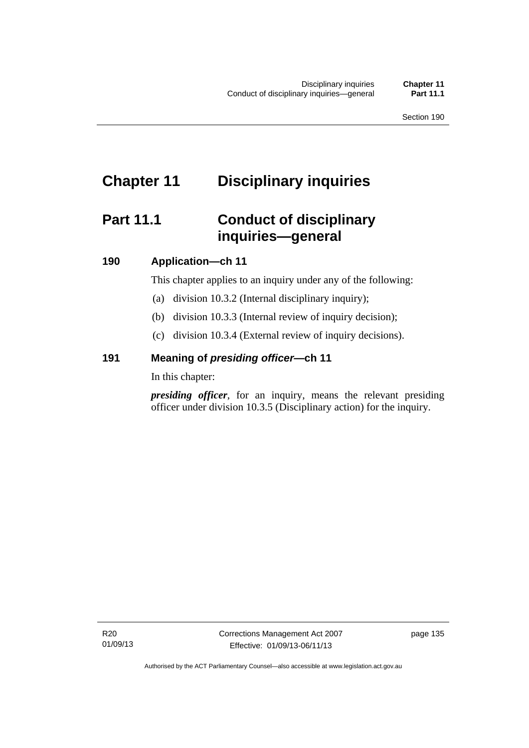# **Chapter 11 Disciplinary inquiries**

## **Part 11.1 Conduct of disciplinary inquiries—general**

## **190 Application—ch 11**

This chapter applies to an inquiry under any of the following:

- (a) division 10.3.2 (Internal disciplinary inquiry);
- (b) division 10.3.3 (Internal review of inquiry decision);
- (c) division 10.3.4 (External review of inquiry decisions).

## **191 Meaning of** *presiding officer—***ch 11**

In this chapter:

*presiding officer*, for an inquiry, means the relevant presiding officer under division 10.3.5 (Disciplinary action) for the inquiry.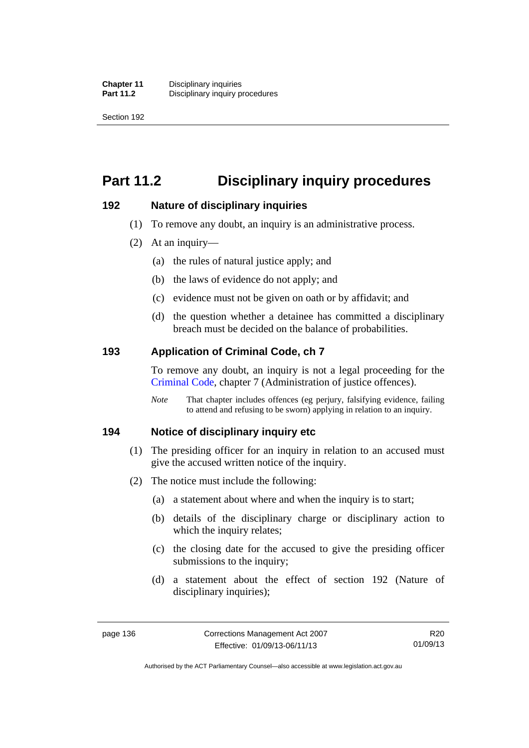Section 192

# **Part 11.2 Disciplinary inquiry procedures**

### **192 Nature of disciplinary inquiries**

- (1) To remove any doubt, an inquiry is an administrative process.
- (2) At an inquiry—
	- (a) the rules of natural justice apply; and
	- (b) the laws of evidence do not apply; and
	- (c) evidence must not be given on oath or by affidavit; and
	- (d) the question whether a detainee has committed a disciplinary breach must be decided on the balance of probabilities.

### **193 Application of Criminal Code, ch 7**

To remove any doubt, an inquiry is not a legal proceeding for the [Criminal Code](http://www.legislation.act.gov.au/a/2002-51), chapter 7 (Administration of justice offences).

*Note* That chapter includes offences (eg perjury, falsifying evidence, failing to attend and refusing to be sworn) applying in relation to an inquiry.

#### **194 Notice of disciplinary inquiry etc**

- (1) The presiding officer for an inquiry in relation to an accused must give the accused written notice of the inquiry.
- (2) The notice must include the following:
	- (a) a statement about where and when the inquiry is to start;
	- (b) details of the disciplinary charge or disciplinary action to which the inquiry relates:
	- (c) the closing date for the accused to give the presiding officer submissions to the inquiry;
	- (d) a statement about the effect of section 192 (Nature of disciplinary inquiries);

R20 01/09/13

Authorised by the ACT Parliamentary Counsel—also accessible at www.legislation.act.gov.au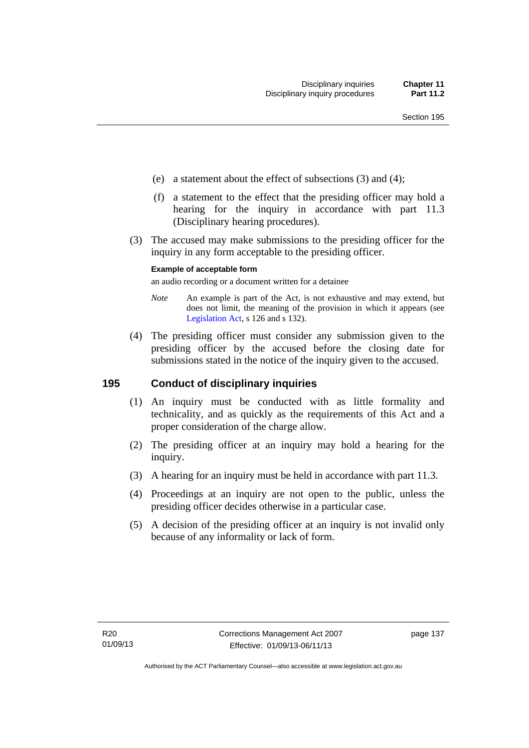- (e) a statement about the effect of subsections (3) and (4);
- (f) a statement to the effect that the presiding officer may hold a hearing for the inquiry in accordance with part 11.3 (Disciplinary hearing procedures).
- (3) The accused may make submissions to the presiding officer for the inquiry in any form acceptable to the presiding officer.

#### **Example of acceptable form**

an audio recording or a document written for a detainee

- *Note* An example is part of the Act, is not exhaustive and may extend, but does not limit, the meaning of the provision in which it appears (see [Legislation Act,](http://www.legislation.act.gov.au/a/2001-14) s 126 and s 132).
- (4) The presiding officer must consider any submission given to the presiding officer by the accused before the closing date for submissions stated in the notice of the inquiry given to the accused.

#### **195 Conduct of disciplinary inquiries**

- (1) An inquiry must be conducted with as little formality and technicality, and as quickly as the requirements of this Act and a proper consideration of the charge allow.
- (2) The presiding officer at an inquiry may hold a hearing for the inquiry.
- (3) A hearing for an inquiry must be held in accordance with part 11.3.
- (4) Proceedings at an inquiry are not open to the public, unless the presiding officer decides otherwise in a particular case.
- (5) A decision of the presiding officer at an inquiry is not invalid only because of any informality or lack of form.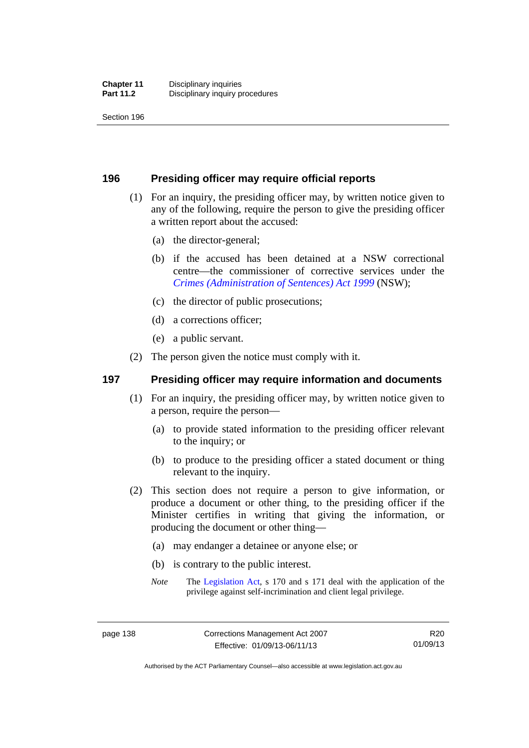Section 196

#### **196 Presiding officer may require official reports**

- (1) For an inquiry, the presiding officer may, by written notice given to any of the following, require the person to give the presiding officer a written report about the accused:
	- (a) the director-general;
	- (b) if the accused has been detained at a NSW correctional centre—the commissioner of corrective services under the *[Crimes \(Administration of Sentences\) Act 1999](http://www.legislation.nsw.gov.au/maintop/view/inforce/act+93+1999+cd+0+N)* (NSW);
	- (c) the director of public prosecutions;
	- (d) a corrections officer;
	- (e) a public servant.
- (2) The person given the notice must comply with it.

### **197 Presiding officer may require information and documents**

- (1) For an inquiry, the presiding officer may, by written notice given to a person, require the person—
	- (a) to provide stated information to the presiding officer relevant to the inquiry; or
	- (b) to produce to the presiding officer a stated document or thing relevant to the inquiry.
- (2) This section does not require a person to give information, or produce a document or other thing, to the presiding officer if the Minister certifies in writing that giving the information, or producing the document or other thing—
	- (a) may endanger a detainee or anyone else; or
	- (b) is contrary to the public interest.
	- *Note* The [Legislation Act,](http://www.legislation.act.gov.au/a/2001-14) s 170 and s 171 deal with the application of the privilege against self-incrimination and client legal privilege.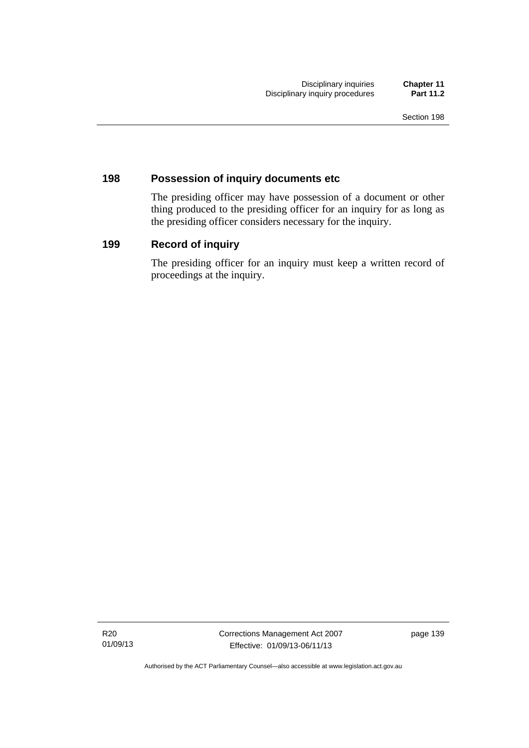#### **198 Possession of inquiry documents etc**

The presiding officer may have possession of a document or other thing produced to the presiding officer for an inquiry for as long as the presiding officer considers necessary for the inquiry.

## **199 Record of inquiry**

The presiding officer for an inquiry must keep a written record of proceedings at the inquiry.

R20 01/09/13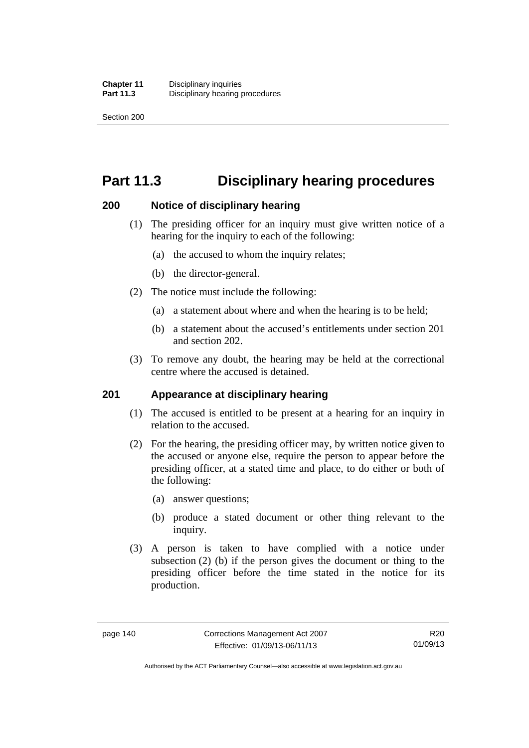Section 200

## **Part 11.3 Disciplinary hearing procedures**

#### **200 Notice of disciplinary hearing**

- (1) The presiding officer for an inquiry must give written notice of a hearing for the inquiry to each of the following:
	- (a) the accused to whom the inquiry relates;
	- (b) the director-general.
- (2) The notice must include the following:
	- (a) a statement about where and when the hearing is to be held;
	- (b) a statement about the accused's entitlements under section 201 and section 202.
- (3) To remove any doubt, the hearing may be held at the correctional centre where the accused is detained.

#### **201 Appearance at disciplinary hearing**

- (1) The accused is entitled to be present at a hearing for an inquiry in relation to the accused.
- (2) For the hearing, the presiding officer may, by written notice given to the accused or anyone else, require the person to appear before the presiding officer, at a stated time and place, to do either or both of the following:
	- (a) answer questions;
	- (b) produce a stated document or other thing relevant to the inquiry.
- (3) A person is taken to have complied with a notice under subsection (2) (b) if the person gives the document or thing to the presiding officer before the time stated in the notice for its production.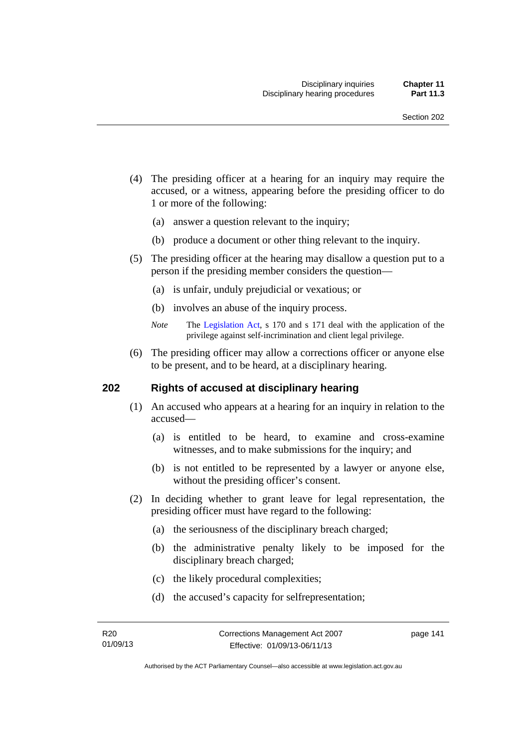- (4) The presiding officer at a hearing for an inquiry may require the accused, or a witness, appearing before the presiding officer to do 1 or more of the following:
	- (a) answer a question relevant to the inquiry;
	- (b) produce a document or other thing relevant to the inquiry.
- (5) The presiding officer at the hearing may disallow a question put to a person if the presiding member considers the question—
	- (a) is unfair, unduly prejudicial or vexatious; or
	- (b) involves an abuse of the inquiry process.
	- *Note* The [Legislation Act,](http://www.legislation.act.gov.au/a/2001-14) s 170 and s 171 deal with the application of the privilege against self-incrimination and client legal privilege.
- (6) The presiding officer may allow a corrections officer or anyone else to be present, and to be heard, at a disciplinary hearing.

#### **202 Rights of accused at disciplinary hearing**

- (1) An accused who appears at a hearing for an inquiry in relation to the accused—
	- (a) is entitled to be heard, to examine and cross-examine witnesses, and to make submissions for the inquiry; and
	- (b) is not entitled to be represented by a lawyer or anyone else, without the presiding officer's consent.
- (2) In deciding whether to grant leave for legal representation, the presiding officer must have regard to the following:
	- (a) the seriousness of the disciplinary breach charged;
	- (b) the administrative penalty likely to be imposed for the disciplinary breach charged;
	- (c) the likely procedural complexities;
	- (d) the accused's capacity for selfrepresentation;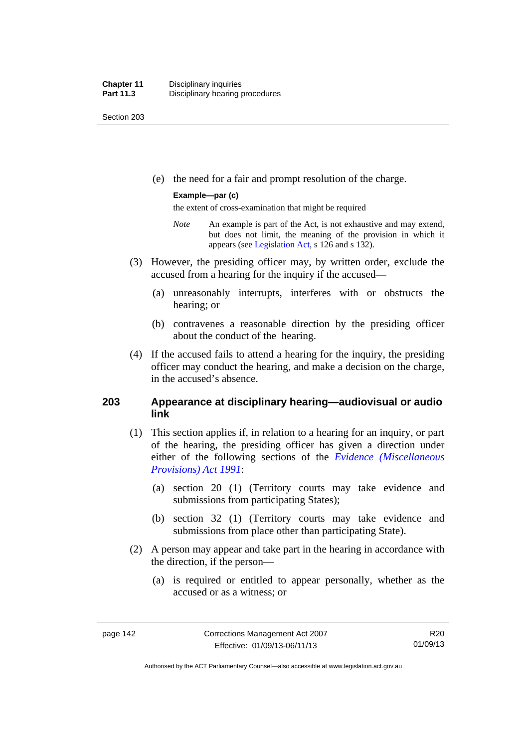Section 203

(e) the need for a fair and prompt resolution of the charge.

#### **Example—par (c)**

the extent of cross-examination that might be required

- *Note* An example is part of the Act, is not exhaustive and may extend, but does not limit, the meaning of the provision in which it appears (see [Legislation Act,](http://www.legislation.act.gov.au/a/2001-14) s 126 and s 132).
- (3) However, the presiding officer may, by written order, exclude the accused from a hearing for the inquiry if the accused—
	- (a) unreasonably interrupts, interferes with or obstructs the hearing; or
	- (b) contravenes a reasonable direction by the presiding officer about the conduct of the hearing.
- (4) If the accused fails to attend a hearing for the inquiry, the presiding officer may conduct the hearing, and make a decision on the charge, in the accused's absence.

### **203 Appearance at disciplinary hearing—audiovisual or audio link**

- (1) This section applies if, in relation to a hearing for an inquiry, or part of the hearing, the presiding officer has given a direction under either of the following sections of the *[Evidence \(Miscellaneous](http://www.legislation.act.gov.au/a/1991-34)  [Provisions\) Act 1991](http://www.legislation.act.gov.au/a/1991-34)*:
	- (a) section 20 (1) (Territory courts may take evidence and submissions from participating States);
	- (b) section 32 (1) (Territory courts may take evidence and submissions from place other than participating State).
- (2) A person may appear and take part in the hearing in accordance with the direction, if the person—
	- (a) is required or entitled to appear personally, whether as the accused or as a witness; or

Authorised by the ACT Parliamentary Counsel—also accessible at www.legislation.act.gov.au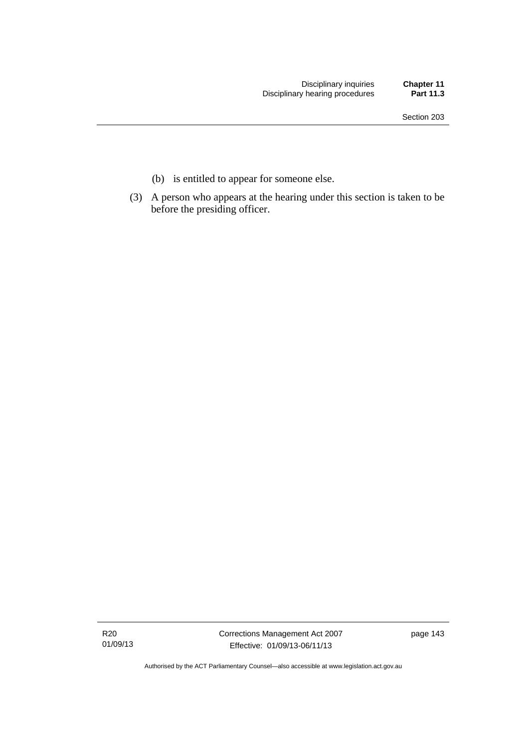- (b) is entitled to appear for someone else.
- (3) A person who appears at the hearing under this section is taken to be before the presiding officer.

R20 01/09/13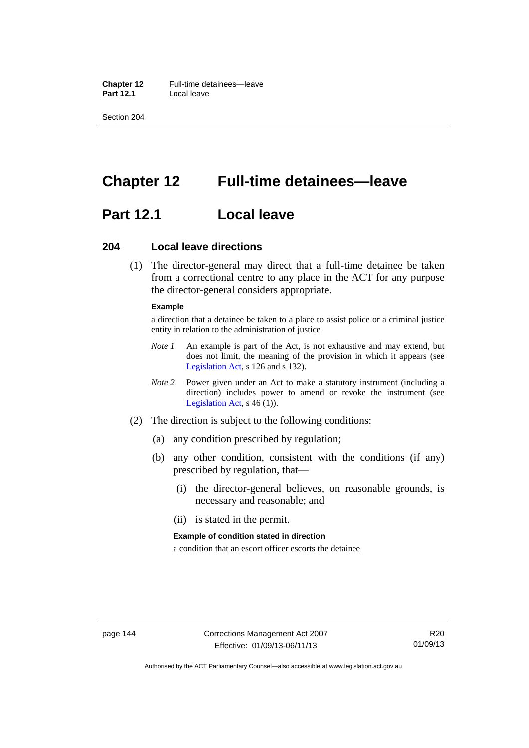**Chapter 12** Full-time detainees—leave **Part 12.1** Local leave

Section 204

## **Chapter 12 Full-time detainees—leave**

## **Part 12.1 Local leave**

#### **204 Local leave directions**

 (1) The director-general may direct that a full-time detainee be taken from a correctional centre to any place in the ACT for any purpose the director-general considers appropriate.

#### **Example**

a direction that a detainee be taken to a place to assist police or a criminal justice entity in relation to the administration of justice

- *Note 1* An example is part of the Act, is not exhaustive and may extend, but does not limit, the meaning of the provision in which it appears (see [Legislation Act,](http://www.legislation.act.gov.au/a/2001-14) s 126 and s 132).
- *Note 2* Power given under an Act to make a statutory instrument (including a direction) includes power to amend or revoke the instrument (see [Legislation Act,](http://www.legislation.act.gov.au/a/2001-14) s 46 (1)).
- (2) The direction is subject to the following conditions:
	- (a) any condition prescribed by regulation;
	- (b) any other condition, consistent with the conditions (if any) prescribed by regulation, that—
		- (i) the director-general believes, on reasonable grounds, is necessary and reasonable; and
		- (ii) is stated in the permit.

#### **Example of condition stated in direction**

a condition that an escort officer escorts the detainee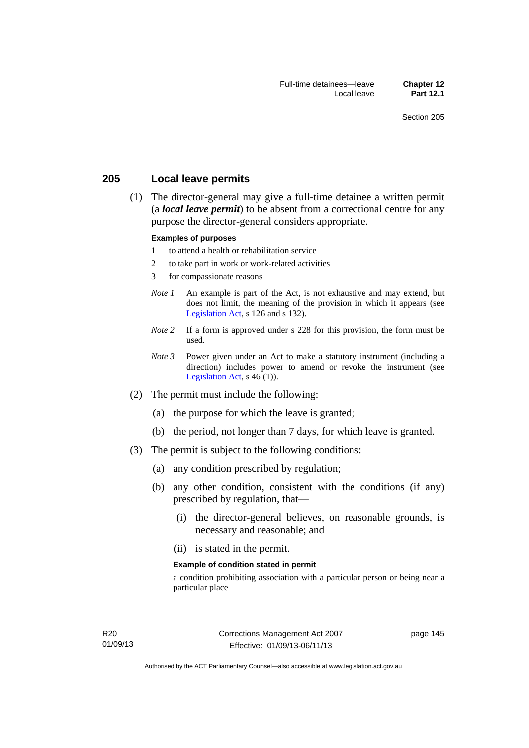#### **205 Local leave permits**

 (1) The director-general may give a full-time detainee a written permit (a *local leave permit*) to be absent from a correctional centre for any purpose the director-general considers appropriate.

#### **Examples of purposes**

- 1 to attend a health or rehabilitation service
- 2 to take part in work or work-related activities
- 3 for compassionate reasons
- *Note 1* An example is part of the Act, is not exhaustive and may extend, but does not limit, the meaning of the provision in which it appears (see [Legislation Act,](http://www.legislation.act.gov.au/a/2001-14) s 126 and s 132).
- *Note* 2 If a form is approved under s 228 for this provision, the form must be used.
- *Note 3* Power given under an Act to make a statutory instrument (including a direction) includes power to amend or revoke the instrument (see [Legislation Act,](http://www.legislation.act.gov.au/a/2001-14)  $s$  46 (1)).
- (2) The permit must include the following:
	- (a) the purpose for which the leave is granted;
	- (b) the period, not longer than 7 days, for which leave is granted.
- (3) The permit is subject to the following conditions:
	- (a) any condition prescribed by regulation;
	- (b) any other condition, consistent with the conditions (if any) prescribed by regulation, that—
		- (i) the director-general believes, on reasonable grounds, is necessary and reasonable; and
		- (ii) is stated in the permit.

#### **Example of condition stated in permit**

a condition prohibiting association with a particular person or being near a particular place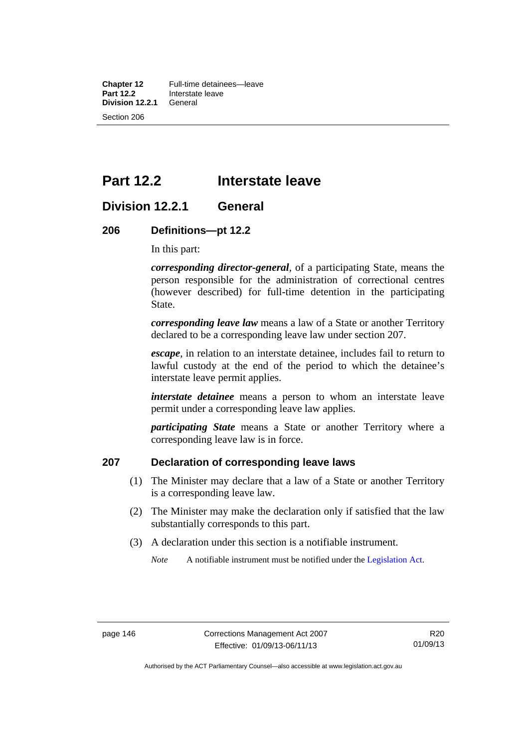**Chapter 12** Full-time detainees—leave<br>**Part 12.2** Interstate leave **Interstate leave**<br>General **Division 12.2.1** Section 206

## **Part 12.2 Interstate leave**

## **Division 12.2.1 General**

#### **206 Definitions—pt 12.2**

In this part:

*corresponding director-general*, of a participating State, means the person responsible for the administration of correctional centres (however described) for full-time detention in the participating State.

*corresponding leave law* means a law of a State or another Territory declared to be a corresponding leave law under section 207.

*escape*, in relation to an interstate detainee, includes fail to return to lawful custody at the end of the period to which the detainee's interstate leave permit applies.

*interstate detainee* means a person to whom an interstate leave permit under a corresponding leave law applies.

*participating State* means a State or another Territory where a corresponding leave law is in force.

### **207 Declaration of corresponding leave laws**

- (1) The Minister may declare that a law of a State or another Territory is a corresponding leave law.
- (2) The Minister may make the declaration only if satisfied that the law substantially corresponds to this part.
- (3) A declaration under this section is a notifiable instrument.

*Note* A notifiable instrument must be notified under the [Legislation Act](http://www.legislation.act.gov.au/a/2001-14).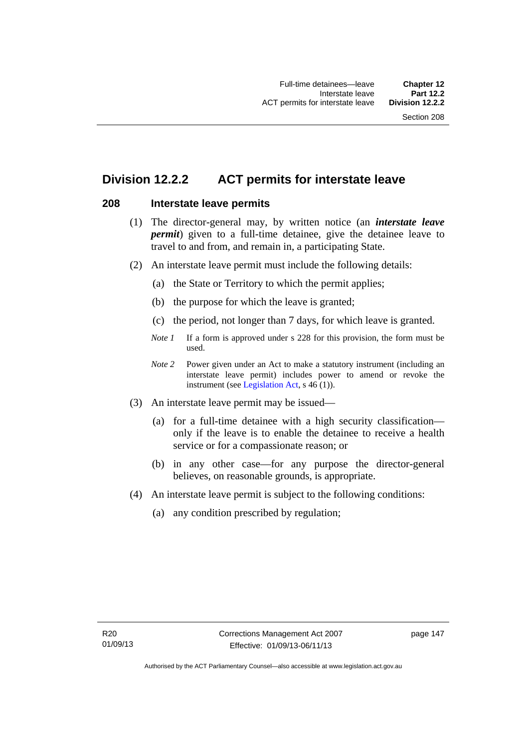## **Division 12.2.2 ACT permits for interstate leave**

#### **208 Interstate leave permits**

- (1) The director-general may, by written notice (an *interstate leave permit*) given to a full-time detainee, give the detainee leave to travel to and from, and remain in, a participating State.
- (2) An interstate leave permit must include the following details:
	- (a) the State or Territory to which the permit applies;
	- (b) the purpose for which the leave is granted;
	- (c) the period, not longer than 7 days, for which leave is granted.
	- *Note 1* If a form is approved under s 228 for this provision, the form must be used.
	- *Note 2* Power given under an Act to make a statutory instrument (including an interstate leave permit) includes power to amend or revoke the instrument (see [Legislation Act,](http://www.legislation.act.gov.au/a/2001-14) s 46 (1)).
- (3) An interstate leave permit may be issued—
	- (a) for a full-time detainee with a high security classification only if the leave is to enable the detainee to receive a health service or for a compassionate reason; or
	- (b) in any other case—for any purpose the director-general believes, on reasonable grounds, is appropriate.
- (4) An interstate leave permit is subject to the following conditions:
	- (a) any condition prescribed by regulation;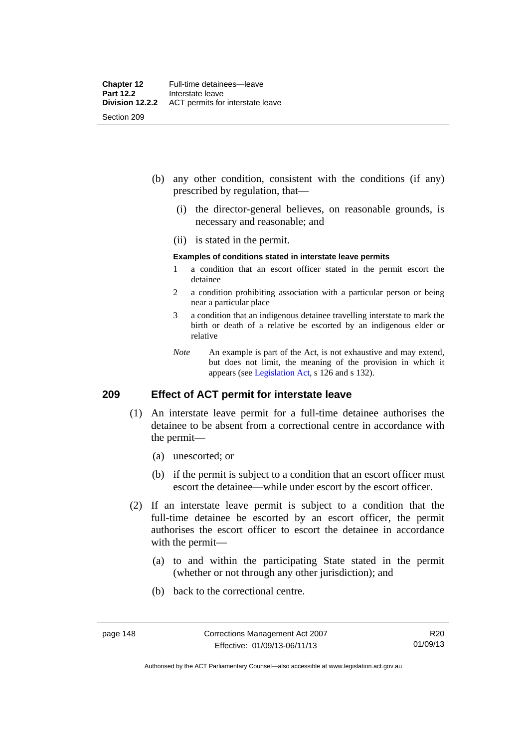- (b) any other condition, consistent with the conditions (if any) prescribed by regulation, that—
	- (i) the director-general believes, on reasonable grounds, is necessary and reasonable; and
	- (ii) is stated in the permit.

#### **Examples of conditions stated in interstate leave permits**

- 1 a condition that an escort officer stated in the permit escort the detainee
- 2 a condition prohibiting association with a particular person or being near a particular place
- 3 a condition that an indigenous detainee travelling interstate to mark the birth or death of a relative be escorted by an indigenous elder or relative
- *Note* An example is part of the Act, is not exhaustive and may extend, but does not limit, the meaning of the provision in which it appears (see [Legislation Act,](http://www.legislation.act.gov.au/a/2001-14) s 126 and s 132).

#### **209 Effect of ACT permit for interstate leave**

- (1) An interstate leave permit for a full-time detainee authorises the detainee to be absent from a correctional centre in accordance with the permit—
	- (a) unescorted; or
	- (b) if the permit is subject to a condition that an escort officer must escort the detainee—while under escort by the escort officer.
- (2) If an interstate leave permit is subject to a condition that the full-time detainee be escorted by an escort officer, the permit authorises the escort officer to escort the detainee in accordance with the permit—
	- (a) to and within the participating State stated in the permit (whether or not through any other jurisdiction); and
	- (b) back to the correctional centre.

Authorised by the ACT Parliamentary Counsel—also accessible at www.legislation.act.gov.au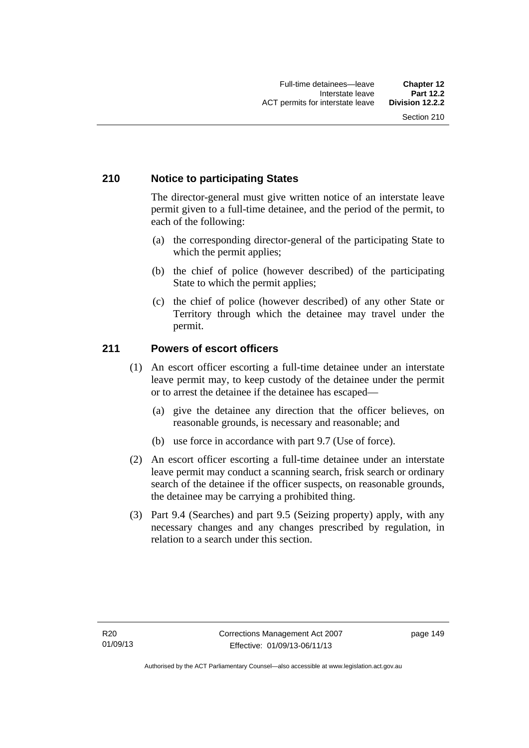### **210 Notice to participating States**

The director-general must give written notice of an interstate leave permit given to a full-time detainee, and the period of the permit, to each of the following:

- (a) the corresponding director-general of the participating State to which the permit applies;
- (b) the chief of police (however described) of the participating State to which the permit applies;
- (c) the chief of police (however described) of any other State or Territory through which the detainee may travel under the permit.

#### **211 Powers of escort officers**

- (1) An escort officer escorting a full-time detainee under an interstate leave permit may, to keep custody of the detainee under the permit or to arrest the detainee if the detainee has escaped—
	- (a) give the detainee any direction that the officer believes, on reasonable grounds, is necessary and reasonable; and
	- (b) use force in accordance with part 9.7 (Use of force).
- (2) An escort officer escorting a full-time detainee under an interstate leave permit may conduct a scanning search, frisk search or ordinary search of the detainee if the officer suspects, on reasonable grounds, the detainee may be carrying a prohibited thing.
- (3) Part 9.4 (Searches) and part 9.5 (Seizing property) apply, with any necessary changes and any changes prescribed by regulation, in relation to a search under this section.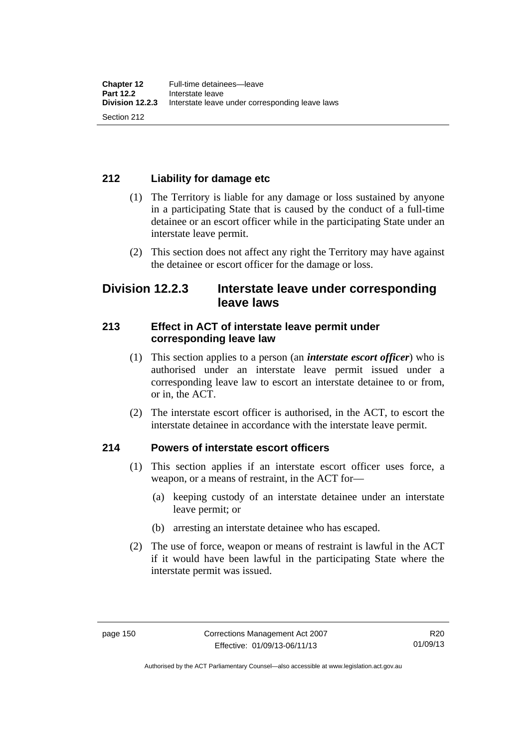## **212 Liability for damage etc**

- (1) The Territory is liable for any damage or loss sustained by anyone in a participating State that is caused by the conduct of a full-time detainee or an escort officer while in the participating State under an interstate leave permit.
- (2) This section does not affect any right the Territory may have against the detainee or escort officer for the damage or loss.

## **Division 12.2.3 Interstate leave under corresponding leave laws**

### **213 Effect in ACT of interstate leave permit under corresponding leave law**

- (1) This section applies to a person (an *interstate escort officer*) who is authorised under an interstate leave permit issued under a corresponding leave law to escort an interstate detainee to or from, or in, the ACT.
- (2) The interstate escort officer is authorised, in the ACT, to escort the interstate detainee in accordance with the interstate leave permit.

## **214 Powers of interstate escort officers**

- (1) This section applies if an interstate escort officer uses force, a weapon, or a means of restraint, in the ACT for—
	- (a) keeping custody of an interstate detainee under an interstate leave permit; or
	- (b) arresting an interstate detainee who has escaped.
- (2) The use of force, weapon or means of restraint is lawful in the ACT if it would have been lawful in the participating State where the interstate permit was issued.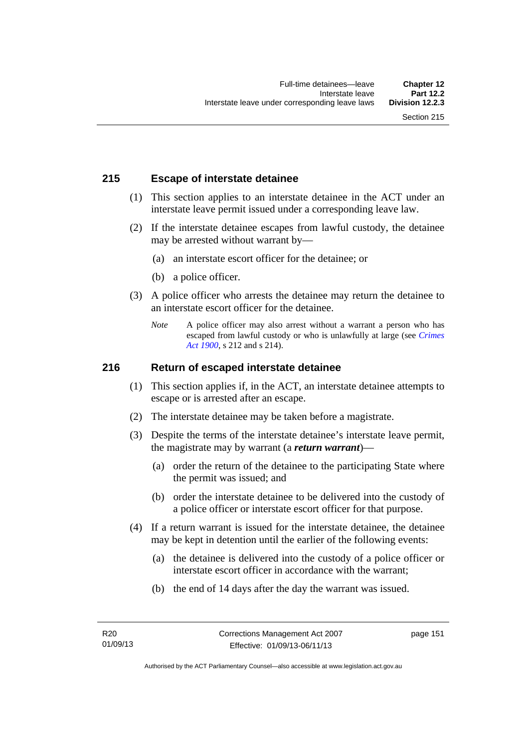### **215 Escape of interstate detainee**

- (1) This section applies to an interstate detainee in the ACT under an interstate leave permit issued under a corresponding leave law.
- (2) If the interstate detainee escapes from lawful custody, the detainee may be arrested without warrant by—
	- (a) an interstate escort officer for the detainee; or
	- (b) a police officer.
- (3) A police officer who arrests the detainee may return the detainee to an interstate escort officer for the detainee.
	- *Note* A police officer may also arrest without a warrant a person who has escaped from lawful custody or who is unlawfully at large (see *[Crimes](http://www.legislation.act.gov.au/a/1900-40)  [Act 1900](http://www.legislation.act.gov.au/a/1900-40)*, s 212 and s 214).

#### **216 Return of escaped interstate detainee**

- (1) This section applies if, in the ACT, an interstate detainee attempts to escape or is arrested after an escape.
- (2) The interstate detainee may be taken before a magistrate.
- (3) Despite the terms of the interstate detainee's interstate leave permit, the magistrate may by warrant (a *return warrant*)—
	- (a) order the return of the detainee to the participating State where the permit was issued; and
	- (b) order the interstate detainee to be delivered into the custody of a police officer or interstate escort officer for that purpose.
- (4) If a return warrant is issued for the interstate detainee, the detainee may be kept in detention until the earlier of the following events:
	- (a) the detainee is delivered into the custody of a police officer or interstate escort officer in accordance with the warrant;
	- (b) the end of 14 days after the day the warrant was issued.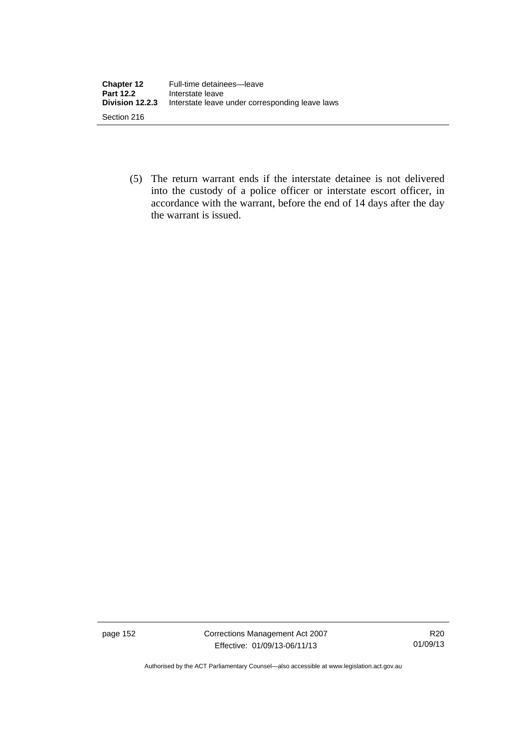| <b>Chapter 12</b><br><b>Part 12.2</b> | Full-time detainees-leave<br>Interstate leave   |
|---------------------------------------|-------------------------------------------------|
| Division 12.2.3                       | Interstate leave under corresponding leave laws |
| Section 216                           |                                                 |

 (5) The return warrant ends if the interstate detainee is not delivered into the custody of a police officer or interstate escort officer, in accordance with the warrant, before the end of 14 days after the day the warrant is issued.

page 152 Corrections Management Act 2007 Effective: 01/09/13-06/11/13

R20 01/09/13

Authorised by the ACT Parliamentary Counsel—also accessible at www.legislation.act.gov.au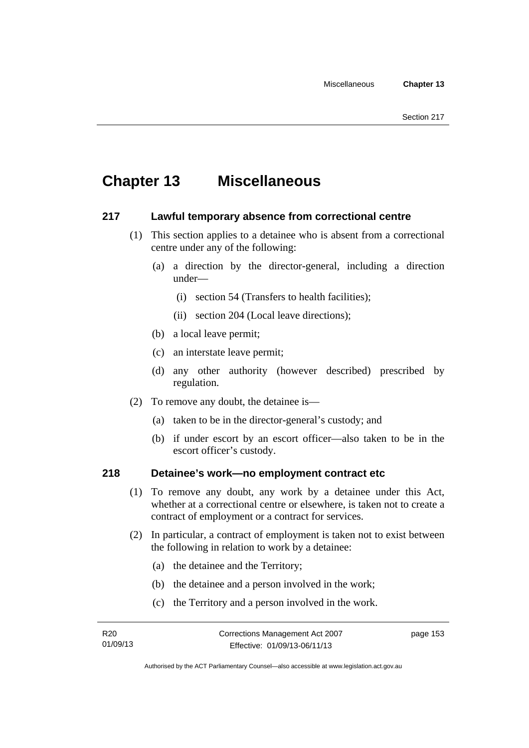# **Chapter 13 Miscellaneous**

### **217 Lawful temporary absence from correctional centre**

- (1) This section applies to a detainee who is absent from a correctional centre under any of the following:
	- (a) a direction by the director-general, including a direction under—
		- (i) section 54 (Transfers to health facilities);
		- (ii) section 204 (Local leave directions);
	- (b) a local leave permit;
	- (c) an interstate leave permit;
	- (d) any other authority (however described) prescribed by regulation.
- (2) To remove any doubt, the detainee is—
	- (a) taken to be in the director-general's custody; and
	- (b) if under escort by an escort officer—also taken to be in the escort officer's custody.

### **218 Detainee's work—no employment contract etc**

- (1) To remove any doubt, any work by a detainee under this Act, whether at a correctional centre or elsewhere, is taken not to create a contract of employment or a contract for services.
- (2) In particular, a contract of employment is taken not to exist between the following in relation to work by a detainee:
	- (a) the detainee and the Territory;
	- (b) the detainee and a person involved in the work;
	- (c) the Territory and a person involved in the work.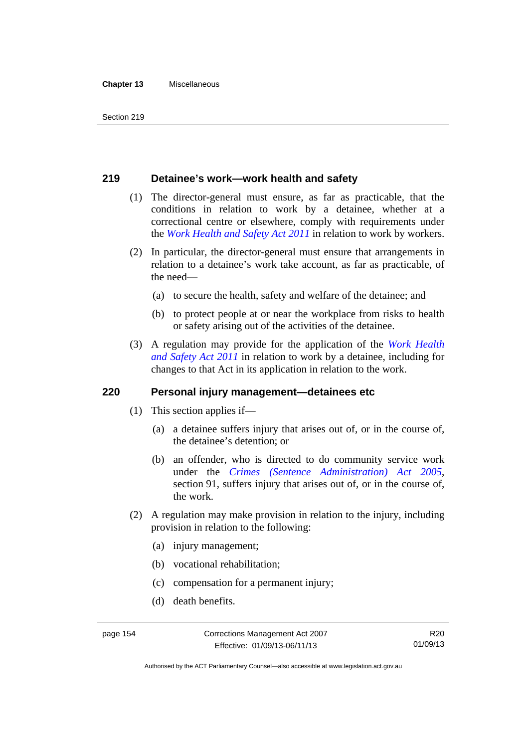#### **Chapter 13** Miscellaneous

#### **219 Detainee's work—work health and safety**

- (1) The director-general must ensure, as far as practicable, that the conditions in relation to work by a detainee, whether at a correctional centre or elsewhere, comply with requirements under the *[Work Health and Safety Act 2011](http://www.legislation.act.gov.au/a/2011-35)* in relation to work by workers.
- (2) In particular, the director-general must ensure that arrangements in relation to a detainee's work take account, as far as practicable, of the need—
	- (a) to secure the health, safety and welfare of the detainee; and
	- (b) to protect people at or near the workplace from risks to health or safety arising out of the activities of the detainee.
- (3) A regulation may provide for the application of the *[Work Health](http://www.legislation.act.gov.au/a/2011-35)  [and Safety Act 2011](http://www.legislation.act.gov.au/a/2011-35)* in relation to work by a detainee, including for changes to that Act in its application in relation to the work.

#### **220 Personal injury management—detainees etc**

- (1) This section applies if—
	- (a) a detainee suffers injury that arises out of, or in the course of, the detainee's detention; or
	- (b) an offender, who is directed to do community service work under the *[Crimes \(Sentence Administration\) Act 2005](http://www.legislation.act.gov.au/a/2005-59)*, section 91, suffers injury that arises out of, or in the course of, the work.
- (2) A regulation may make provision in relation to the injury, including provision in relation to the following:
	- (a) injury management;
	- (b) vocational rehabilitation;
	- (c) compensation for a permanent injury;
	- (d) death benefits.

Authorised by the ACT Parliamentary Counsel—also accessible at www.legislation.act.gov.au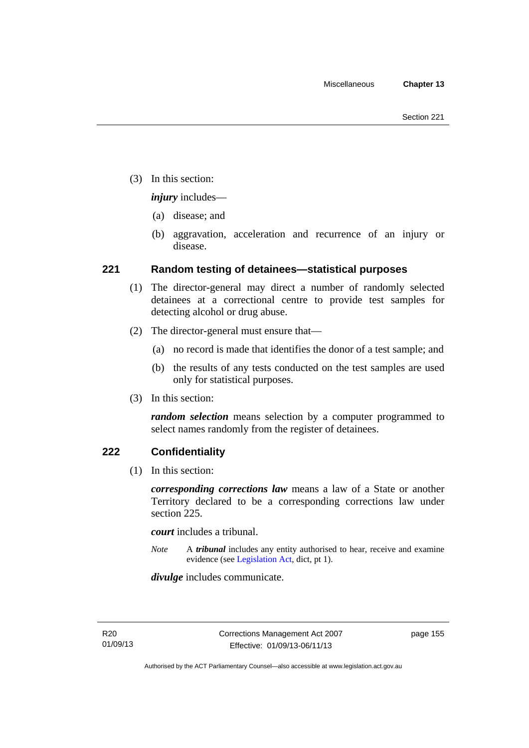(3) In this section:

*injury* includes—

- (a) disease; and
- (b) aggravation, acceleration and recurrence of an injury or disease.

### **221 Random testing of detainees—statistical purposes**

- (1) The director-general may direct a number of randomly selected detainees at a correctional centre to provide test samples for detecting alcohol or drug abuse.
- (2) The director-general must ensure that—
	- (a) no record is made that identifies the donor of a test sample; and
	- (b) the results of any tests conducted on the test samples are used only for statistical purposes.
- (3) In this section:

*random selection* means selection by a computer programmed to select names randomly from the register of detainees.

#### **222 Confidentiality**

(1) In this section:

*corresponding corrections law* means a law of a State or another Territory declared to be a corresponding corrections law under section 225.

*court* includes a tribunal.

*Note* A *tribunal* includes any entity authorised to hear, receive and examine evidence (see [Legislation Act,](http://www.legislation.act.gov.au/a/2001-14) dict, pt 1).

*divulge* includes communicate.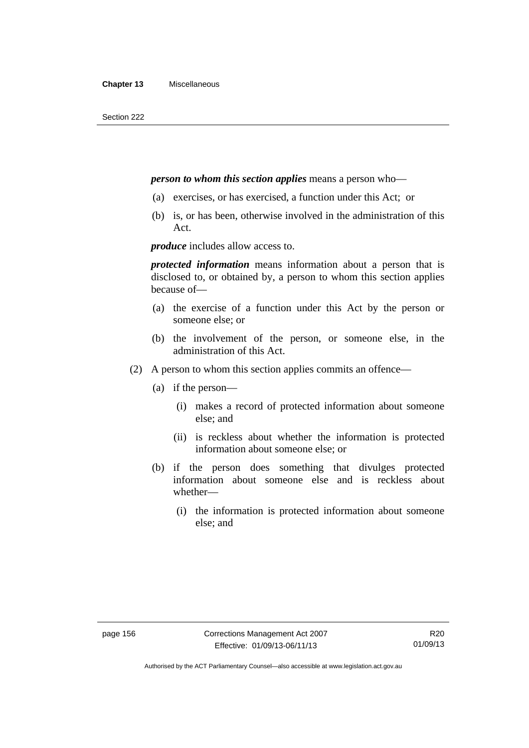#### *person to whom this section applies* means a person who—

- (a) exercises, or has exercised, a function under this Act; or
- (b) is, or has been, otherwise involved in the administration of this Act.

*produce* includes allow access to.

*protected information* means information about a person that is disclosed to, or obtained by, a person to whom this section applies because of—

- (a) the exercise of a function under this Act by the person or someone else; or
- (b) the involvement of the person, or someone else, in the administration of this Act.
- (2) A person to whom this section applies commits an offence—
	- (a) if the person—
		- (i) makes a record of protected information about someone else; and
		- (ii) is reckless about whether the information is protected information about someone else; or
	- (b) if the person does something that divulges protected information about someone else and is reckless about whether—
		- (i) the information is protected information about someone else; and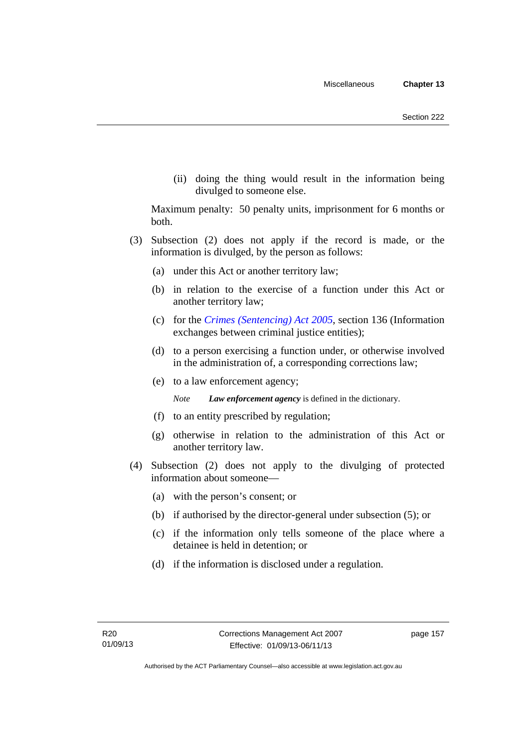(ii) doing the thing would result in the information being divulged to someone else.

Maximum penalty: 50 penalty units, imprisonment for 6 months or both.

- (3) Subsection (2) does not apply if the record is made, or the information is divulged, by the person as follows:
	- (a) under this Act or another territory law;
	- (b) in relation to the exercise of a function under this Act or another territory law;
	- (c) for the *[Crimes \(Sentencing\) Act 2005](http://www.legislation.act.gov.au/a/2005-58)*, section 136 (Information exchanges between criminal justice entities);
	- (d) to a person exercising a function under, or otherwise involved in the administration of, a corresponding corrections law;
	- (e) to a law enforcement agency;

*Note Law enforcement agency* is defined in the dictionary.

- (f) to an entity prescribed by regulation;
- (g) otherwise in relation to the administration of this Act or another territory law.
- (4) Subsection (2) does not apply to the divulging of protected information about someone—
	- (a) with the person's consent; or
	- (b) if authorised by the director-general under subsection (5); or
	- (c) if the information only tells someone of the place where a detainee is held in detention; or
	- (d) if the information is disclosed under a regulation.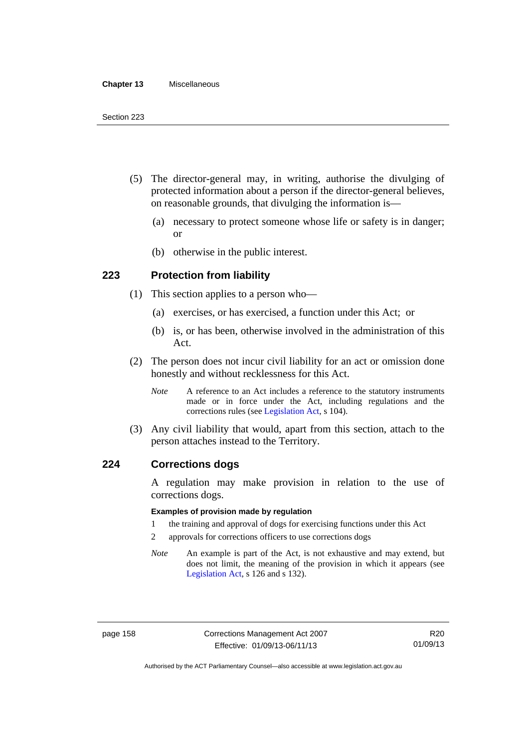#### **Chapter 13** Miscellaneous

- (5) The director-general may, in writing, authorise the divulging of protected information about a person if the director-general believes, on reasonable grounds, that divulging the information is—
	- (a) necessary to protect someone whose life or safety is in danger; or
	- (b) otherwise in the public interest.

#### **223 Protection from liability**

- (1) This section applies to a person who—
	- (a) exercises, or has exercised, a function under this Act; or
	- (b) is, or has been, otherwise involved in the administration of this Act.
- (2) The person does not incur civil liability for an act or omission done honestly and without recklessness for this Act.
	- *Note* A reference to an Act includes a reference to the statutory instruments made or in force under the Act, including regulations and the corrections rules (see [Legislation Act,](http://www.legislation.act.gov.au/a/2001-14) s 104).
- (3) Any civil liability that would, apart from this section, attach to the person attaches instead to the Territory.

#### **224 Corrections dogs**

A regulation may make provision in relation to the use of corrections dogs.

#### **Examples of provision made by regulation**

- 1 the training and approval of dogs for exercising functions under this Act
- 2 approvals for corrections officers to use corrections dogs
- *Note* An example is part of the Act, is not exhaustive and may extend, but does not limit, the meaning of the provision in which it appears (see [Legislation Act,](http://www.legislation.act.gov.au/a/2001-14) s 126 and s 132).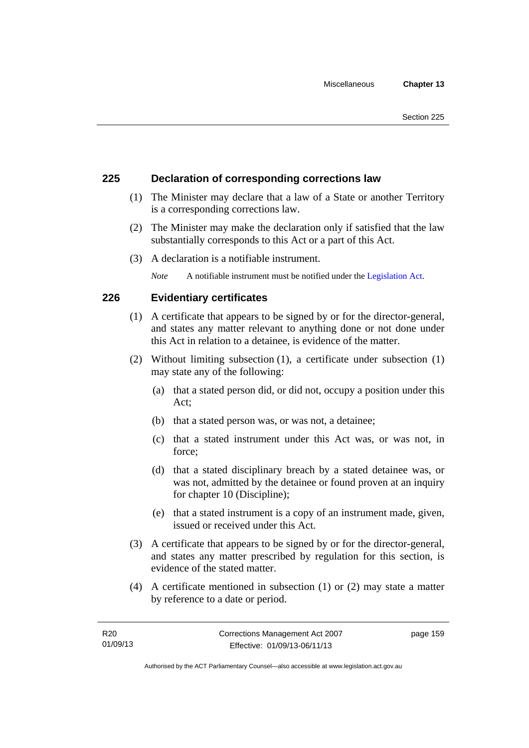#### **225 Declaration of corresponding corrections law**

- (1) The Minister may declare that a law of a State or another Territory is a corresponding corrections law.
- (2) The Minister may make the declaration only if satisfied that the law substantially corresponds to this Act or a part of this Act.
- (3) A declaration is a notifiable instrument.

*Note* A notifiable instrument must be notified under the [Legislation Act](http://www.legislation.act.gov.au/a/2001-14).

#### **226 Evidentiary certificates**

- (1) A certificate that appears to be signed by or for the director-general, and states any matter relevant to anything done or not done under this Act in relation to a detainee, is evidence of the matter.
- (2) Without limiting subsection (1), a certificate under subsection (1) may state any of the following:
	- (a) that a stated person did, or did not, occupy a position under this Act;
	- (b) that a stated person was, or was not, a detainee;
	- (c) that a stated instrument under this Act was, or was not, in force;
	- (d) that a stated disciplinary breach by a stated detainee was, or was not, admitted by the detainee or found proven at an inquiry for chapter 10 (Discipline);
	- (e) that a stated instrument is a copy of an instrument made, given, issued or received under this Act.
- (3) A certificate that appears to be signed by or for the director-general, and states any matter prescribed by regulation for this section, is evidence of the stated matter.
- (4) A certificate mentioned in subsection (1) or (2) may state a matter by reference to a date or period.

page 159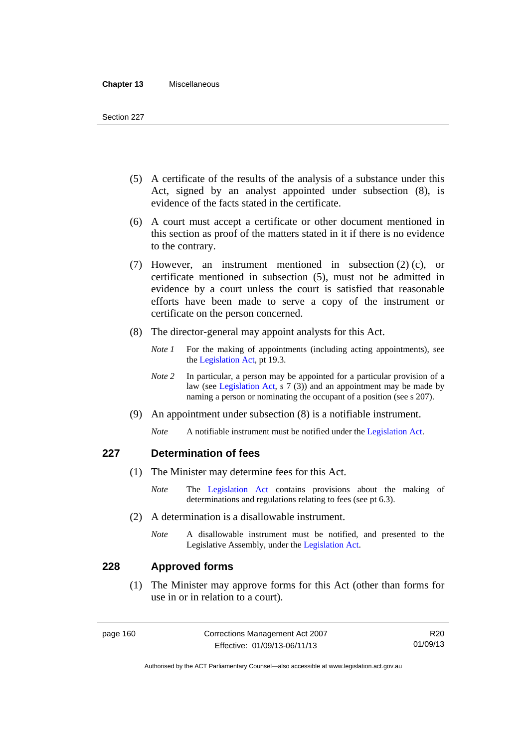#### **Chapter 13** Miscellaneous

- (5) A certificate of the results of the analysis of a substance under this Act, signed by an analyst appointed under subsection (8), is evidence of the facts stated in the certificate.
- (6) A court must accept a certificate or other document mentioned in this section as proof of the matters stated in it if there is no evidence to the contrary.
- (7) However, an instrument mentioned in subsection (2) (c), or certificate mentioned in subsection (5), must not be admitted in evidence by a court unless the court is satisfied that reasonable efforts have been made to serve a copy of the instrument or certificate on the person concerned.
- (8) The director-general may appoint analysts for this Act.
	- *Note 1* For the making of appointments (including acting appointments), see the [Legislation Act,](http://www.legislation.act.gov.au/a/2001-14) pt 19.3.
	- *Note* 2 In particular, a person may be appointed for a particular provision of a law (see [Legislation Act,](http://www.legislation.act.gov.au/a/2001-14) s 7 (3)) and an appointment may be made by naming a person or nominating the occupant of a position (see s 207).
- (9) An appointment under subsection (8) is a notifiable instrument.
	- *Note* A notifiable instrument must be notified under the [Legislation Act](http://www.legislation.act.gov.au/a/2001-14).

#### **227 Determination of fees**

- (1) The Minister may determine fees for this Act.
	- *Note* The [Legislation Act](http://www.legislation.act.gov.au/a/2001-14) contains provisions about the making of determinations and regulations relating to fees (see pt 6.3).
- (2) A determination is a disallowable instrument.
	- *Note* A disallowable instrument must be notified, and presented to the Legislative Assembly, under the [Legislation Act.](http://www.legislation.act.gov.au/a/2001-14)

#### **228 Approved forms**

 (1) The Minister may approve forms for this Act (other than forms for use in or in relation to a court).

R20 01/09/13

Authorised by the ACT Parliamentary Counsel—also accessible at www.legislation.act.gov.au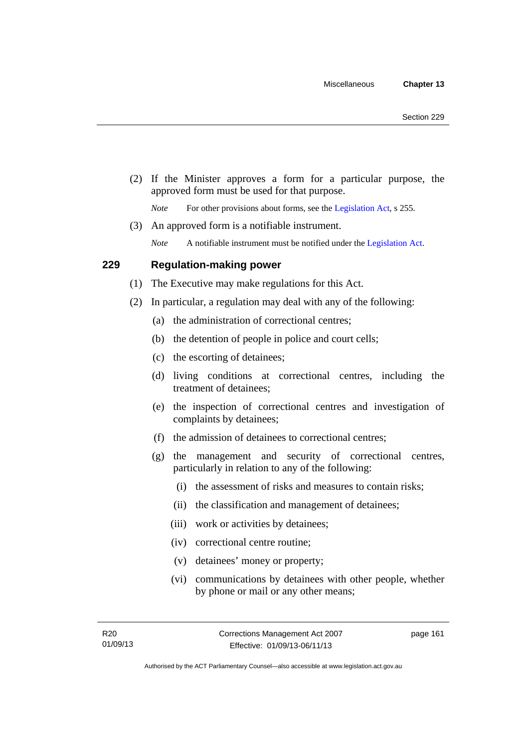(2) If the Minister approves a form for a particular purpose, the approved form must be used for that purpose.

*Note* For other provisions about forms, see the [Legislation Act,](http://www.legislation.act.gov.au/a/2001-14) s 255.

(3) An approved form is a notifiable instrument.

*Note* A notifiable instrument must be notified under the [Legislation Act](http://www.legislation.act.gov.au/a/2001-14).

#### **229 Regulation-making power**

- (1) The Executive may make regulations for this Act.
- (2) In particular, a regulation may deal with any of the following:
	- (a) the administration of correctional centres;
	- (b) the detention of people in police and court cells;
	- (c) the escorting of detainees;
	- (d) living conditions at correctional centres, including the treatment of detainees;
	- (e) the inspection of correctional centres and investigation of complaints by detainees;
	- (f) the admission of detainees to correctional centres;
	- (g) the management and security of correctional centres, particularly in relation to any of the following:
		- (i) the assessment of risks and measures to contain risks;
		- (ii) the classification and management of detainees;
		- (iii) work or activities by detainees;
		- (iv) correctional centre routine;
		- (v) detainees' money or property;
		- (vi) communications by detainees with other people, whether by phone or mail or any other means;

page 161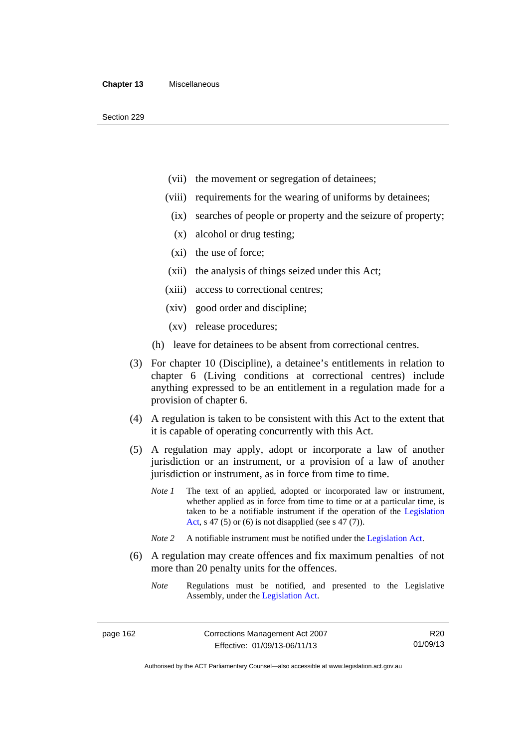- (vii) the movement or segregation of detainees;
- (viii) requirements for the wearing of uniforms by detainees;
	- (ix) searches of people or property and the seizure of property;
	- (x) alcohol or drug testing;
- (xi) the use of force;
- (xii) the analysis of things seized under this Act;
- (xiii) access to correctional centres;
- (xiv) good order and discipline;
- (xv) release procedures;
- (h) leave for detainees to be absent from correctional centres.
- (3) For chapter 10 (Discipline), a detainee's entitlements in relation to chapter 6 (Living conditions at correctional centres) include anything expressed to be an entitlement in a regulation made for a provision of chapter 6.
- (4) A regulation is taken to be consistent with this Act to the extent that it is capable of operating concurrently with this Act.
- (5) A regulation may apply, adopt or incorporate a law of another jurisdiction or an instrument, or a provision of a law of another jurisdiction or instrument, as in force from time to time.
	- *Note 1* The text of an applied, adopted or incorporated law or instrument, whether applied as in force from time to time or at a particular time, is taken to be a notifiable instrument if the operation of the [Legislation](http://www.legislation.act.gov.au/a/2001-14)  [Act,](http://www.legislation.act.gov.au/a/2001-14) s 47 (5) or (6) is not disapplied (see s 47 (7)).
	- *Note 2* A notifiable instrument must be notified under the [Legislation Act](http://www.legislation.act.gov.au/a/2001-14).
- (6) A regulation may create offences and fix maximum penalties of not more than 20 penalty units for the offences.
	- *Note* Regulations must be notified, and presented to the Legislative Assembly, under the [Legislation Act](http://www.legislation.act.gov.au/a/2001-14).

R20 01/09/13

Authorised by the ACT Parliamentary Counsel—also accessible at www.legislation.act.gov.au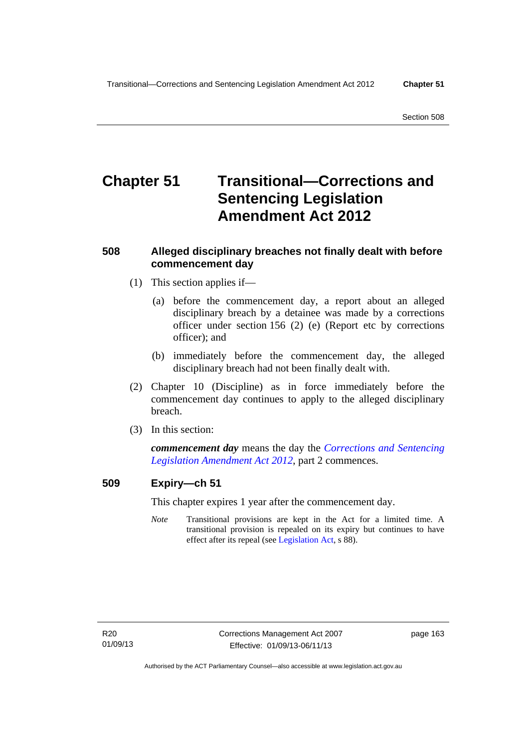# **Chapter 51 Transitional—Corrections and Sentencing Legislation Amendment Act 2012**

#### **508 Alleged disciplinary breaches not finally dealt with before commencement day**

- (1) This section applies if—
	- (a) before the commencement day, a report about an alleged disciplinary breach by a detainee was made by a corrections officer under section 156 (2) (e) (Report etc by corrections officer); and
	- (b) immediately before the commencement day, the alleged disciplinary breach had not been finally dealt with.
- (2) Chapter 10 (Discipline) as in force immediately before the commencement day continues to apply to the alleged disciplinary breach.
- (3) In this section:

*commencement day* means the day the *[Corrections and Sentencing](http://www.legislation.act.gov.au/a/2012-34)  [Legislation Amendment Act 2012](http://www.legislation.act.gov.au/a/2012-34)*, part 2 commences.

#### **509 Expiry—ch 51**

This chapter expires 1 year after the commencement day.

*Note* Transitional provisions are kept in the Act for a limited time. A transitional provision is repealed on its expiry but continues to have effect after its repeal (see [Legislation Act,](http://www.legislation.act.gov.au/a/2001-14) s 88).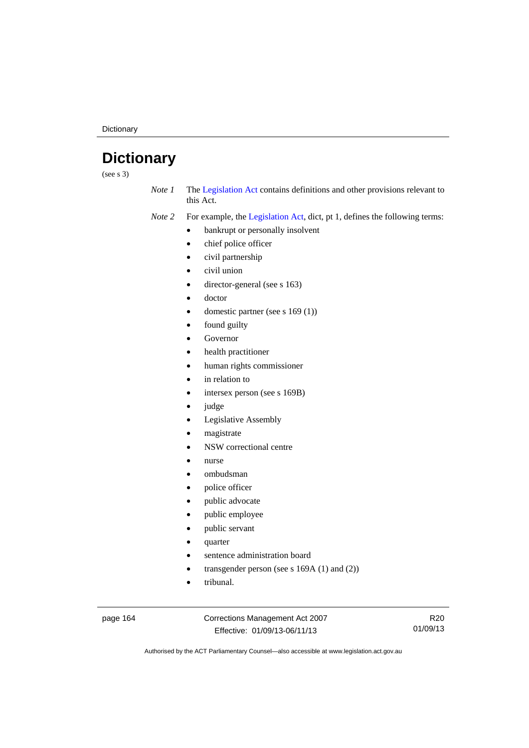**Dictionary** 

# **Dictionary**

(see s 3)

*Note 1* The [Legislation Act](http://www.legislation.act.gov.au/a/2001-14) contains definitions and other provisions relevant to this Act.

*Note 2* For example, the [Legislation Act,](http://www.legislation.act.gov.au/a/2001-14) dict, pt 1, defines the following terms:

- bankrupt or personally insolvent
	- chief police officer
	- civil partnership
- civil union
- director-general (see s 163)
- doctor
- domestic partner (see s 169 (1))
- found guilty
- Governor
- health practitioner
- human rights commissioner
- in relation to
- intersex person (see s 169B)
- judge
- Legislative Assembly
- magistrate
- NSW correctional centre
- nurse
- ombudsman
- police officer
- public advocate
- public employee
- public servant
- quarter
- sentence administration board
- transgender person (see s 169A (1) and (2))
- tribunal.

page 164 Corrections Management Act 2007 Effective: 01/09/13-06/11/13

R20 01/09/13

Authorised by the ACT Parliamentary Counsel—also accessible at www.legislation.act.gov.au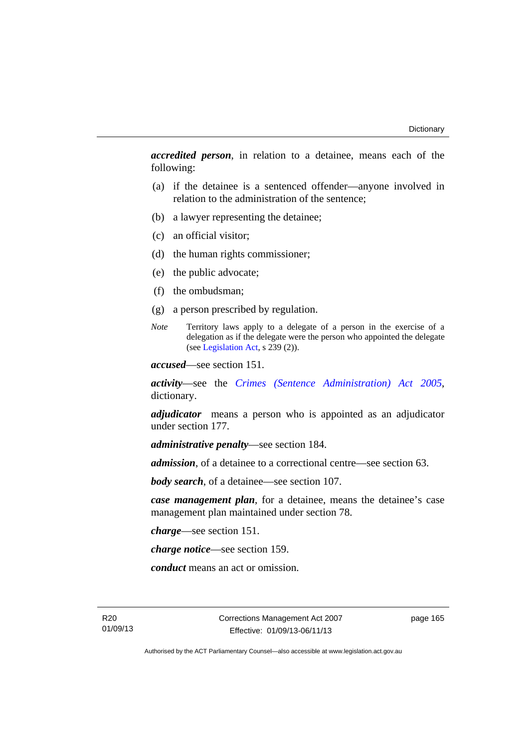*accredited person*, in relation to a detainee, means each of the following:

- (a) if the detainee is a sentenced offender—anyone involved in relation to the administration of the sentence;
- (b) a lawyer representing the detainee;
- (c) an official visitor;
- (d) the human rights commissioner;
- (e) the public advocate;
- (f) the ombudsman;
- (g) a person prescribed by regulation.
- *Note* Territory laws apply to a delegate of a person in the exercise of a delegation as if the delegate were the person who appointed the delegate (see [Legislation Act,](http://www.legislation.act.gov.au/a/2001-14) s 239 (2)).

*accused*—see section 151.

*activity*—see the *[Crimes \(Sentence Administration\) Act 2005](http://www.legislation.act.gov.au/a/2005-59)*, dictionary.

*adjudicator* means a person who is appointed as an adjudicator under section 177.

*administrative penalty*—see section 184.

*admission*, of a detainee to a correctional centre—see section 63.

*body search*, of a detainee—see section 107.

*case management plan*, for a detainee, means the detainee's case management plan maintained under section 78.

*charge*—see section 151.

*charge notice*—see section 159.

*conduct* means an act or omission.

R20 01/09/13 Corrections Management Act 2007 Effective: 01/09/13-06/11/13

page 165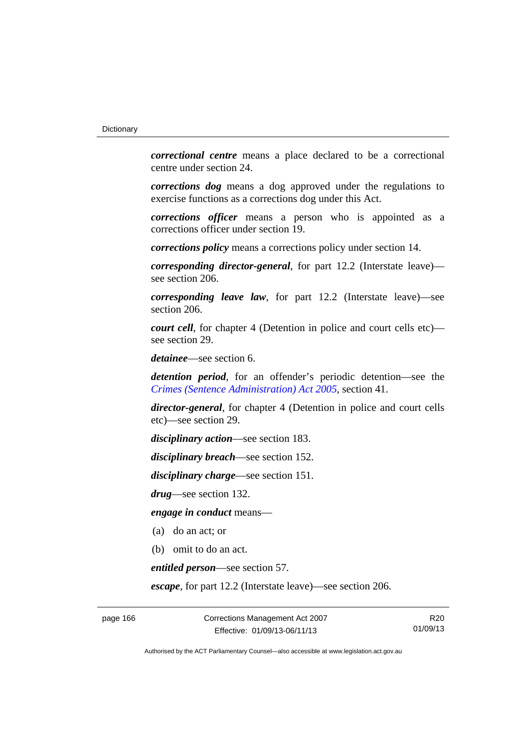*correctional centre* means a place declared to be a correctional centre under section 24.

*corrections dog* means a dog approved under the regulations to exercise functions as a corrections dog under this Act.

*corrections officer* means a person who is appointed as a corrections officer under section 19.

*corrections policy* means a corrections policy under section 14.

*corresponding director-general*, for part 12.2 (Interstate leave) see section 206.

*corresponding leave law*, for part 12.2 (Interstate leave)—see section 206.

*court cell*, for chapter 4 (Detention in police and court cells etc) see section 29.

*detainee*—see section 6.

*detention period*, for an offender's periodic detention—see the *[Crimes \(Sentence Administration\) Act 2005](http://www.legislation.act.gov.au/a/2005-59)*, section 41.

*director-general*, for chapter 4 (Detention in police and court cells etc)—see section 29.

*disciplinary action*—see section 183.

*disciplinary breach*—see section 152.

*disciplinary charge*—see section 151.

*drug*—see section 132.

*engage in conduct* means—

- (a) do an act; or
- (b) omit to do an act.

*entitled person*—see section 57.

*escape*, for part 12.2 (Interstate leave)—see section 206.

page 166 Corrections Management Act 2007 Effective: 01/09/13-06/11/13

R20 01/09/13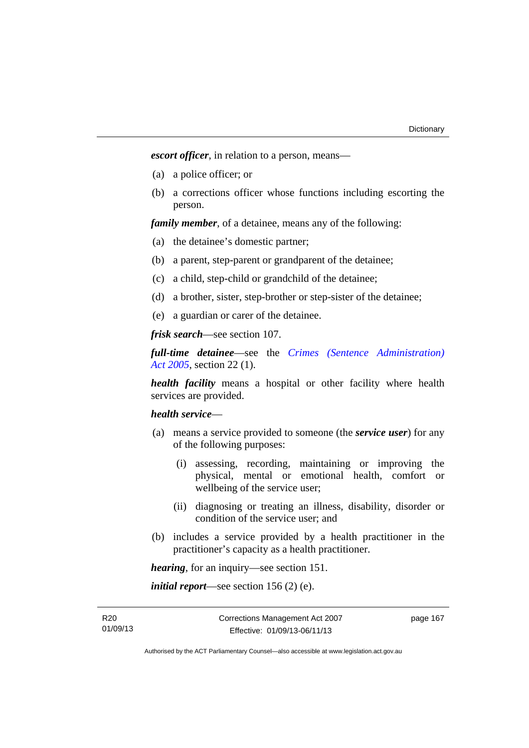*escort officer*, in relation to a person, means—

- (a) a police officer; or
- (b) a corrections officer whose functions including escorting the person.

*family member*, of a detainee, means any of the following:

- (a) the detainee's domestic partner;
- (b) a parent, step-parent or grandparent of the detainee;
- (c) a child, step-child or grandchild of the detainee;
- (d) a brother, sister, step-brother or step-sister of the detainee;
- (e) a guardian or carer of the detainee.

*frisk search*—see section 107.

*full-time detainee*—see the *[Crimes \(Sentence Administration\)](http://www.legislation.act.gov.au/a/2005-59)  [Act 2005](http://www.legislation.act.gov.au/a/2005-59)*, section 22 (1).

*health facility* means a hospital or other facility where health services are provided.

# *health service*—

- (a) means a service provided to someone (the *service user*) for any of the following purposes:
	- (i) assessing, recording, maintaining or improving the physical, mental or emotional health, comfort or wellbeing of the service user;
	- (ii) diagnosing or treating an illness, disability, disorder or condition of the service user; and
- (b) includes a service provided by a health practitioner in the practitioner's capacity as a health practitioner.

*hearing*, for an inquiry—see section 151.

*initial report*—see section 156 (2) (e).

R20 01/09/13 page 167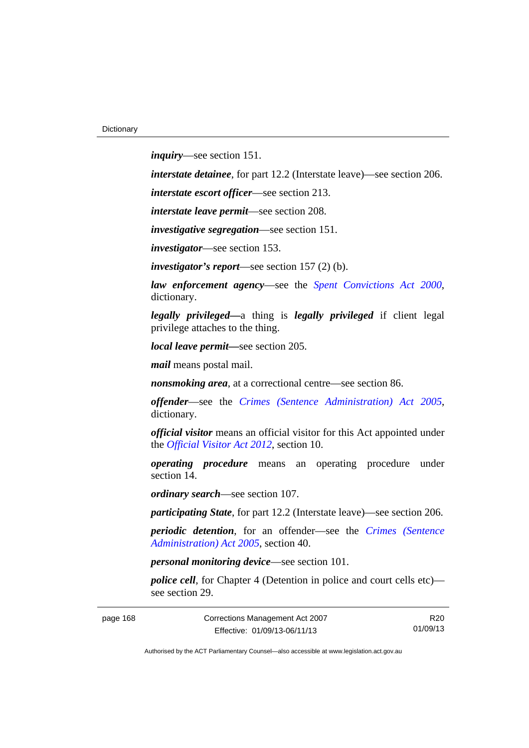*inquiry*—see section 151.

*interstate detainee*, for part 12.2 (Interstate leave)—see section 206.

*interstate escort officer*—see section 213.

*interstate leave permit*—see section 208.

*investigative segregation*—see section 151.

*investigator*—see section 153.

*investigator's report*—see section 157 (2) (b).

*law enforcement agency*—see the *[Spent Convictions Act 2000](http://www.legislation.act.gov.au/a/2000-48)*, dictionary.

*legally privileged—*a thing is *legally privileged* if client legal privilege attaches to the thing.

*local leave permit—*see section 205.

*mail* means postal mail.

*nonsmoking area*, at a correctional centre—see section 86.

*offender*—see the *[Crimes \(Sentence Administration\) Act 2005](http://www.legislation.act.gov.au/a/2005-59)*, dictionary.

*official visitor* means an official visitor for this Act appointed under the *[Official Visitor Act 2012](http://www.legislation.act.gov.au/a/2012-33)*, section 10.

*operating procedure* means an operating procedure under section 14.

*ordinary search*—see section 107.

*participating State*, for part 12.2 (Interstate leave)—see section 206.

*periodic detention*, for an offender—see the *[Crimes \(Sentence](http://www.legislation.act.gov.au/a/2005-59)  [Administration\) Act 2005](http://www.legislation.act.gov.au/a/2005-59)*, section 40.

*personal monitoring device*—see section 101.

*police cell*, for Chapter 4 (Detention in police and court cells etc) see section 29.

page 168 Corrections Management Act 2007 Effective: 01/09/13-06/11/13

R20 01/09/13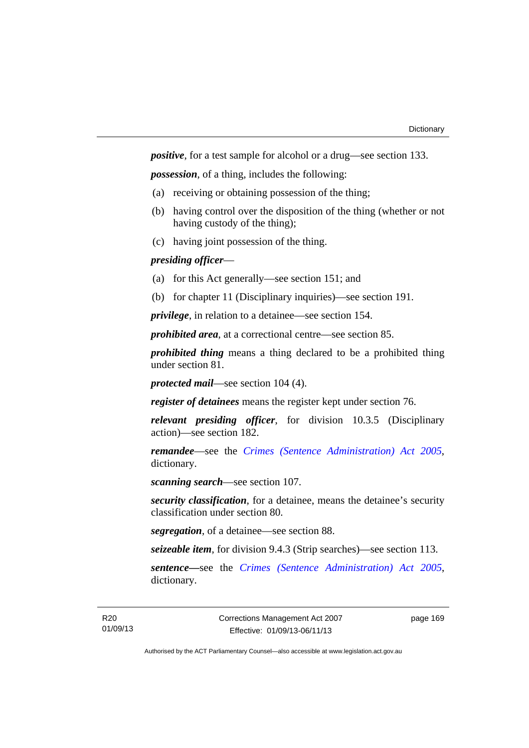*positive*, for a test sample for alcohol or a drug—see section 133.

*possession*, of a thing, includes the following:

- (a) receiving or obtaining possession of the thing;
- (b) having control over the disposition of the thing (whether or not having custody of the thing);
- (c) having joint possession of the thing.

# *presiding officer*—

- (a) for this Act generally—see section 151; and
- (b) for chapter 11 (Disciplinary inquiries)—see section 191.

*privilege*, in relation to a detainee—see section 154.

*prohibited area*, at a correctional centre—see section 85.

*prohibited thing* means a thing declared to be a prohibited thing under section 81.

*protected mail*—see section 104 (4).

*register of detainees* means the register kept under section 76.

*relevant presiding officer*, for division 10.3.5 (Disciplinary action)—see section 182.

*remandee*—see the *[Crimes \(Sentence Administration\) Act 2005](http://www.legislation.act.gov.au/a/2005-59)*, dictionary.

*scanning search*—see section 107.

*security classification*, for a detainee, means the detainee's security classification under section 80.

*segregation*, of a detainee—see section 88.

*seizeable item*, for division 9.4.3 (Strip searches)—see section 113.

*sentence—*see the *[Crimes \(Sentence Administration\) Act 2005](http://www.legislation.act.gov.au/a/2005-59)*, dictionary.

page 169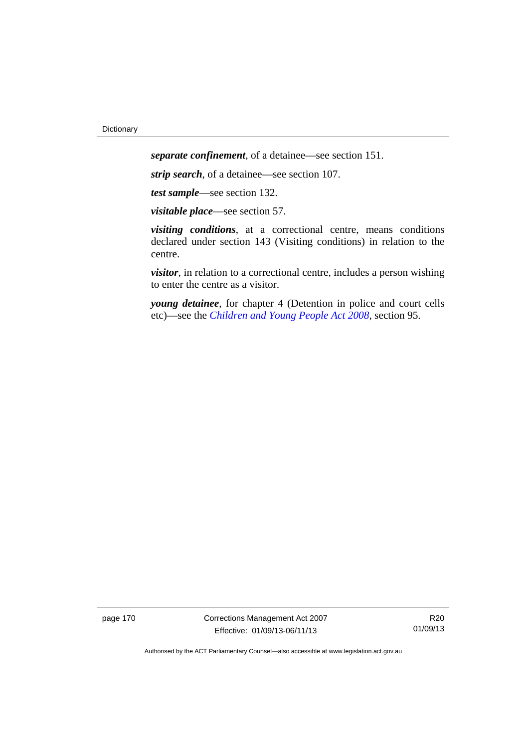*separate confinement*, of a detainee—see section 151.

*strip search*, of a detainee—see section 107.

*test sample*—see section 132.

*visitable place*—see section 57.

*visiting conditions*, at a correctional centre, means conditions declared under section 143 (Visiting conditions) in relation to the centre.

*visitor*, in relation to a correctional centre, includes a person wishing to enter the centre as a visitor.

*young detainee*, for chapter 4 (Detention in police and court cells etc)—see the *[Children and Young People Act 2008](http://www.legislation.act.gov.au/a/2008-19)*, section 95.

page 170 Corrections Management Act 2007 Effective: 01/09/13-06/11/13

R20 01/09/13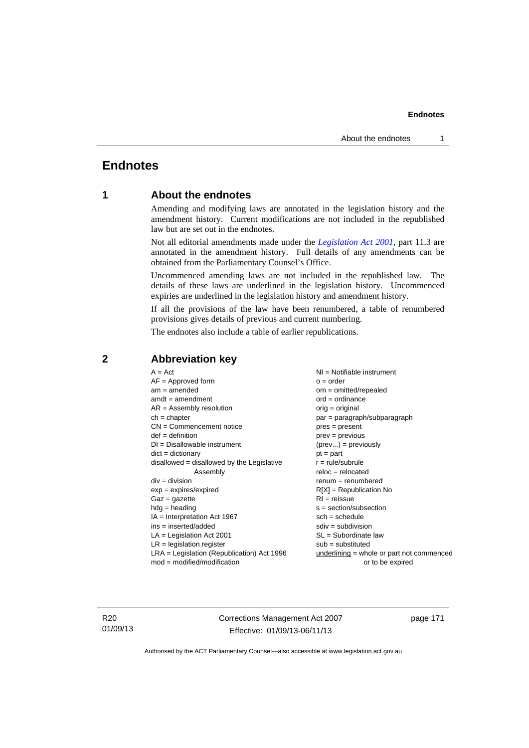# **Endnotes**

# **1 About the endnotes**

Amending and modifying laws are annotated in the legislation history and the amendment history. Current modifications are not included in the republished law but are set out in the endnotes.

Not all editorial amendments made under the *[Legislation Act 2001](http://www.legislation.act.gov.au/a/2001-14)*, part 11.3 are annotated in the amendment history. Full details of any amendments can be obtained from the Parliamentary Counsel's Office.

Uncommenced amending laws are not included in the republished law. The details of these laws are underlined in the legislation history. Uncommenced expiries are underlined in the legislation history and amendment history.

If all the provisions of the law have been renumbered, a table of renumbered provisions gives details of previous and current numbering.

The endnotes also include a table of earlier republications.

| $A = Act$                                    | $NI = Notifiable$ instrument                |
|----------------------------------------------|---------------------------------------------|
| $AF =$ Approved form                         | $o = order$                                 |
| $am = amended$                               | $om = omitted/repealed$                     |
| $amdt = amendment$                           | $ord = ordinance$                           |
| $AR = Assembly resolution$                   | $orig = original$                           |
| $ch = chapter$                               | par = paragraph/subparagraph                |
| $CN =$ Commencement notice                   | $pres = present$                            |
| $def = definition$                           | $prev = previous$                           |
| $DI = Disallowable instrument$               | $(\text{prev}) = \text{previously}$         |
| $dict = dictionary$                          | $pt = part$                                 |
| $disallowed = disallowed by the Legislative$ | $r = rule/subrule$                          |
| Assembly                                     | $reloc = relocated$                         |
| $div = division$                             | $renum = renumbered$                        |
| $exp = expires/expired$                      | $R[X]$ = Republication No                   |
| $Gaz = gazette$                              | $RI = reissue$                              |
| $hdg =$ heading                              | $s = section/subsection$                    |
| IA = Interpretation Act 1967                 | $sch = schedule$                            |
| $ins = inserted/added$                       | $sdiv = subdivision$                        |
| $LA =$ Legislation Act 2001                  | $SL = Subordinate$ law                      |
| $LR =$ legislation register                  | $sub =$ substituted                         |
| $LRA =$ Legislation (Republication) Act 1996 | $underlining = whole or part not commenced$ |
| $mod = modified/modification$                | or to be expired                            |

# **2 Abbreviation key**

R20 01/09/13 Corrections Management Act 2007 Effective: 01/09/13-06/11/13

page 171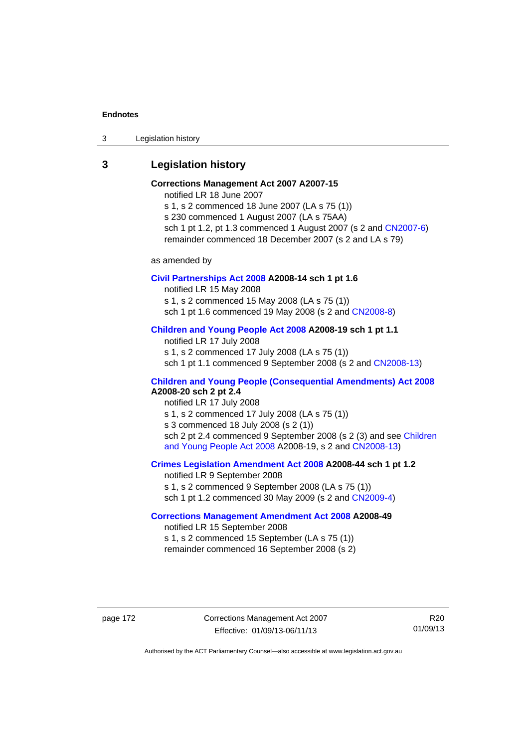3 Legislation history

# **3 Legislation history**

# **Corrections Management Act 2007 A2007-15**

notified LR 18 June 2007

s 1, s 2 commenced 18 June 2007 (LA s 75 (1)) s 230 commenced 1 August 2007 (LA s 75AA) sch 1 pt 1.2, pt 1.3 commenced 1 August 2007 (s 2 and [CN2007-6](http://www.legislation.act.gov.au/cn/2007-6/default.asp)) remainder commenced 18 December 2007 (s 2 and LA s 79)

as amended by

## **[Civil Partnerships Act 2008](http://www.legislation.act.gov.au/a/2008-14) A2008-14 sch 1 pt 1.6**

notified LR 15 May 2008

s 1, s 2 commenced 15 May 2008 (LA s 75 (1))

sch 1 pt 1.6 commenced 19 May 2008 (s 2 and [CN2008-8\)](http://www.legislation.act.gov.au/cn/2008-8/default.asp)

# **[Children and Young People Act 2008](http://www.legislation.act.gov.au/a/2008-19) A2008-19 sch 1 pt 1.1**

notified LR 17 July 2008 s 1, s 2 commenced 17 July 2008 (LA s 75 (1)) sch 1 pt 1.1 commenced 9 September 2008 (s 2 and [CN2008-13\)](http://www.legislation.act.gov.au/cn/2008-13/default.asp)

# **[Children and Young People \(Consequential Amendments\) Act 2008](http://www.legislation.act.gov.au/a/2008-20) A2008-20 sch 2 pt 2.4**

notified LR 17 July 2008 s 1, s 2 commenced 17 July 2008 (LA s 75 (1)) s 3 commenced 18 July 2008 (s 2 (1)) sch 2 pt 2.4 commenced 9 September 2008 (s 2 (3) and see Children [and Young People Act 2008](http://www.legislation.act.gov.au/a/2008-19) A2008-19, s 2 and [CN2008-13](http://www.legislation.act.gov.au/cn/2008-13/default.asp))

## **[Crimes Legislation Amendment Act 2008](http://www.legislation.act.gov.au/a/2008-44) A2008-44 sch 1 pt 1.2**

notified LR 9 September 2008 s 1, s 2 commenced 9 September 2008 (LA s 75 (1)) sch 1 pt 1.2 commenced 30 May 2009 (s 2 and [CN2009-4\)](http://www.legislation.act.gov.au/cn/2009-4/default.asp)

# **[Corrections Management Amendment Act 2008](http://www.legislation.act.gov.au/a/2008-49) A2008-49**

notified LR 15 September 2008 s 1, s 2 commenced 15 September (LA s 75 (1)) remainder commenced 16 September 2008 (s 2)

page 172 Corrections Management Act 2007 Effective: 01/09/13-06/11/13

R20 01/09/13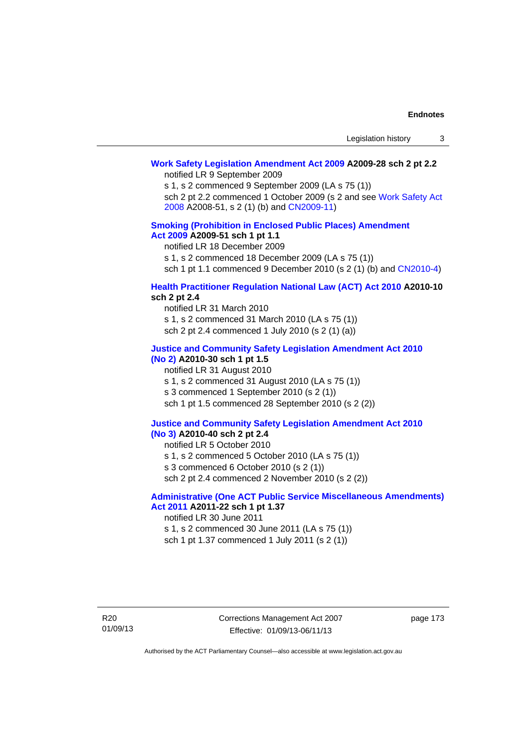# **[Work Safety Legislation Amendment Act 2009](http://www.legislation.act.gov.au/a/2009-28) A2009-28 sch 2 pt 2.2**

notified LR 9 September 2009

s 1, s 2 commenced 9 September 2009 (LA s 75 (1))

sch 2 pt 2.2 commenced 1 October 2009 (s 2 and see [Work Safety Act](http://www.legislation.act.gov.au/a/2008-51)  [2008](http://www.legislation.act.gov.au/a/2008-51) A2008-51, s 2 (1) (b) and [CN2009-11\)](http://www.legislation.act.gov.au/cn/2009-11/default.asp)

# **[Smoking \(Prohibition in Enclosed Public Places\) Amendment](http://www.legislation.act.gov.au/a/2009-51)  [Act 2009](http://www.legislation.act.gov.au/a/2009-51) A2009-51 sch 1 pt 1.1**

notified LR 18 December 2009

s 1, s 2 commenced 18 December 2009 (LA s 75 (1))

sch 1 pt 1.1 commenced 9 December 2010 (s 2 (1) (b) and [CN2010-4\)](http://www.legislation.act.gov.au/cn/2010-4/default.asp)

# **[Health Practitioner Regulation National Law \(ACT\) Act 2010](http://www.legislation.act.gov.au/a/2010-10) A2010-10 sch 2 pt 2.4**

notified LR 31 March 2010 s 1, s 2 commenced 31 March 2010 (LA s 75 (1)) sch 2 pt 2.4 commenced 1 July 2010 (s 2 (1) (a))

## **[Justice and Community Safety Legislation Amendment Act 2010](http://www.legislation.act.gov.au/a/2010-30)**

# **[\(No 2\)](http://www.legislation.act.gov.au/a/2010-30) A2010-30 sch 1 pt 1.5**

notified LR 31 August 2010 s 1, s 2 commenced 31 August 2010 (LA s 75 (1)) s 3 commenced 1 September 2010 (s 2 (1)) sch 1 pt 1.5 commenced 28 September 2010 (s 2 (2))

### **[Justice and Community Safety Legislation Amendment Act 2010](http://www.legislation.act.gov.au/a/2010-40)  [\(No 3\)](http://www.legislation.act.gov.au/a/2010-40) A2010-40 sch 2 pt 2.4**

notified LR 5 October 2010

s 1, s 2 commenced 5 October 2010 (LA s 75 (1))

s 3 commenced 6 October 2010 (s 2 (1))

sch 2 pt 2.4 commenced 2 November 2010 (s 2 (2))

# **[Administrative \(One ACT Public Service Miscellaneous Amendments\)](http://www.legislation.act.gov.au/a/2011-22)  [Act 2011](http://www.legislation.act.gov.au/a/2011-22) A2011-22 sch 1 pt 1.37**

notified LR 30 June 2011

s 1, s 2 commenced 30 June 2011 (LA s 75 (1)) sch 1 pt 1.37 commenced 1 July 2011 (s 2 (1))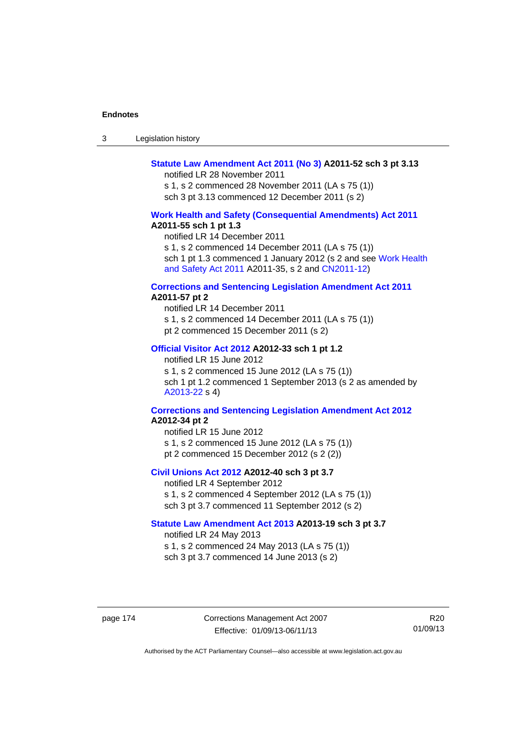| -3 | Legislation history |  |
|----|---------------------|--|
|----|---------------------|--|

# **[Statute Law Amendment Act 2011 \(No 3\)](http://www.legislation.act.gov.au/a/2011-52) A2011-52 sch 3 pt 3.13**

notified LR 28 November 2011

s 1, s 2 commenced 28 November 2011 (LA s 75 (1)) sch 3 pt 3.13 commenced 12 December 2011 (s 2)

### **[Work Health and Safety \(Consequential Amendments\) Act 2011](http://www.legislation.act.gov.au/a/2011-55) A2011-55 sch 1 pt 1.3**

notified LR 14 December 2011

s 1, s 2 commenced 14 December 2011 (LA s 75 (1))

sch 1 pt 1.3 commenced 1 January 2012 (s 2 and see Work Health [and Safety Act 2011](http://www.legislation.act.gov.au/a/2011-35) A2011-35, s 2 and [CN2011-12\)](http://www.legislation.act.gov.au/cn/2011-12/default.asp)

### **[Corrections and Sentencing Legislation Amendment Act 2011](http://www.legislation.act.gov.au/a/2011-57) A2011-57 pt 2**

notified LR 14 December 2011 s 1, s 2 commenced 14 December 2011 (LA s 75 (1)) pt 2 commenced 15 December 2011 (s 2)

### **[Official Visitor Act 2012](http://www.legislation.act.gov.au/a/2012-33) A2012-33 sch 1 pt 1.2**

notified LR 15 June 2012 s 1, s 2 commenced 15 June 2012 (LA s 75 (1)) sch 1 pt 1.2 commenced 1 September 2013 (s 2 as amended by [A2013-22](http://www.legislation.act.gov.au/a/2013-22) s 4)

## **[Corrections and Sentencing Legislation Amendment Act 2012](http://www.legislation.act.gov.au/a/2012-34) A2012-34 pt 2**

notified LR 15 June 2012 s 1, s 2 commenced 15 June 2012 (LA s 75 (1)) pt 2 commenced 15 December 2012 (s 2 (2))

# **[Civil Unions Act 2012](http://www.legislation.act.gov.au/a/2012-40) A2012-40 sch 3 pt 3.7**

notified LR 4 September 2012 s 1, s 2 commenced 4 September 2012 (LA s 75 (1)) sch 3 pt 3.7 commenced 11 September 2012 (s 2)

## **[Statute Law Amendment Act 2013](http://www.legislation.act.gov.au/a/2013-19) A2013-19 sch 3 pt 3.7**

notified LR 24 May 2013 s 1, s 2 commenced 24 May 2013 (LA s 75 (1)) sch 3 pt 3.7 commenced 14 June 2013 (s 2)

page 174 Corrections Management Act 2007 Effective: 01/09/13-06/11/13

R20 01/09/13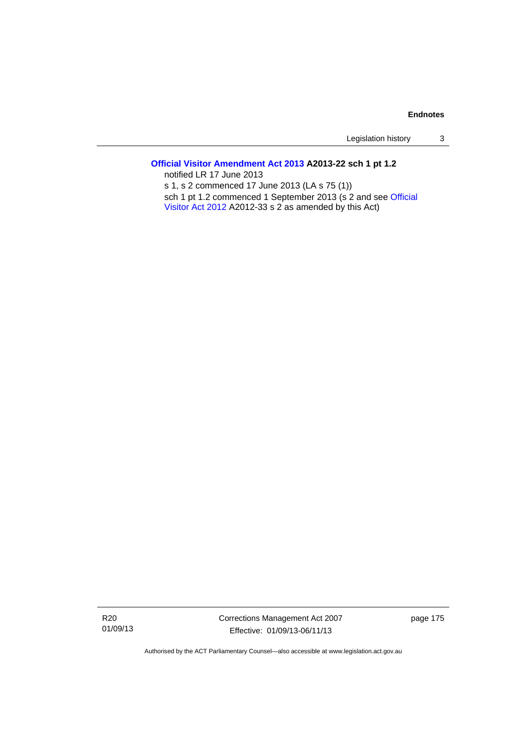Legislation history 3

# **[Official Visitor Amendment Act 2013](http://www.legislation.act.gov.au/a/2013-22) A2013-22 sch 1 pt 1.2**

notified LR 17 June 2013 s 1, s 2 commenced 17 June 2013 (LA s 75 (1)) sch 1 pt 1.2 commenced 1 September 2013 (s 2 and see [Official](http://www.legislation.act.gov.au/a/2012-33)  [Visitor Act 2012](http://www.legislation.act.gov.au/a/2012-33) A2012-33 s 2 as amended by this Act)

R20 01/09/13 Corrections Management Act 2007 Effective: 01/09/13-06/11/13

page 175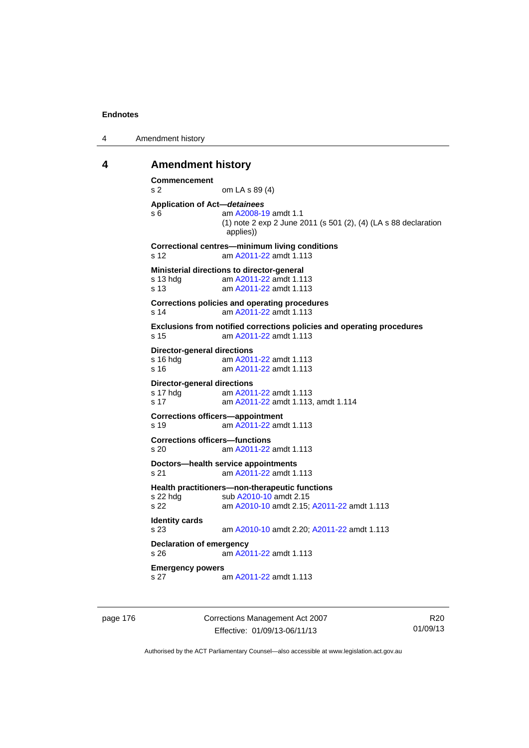```
4 Amendment history
```
# **4 Amendment history**

```
Commencement 
s 2 om LA s 89 (4) 
Application of Act—detainees
s 6 am A2008-19 amdt 1.1
              (1) note 2 exp 2 June 2011 (s 501 (2), (4) (LA s 88 declaration 
               applies)) 
Correctional centres—minimum living conditions 
s 12 am A2011-22 amdt 1.113
Ministerial directions to director-general 
s 13 hdg am A2011-22 amdt 1.113
s 13 am A2011-22 amdt 1.113
Corrections policies and operating procedures 
s 14 am A2011-22 amdt 1.113
Exclusions from notified corrections policies and operating procedures 
s 15 am A2011-22 amdt 1.113
Director-general directions 
 A2011-22 amdt 1.113
 A2011-22 amdt 1.113
Director-general directions 
 A2011-22 amdt 1.113
s 17 am A2011-22 amdt 1.113, amdt 1.114 
Corrections officers—appointment 
s 19 am A2011-22 amdt 1.113
Corrections officers—functions 
s 20 am A2011-22 amdt 1.113
Doctors—health service appointments 
s 21 am A2011-22 amdt 1.113
Health practitioners—non-therapeutic functions 
A2010-10 amdt 2.15
s 22 am A2010-10 amdt 2.15; A2011-22 amdt 1.113 
Identity cards 
s 23 am A2010-10 amdt 2.20; A2011-22 amdt 1.113 
Declaration of emergency 
s 26 am A2011-22 amdt 1.113
Emergency powers 
s 27 am A2011-22 amdt 1.113
```
page 176 Corrections Management Act 2007 Effective: 01/09/13-06/11/13

R20 01/09/13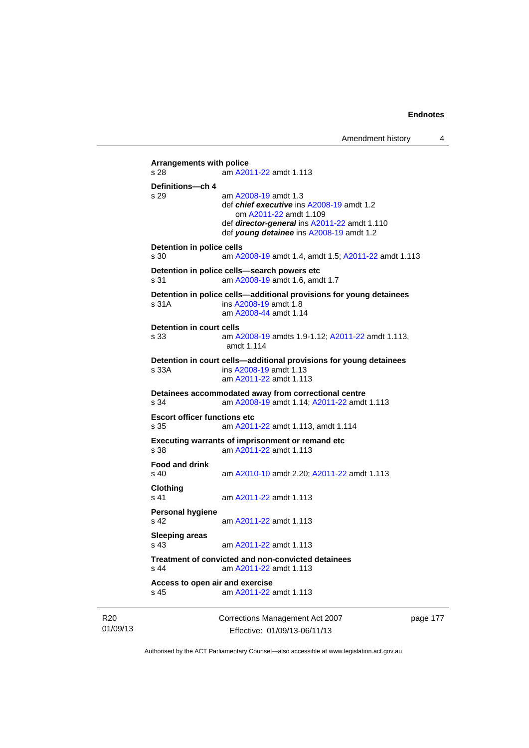```
Arrangements with police 
s 28 am A2011-22 amdt 1.113
Definitions—ch 4 
s 29 am A2008-19 amdt 1.3
                 def chief executive ins A2008-19 amdt 1.2 
                    om A2011-22 amdt 1.109
                 def director-general ins A2011-22 amdt 1.110 
                 def young detainee ins A2008-19 amdt 1.2 
Detention in police cells 
s 30 am A2008-19 amdt 1.4, amdt 1.5; A2011-22 amdt 1.113
Detention in police cells—search powers etc 
s 31 am A2008-19 amdt 1.6, amdt 1.7 
Detention in police cells—additional provisions for young detainees 
s 31A ins A2008-19 amdt 1.8 
                 am A2008-44 amdt 1.14
Detention in court cells 
s 33 am A2008-19 amdts 1.9-1.12; A2011-22 amdt 1.113, 
                 amdt 1.114 
Detention in court cells—additional provisions for young detainees 
s 33A ins A2008-19 amdt 1.13 
                 am A2011-22 amdt 1.113
Detainees accommodated away from correctional centre 
s 34 am A2008-19 amdt 1.14; A2011-22 amdt 1.113 
Escort officer functions etc 
s 35 am A2011-22 amdt 1.113, amdt 1.114 
Executing warrants of imprisonment or remand etc 
s 38 am A2011-22 amdt 1.113
Food and drink 
s 40 am A2010-10 amdt 2.20; A2011-22 amdt 1.113 
Clothing 
s 41 A2011-22 amdt 1.113
Personal hygiene 
s 42  A2011-22 amdt 1.113
Sleeping areas 
                 A2011-22 amdt 1.113
Treatment of convicted and non-convicted detainees 
s 44 am A2011-22 amdt 1.113
Access to open air and exercise 
s 45 am A2011-22 amdt 1.113
```
R20 01/09/13 Corrections Management Act 2007 Effective: 01/09/13-06/11/13

page 177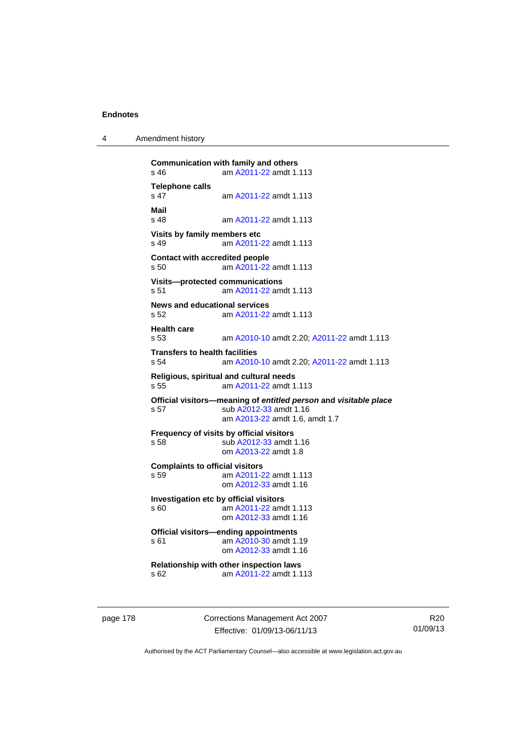4 Amendment history

```
Communication with family and others 
s 46 am A2011-22 amdt 1.113
Telephone calls 
                s 47 am A2011-22 amdt 1.113
Mail 
                 A2011-22 amdt 1.113
Visits by family members etc 
s 49 am A2011-22 amdt 1.113
Contact with accredited people 
s 50 am A2011-22 amdt 1.113
Visits—protected communications 
s 51 am A2011-22 amdt 1.113
News and educational services 
s 52 am A2011-22 amdt 1.113
Health care 
s 53 am A2010-10 amdt 2.20; A2011-22 amdt 1.113 
Transfers to health facilities 
s 54 am A2010-10 amdt 2.20; A2011-22 amdt 1.113 
Religious, spiritual and cultural needs 
s 55 am A2011-22 amdt 1.113
Official visitors—meaning of entitled person and visitable place 
s 57 sub A2012-33 amdt 1.16 
                 am A2013-22 amdt 1.6, amdt 1.7 
Frequency of visits by official visitors<br>s 58 sub A2012-33 amdt
                A2012-33 amdt 1.16
                 om A2013-22 amdt 1.8
Complaints to official visitors 
s 59 am A2011-22 amdt 1.113
                 om A2012-33 amdt 1.16
Investigation etc by official visitors 
s 60 am A2011-22 amdt 1.113
                 om A2012-33 amdt 1.16
Official visitors—ending appointments 
 A2010-30 amdt 1.19
                 om A2012-33 amdt 1.16
Relationship with other inspection laws 
s 62 am A2011-22 amdt 1.113
```
page 178 Corrections Management Act 2007 Effective: 01/09/13-06/11/13

R20 01/09/13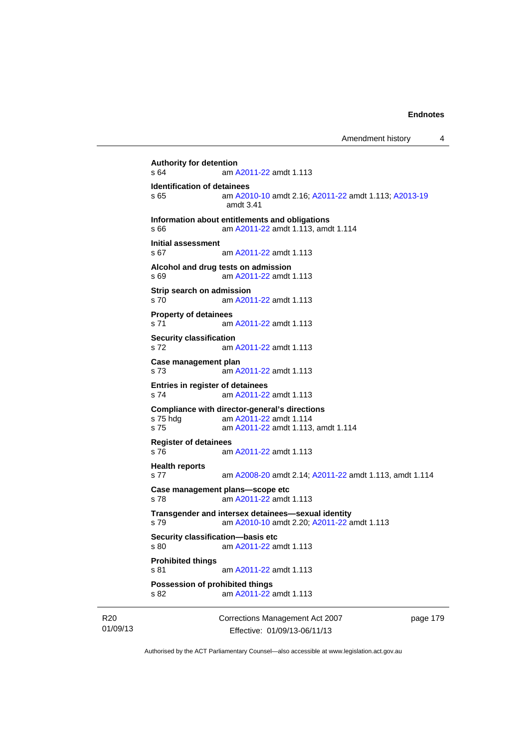```
Authority for detention<br>
s 64 am A
               A2011-22 amdt 1.113
Identification of detainees 
s 65 am A2010-10 amdt 2.16; A2011-22 amdt 1.113; A2013-19
                amdt 3.41
Information about entitlements and obligations 
s 66 am A2011-22 amdt 1.113, amdt 1.114 
Initial assessment 
s 67 am A2011-22 amdt 1.113
Alcohol and drug tests on admission 
s 69 am A2011-22 amdt 1.113
Strip search on admission 
s 70 am A2011-22 amdt 1.113
Property of detainees 
s 71 am A2011-22 amdt 1.113
Security classification 
s 72 am A2011-22 amdt 1.113
Case management plan 
s 73 am A2011-22 amdt 1.113
Entries in register of detainees 
s 74 am A2011-22 amdt 1.113
Compliance with director-general's directions 
s 75 hdg am A2011-22 amdt 1.114
s 75 am A2011-22 amdt 1.113, amdt 1.114 
Register of detainees 
s 76 am A2011-22 amdt 1.113
Health reports 
s 77 am A2008-20 amdt 2.14; A2011-22 amdt 1.113, amdt 1.114 
Case management plans—scope etc 
s 78 am A2011-22 amdt 1.113
Transgender and intersex detainees—sexual identity 
s 79 am A2010-10 amdt 2.20; A2011-22 amdt 1.113 
Security classification—basis etc 
s 80 am A2011-22 amdt 1.113
Prohibited things 
s 81 am A2011-22 amdt 1.113
Possession of prohibited things 
s 82 am A2011-22 amdt 1.113
```
R20 01/09/13 Corrections Management Act 2007 Effective: 01/09/13-06/11/13

page 179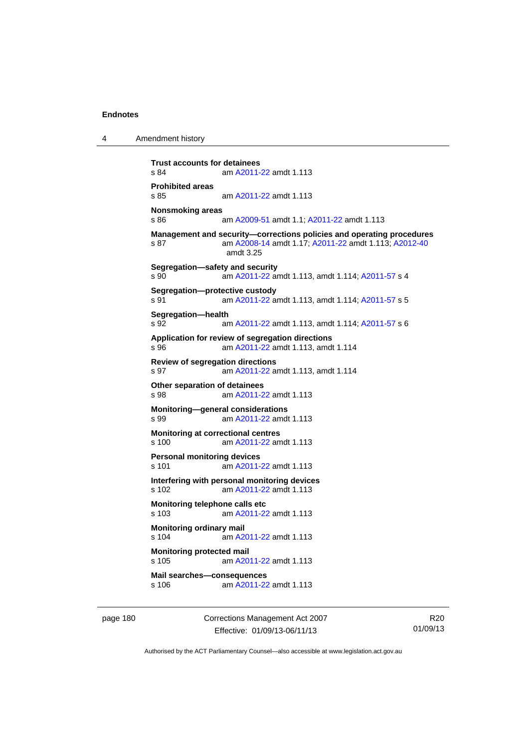4 Amendment history

```
Trust accounts for detainees<br>s 84 am A2011-
               A2011-22 amdt 1.113
Prohibited areas 
s 85 am A2011-22 amdt 1.113
Nonsmoking areas 
s 86 am A2009-51 amdt 1.1; A2011-22 amdt 1.113 
Management and security—corrections policies and operating procedures 
s 87 am A2008-14 amdt 1.17; A2011-22 amdt 1.113; A2012-40
                amdt 3.25
Segregation—safety and security 
s 90 am A2011-22 amdt 1.113, amdt 1.114; A2011-57 s 4 
Segregation—protective custody 
s 91 am A2011-22 amdt 1.113, amdt 1.114; A2011-57 s 5 
Segregation—health 
s 92 am A2011-22 amdt 1.113, amdt 1.114; A2011-57 s 6 
Application for review of segregation directions 
s 96 am A2011-22 amdt 1.113, amdt 1.114 
Review of segregation directions 
s 97 am A2011-22 amdt 1.113, amdt 1.114 
Other separation of detainees 
s 98 am A2011-22 amdt 1.113
Monitoring—general considerations 
s 99 am A2011-22 amdt 1.113
Monitoring at correctional centres 
s 100 am A2011-22 amdt 1.113
Personal monitoring devices 
s 101 am A2011-22 amdt 1.113
Interfering with personal monitoring devices 
s 102 am A2011-22 amdt 1.113
Monitoring telephone calls etc 
s 103 am A2011-22 amdt 1.113
Monitoring ordinary mail 
s 104 am A2011-22 amdt 1.113
Monitoring protected mail 
s 105 am A2011-22 amdt 1.113
Mail searches—consequences 
s 106 am A2011-22 amdt 1.113
```
page 180 Corrections Management Act 2007 Effective: 01/09/13-06/11/13

R20 01/09/13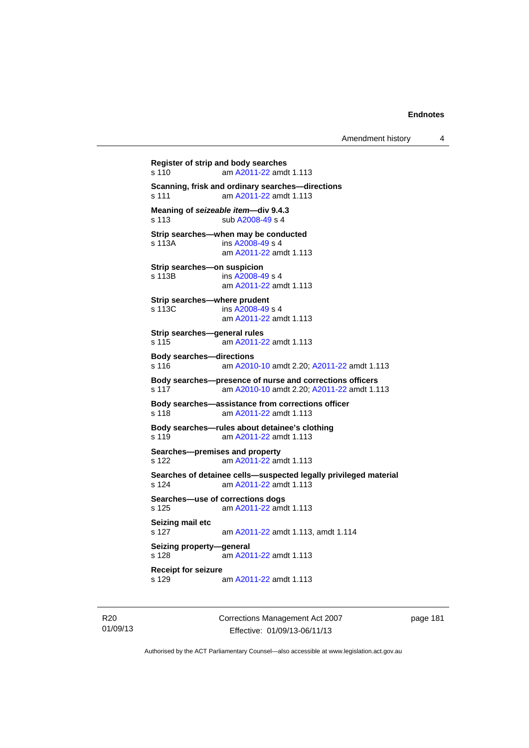**Register of strip and body searches**  s 110 am [A2011-22](http://www.legislation.act.gov.au/a/2011-22) amdt 1.113 **Scanning, frisk and ordinary searches—directions**  s 111 am [A2011-22](http://www.legislation.act.gov.au/a/2011-22) amdt 1.113 **Meaning of** *seizeable item***—div 9.4.3**  s 113 sub [A2008-49](http://www.legislation.act.gov.au/a/2008-49) s 4 **Strip searches—when may be conducted**  s 113A ins [A2008-49](http://www.legislation.act.gov.au/a/2008-49) s 4 am [A2011-22](http://www.legislation.act.gov.au/a/2011-22) amdt 1.113 **Strip searches—on suspicion**  s 113B ins [A2008-49](http://www.legislation.act.gov.au/a/2008-49) s 4 am [A2011-22](http://www.legislation.act.gov.au/a/2011-22) amdt 1.113 **Strip searches—where prudent**  s 113C ins [A2008-49](http://www.legislation.act.gov.au/a/2008-49) s 4 am [A2011-22](http://www.legislation.act.gov.au/a/2011-22) amdt 1.113 **Strip searches—general rules**  s 115 am [A2011-22](http://www.legislation.act.gov.au/a/2011-22) amdt 1.113 **Body searches—directions**  s 116 am [A2010-10](http://www.legislation.act.gov.au/a/2010-10) amdt 2.20; [A2011-22](http://www.legislation.act.gov.au/a/2011-22) amdt 1.113 **Body searches—presence of nurse and corrections officers**  s 117 am [A2010-10](http://www.legislation.act.gov.au/a/2010-10) amdt 2.20; [A2011-22](http://www.legislation.act.gov.au/a/2011-22) amdt 1.113 **Body searches—assistance from corrections officer**  s 118 am [A2011-22](http://www.legislation.act.gov.au/a/2011-22) amdt 1.113 **Body searches—rules about detainee's clothing**  s 119 am [A2011-22](http://www.legislation.act.gov.au/a/2011-22) amdt 1.113 **Searches—premises and property**  s 122 am [A2011-22](http://www.legislation.act.gov.au/a/2011-22) amdt 1.113 **Searches of detainee cells—suspected legally privileged material**  s 124 am [A2011-22](http://www.legislation.act.gov.au/a/2011-22) amdt 1.113 **Searches—use of corrections dogs**  s 125 am [A2011-22](http://www.legislation.act.gov.au/a/2011-22) amdt 1.113 **Seizing mail etc**  s 127 am [A2011-22](http://www.legislation.act.gov.au/a/2011-22) amdt 1.113, amdt 1.114 **Seizing property—general**  s 128 am [A2011-22](http://www.legislation.act.gov.au/a/2011-22) amdt 1.113 **Receipt for seizure**  s 129 am [A2011-22](http://www.legislation.act.gov.au/a/2011-22) amdt 1.113

R20 01/09/13 Corrections Management Act 2007 Effective: 01/09/13-06/11/13

page 181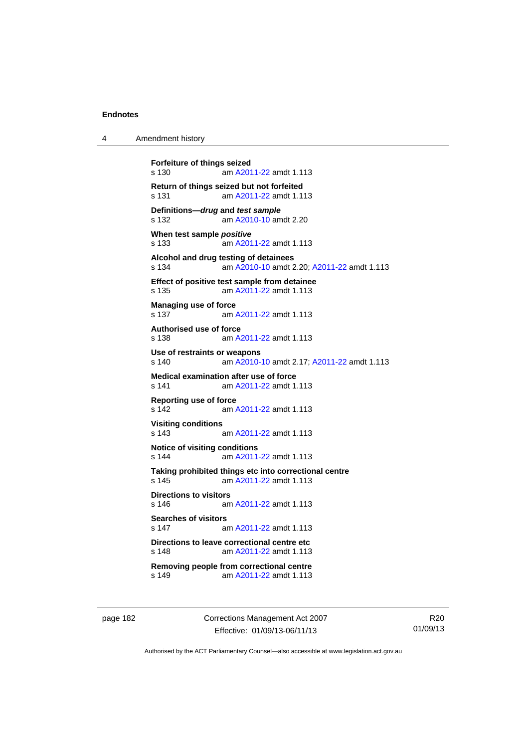| 4 | Amendment history |
|---|-------------------|
|---|-------------------|

```
Forfeiture of things seized 
s 130 am A2011-22 amdt 1.113
Return of things seized but not forfeited 
s 131 am A2011-22 amdt 1.113
Definitions—drug and test sample
s 132 am A2010-10 amdt 2.20
When test sample positive
s 133 am A2011-22 amdt 1.113
Alcohol and drug testing of detainees 
s 134 am A2010-10 amdt 2.20; A2011-22 amdt 1.113 
Effect of positive test sample from detainee 
s 135 am A2011-22 amdt 1.113
Managing use of force 
s 137 am A2011-22 amdt 1.113
Authorised use of force 
s 138 am A2011-22 amdt 1.113
Use of restraints or weapons 
s 140 am A2010-10 amdt 2.17; A2011-22 amdt 1.113 
Medical examination after use of force 
s 141 am A2011-22 amdt 1.113
Reporting use of force 
s 142 am A2011-22 amdt 1.113
Visiting conditions 
s 143 am A2011-22 amdt 1.113
Notice of visiting conditions 
s 144 am A2011-22 amdt 1.113
Taking prohibited things etc into correctional centre 
s 145 am A2011-22 amdt 1.113
Directions to visitors<br>s 146 am
                A2011-22 amdt 1.113
Searches of visitors 
s 147 am A2011-22 amdt 1.113
Directions to leave correctional centre etc 
s 148 am A2011-22 amdt 1.113
Removing people from correctional centre 
s 149 am A2011-22 amdt 1.113
```
page 182 Corrections Management Act 2007 Effective: 01/09/13-06/11/13

R20 01/09/13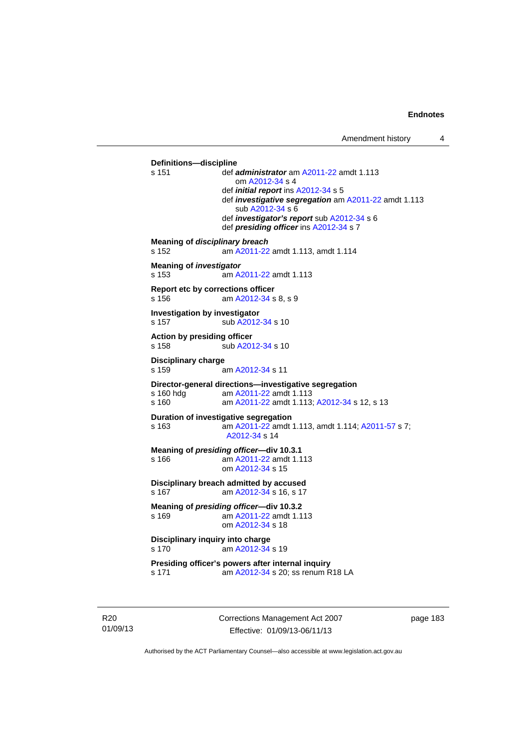**Definitions—discipline**  s 151 def *administrator* am [A2011-22](http://www.legislation.act.gov.au/a/2011-22) amdt 1.113 om [A2012-34](http://www.legislation.act.gov.au/a/2012-34) s 4 def *initial report* ins [A2012-34](http://www.legislation.act.gov.au/a/2012-34) s 5 def *investigative segregation* am [A2011-22](http://www.legislation.act.gov.au/a/2011-22) amdt 1.113 sub [A2012-34](http://www.legislation.act.gov.au/a/2012-34) s 6 def *investigator's report* sub [A2012-34](http://www.legislation.act.gov.au/a/2012-34) s 6 def *presiding officer* ins [A2012-34](http://www.legislation.act.gov.au/a/2012-34) s 7 **Meaning of** *disciplinary breach* s 152 am [A2011-22](http://www.legislation.act.gov.au/a/2011-22) amdt 1.113, amdt 1.114 **Meaning of** *investigator* s 153 am [A2011-22](http://www.legislation.act.gov.au/a/2011-22) amdt 1.113 **Report etc by corrections officer**  s 156 am [A2012-34](http://www.legislation.act.gov.au/a/2012-34) s 8, s 9 **Investigation by investigator**  s 157 sub [A2012-34](http://www.legislation.act.gov.au/a/2012-34) s 10 **Action by presiding officer**  s 158 sub [A2012-34](http://www.legislation.act.gov.au/a/2012-34) s 10 **Disciplinary charge**  s 159 am [A2012-34](http://www.legislation.act.gov.au/a/2012-34) s 11 **Director-general directions—investigative segregation**  s 160 hdg am [A2011-22](http://www.legislation.act.gov.au/a/2011-22) amdt 1.113<br>s 160 am A2011-22 amdt 1.113 am [A2011-22](http://www.legislation.act.gov.au/a/2011-22) amdt 1.113; [A2012-34](http://www.legislation.act.gov.au/a/2012-34) s 12, s 13 **Duration of investigative segregation**  s 163 am [A2011-22](http://www.legislation.act.gov.au/a/2011-22) amdt 1.113, amdt 1.114; [A2011-57](http://www.legislation.act.gov.au/a/2011-57) s 7; [A2012-34](http://www.legislation.act.gov.au/a/2012-34) s 14 **Meaning of** *presiding officer***—div 10.3.1**  s 166 am [A2011-22](http://www.legislation.act.gov.au/a/2011-22) amdt 1.113 om [A2012-34](http://www.legislation.act.gov.au/a/2012-34) s 15 **Disciplinary breach admitted by accused**  s 167 **am [A2012-34](http://www.legislation.act.gov.au/a/2012-34) s 16, s 17 Meaning of** *presiding officer***—div 10.3.2**  s 169 am [A2011-22](http://www.legislation.act.gov.au/a/2011-22) amdt 1.113 om [A2012-34](http://www.legislation.act.gov.au/a/2012-34) s 18 **Disciplinary inquiry into charge**  s 170 am [A2012-34](http://www.legislation.act.gov.au/a/2012-34) s 19 **Presiding officer's powers after internal inquiry**  s 171 am [A2012-34](http://www.legislation.act.gov.au/a/2012-34) s 20; ss renum R18 LA

R20 01/09/13 Corrections Management Act 2007 Effective: 01/09/13-06/11/13

page 183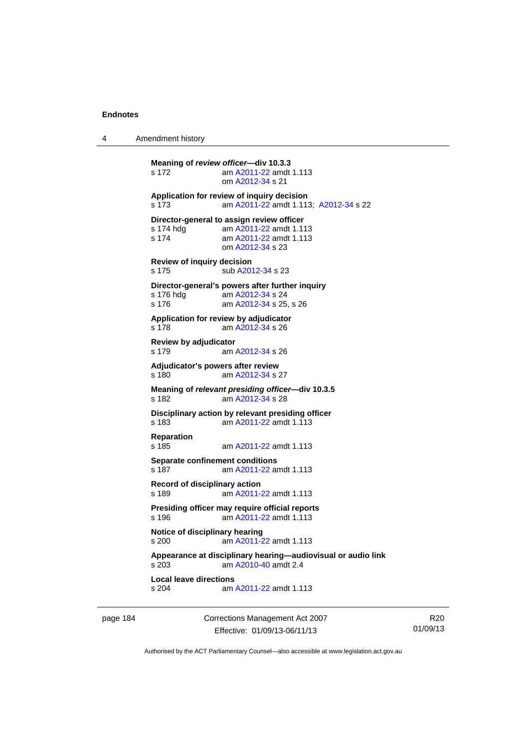4 Amendment history

```
Meaning of review officer—div 10.3.3 
s 172 am A2011-22 amdt 1.113
                 om A2012-34 s 21 
Application for review of inquiry decision 
s 173 am A2011-22 amdt 1.113; A2012-34 s 22 
Director-general to assign review officer 
 A2011-22 amdt 1.113<br>s 174 am A2011-22 amdt 1.113
                 A2011-22 amdt 1.113
                 om A2012-34 s 23 
Review of inquiry decision 
s 175 sub A2012-34 s 23 
Director-general's powers after further inquiry 
                 A2012-34 s 24
s 176 am A2012-34 s 25, s 26 
Application for review by adjudicator 
s 178 am A2012-34 s 26 
Review by adjudicator 
s 179 am A2012-34 s 26 
Adjudicator's powers after review 
s 180 am A2012-34 s 27 
Meaning of relevant presiding officer—div 10.3.5 
s 182 am A2012-34 s 28 
Disciplinary action by relevant presiding officer 
s 183 am A2011-22 amdt 1.113
Reparation 
s 185 am A2011-22 amdt 1.113
Separate confinement conditions 
s 187 am A2011-22 amdt 1.113
Record of disciplinary action 
s 189 am A2011-22 amdt 1.113
Presiding officer may require official reports 
s 196 am A2011-22 amdt 1.113
Notice of disciplinary hearing 
s 200 am A2011-22 amdt 1.113
Appearance at disciplinary hearing—audiovisual or audio link 
s 203 am A2010-40 amdt 2.4
Local leave directions 
                A2011-22 amdt 1.113
```
page 184 Corrections Management Act 2007 Effective: 01/09/13-06/11/13

R20 01/09/13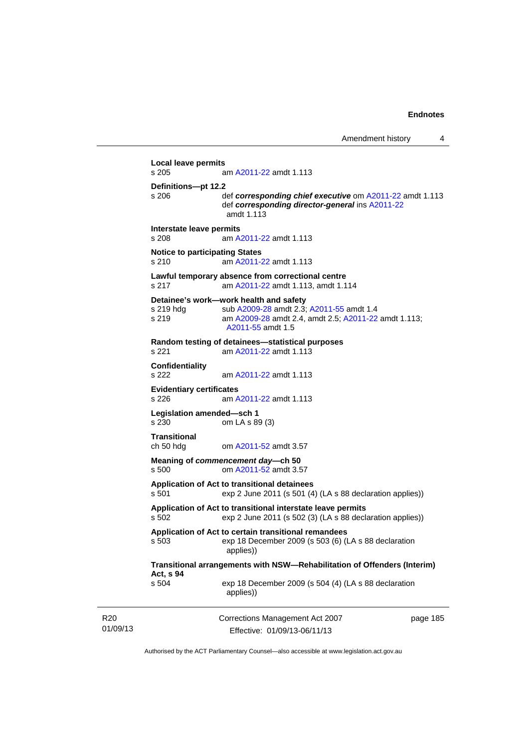```
01/09/13 
                          Corrections Management Act 2007 
                             Effective: 01/09/13-06/11/13 
                                                                       page 185 
           Local leave permits 
           s 205 am A2011-22 amdt 1.113
           Definitions—pt 12.2 
           s 206 def corresponding chief executive om A2011-22 amdt 1.113 
                            def corresponding director-general ins A2011-22
                            amdt 1.113
           Interstate leave permits 
           s 208 am A2011-22 amdt 1.113
           Notice to participating States 
           s 210 am A2011-22 amdt 1.113
           Lawful temporary absence from correctional centre 
           s 217 am A2011-22 amdt 1.113, amdt 1.114 
           Detainee's work—work health and safety 
           A2009-28A2011-55 amdt 1.4
           s 219 am A2009-28 amdt 2.4, amdt 2.5; A2011-22 amdt 1.113; 
                            A2011-55 amdt 1.5 
           Random testing of detainees—statistical purposes 
           s 221 am A2011-22 amdt 1.113
           Confidentiality 
                            A2011-22 amdt 1.113
           Evidentiary certificates 
           s 226 am A2011-22 amdt 1.113
           Legislation amended—sch 1 
           s 230 om LA s 89 (3) 
           Transitional 
           ch 50 hdg om A2011-52 amdt 3.57
           Meaning of commencement day—ch 50 
           s 500 om A2011-52 amdt 3.57
           Application of Act to transitional detainees 
           s 501 exp 2 June 2011 (s 501 (4) (LA s 88 declaration applies)) 
           Application of Act to transitional interstate leave permits 
           s 502 exp 2 June 2011 (s 502 (3) (LA s 88 declaration applies)) 
           Application of Act to certain transitional remandees 
           s 503 exp 18 December 2009 (s 503 (6) (LA s 88 declaration 
                            applies)) 
           Transitional arrangements with NSW—Rehabilitation of Offenders (Interim) 
           Act, s 94 
           s 504 exp 18 December 2009 (s 504 (4) (LA s 88 declaration 
                            applies))
```
Authorised by the ACT Parliamentary Counsel—also accessible at www.legislation.act.gov.au

R20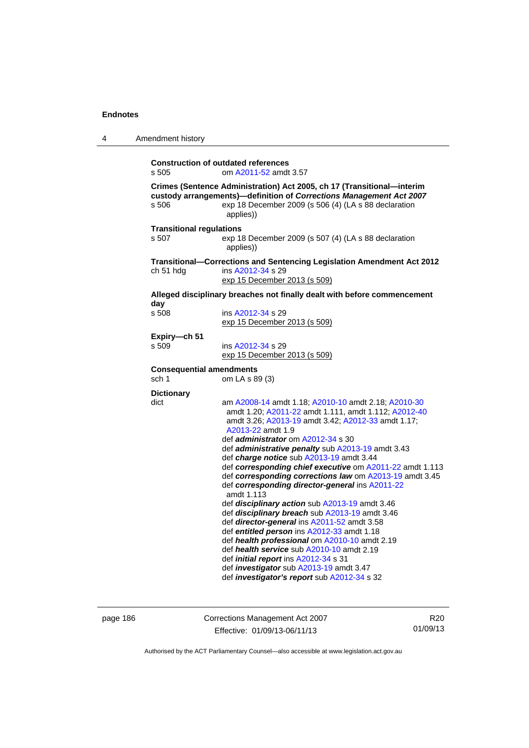| 4 | Amendment history                                                        |                                                                                                                                                                                                                                                                                                                                                                                                                                                                                                                                                                                                                                                                                                                                                                                                                                                                                                                                                                      |  |
|---|--------------------------------------------------------------------------|----------------------------------------------------------------------------------------------------------------------------------------------------------------------------------------------------------------------------------------------------------------------------------------------------------------------------------------------------------------------------------------------------------------------------------------------------------------------------------------------------------------------------------------------------------------------------------------------------------------------------------------------------------------------------------------------------------------------------------------------------------------------------------------------------------------------------------------------------------------------------------------------------------------------------------------------------------------------|--|
|   | s 505                                                                    | <b>Construction of outdated references</b><br>om A2011-52 amdt 3.57                                                                                                                                                                                                                                                                                                                                                                                                                                                                                                                                                                                                                                                                                                                                                                                                                                                                                                  |  |
|   | s 506                                                                    | Crimes (Sentence Administration) Act 2005, ch 17 (Transitional-interim<br>custody arrangements)-definition of Corrections Management Act 2007<br>exp 18 December 2009 (s 506 (4) (LA s 88 declaration<br>applies))                                                                                                                                                                                                                                                                                                                                                                                                                                                                                                                                                                                                                                                                                                                                                   |  |
|   | <b>Transitional regulations</b><br>s 507                                 | exp 18 December 2009 (s 507 (4) (LA s 88 declaration<br>applies))                                                                                                                                                                                                                                                                                                                                                                                                                                                                                                                                                                                                                                                                                                                                                                                                                                                                                                    |  |
|   | ch 51 hdg                                                                | Transitional-Corrections and Sentencing Legislation Amendment Act 2012<br>ins A2012-34 s 29<br>exp 15 December 2013 (s 509)                                                                                                                                                                                                                                                                                                                                                                                                                                                                                                                                                                                                                                                                                                                                                                                                                                          |  |
|   | Alleged disciplinary breaches not finally dealt with before commencement |                                                                                                                                                                                                                                                                                                                                                                                                                                                                                                                                                                                                                                                                                                                                                                                                                                                                                                                                                                      |  |
|   | day<br>s 508                                                             | ins A2012-34 s 29<br>exp 15 December 2013 (s 509)                                                                                                                                                                                                                                                                                                                                                                                                                                                                                                                                                                                                                                                                                                                                                                                                                                                                                                                    |  |
|   | Expiry—ch 51<br>s 509                                                    | ins A2012-34 s 29<br>exp 15 December 2013 (s 509)                                                                                                                                                                                                                                                                                                                                                                                                                                                                                                                                                                                                                                                                                                                                                                                                                                                                                                                    |  |
|   | <b>Consequential amendments</b><br>sch 1                                 | om LA s 89 (3)                                                                                                                                                                                                                                                                                                                                                                                                                                                                                                                                                                                                                                                                                                                                                                                                                                                                                                                                                       |  |
|   | <b>Dictionary</b><br>dict                                                | am A2008-14 amdt 1.18; A2010-10 amdt 2.18; A2010-30<br>amdt 1.20; A2011-22 amdt 1.111, amdt 1.112; A2012-40<br>amdt 3.26; A2013-19 amdt 3.42; A2012-33 amdt 1.17;<br>A2013-22 amdt 1.9<br>def administrator om A2012-34 s 30<br>def administrative penalty sub A2013-19 amdt 3.43<br>def charge notice sub A2013-19 amdt 3.44<br>def corresponding chief executive om A2011-22 amdt 1.113<br>def corresponding corrections law om A2013-19 amdt 3.45<br>def corresponding director-general ins A2011-22<br>amdt 1.113<br>def disciplinary action sub A2013-19 amdt 3.46<br>def disciplinary breach sub A2013-19 amdt 3.46<br>def director-general ins A2011-52 amdt 3.58<br>def entitled person ins A2012-33 amdt 1.18<br>def health professional om A2010-10 amdt 2.19<br>def health service sub A2010-10 amdt 2.19<br>def <i>initial report</i> ins A2012-34 s 31<br>def <i>investigator</i> sub A2013-19 amdt 3.47<br>def investigator's report sub A2012-34 s 32 |  |

page 186 Corrections Management Act 2007 Effective: 01/09/13-06/11/13

R20 01/09/13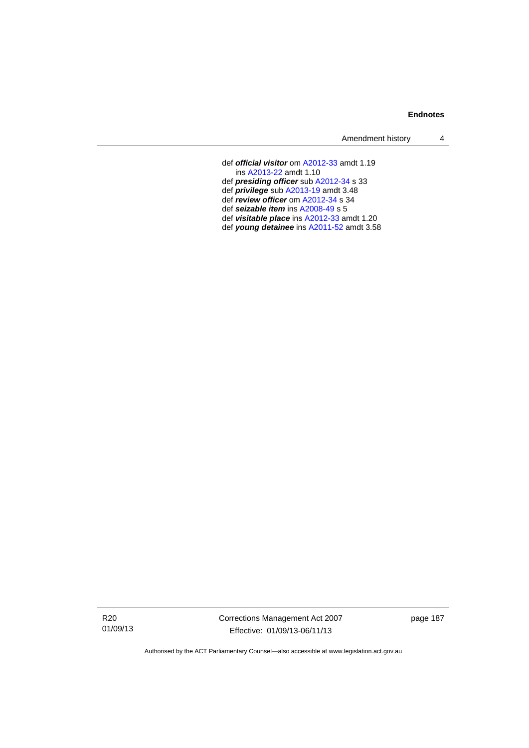| Amendment history |  |
|-------------------|--|
|-------------------|--|

 def *official visitor* om [A2012-33](http://www.legislation.act.gov.au/a/2012-33) amdt 1.19 ins [A2013-22](http://www.legislation.act.gov.au/a/2013-22) amdt 1.10 def *presiding officer* sub [A2012-34](http://www.legislation.act.gov.au/a/2012-34) s 33 def *privilege* sub [A2013-19](http://www.legislation.act.gov.au/a/2013-19) amdt 3.48 def *review officer* om [A2012-34](http://www.legislation.act.gov.au/a/2012-34) s 34 def *seizable item* ins [A2008-49](http://www.legislation.act.gov.au/a/2008-49) s 5 def *visitable place* ins [A2012-33](http://www.legislation.act.gov.au/a/2012-33) amdt 1.20 def *young detainee* ins [A2011-52](http://www.legislation.act.gov.au/a/2011-52) amdt 3.58

R20 01/09/13 Corrections Management Act 2007 Effective: 01/09/13-06/11/13

page 187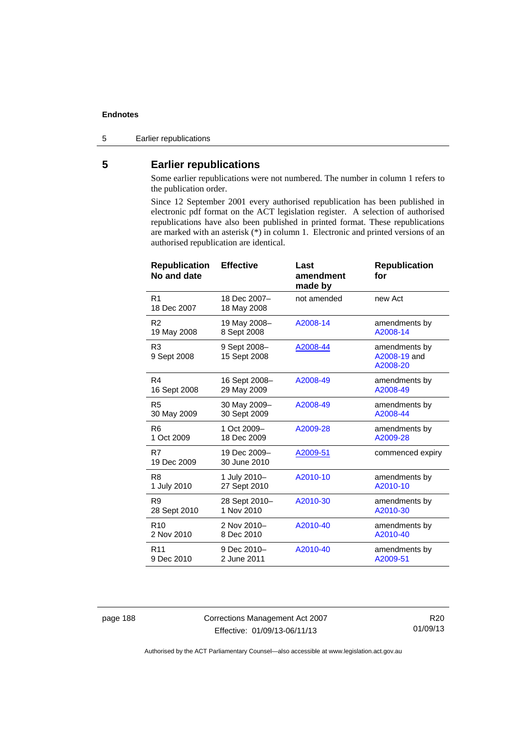5 Earlier republications

# **5 Earlier republications**

Some earlier republications were not numbered. The number in column 1 refers to the publication order.

Since 12 September 2001 every authorised republication has been published in electronic pdf format on the ACT legislation register. A selection of authorised republications have also been published in printed format. These republications are marked with an asterisk (\*) in column 1. Electronic and printed versions of an authorised republication are identical.

| <b>Republication</b><br>No and date | <b>Effective</b>             | Last<br>amendment<br>made by | <b>Republication</b><br>for               |
|-------------------------------------|------------------------------|------------------------------|-------------------------------------------|
| R <sub>1</sub><br>18 Dec 2007       | 18 Dec 2007-<br>18 May 2008  | not amended                  | new Act                                   |
| R <sub>2</sub>                      | 19 May 2008-                 | A2008-14                     | amendments by                             |
| 19 May 2008                         | 8 Sept 2008                  |                              | A2008-14                                  |
| R <sub>3</sub><br>9 Sept 2008       | 9 Sept 2008-<br>15 Sept 2008 | A2008-44                     | amendments by<br>A2008-19 and<br>A2008-20 |
| R4                                  | 16 Sept 2008-                | A2008-49                     | amendments by                             |
| 16 Sept 2008                        | 29 May 2009                  |                              | A2008-49                                  |
| R <sub>5</sub>                      | 30 May 2009-                 | A2008-49                     | amendments by                             |
| 30 May 2009                         | 30 Sept 2009                 |                              | A2008-44                                  |
| R <sub>6</sub>                      | 1 Oct 2009-                  | A2009-28                     | amendments by                             |
| 1 Oct 2009                          | 18 Dec 2009                  |                              | A2009-28                                  |
| R7<br>19 Dec 2009                   | 19 Dec 2009-<br>30 June 2010 | A2009-51                     | commenced expiry                          |
| R <sub>8</sub>                      | 1 July 2010-                 | A2010-10                     | amendments by                             |
| 1 July 2010                         | 27 Sept 2010                 |                              | A2010-10                                  |
| R <sub>9</sub>                      | 28 Sept 2010-                | A2010-30                     | amendments by                             |
| 28 Sept 2010                        | 1 Nov 2010                   |                              | A2010-30                                  |
| R <sub>10</sub>                     | 2 Nov 2010-                  | A2010-40                     | amendments by                             |
| 2 Nov 2010                          | 8 Dec 2010                   |                              | A2010-40                                  |
| R <sub>11</sub>                     | 9 Dec 2010-                  | A2010-40                     | amendments by                             |
| 9 Dec 2010                          | 2 June 2011                  |                              | A2009-51                                  |

page 188 Corrections Management Act 2007 Effective: 01/09/13-06/11/13

R20 01/09/13